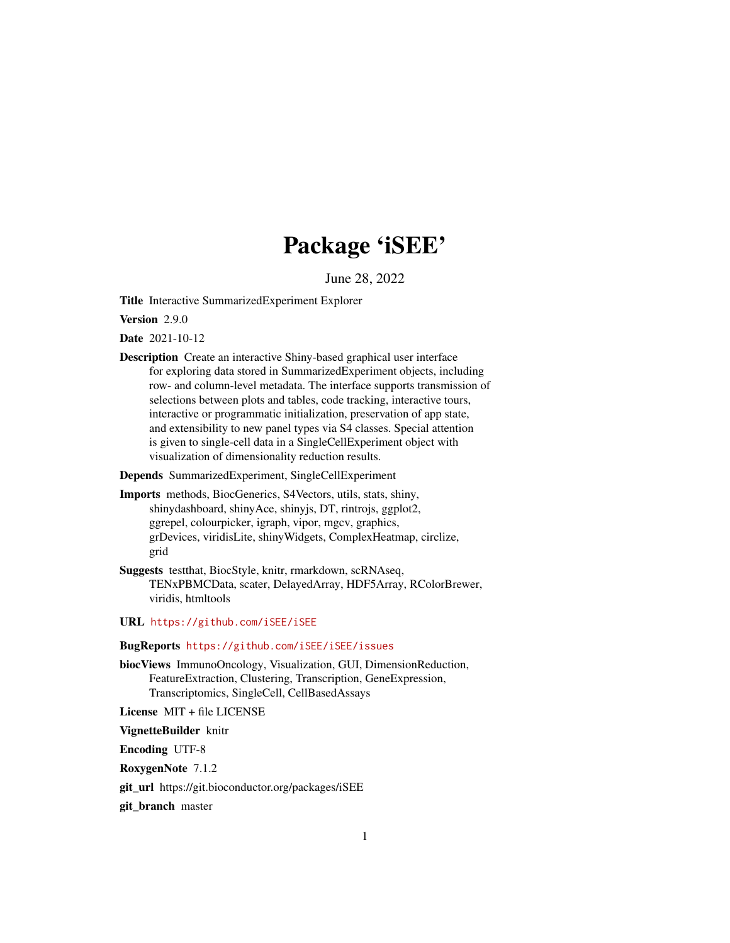# Package 'iSEE'

June 28, 2022

<span id="page-0-0"></span>Title Interactive SummarizedExperiment Explorer

Version 2.9.0

Date 2021-10-12

Description Create an interactive Shiny-based graphical user interface for exploring data stored in SummarizedExperiment objects, including row- and column-level metadata. The interface supports transmission of selections between plots and tables, code tracking, interactive tours, interactive or programmatic initialization, preservation of app state, and extensibility to new panel types via S4 classes. Special attention is given to single-cell data in a SingleCellExperiment object with visualization of dimensionality reduction results.

Depends SummarizedExperiment, SingleCellExperiment

- Imports methods, BiocGenerics, S4Vectors, utils, stats, shiny, shinydashboard, shinyAce, shinyjs, DT, rintrojs, ggplot2, ggrepel, colourpicker, igraph, vipor, mgcv, graphics, grDevices, viridisLite, shinyWidgets, ComplexHeatmap, circlize, grid
- Suggests testthat, BiocStyle, knitr, rmarkdown, scRNAseq, TENxPBMCData, scater, DelayedArray, HDF5Array, RColorBrewer, viridis, htmltools

URL <https://github.com/iSEE/iSEE>

### BugReports <https://github.com/iSEE/iSEE/issues>

biocViews ImmunoOncology, Visualization, GUI, DimensionReduction, FeatureExtraction, Clustering, Transcription, GeneExpression, Transcriptomics, SingleCell, CellBasedAssays

License MIT + file LICENSE

VignetteBuilder knitr

Encoding UTF-8

RoxygenNote 7.1.2

git\_url https://git.bioconductor.org/packages/iSEE

git\_branch master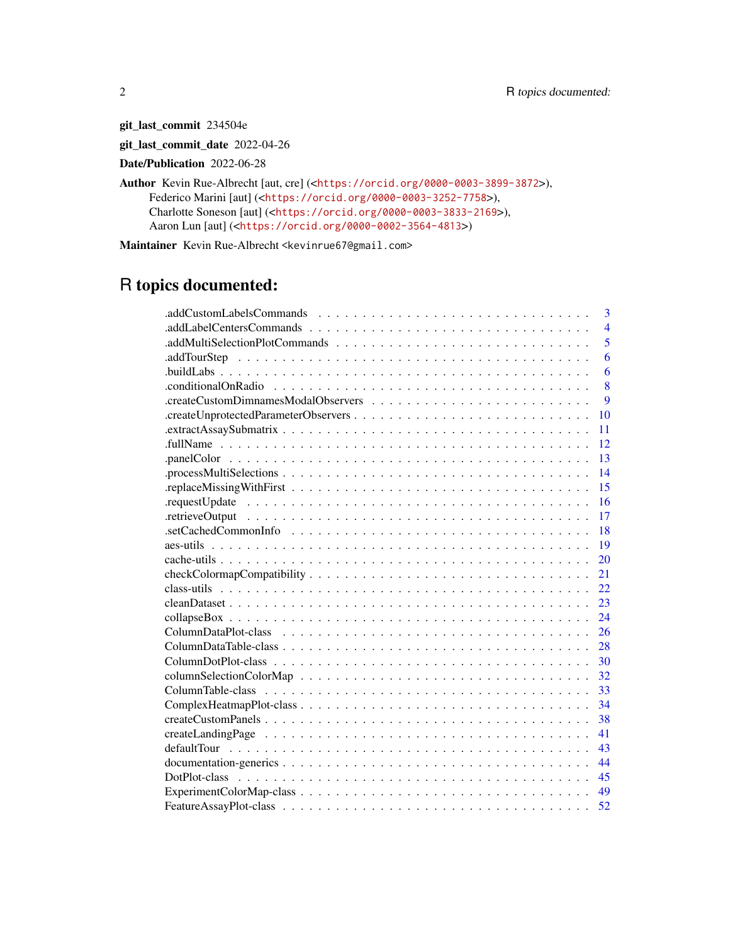git\_last\_commit 234504e

git\_last\_commit\_date 2022-04-26

Date/Publication 2022-06-28

Author Kevin Rue-Albrecht [aut, cre] (<<https://orcid.org/0000-0003-3899-3872>>), Federico Marini [aut] (<<https://orcid.org/0000-0003-3252-7758>>), Charlotte Soneson [aut] (<<https://orcid.org/0000-0003-3833-2169>>), Aaron Lun [aut] (<<https://orcid.org/0000-0002-3564-4813>>)

Maintainer Kevin Rue-Albrecht <kevinrue67@gmail.com>

# R topics documented:

| .addCustomLabelsCommands<br>3              |
|--------------------------------------------|
| $\overline{4}$<br>.addLabelCentersCommands |
| 5                                          |
| 6                                          |
| 6                                          |
| 8                                          |
| $\overline{Q}$                             |
| 10                                         |
| 11                                         |
| 12                                         |
| 13                                         |
| 14                                         |
| 15                                         |
| 16                                         |
| 17                                         |
| 18                                         |
| 19                                         |
| 20                                         |
| 21                                         |
| 22.                                        |
| 23                                         |
| 24                                         |
| 26                                         |
| 28                                         |
| 30                                         |
| 32                                         |
| 33                                         |
| 34                                         |
| 38                                         |
| 41                                         |
| 43                                         |
| 44                                         |
| 45                                         |
| 49                                         |
| 52                                         |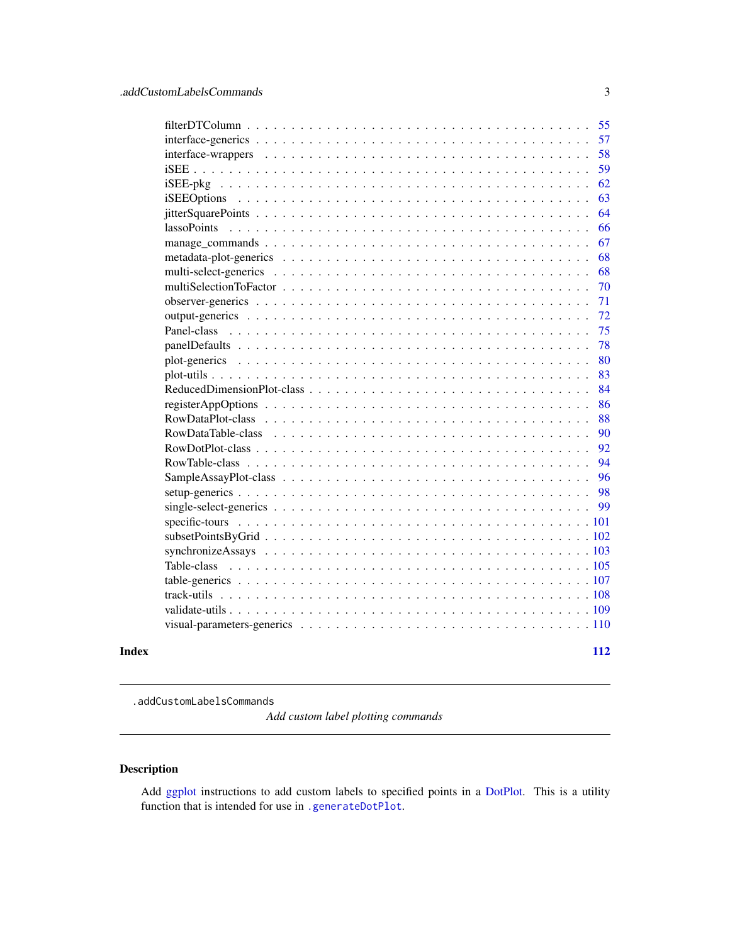<span id="page-2-0"></span>

|       |             | 55  |
|-------|-------------|-----|
|       |             | 57  |
|       |             | 58  |
|       |             | 59  |
|       |             | 62  |
|       |             | 63  |
|       |             | 64  |
|       | lassoPoints | 66  |
|       |             | 67  |
|       |             | 68  |
|       |             | 68  |
|       |             | 70  |
|       |             | 71  |
|       |             | 72  |
|       |             | 75  |
|       |             | 78  |
|       |             | 80  |
|       |             | 83  |
|       |             | 84  |
|       |             | 86  |
|       |             | 88  |
|       |             | 90  |
|       |             | 92  |
|       |             | 94  |
|       |             | 96  |
|       |             | 98  |
|       |             | 99  |
|       |             |     |
|       |             |     |
|       |             |     |
|       |             |     |
|       |             |     |
|       |             |     |
|       |             |     |
|       |             |     |
| Index |             | 112 |

.addCustomLabelsCommands

*Add custom label plotting commands*

# Description

Add [ggplot](#page-0-0) instructions to add custom labels to specified points in a [DotPlot.](#page-44-1) This is a utility function that is intended for use in [.generateDotPlot](#page-79-1).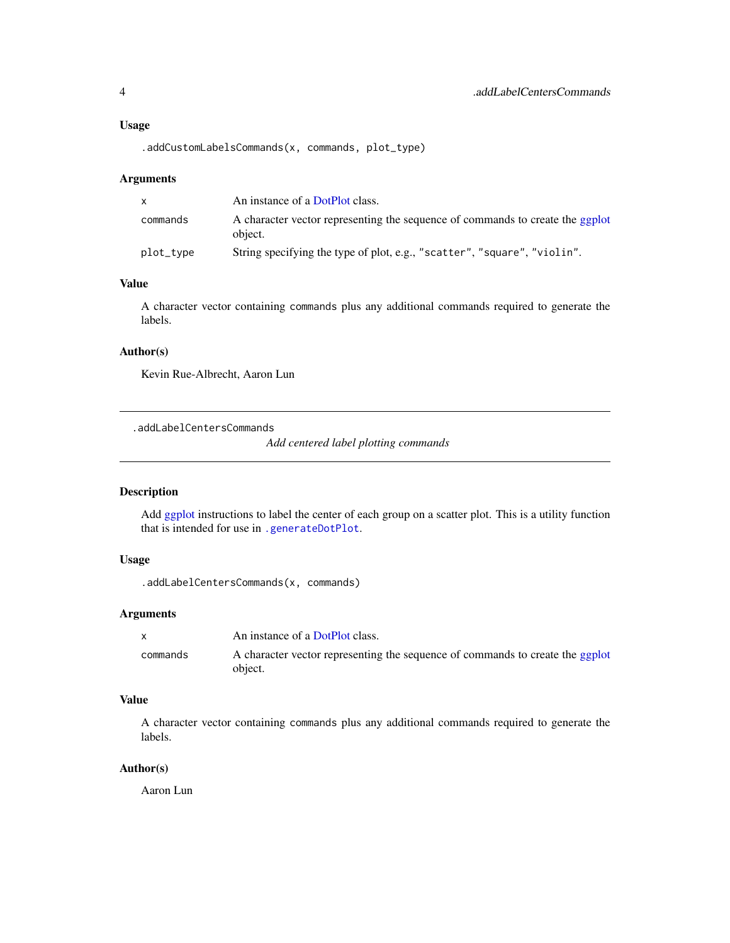#### <span id="page-3-0"></span>Usage

.addCustomLabelsCommands(x, commands, plot\_type)

#### Arguments

| X.        | An instance of a DotPlot class.                                                          |
|-----------|------------------------------------------------------------------------------------------|
| commands  | A character vector representing the sequence of commands to create the ggplot<br>object. |
| plot_type | String specifying the type of plot, e.g., "scatter", "square", "violin".                 |

# Value

A character vector containing commands plus any additional commands required to generate the labels.

### Author(s)

Kevin Rue-Albrecht, Aaron Lun

.addLabelCentersCommands

*Add centered label plotting commands*

# Description

Add [ggplot](#page-0-0) instructions to label the center of each group on a scatter plot. This is a utility function that is intended for use in [.generateDotPlot](#page-79-1).

### Usage

```
.addLabelCentersCommands(x, commands)
```
# Arguments

|          | An instance of a DotPlot class.                                                          |
|----------|------------------------------------------------------------------------------------------|
| commands | A character vector representing the sequence of commands to create the ggplot<br>object. |

# Value

A character vector containing commands plus any additional commands required to generate the labels.

### Author(s)

Aaron Lun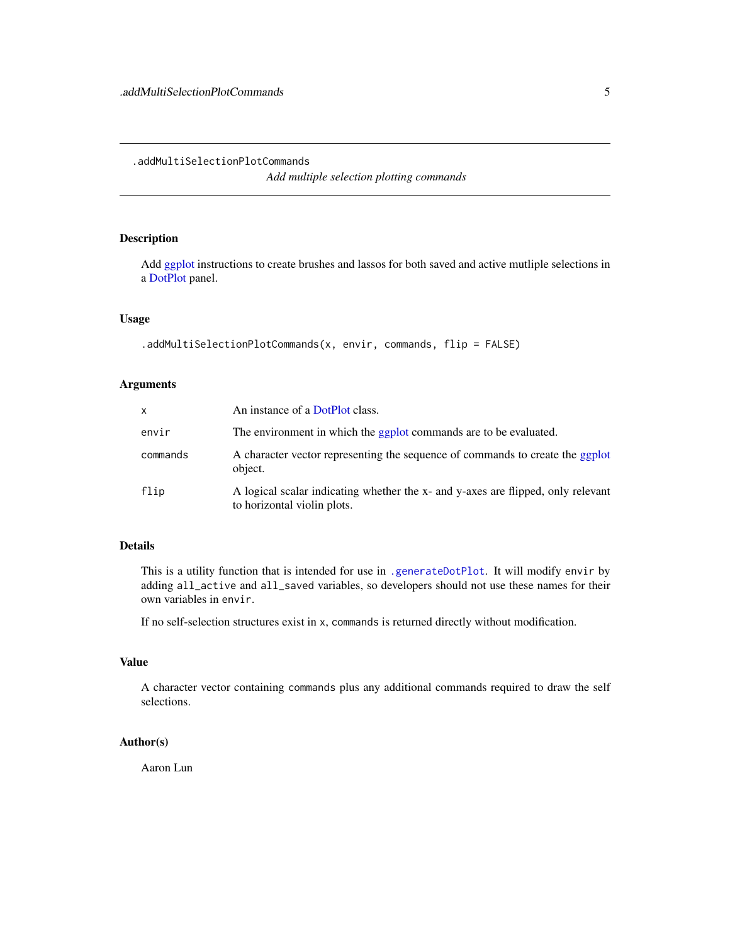### <span id="page-4-0"></span>.addMultiSelectionPlotCommands

*Add multiple selection plotting commands*

# Description

Add [ggplot](#page-0-0) instructions to create brushes and lassos for both saved and active mutliple selections in a [DotPlot](#page-44-1) panel.

### Usage

```
.addMultiSelectionPlotCommands(x, envir, commands, flip = FALSE)
```
# Arguments

| X        | An instance of a DotPlot class.                                                                                 |
|----------|-----------------------------------------------------------------------------------------------------------------|
| envir    | The environment in which the ggplot commands are to be evaluated.                                               |
| commands | A character vector representing the sequence of commands to create the ggplot<br>object.                        |
| flip     | A logical scalar indicating whether the x- and y-axes are flipped, only relevant<br>to horizontal violin plots. |

# Details

This is a utility function that is intended for use in [.generateDotPlot](#page-79-1). It will modify envir by adding all\_active and all\_saved variables, so developers should not use these names for their own variables in envir.

If no self-selection structures exist in x, commands is returned directly without modification.

# Value

A character vector containing commands plus any additional commands required to draw the self selections.

# Author(s)

Aaron Lun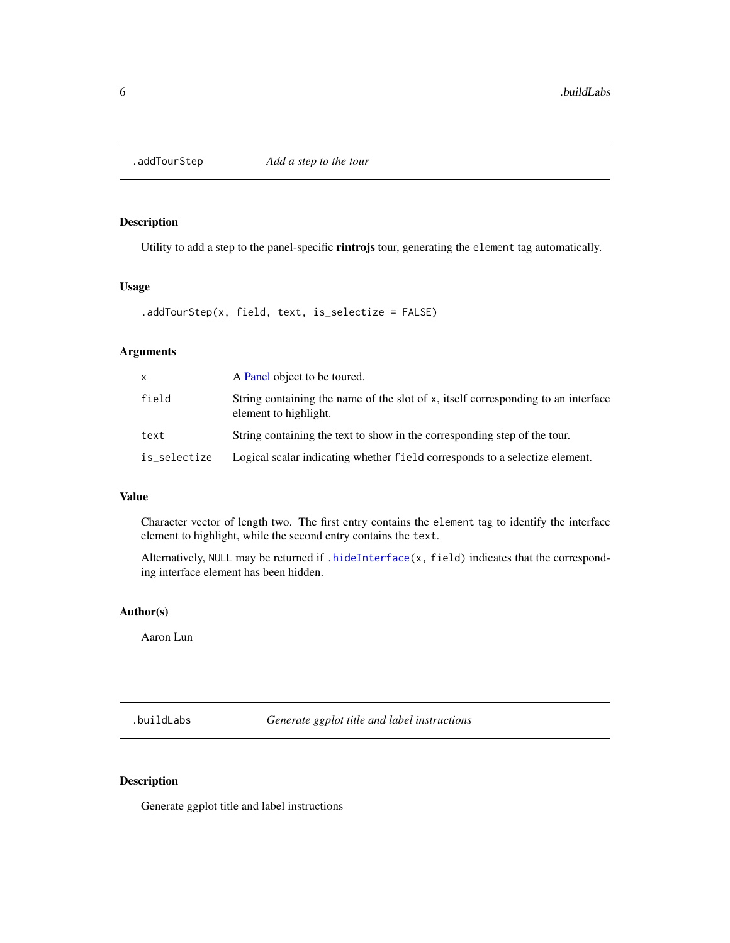<span id="page-5-0"></span>

# Description

Utility to add a step to the panel-specific rintrojs tour, generating the element tag automatically.

# Usage

```
.addTourStep(x, field, text, is_selectize = FALSE)
```
### Arguments

| x            | A Panel object to be toured.                                                                               |
|--------------|------------------------------------------------------------------------------------------------------------|
| field        | String containing the name of the slot of x, itself corresponding to an interface<br>element to highlight. |
| text         | String containing the text to show in the corresponding step of the tour.                                  |
| is_selectize | Logical scalar indicating whether field corresponds to a selectize element.                                |

# Value

Character vector of length two. The first entry contains the element tag to identify the interface element to highlight, while the second entry contains the text.

Alternatively, NULL may be returned if [.hideInterface\(](#page-56-1)x, field) indicates that the corresponding interface element has been hidden.

### Author(s)

Aaron Lun

.buildLabs *Generate ggplot title and label instructions*

# Description

Generate ggplot title and label instructions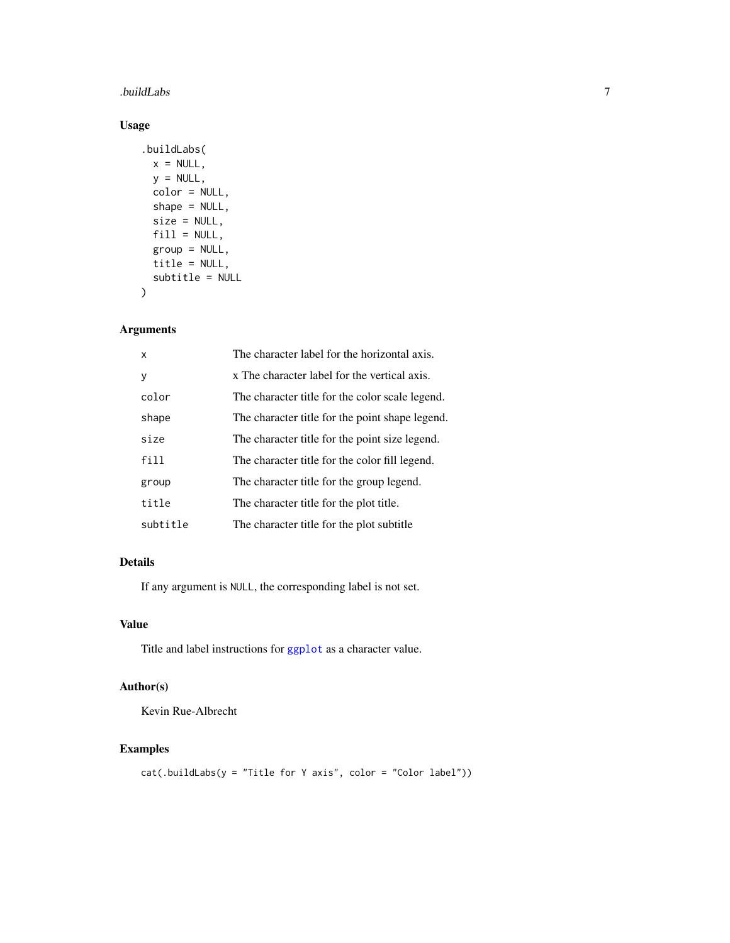### .buildLabs 7

# Usage

```
.buildLabs(
 x = NULL,y = NULL,color = NULL,
 shape = NULL,size = NULL,fill = NULL,group = NULL,
 title = NULL,
 subtitle = NULL
\mathcal{L}
```
# Arguments

| X        | The character label for the horizontal axis.    |
|----------|-------------------------------------------------|
| y        | x The character label for the vertical axis.    |
| color    | The character title for the color scale legend. |
| shape    | The character title for the point shape legend. |
| size     | The character title for the point size legend.  |
| fill     | The character title for the color fill legend.  |
| group    | The character title for the group legend.       |
| title    | The character title for the plot title.         |
| subtitle | The character title for the plot subtitle       |

### Details

If any argument is NULL, the corresponding label is not set.

## Value

Title and label instructions for [ggplot](#page-0-0) as a character value.

# Author(s)

Kevin Rue-Albrecht

# Examples

```
cat(.buildLabs(y = "Title for Y axis", color = "Color label"))
```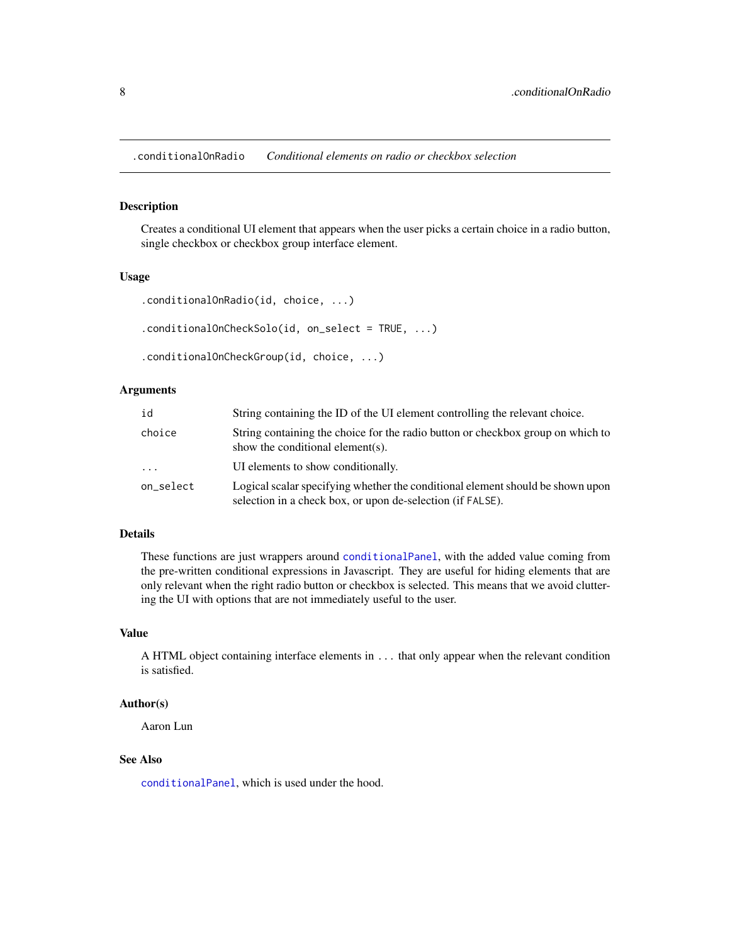<span id="page-7-0"></span>.conditionalOnRadio *Conditional elements on radio or checkbox selection*

### Description

Creates a conditional UI element that appears when the user picks a certain choice in a radio button, single checkbox or checkbox group interface element.

### Usage

```
.conditionalOnRadio(id, choice, ...)
.conditionalOnCheckSolo(id, on_select = TRUE, ...)
.conditionalOnCheckGroup(id, choice, ...)
```
### Arguments

| id        | String containing the ID of the UI element controlling the relevant choice.                                                                  |
|-----------|----------------------------------------------------------------------------------------------------------------------------------------------|
| choice    | String containing the choice for the radio button or checkbox group on which to<br>show the conditional element(s).                          |
| $\cdots$  | UI elements to show conditionally.                                                                                                           |
| on_select | Logical scalar specifying whether the conditional element should be shown upon<br>selection in a check box, or upon de-selection (if FALSE). |

### Details

These functions are just wrappers around [conditionalPanel](#page-0-0), with the added value coming from the pre-written conditional expressions in Javascript. They are useful for hiding elements that are only relevant when the right radio button or checkbox is selected. This means that we avoid cluttering the UI with options that are not immediately useful to the user.

# Value

A HTML object containing interface elements in ... that only appear when the relevant condition is satisfied.

### Author(s)

Aaron Lun

# See Also

[conditionalPanel](#page-0-0), which is used under the hood.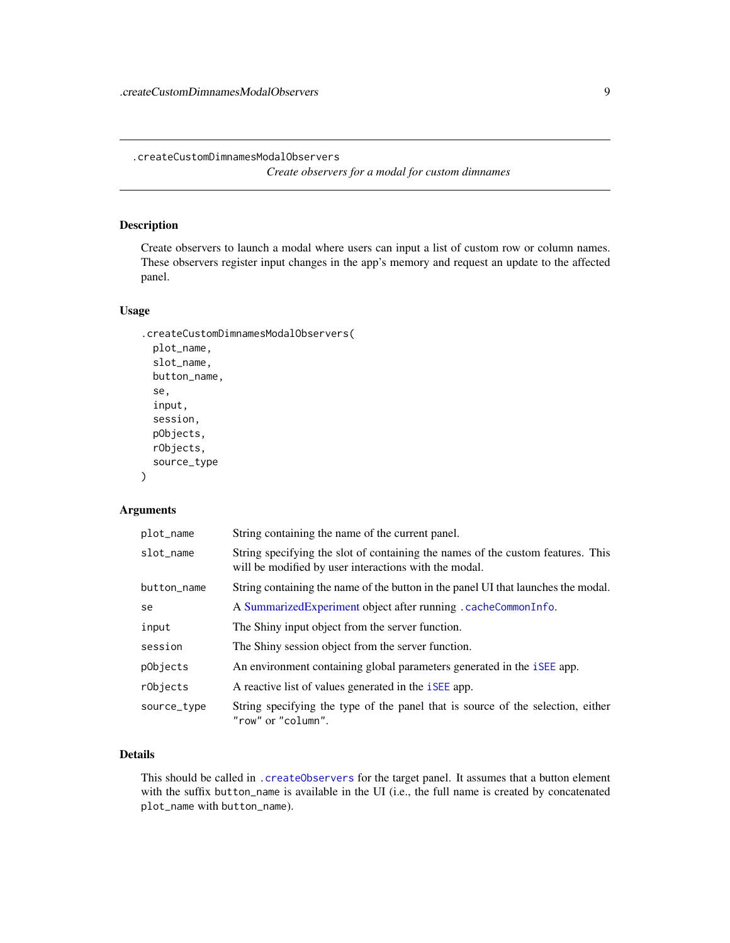<span id="page-8-1"></span><span id="page-8-0"></span>.createCustomDimnamesModalObservers

*Create observers for a modal for custom dimnames*

# Description

Create observers to launch a modal where users can input a list of custom row or column names. These observers register input changes in the app's memory and request an update to the affected panel.

### Usage

```
.createCustomDimnamesModalObservers(
 plot_name,
  slot_name,
 button_name,
  se,
  input,
  session,
  pObjects,
  rObjects,
  source_type
)
```
# Arguments

| plot_name   | String containing the name of the current panel.                                                                                         |
|-------------|------------------------------------------------------------------------------------------------------------------------------------------|
| slot name   | String specifying the slot of containing the names of the custom features. This<br>will be modified by user interactions with the modal. |
| button_name | String containing the name of the button in the panel UI that launches the modal.                                                        |
| se          | A Summarized Experiment object after running . cache Common Info.                                                                        |
| input       | The Shiny input object from the server function.                                                                                         |
| session     | The Shiny session object from the server function.                                                                                       |
| pObjects    | An environment containing global parameters generated in the <i>iSEE</i> app.                                                            |
| rObjects    | A reactive list of values generated in the <i>iSEE</i> app.                                                                              |
| source_type | String specifying the type of the panel that is source of the selection, either<br>"row" or "column".                                    |

# Details

This should be called in [.createObservers](#page-70-1) for the target panel. It assumes that a button element with the suffix button\_name is available in the UI (i.e., the full name is created by concatenated plot\_name with button\_name).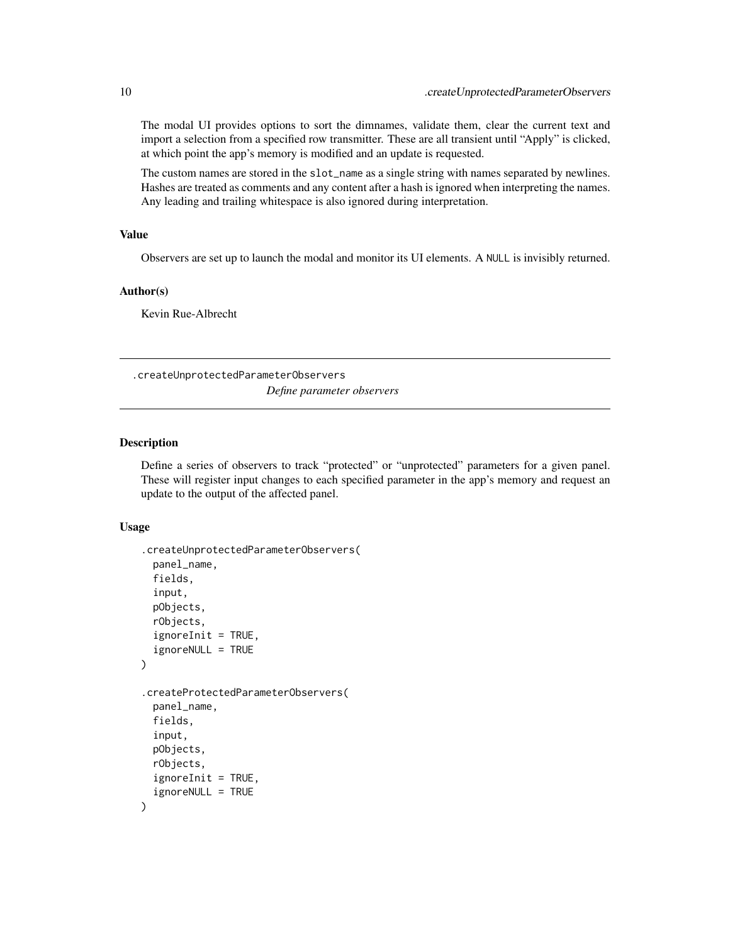<span id="page-9-0"></span>The modal UI provides options to sort the dimnames, validate them, clear the current text and import a selection from a specified row transmitter. These are all transient until "Apply" is clicked, at which point the app's memory is modified and an update is requested.

The custom names are stored in the slot\_name as a single string with names separated by newlines. Hashes are treated as comments and any content after a hash is ignored when interpreting the names. Any leading and trailing whitespace is also ignored during interpretation.

### Value

Observers are set up to launch the modal and monitor its UI elements. A NULL is invisibly returned.

# Author(s)

Kevin Rue-Albrecht

.createUnprotectedParameterObservers

*Define parameter observers*

### <span id="page-9-1"></span>Description

Define a series of observers to track "protected" or "unprotected" parameters for a given panel. These will register input changes to each specified parameter in the app's memory and request an update to the output of the affected panel.

### Usage

```
.createUnprotectedParameterObservers(
  panel_name,
  fields,
  input,
  pObjects,
  rObjects,
  is noreInit = TRUE,ignoreNULL = TRUE
)
.createProtectedParameterObservers(
  panel_name,
  fields,
  input,
  pObjects,
  rObjects,
  is noreInit = TRUE,ignoreNULL = TRUE
)
```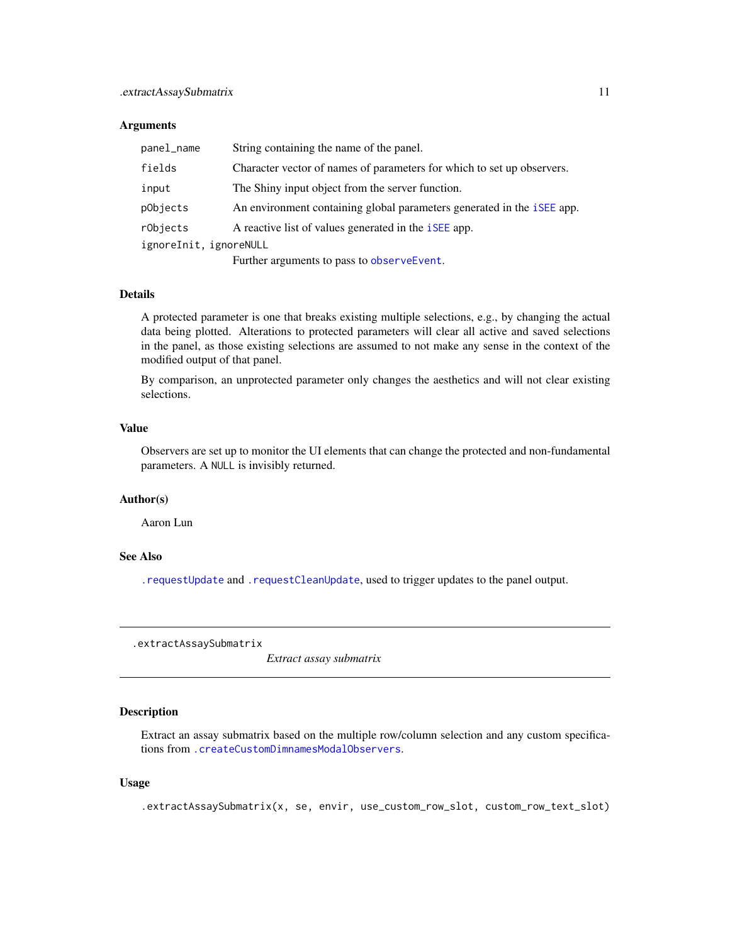#### <span id="page-10-0"></span>**Arguments**

| panel_name             | String containing the name of the panel.                                      |
|------------------------|-------------------------------------------------------------------------------|
| fields                 | Character vector of names of parameters for which to set up observers.        |
| input                  | The Shiny input object from the server function.                              |
| pObjects               | An environment containing global parameters generated in the <i>iSEE</i> app. |
| rObjects               | A reactive list of values generated in the <i>iSEE</i> app.                   |
| ignoreInit, ignoreNULL |                                                                               |
|                        | Finales a successive de la seconda de la second $\Gamma$ de del               |

Further arguments to pass to [observeEvent](#page-0-0).

# Details

A protected parameter is one that breaks existing multiple selections, e.g., by changing the actual data being plotted. Alterations to protected parameters will clear all active and saved selections in the panel, as those existing selections are assumed to not make any sense in the context of the modified output of that panel.

By comparison, an unprotected parameter only changes the aesthetics and will not clear existing selections.

### Value

Observers are set up to monitor the UI elements that can change the protected and non-fundamental parameters. A NULL is invisibly returned.

### Author(s)

Aaron Lun

### See Also

[.requestUpdate](#page-15-1) and [.requestCleanUpdate](#page-15-2), used to trigger updates to the panel output.

.extractAssaySubmatrix

*Extract assay submatrix*

# Description

Extract an assay submatrix based on the multiple row/column selection and any custom specifications from [.createCustomDimnamesModalObservers](#page-8-1).

### Usage

.extractAssaySubmatrix(x, se, envir, use\_custom\_row\_slot, custom\_row\_text\_slot)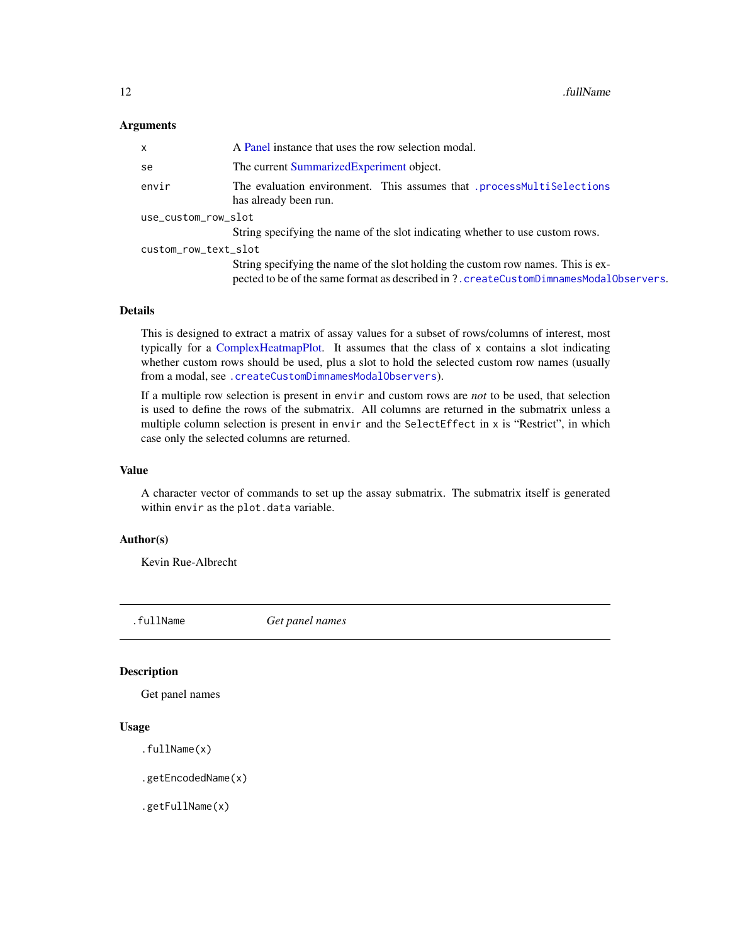### <span id="page-11-0"></span>**Arguments**

| A Panel instance that uses the row selection modal.                                                                                                                       |  |  |
|---------------------------------------------------------------------------------------------------------------------------------------------------------------------------|--|--|
| The current Summarized Experiment object.                                                                                                                                 |  |  |
| The evaluation environment. This assumes that .processMultiSelections<br>has already been run.                                                                            |  |  |
| use_custom_row_slot                                                                                                                                                       |  |  |
| String specifying the name of the slot indicating whether to use custom rows.                                                                                             |  |  |
| custom_row_text_slot                                                                                                                                                      |  |  |
| String specifying the name of the slot holding the custom row names. This is ex-<br>pected to be of the same format as described in ?.createCustomDimnamesModal0bservers. |  |  |
|                                                                                                                                                                           |  |  |

### Details

This is designed to extract a matrix of assay values for a subset of rows/columns of interest, most typically for a [ComplexHeatmapPlot.](#page-33-1) It assumes that the class of x contains a slot indicating whether custom rows should be used, plus a slot to hold the selected custom row names (usually from a modal, see [.createCustomDimnamesModalObservers](#page-8-1)).

If a multiple row selection is present in envir and custom rows are *not* to be used, that selection is used to define the rows of the submatrix. All columns are returned in the submatrix unless a multiple column selection is present in envir and the SelectEffect in x is "Restrict", in which case only the selected columns are returned.

### Value

A character vector of commands to set up the assay submatrix. The submatrix itself is generated within envir as the plot.data variable.

### Author(s)

Kevin Rue-Albrecht

<span id="page-11-1"></span>

.fullName *Get panel names*

### Description

Get panel names

## Usage

```
.fullName(x)
```
.getEncodedName(x)

.getFullName(x)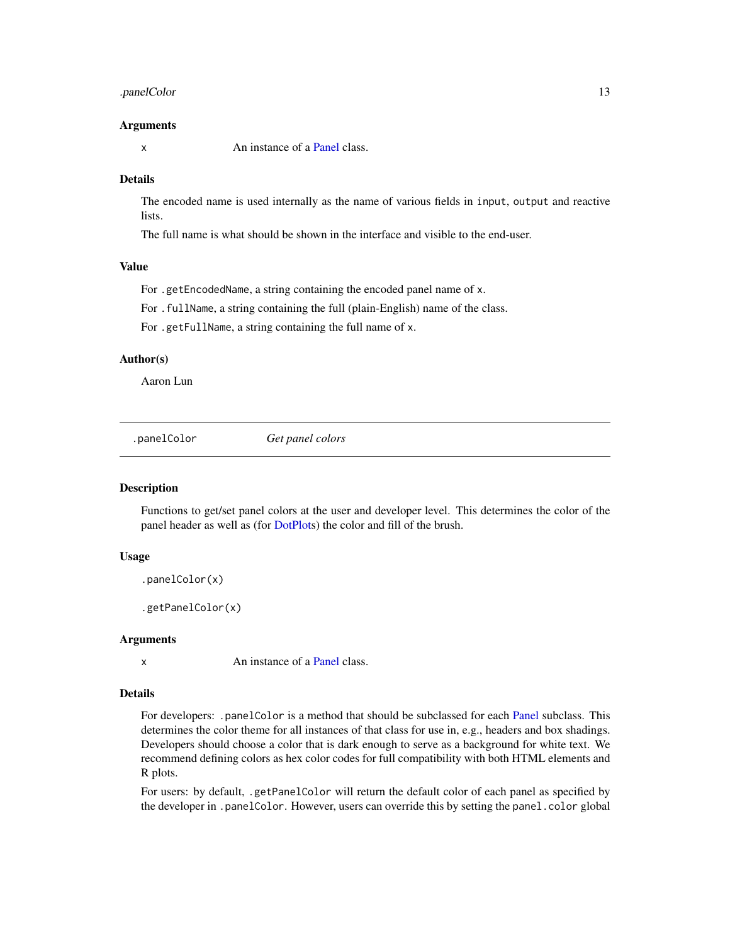## <span id="page-12-0"></span>.panelColor 13

### Arguments

x An instance of a [Panel](#page-74-1) class.

### Details

The encoded name is used internally as the name of various fields in input, output and reactive lists.

The full name is what should be shown in the interface and visible to the end-user.

### Value

For .getEncodedName, a string containing the encoded panel name of x.

For .fullName, a string containing the full (plain-English) name of the class.

For .getFullName, a string containing the full name of x.

### Author(s)

Aaron Lun

<span id="page-12-1"></span>.panelColor *Get panel colors*

### Description

Functions to get/set panel colors at the user and developer level. This determines the color of the panel header as well as (for [DotPlots](#page-44-1)) the color and fill of the brush.

# Usage

```
.panelColor(x)
```
.getPanelColor(x)

#### **Arguments**

x An instance of a [Panel](#page-74-1) class.

# Details

For developers: .panelColor is a method that should be subclassed for each [Panel](#page-74-1) subclass. This determines the color theme for all instances of that class for use in, e.g., headers and box shadings. Developers should choose a color that is dark enough to serve as a background for white text. We recommend defining colors as hex color codes for full compatibility with both HTML elements and R plots.

For users: by default, .getPanelColor will return the default color of each panel as specified by the developer in .panelColor. However, users can override this by setting the panel.color global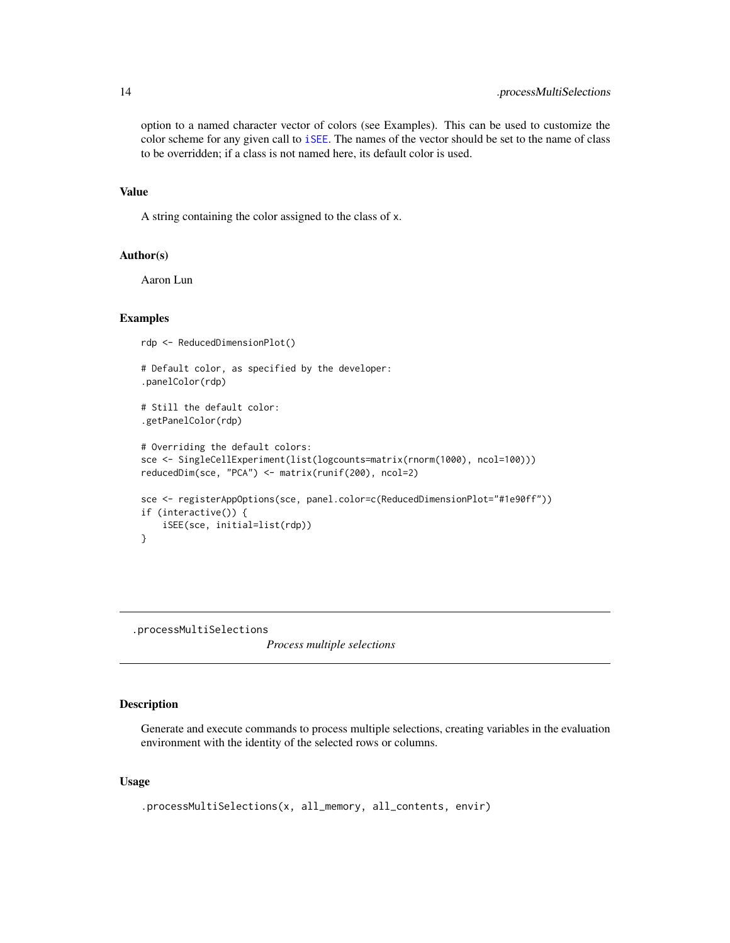option to a named character vector of colors (see Examples). This can be used to customize the color scheme for any given call to [iSEE](#page-58-1). The names of the vector should be set to the name of class to be overridden; if a class is not named here, its default color is used.

#### Value

A string containing the color assigned to the class of x.

## Author(s)

Aaron Lun

### Examples

```
rdp <- ReducedDimensionPlot()
# Default color, as specified by the developer:
.panelColor(rdp)
# Still the default color:
.getPanelColor(rdp)
# Overriding the default colors:
sce <- SingleCellExperiment(list(logcounts=matrix(rnorm(1000), ncol=100)))
reducedDim(sce, "PCA") <- matrix(runif(200), ncol=2)
sce <- registerAppOptions(sce, panel.color=c(ReducedDimensionPlot="#1e90ff"))
if (interactive()) {
    iSEE(sce, initial=list(rdp))
}
```
<span id="page-13-1"></span>.processMultiSelections

*Process multiple selections*

### Description

Generate and execute commands to process multiple selections, creating variables in the evaluation environment with the identity of the selected rows or columns.

### Usage

```
.processMultiSelections(x, all_memory, all_contents, envir)
```
<span id="page-13-0"></span>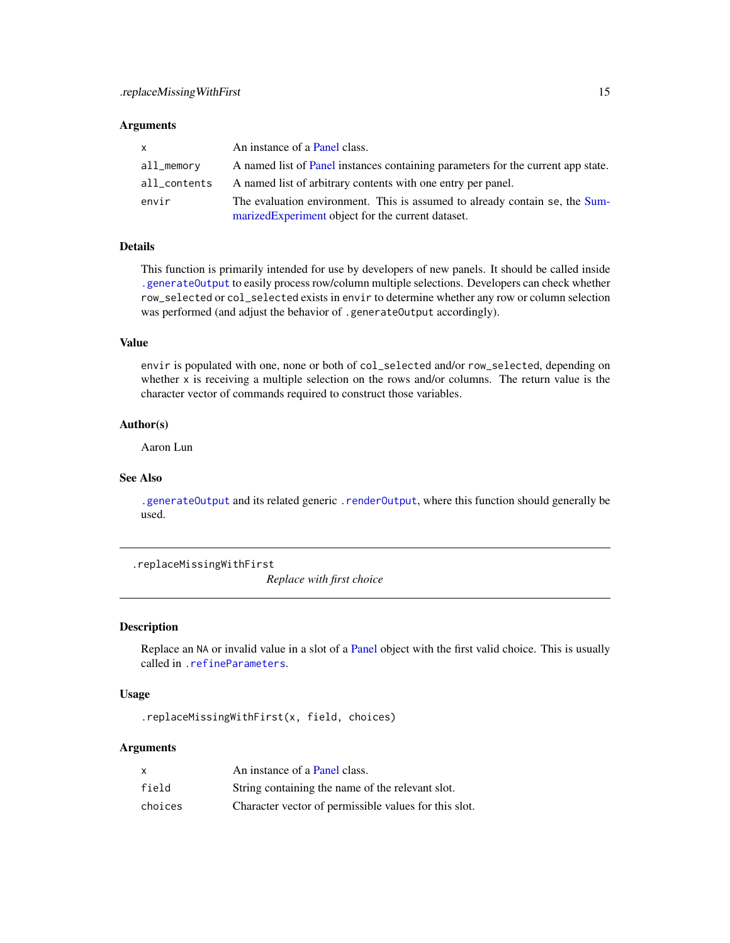### <span id="page-14-0"></span>**Arguments**

| $\mathsf{x}$ | An instance of a Panel class.                                                                                                     |
|--------------|-----------------------------------------------------------------------------------------------------------------------------------|
| all_memory   | A named list of Panel instances containing parameters for the current app state.                                                  |
| all_contents | A named list of arbitrary contents with one entry per panel.                                                                      |
| envir        | The evaluation environment. This is assumed to already contain se, the Sum-<br>marized Experiment object for the current dataset. |

# Details

This function is primarily intended for use by developers of new panels. It should be called inside [.generateOutput](#page-71-1) to easily process row/column multiple selections. Developers can check whether row\_selected or col\_selected exists in envir to determine whether any row or column selection was performed (and adjust the behavior of .generateOutput accordingly).

### Value

envir is populated with one, none or both of col\_selected and/or row\_selected, depending on whether x is receiving a multiple selection on the rows and/or columns. The return value is the character vector of commands required to construct those variables.

# Author(s)

Aaron Lun

# See Also

[.generateOutput](#page-71-1) and its related generic [.renderOutput](#page-71-1), where this function should generally be used.

.replaceMissingWithFirst

*Replace with first choice*

### Description

Replace an NA or invalid value in a slot of a [Panel](#page-74-1) object with the first valid choice. This is usually called in [.refineParameters](#page-97-1).

### Usage

.replaceMissingWithFirst(x, field, choices)

### Arguments

|         | An instance of a Panel class.                         |
|---------|-------------------------------------------------------|
| field   | String containing the name of the relevant slot.      |
| choices | Character vector of permissible values for this slot. |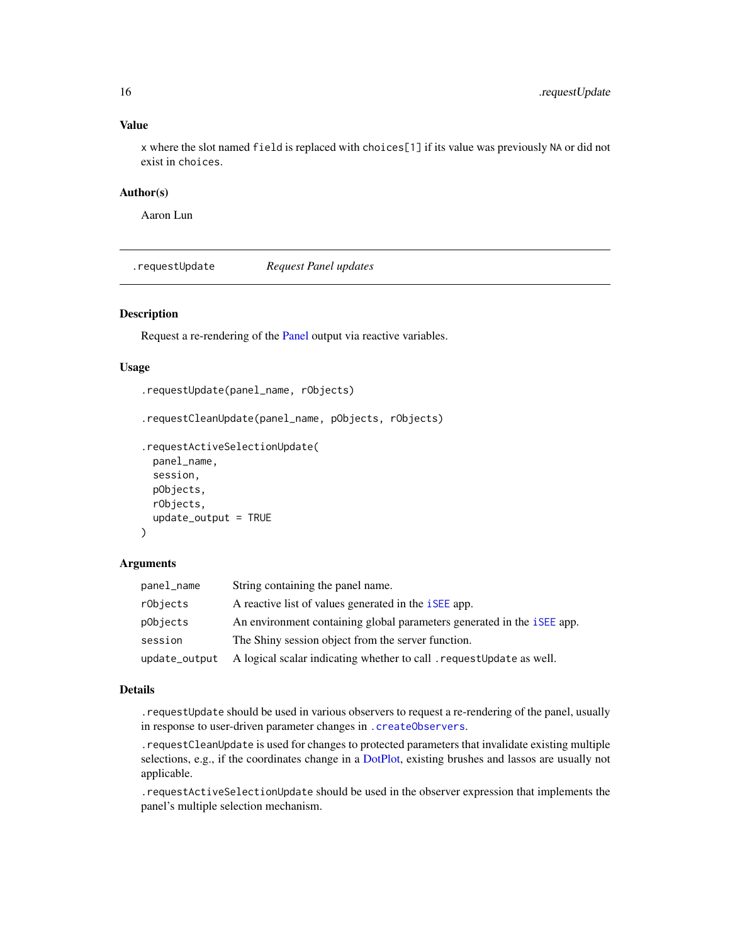### Value

x where the slot named field is replaced with choices[1] if its value was previously NA or did not exist in choices.

# Author(s)

Aaron Lun

<span id="page-15-1"></span>.requestUpdate *Request Panel updates*

# <span id="page-15-2"></span>Description

Request a re-rendering of the [Panel](#page-74-1) output via reactive variables.

### Usage

```
.requestUpdate(panel_name, rObjects)
.requestCleanUpdate(panel_name, pObjects, rObjects)
.requestActiveSelectionUpdate(
 panel_name,
  session,
 pObjects,
  rObjects,
  update_output = TRUE
\mathcal{L}
```
# Arguments

| panel_name    | String containing the panel name.                                             |
|---------------|-------------------------------------------------------------------------------|
| rObjects      | A reactive list of values generated in the <i>iSEE</i> app.                   |
| pObjects      | An environment containing global parameters generated in the <i>iSEE</i> app. |
| session       | The Shiny session object from the server function.                            |
| update_output | A logical scalar indicating whether to call request Update as well.           |

# Details

.requestUpdate should be used in various observers to request a re-rendering of the panel, usually in response to user-driven parameter changes in [.createObservers](#page-70-1).

.requestCleanUpdate is used for changes to protected parameters that invalidate existing multiple selections, e.g., if the coordinates change in a [DotPlot,](#page-44-1) existing brushes and lassos are usually not applicable.

.requestActiveSelectionUpdate should be used in the observer expression that implements the panel's multiple selection mechanism.

<span id="page-15-0"></span>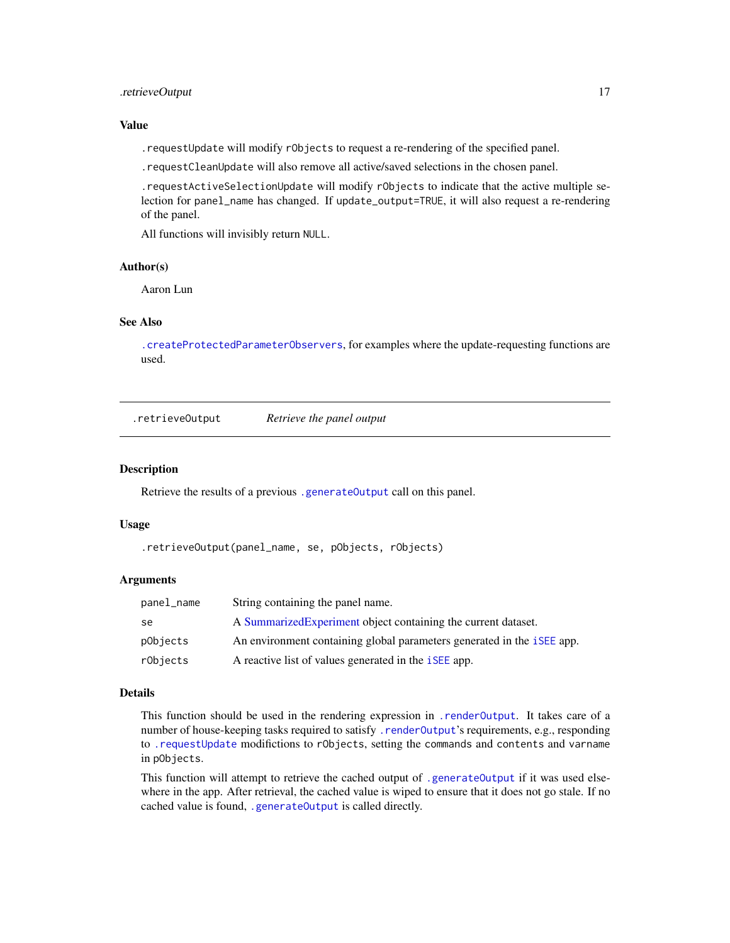# <span id="page-16-0"></span>.retrieveOutput 17

### Value

.requestUpdate will modify rObjects to request a re-rendering of the specified panel.

.requestCleanUpdate will also remove all active/saved selections in the chosen panel.

.requestActiveSelectionUpdate will modify rObjects to indicate that the active multiple selection for panel\_name has changed. If update\_output=TRUE, it will also request a re-rendering of the panel.

All functions will invisibly return NULL.

### Author(s)

Aaron Lun

# See Also

[.createProtectedParameterObservers](#page-9-1), for examples where the update-requesting functions are used.

.retrieveOutput *Retrieve the panel output*

#### Description

Retrieve the results of a previous [.generateOutput](#page-71-1) call on this panel.

### Usage

.retrieveOutput(panel\_name, se, pObjects, rObjects)

### Arguments

| panel_name | String containing the panel name.                                             |
|------------|-------------------------------------------------------------------------------|
| se         | A Summarized Experiment object containing the current dataset.                |
| pObjects   | An environment containing global parameters generated in the <i>iSEE</i> app. |
| rObjects   | A reactive list of values generated in the <i>iSEE</i> app.                   |

### Details

This function should be used in the rendering expression in [.renderOutput](#page-71-1). It takes care of a number of house-keeping tasks required to satisfy . renderOutput's requirements, e.g., responding to [.requestUpdate](#page-15-1) modifictions to rObjects, setting the commands and contents and varname in pObjects.

This function will attempt to retrieve the cached output of [.generateOutput](#page-71-1) if it was used elsewhere in the app. After retrieval, the cached value is wiped to ensure that it does not go stale. If no cached value is found, [.generateOutput](#page-71-1) is called directly.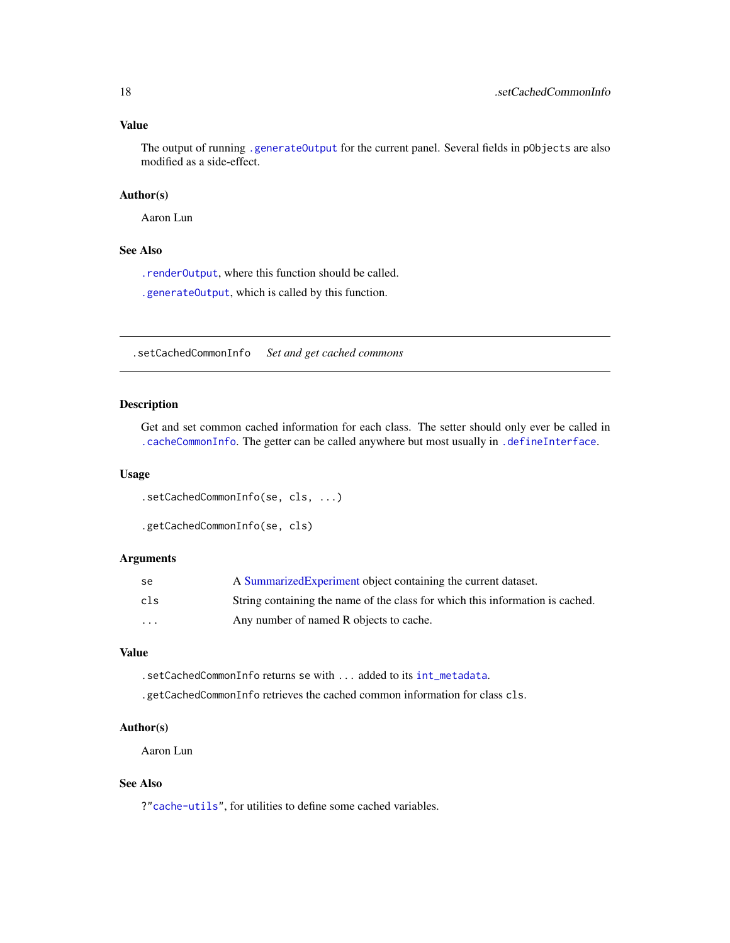### <span id="page-17-0"></span>Value

The output of running [.generateOutput](#page-71-1) for the current panel. Several fields in pObjects are also modified as a side-effect.

# Author(s)

Aaron Lun

# See Also

[.renderOutput](#page-71-1), where this function should be called.

[.generateOutput](#page-71-1), which is called by this function.

.setCachedCommonInfo *Set and get cached commons*

### Description

Get and set common cached information for each class. The setter should only ever be called in [.cacheCommonInfo](#page-97-1). The getter can be called anywhere but most usually in [.defineInterface](#page-56-1).

#### Usage

```
.setCachedCommonInfo(se, cls, ...)
```

```
.getCachedCommonInfo(se, cls)
```
### Arguments

| se.      | A Summarized Experiment object containing the current dataset.                |
|----------|-------------------------------------------------------------------------------|
| cls      | String containing the name of the class for which this information is cached. |
| $\cdots$ | Any number of named R objects to cache.                                       |

### Value

.setCachedCommonInfo returns se with ... added to its [int\\_metadata](#page-0-0).

.getCachedCommonInfo retrieves the cached common information for class cls.

## Author(s)

Aaron Lun

# See Also

?["cache-utils"](#page-19-1), for utilities to define some cached variables.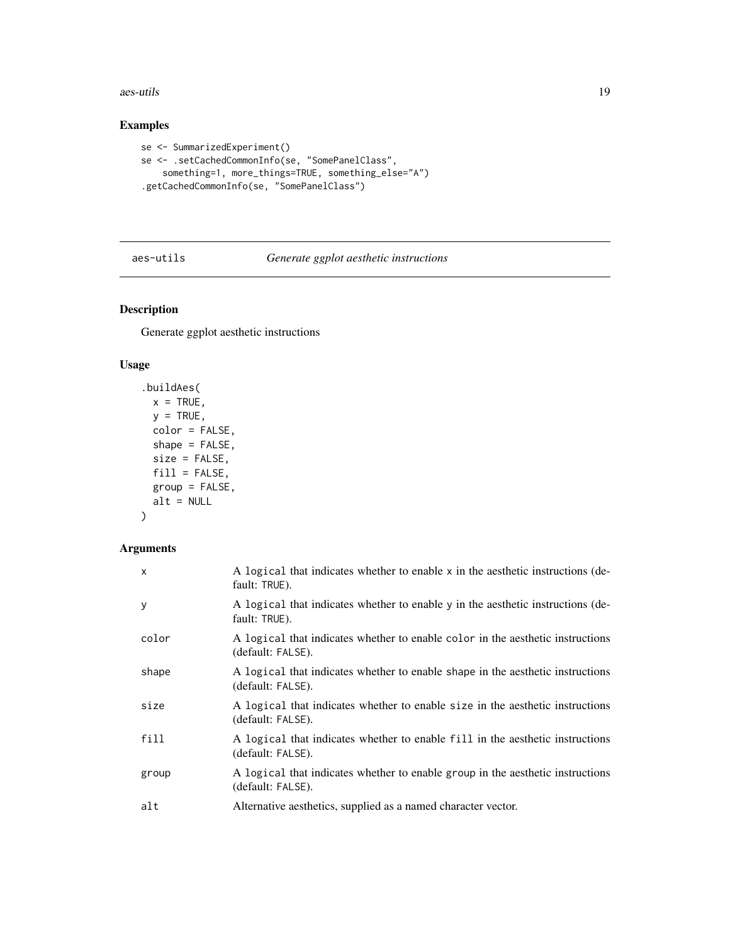<span id="page-18-0"></span>aes-utils 19

# Examples

```
se <- SummarizedExperiment()
se <- .setCachedCommonInfo(se, "SomePanelClass",
   something=1, more_things=TRUE, something_else="A")
.getCachedCommonInfo(se, "SomePanelClass")
```
# aes-utils *Generate ggplot aesthetic instructions*

# Description

Generate ggplot aesthetic instructions

### Usage

```
.buildAes(
 x = TRUE,
 y = TRUE,color = FALSE,
 shape = FALSE,
 size = FALSE,
 fill = FALSE,group = FALSE,
 alt = NULL)
```
# Arguments

| $\mathsf{x}$ | A logical that indicates whether to enable x in the aesthetic instructions (de-<br>fault: TRUE).    |
|--------------|-----------------------------------------------------------------------------------------------------|
| y            | A logical that indicates whether to enable y in the aesthetic instructions (de-<br>fault: TRUE).    |
| color        | A logical that indicates whether to enable color in the aesthetic instructions<br>(default: FALSE). |
| shape        | A logical that indicates whether to enable shape in the aesthetic instructions<br>(default: FALSE). |
| size         | A logical that indicates whether to enable size in the aesthetic instructions<br>(default: FALSE).  |
| fill         | A logical that indicates whether to enable fill in the aesthetic instructions<br>(default: FALSE).  |
| group        | A logical that indicates whether to enable group in the aesthetic instructions<br>(default: FALSE). |
| alt          | Alternative aesthetics, supplied as a named character vector.                                       |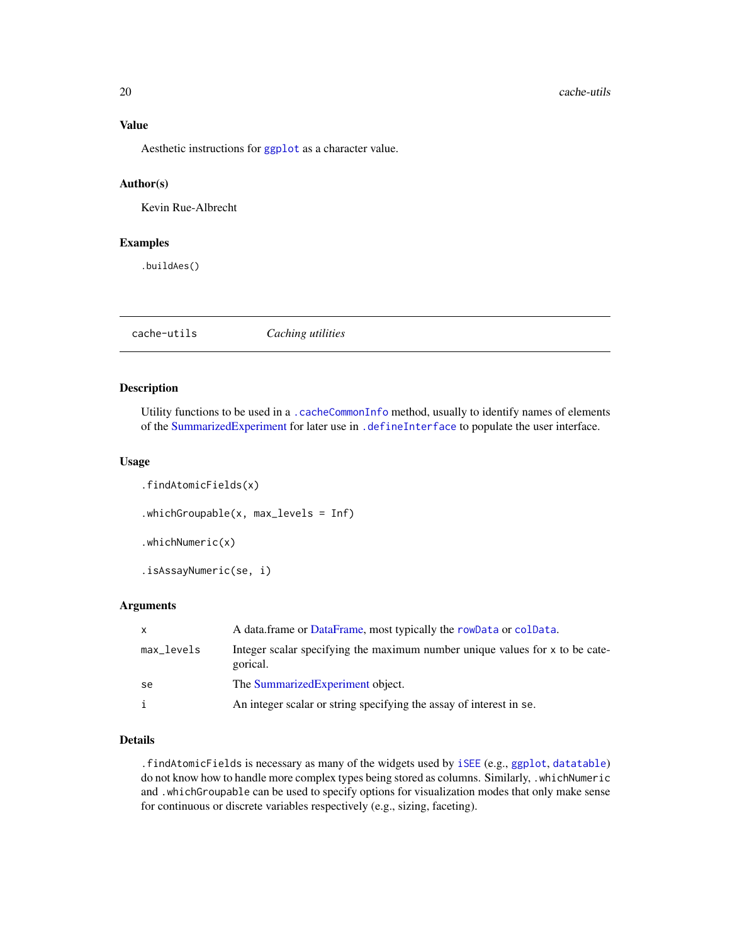# Value

Aesthetic instructions for [ggplot](#page-0-0) as a character value.

# Author(s)

Kevin Rue-Albrecht

# Examples

.buildAes()

<span id="page-19-1"></span>cache-utils *Caching utilities*

# Description

Utility functions to be used in a [.cacheCommonInfo](#page-97-1) method, usually to identify names of elements of the [SummarizedExperiment](#page-0-0) for later use in [.defineInterface](#page-56-1) to populate the user interface.

### Usage

```
.findAtomicFields(x)
.whichGroupable(x, max_levels = Inf)
.whichNumeric(x)
.isAssayNumeric(se, i)
```
### Arguments

| X          | A data.frame or DataFrame, most typically the rowData or colData.                        |
|------------|------------------------------------------------------------------------------------------|
| max_levels | Integer scalar specifying the maximum number unique values for x to be cate-<br>gorical. |
| se         | The Summarized Experiment object.                                                        |
| i          | An integer scalar or string specifying the assay of interest in se.                      |

# Details

.findAtomicFields is necessary as many of the widgets used by [iSEE](#page-58-1) (e.g., [ggplot](#page-0-0), [datatable](#page-0-0)) do not know how to handle more complex types being stored as columns. Similarly, .whichNumeric and .whichGroupable can be used to specify options for visualization modes that only make sense for continuous or discrete variables respectively (e.g., sizing, faceting).

<span id="page-19-0"></span>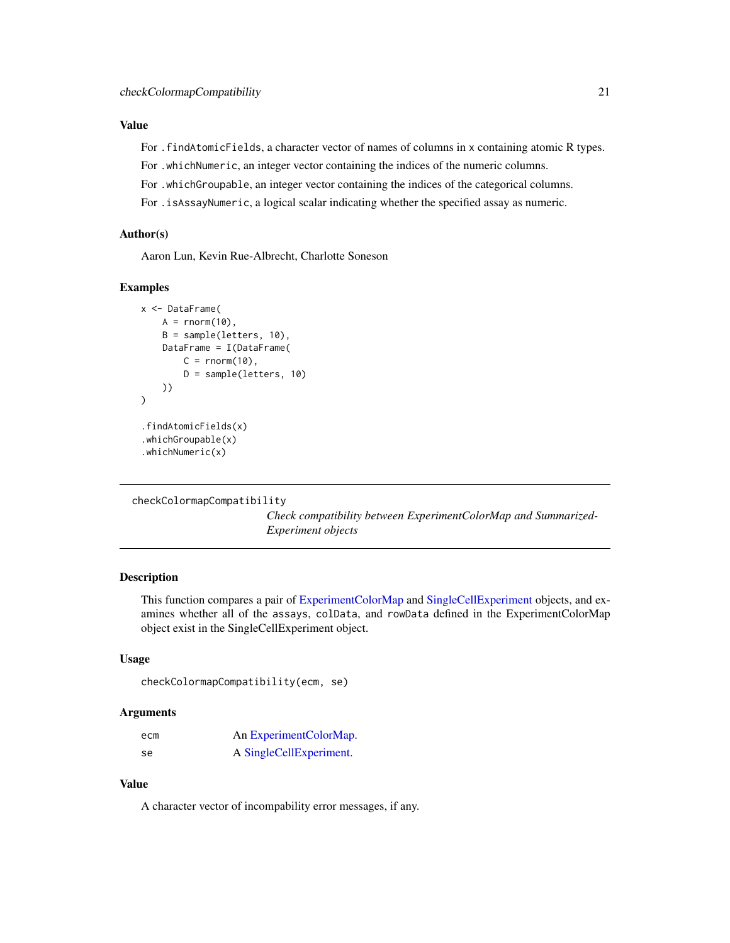# <span id="page-20-0"></span>Value

For . findAtomicFields, a character vector of names of columns in x containing atomic R types.

For .whichNumeric, an integer vector containing the indices of the numeric columns.

For .whichGroupable, an integer vector containing the indices of the categorical columns.

For .isAssayNumeric, a logical scalar indicating whether the specified assay as numeric.

## Author(s)

Aaron Lun, Kevin Rue-Albrecht, Charlotte Soneson

# Examples

```
x <- DataFrame(
    A = rnorm(10),
    B = sample(letters, 10),
    DataFrame = I(DataFrame(
        C = rnorm(10),
        D = sample(letters, 10)
    ))
\mathcal{L}.findAtomicFields(x)
.whichGroupable(x)
.whichNumeric(x)
```
checkColormapCompatibility

*Check compatibility between ExperimentColorMap and Summarized-Experiment objects*

## Description

This function compares a pair of [ExperimentColorMap](#page-48-1) and [SingleCellExperiment](#page-0-0) objects, and examines whether all of the assays, colData, and rowData defined in the ExperimentColorMap object exist in the SingleCellExperiment object.

### Usage

```
checkColormapCompatibility(ecm, se)
```
### Arguments

| ecm | An Experiment Color Map. |
|-----|--------------------------|
| se  | A SingleCellExperiment.  |

## Value

A character vector of incompability error messages, if any.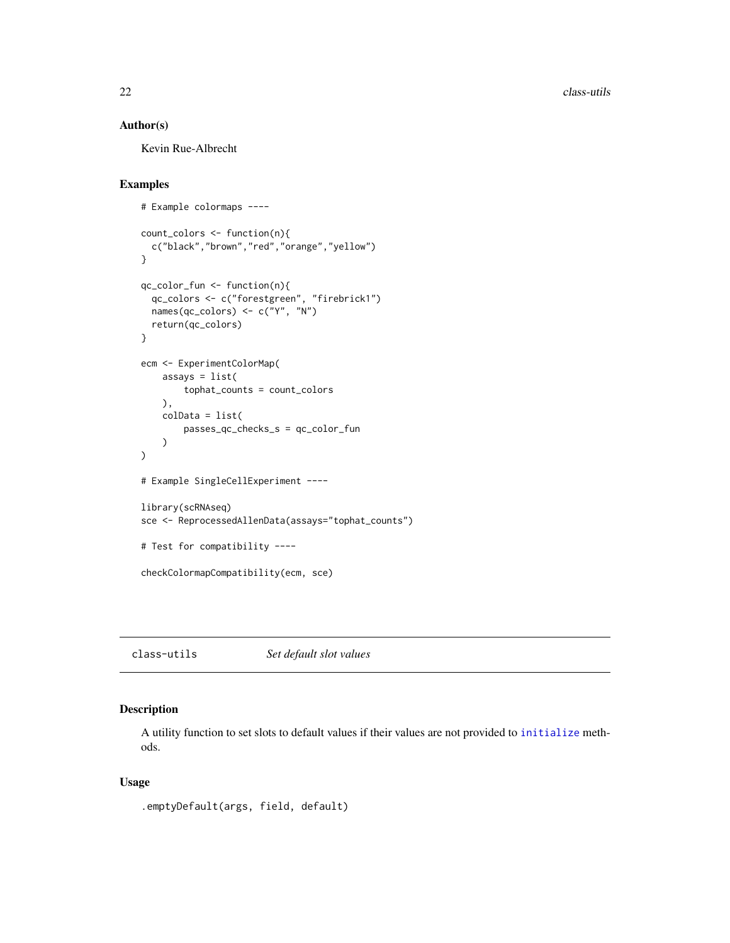<span id="page-21-0"></span>22 class-utils

### Author(s)

Kevin Rue-Albrecht

# Examples

```
# Example colormaps ----
count_colors <- function(n){
  c("black","brown","red","orange","yellow")
}
qc_color_fun <- function(n){
  qc_colors <- c("forestgreen", "firebrick1")
  names(qc_colors) <- c("Y", "N")
  return(qc_colors)
}
ecm <- ExperimentColorMap(
   assays = list(
       tophat_counts = count_colors
   ),
   colData = list(
       passes_qc_checks_s = qc_color_fun
    )
)
# Example SingleCellExperiment ----
library(scRNAseq)
sce <- ReprocessedAllenData(assays="tophat_counts")
# Test for compatibility ----
checkColormapCompatibility(ecm, sce)
```
class-utils *Set default slot values*

# Description

A utility function to set slots to default values if their values are not provided to [initialize](#page-0-0) methods.

### Usage

```
.emptyDefault(args, field, default)
```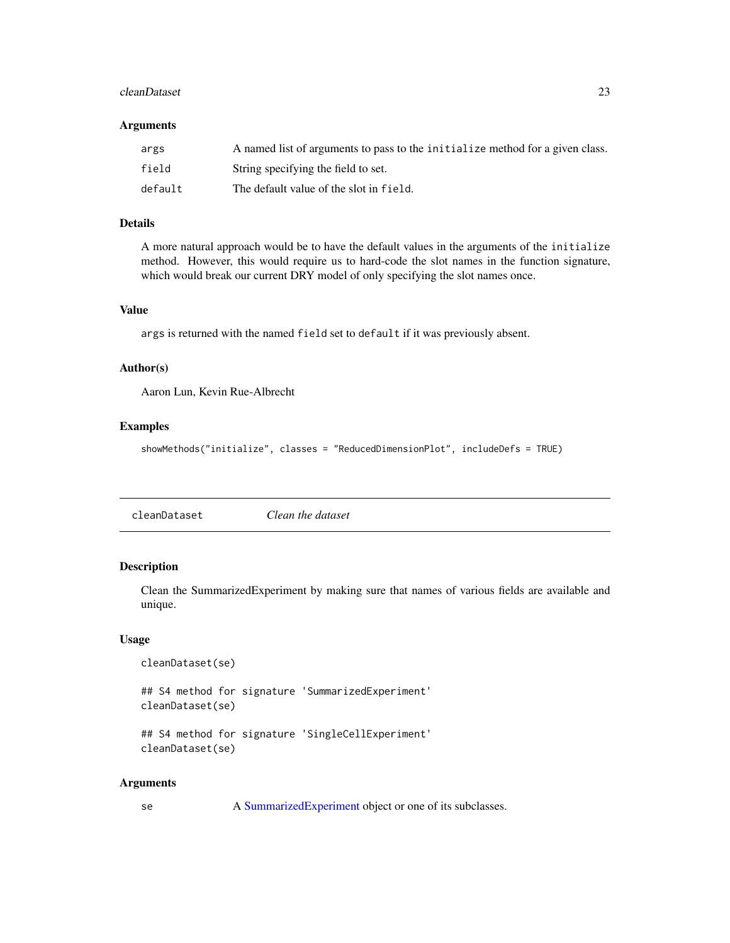### <span id="page-22-0"></span>cleanDataset 23

### Arguments

| args    | A named list of arguments to pass to the initialize method for a given class. |
|---------|-------------------------------------------------------------------------------|
| field   | String specifying the field to set.                                           |
| default | The default value of the slot in field.                                       |

# Details

A more natural approach would be to have the default values in the arguments of the initialize method. However, this would require us to hard-code the slot names in the function signature, which would break our current DRY model of only specifying the slot names once.

# Value

args is returned with the named field set to default if it was previously absent.

# Author(s)

Aaron Lun, Kevin Rue-Albrecht

### Examples

```
showMethods("initialize", classes = "ReducedDimensionPlot", includeDefs = TRUE)
```
# Description

Clean the SummarizedExperiment by making sure that names of various fields are available and unique.

#### Usage

```
cleanDataset(se)
```
## S4 method for signature 'SummarizedExperiment' cleanDataset(se)

```
## S4 method for signature 'SingleCellExperiment'
cleanDataset(se)
```
### Arguments

| se | A Summarized Experiment object or one of its subclasses. |  |  |
|----|----------------------------------------------------------|--|--|
|----|----------------------------------------------------------|--|--|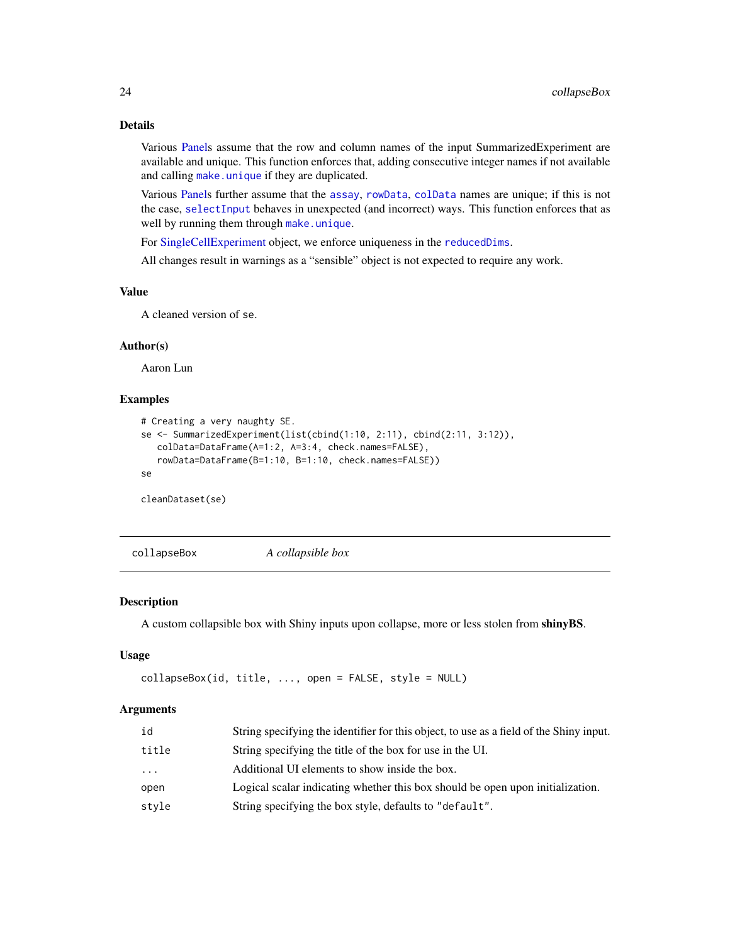# <span id="page-23-0"></span>Details

Various [Panels](#page-74-1) assume that the row and column names of the input SummarizedExperiment are available and unique. This function enforces that, adding consecutive integer names if not available and calling [make.unique](#page-0-0) if they are duplicated.

Various [Panels](#page-74-1) further assume that the [assay](#page-0-0), [rowData](#page-0-0), [colData](#page-0-0) names are unique; if this is not the case, [selectInput](#page-0-0) behaves in unexpected (and incorrect) ways. This function enforces that as well by running them through [make.unique](#page-0-0).

For [SingleCellExperiment](#page-0-0) object, we enforce uniqueness in the [reducedDims](#page-0-0).

All changes result in warnings as a "sensible" object is not expected to require any work.

### Value

A cleaned version of se.

# Author(s)

Aaron Lun

# Examples

```
# Creating a very naughty SE.
se <- SummarizedExperiment(list(cbind(1:10, 2:11), cbind(2:11, 3:12)),
  colData=DataFrame(A=1:2, A=3:4, check.names=FALSE),
  rowData=DataFrame(B=1:10, B=1:10, check.names=FALSE))
se
cleanDataset(se)
```
collapseBox *A collapsible box*

# Description

A custom collapsible box with Shiny inputs upon collapse, more or less stolen from shinyBS.

### Usage

```
collapseBox(id, title, ..., open = FALSE, style = NULL)
```
### Arguments

| id       | String specifying the identifier for this object, to use as a field of the Shiny input. |
|----------|-----------------------------------------------------------------------------------------|
| title    | String specifying the title of the box for use in the UI.                               |
| $\cdots$ | Additional UI elements to show inside the box.                                          |
| open     | Logical scalar indicating whether this box should be open upon initialization.          |
| style    | String specifying the box style, defaults to "default".                                 |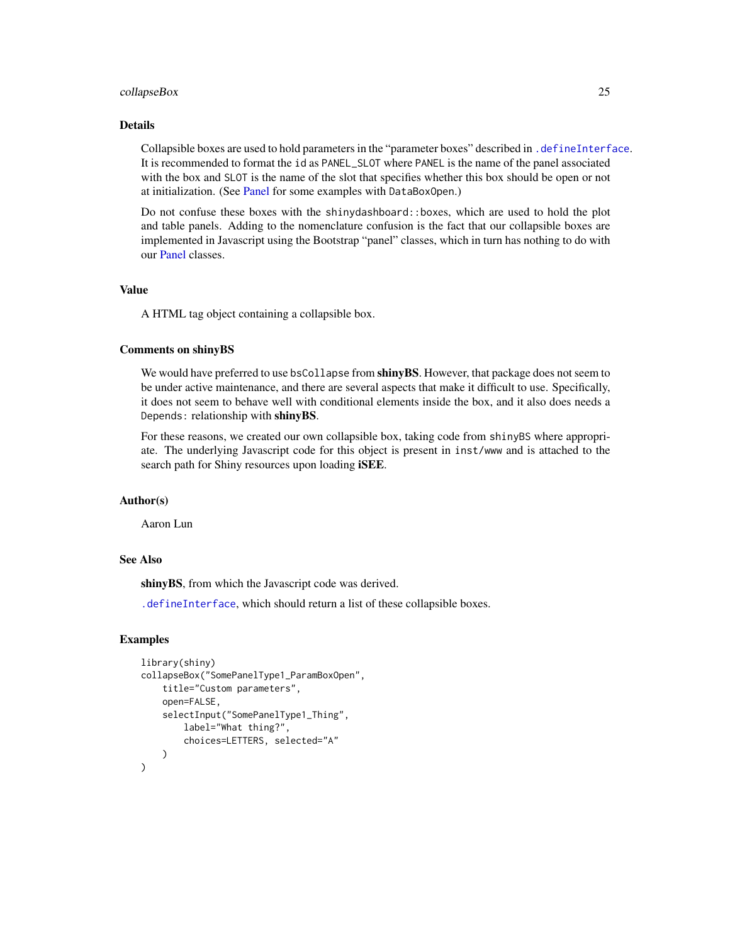### collapseBox 25

# Details

Collapsible boxes are used to hold parameters in the "parameter boxes" described in [.defineInterface](#page-56-1). It is recommended to format the id as PANEL\_SLOT where PANEL is the name of the panel associated with the box and SLOT is the name of the slot that specifies whether this box should be open or not at initialization. (See [Panel](#page-74-1) for some examples with DataBoxOpen.)

Do not confuse these boxes with the shinydashboard::boxes, which are used to hold the plot and table panels. Adding to the nomenclature confusion is the fact that our collapsible boxes are implemented in Javascript using the Bootstrap "panel" classes, which in turn has nothing to do with our [Panel](#page-74-1) classes.

# Value

A HTML tag object containing a collapsible box.

### Comments on shinyBS

We would have preferred to use bsCollapse from shinyBS. However, that package does not seem to be under active maintenance, and there are several aspects that make it difficult to use. Specifically, it does not seem to behave well with conditional elements inside the box, and it also does needs a Depends: relationship with shinyBS.

For these reasons, we created our own collapsible box, taking code from shinyBS where appropriate. The underlying Javascript code for this object is present in inst/www and is attached to the search path for Shiny resources upon loading **iSEE**.

### Author(s)

Aaron Lun

### See Also

shinyBS, from which the Javascript code was derived.

[.defineInterface](#page-56-1), which should return a list of these collapsible boxes.

### Examples

```
library(shiny)
collapseBox("SomePanelType1_ParamBoxOpen",
    title="Custom parameters",
    open=FALSE,
    selectInput("SomePanelType1_Thing",
        label="What thing?",
        choices=LETTERS, selected="A"
    )
)
```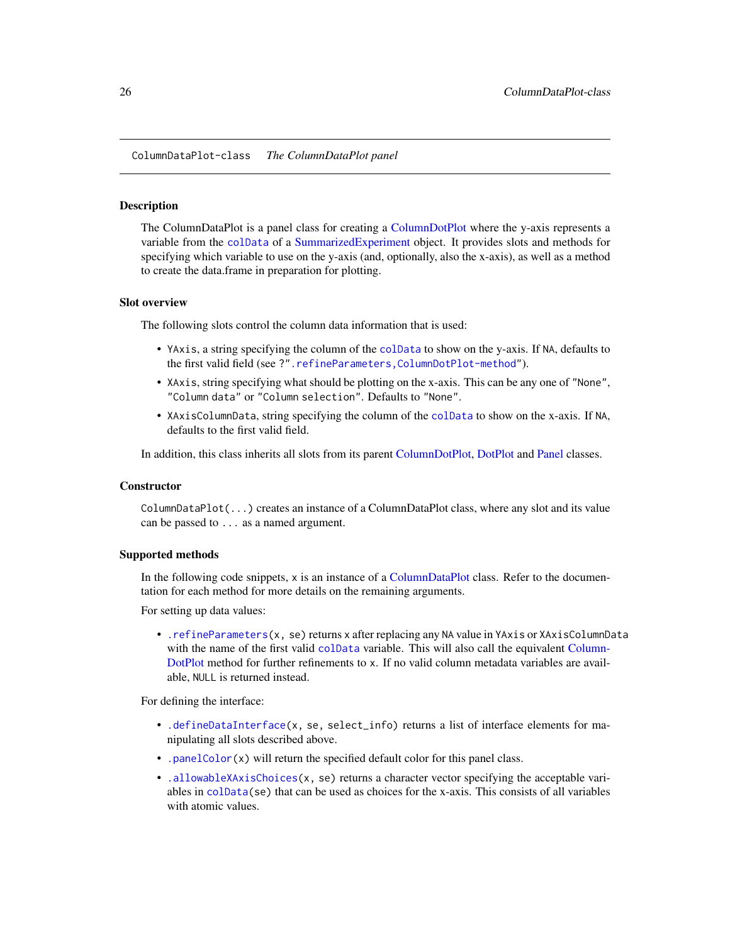<span id="page-25-1"></span><span id="page-25-0"></span>ColumnDataPlot-class *The ColumnDataPlot panel*

#### Description

The ColumnDataPlot is a panel class for creating a [ColumnDotPlot](#page-29-1) where the y-axis represents a variable from the [colData](#page-0-0) of a [SummarizedExperiment](#page-0-0) object. It provides slots and methods for specifying which variable to use on the y-axis (and, optionally, also the x-axis), as well as a method to create the data.frame in preparation for plotting.

### Slot overview

The following slots control the column data information that is used:

- YAxis, a string specifying the column of the [colData](#page-0-0) to show on the y-axis. If NA, defaults to the first valid field (see ?[".refineParameters,ColumnDotPlot-method"](#page-0-0)).
- XAxis, string specifying what should be plotting on the x-axis. This can be any one of "None", "Column data" or "Column selection". Defaults to "None".
- XAxisColumnData, string specifying the column of the [colData](#page-0-0) to show on the x-axis. If NA, defaults to the first valid field.

In addition, this class inherits all slots from its parent [ColumnDotPlot,](#page-29-1) [DotPlot](#page-44-1) and [Panel](#page-74-1) classes.

#### **Constructor**

ColumnDataPlot(...) creates an instance of a ColumnDataPlot class, where any slot and its value can be passed to ... as a named argument.

### Supported methods

In the following code snippets,  $x$  is an instance of a [ColumnDataPlot](#page-25-1) class. Refer to the documentation for each method for more details on the remaining arguments.

For setting up data values:

• [.refineParameters\(](#page-97-1)x, se) returns x after replacing any NA value in YAxis or XAxisColumnData with the name of the first valid [colData](#page-0-0) variable. This will also call the equivalent [Column-](#page-29-1)[DotPlot](#page-29-1) method for further refinements to x. If no valid column metadata variables are available, NULL is returned instead.

For defining the interface:

- [.defineDataInterface\(](#page-56-1)x, se, select\_info) returns a list of interface elements for manipulating all slots described above.
- [.panelColor\(](#page-12-1)x) will return the specified default color for this panel class.
- [.allowableXAxisChoices\(](#page-67-1)x, se) returns a character vector specifying the acceptable variables in [colData\(](#page-0-0)se) that can be used as choices for the x-axis. This consists of all variables with atomic values.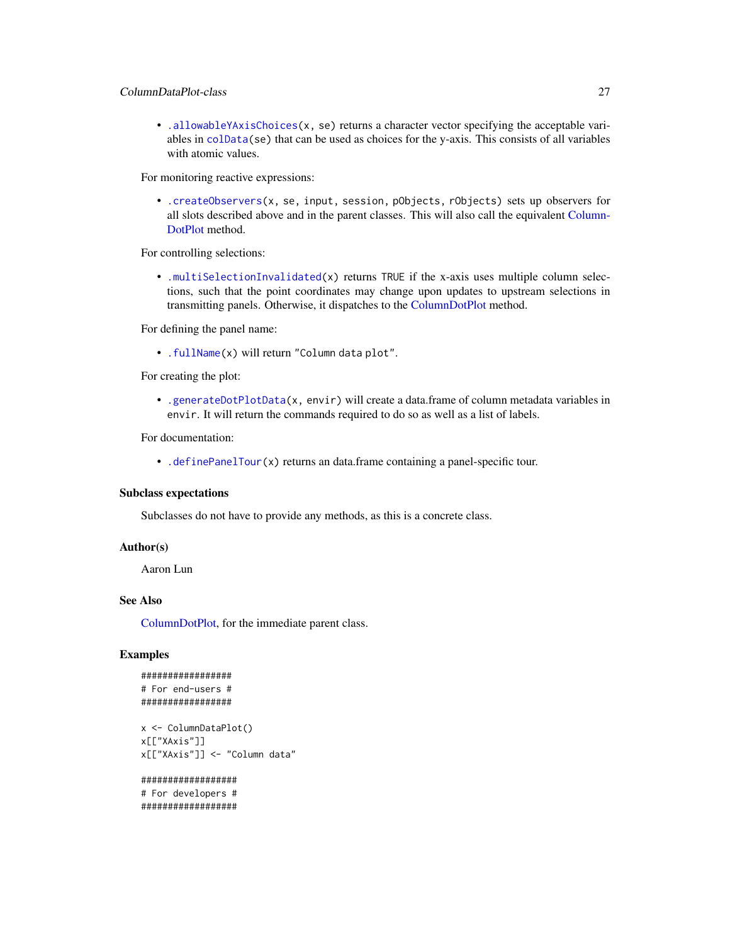# ColumnDataPlot-class 27

• [.allowableYAxisChoices\(](#page-67-1)x, se) returns a character vector specifying the acceptable variables in [colData\(](#page-0-0)se) that can be used as choices for the y-axis. This consists of all variables with atomic values.

For monitoring reactive expressions:

• [.createObservers\(](#page-70-1)x, se, input, session, pObjects, rObjects) sets up observers for all slots described above and in the parent classes. This will also call the equivalent [Column-](#page-29-1)[DotPlot](#page-29-1) method.

For controlling selections:

• [.multiSelectionInvalidated\(](#page-67-2)x) returns TRUE if the x-axis uses multiple column selections, such that the point coordinates may change upon updates to upstream selections in transmitting panels. Otherwise, it dispatches to the [ColumnDotPlot](#page-29-1) method.

For defining the panel name:

• [.fullName\(](#page-11-1)x) will return "Column data plot".

For creating the plot:

• [.generateDotPlotData\(](#page-79-1)x, envir) will create a data.frame of column metadata variables in envir. It will return the commands required to do so as well as a list of labels.

For documentation:

• [.definePanelTour\(](#page-43-1)x) returns an data.frame containing a panel-specific tour.

### Subclass expectations

Subclasses do not have to provide any methods, as this is a concrete class.

### Author(s)

Aaron Lun

### See Also

[ColumnDotPlot,](#page-29-1) for the immediate parent class.

# Examples

```
#################
# For end-users #
#################
```

```
x <- ColumnDataPlot()
x[["XAxis"]]
x[["XAxis"]] <- "Column data"
```

```
##################
# For developers #
##################
```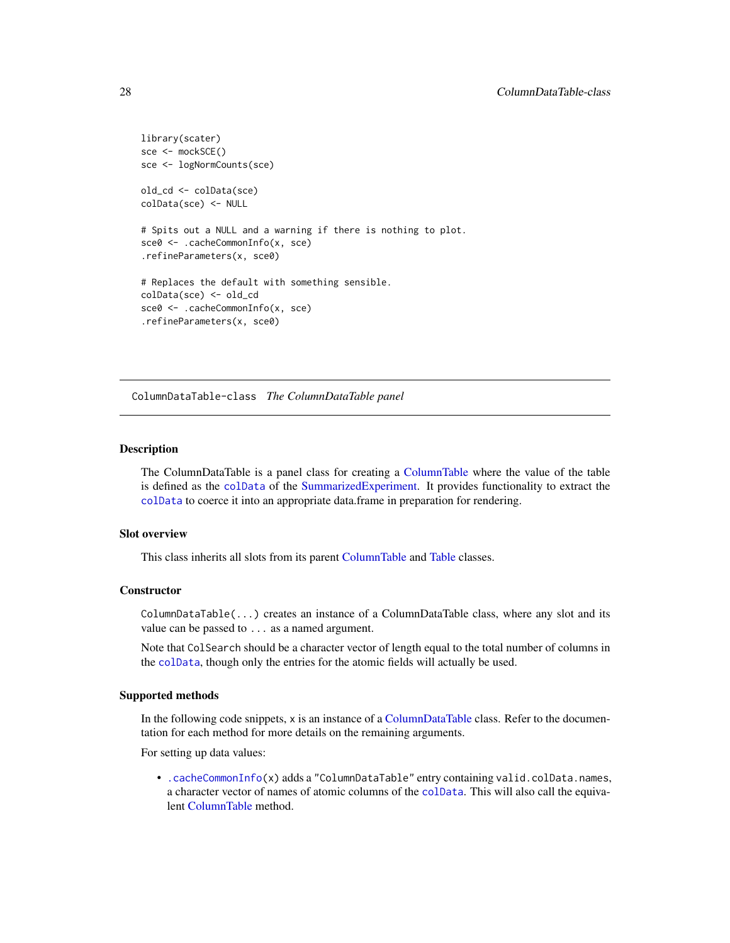```
library(scater)
sce <- mockSCE()
sce <- logNormCounts(sce)
old_cd <- colData(sce)
colData(sce) <- NULL
# Spits out a NULL and a warning if there is nothing to plot.
sce0 <- .cacheCommonInfo(x, sce)
.refineParameters(x, sce0)
# Replaces the default with something sensible.
colData(sce) <- old_cd
sce0 <- .cacheCommonInfo(x, sce)
.refineParameters(x, sce0)
```
<span id="page-27-1"></span>ColumnDataTable-class *The ColumnDataTable panel*

# Description

The ColumnDataTable is a panel class for creating a [ColumnTable](#page-32-1) where the value of the table is defined as the [colData](#page-0-0) of the [SummarizedExperiment.](#page-0-0) It provides functionality to extract the [colData](#page-0-0) to coerce it into an appropriate data.frame in preparation for rendering.

### Slot overview

This class inherits all slots from its parent [ColumnTable](#page-32-1) and [Table](#page-104-1) classes.

#### **Constructor**

ColumnDataTable(...) creates an instance of a ColumnDataTable class, where any slot and its value can be passed to ... as a named argument.

Note that ColSearch should be a character vector of length equal to the total number of columns in the [colData](#page-0-0), though only the entries for the atomic fields will actually be used.

### Supported methods

In the following code snippets, x is an instance of a [ColumnDataTable](#page-27-1) class. Refer to the documentation for each method for more details on the remaining arguments.

For setting up data values:

• [.cacheCommonInfo\(](#page-97-1)x) adds a "ColumnDataTable" entry containing valid.colData.names, a character vector of names of atomic columns of the [colData](#page-0-0). This will also call the equivalent [ColumnTable](#page-32-1) method.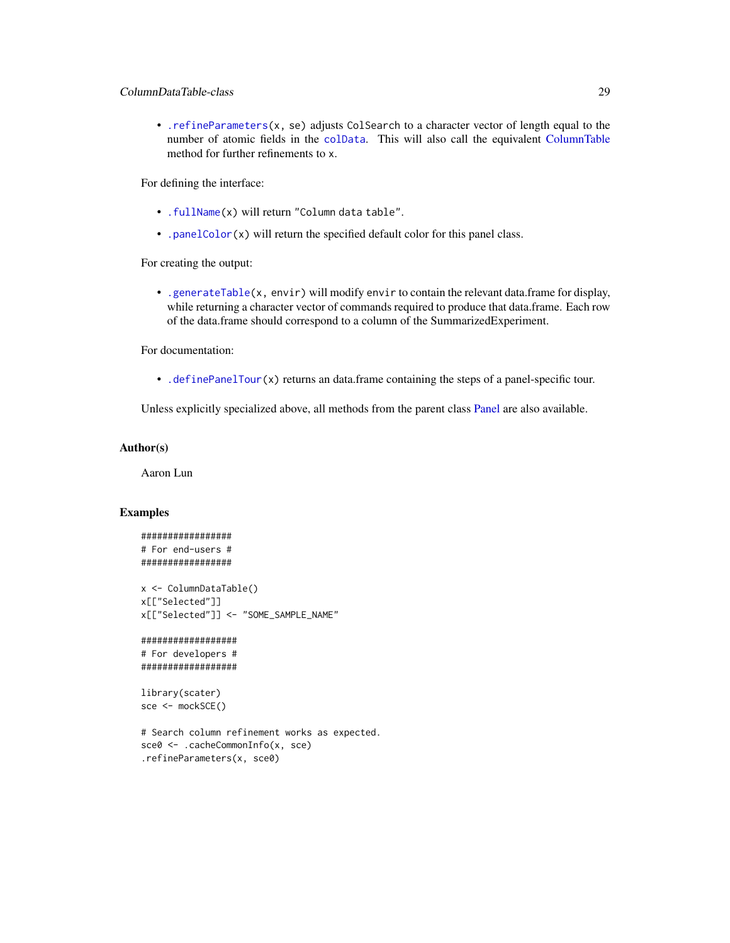• . refineParameters(x, se) adjusts ColSearch to a character vector of length equal to the number of atomic fields in the [colData](#page-0-0). This will also call the equivalent [ColumnTable](#page-32-1) method for further refinements to x.

For defining the interface:

- [.fullName\(](#page-11-1)x) will return "Column data table".
- [.panelColor\(](#page-12-1)x) will return the specified default color for this panel class.

For creating the output:

• [.generateTable\(](#page-106-1)x, envir) will modify envir to contain the relevant data.frame for display, while returning a character vector of commands required to produce that data.frame. Each row of the data.frame should correspond to a column of the SummarizedExperiment.

For documentation:

• [.definePanelTour\(](#page-43-1)x) returns an data.frame containing the steps of a panel-specific tour.

Unless explicitly specialized above, all methods from the parent class [Panel](#page-74-1) are also available.

### Author(s)

Aaron Lun

#### Examples

```
#################
# For end-users #
#################
x <- ColumnDataTable()
x[["Selected"]]
```

```
x[["Selected"]] <- "SOME_SAMPLE_NAME"
```
##################

```
# For developers #
##################
```

```
library(scater)
sce <- mockSCE()
```

```
# Search column refinement works as expected.
sce0 <- .cacheCommonInfo(x, sce)
.refineParameters(x, sce0)
```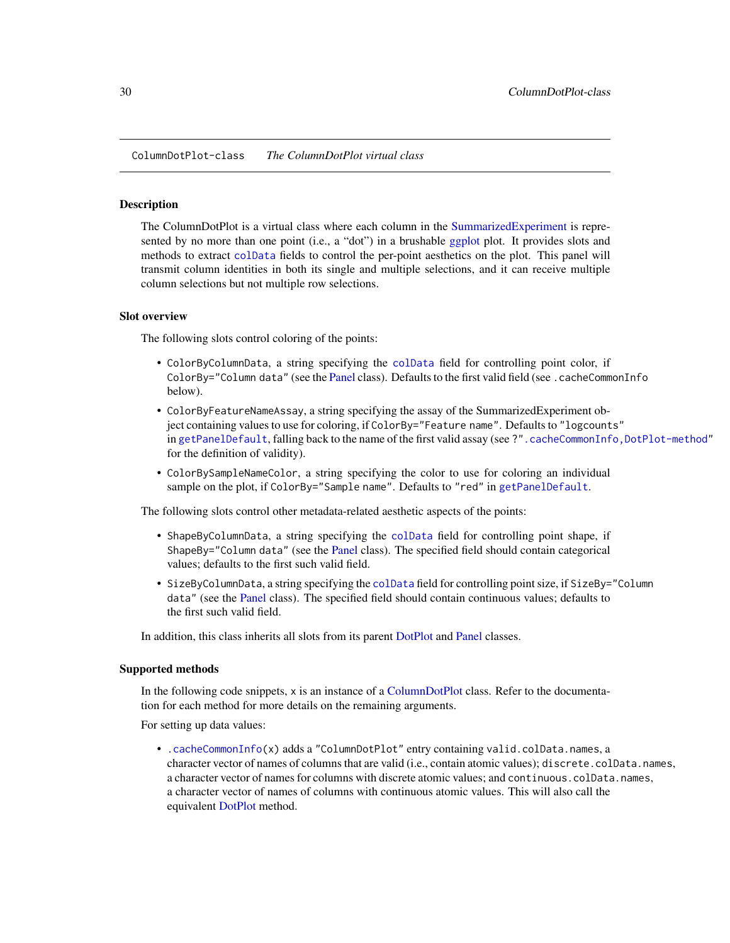<span id="page-29-1"></span><span id="page-29-0"></span>ColumnDotPlot-class *The ColumnDotPlot virtual class*

### **Description**

The ColumnDotPlot is a virtual class where each column in the [SummarizedExperiment](#page-0-0) is represented by no more than one point (i.e., a "dot") in a brushable [ggplot](#page-0-0) plot. It provides slots and methods to extract [colData](#page-0-0) fields to control the per-point aesthetics on the plot. This panel will transmit column identities in both its single and multiple selections, and it can receive multiple column selections but not multiple row selections.

# Slot overview

The following slots control coloring of the points:

- ColorByColumnData, a string specifying the [colData](#page-0-0) field for controlling point color, if ColorBy="Column data" (see the [Panel](#page-74-1) class). Defaults to the first valid field (see .cacheCommonInfo below).
- ColorByFeatureNameAssay, a string specifying the assay of the SummarizedExperiment object containing values to use for coloring, if ColorBy="Feature name". Defaults to "logcounts" in [getPanelDefault](#page-77-1), falling back to the name of the first valid assay (see ?". cacheCommonInfo,DotPlot-method" for the definition of validity).
- ColorBySampleNameColor, a string specifying the color to use for coloring an individual sample on the plot, if ColorBy="Sample name". Defaults to "red" in [getPanelDefault](#page-77-1).

The following slots control other metadata-related aesthetic aspects of the points:

- ShapeByColumnData, a string specifying the [colData](#page-0-0) field for controlling point shape, if ShapeBy="Column data" (see the [Panel](#page-74-1) class). The specified field should contain categorical values; defaults to the first such valid field.
- SizeByColumnData, a string specifying the [colData](#page-0-0) field for controlling point size, if SizeBy="Column data" (see the [Panel](#page-74-1) class). The specified field should contain continuous values; defaults to the first such valid field.

In addition, this class inherits all slots from its parent [DotPlot](#page-44-1) and [Panel](#page-74-1) classes.

### Supported methods

In the following code snippets, x is an instance of a [ColumnDotPlot](#page-29-1) class. Refer to the documentation for each method for more details on the remaining arguments.

For setting up data values:

• [.cacheCommonInfo\(](#page-97-1)x) adds a "ColumnDotPlot" entry containing valid.colData.names, a character vector of names of columns that are valid (i.e., contain atomic values); discrete.colData.names, a character vector of names for columns with discrete atomic values; and continuous.colData.names, a character vector of names of columns with continuous atomic values. This will also call the equivalent [DotPlot](#page-44-1) method.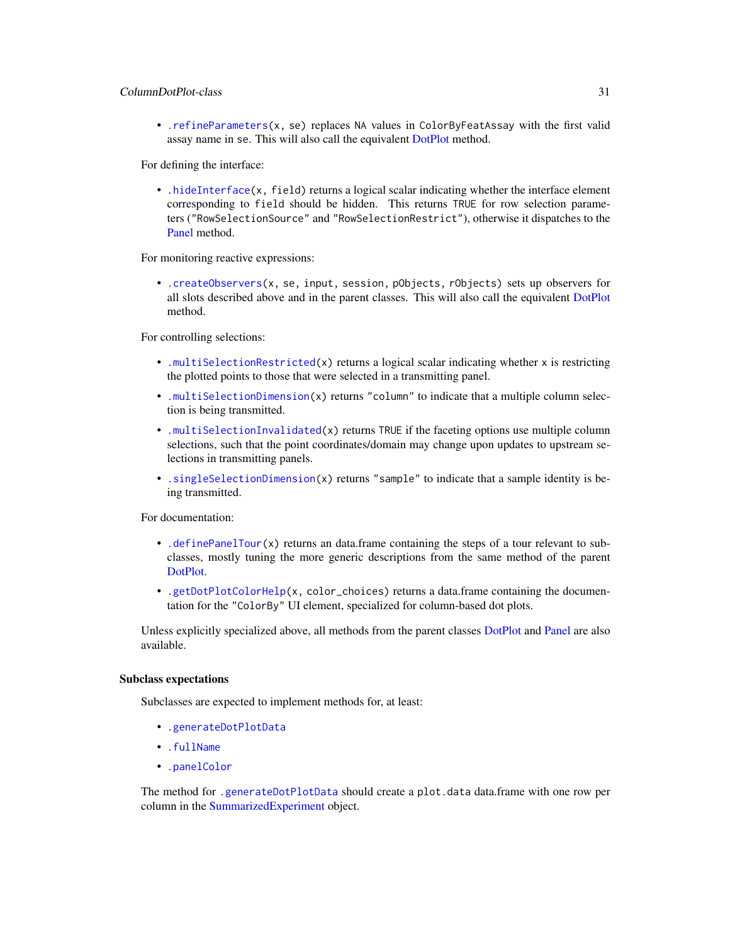# ColumnDotPlot-class 31

• [.refineParameters\(](#page-97-1)x, se) replaces NA values in ColorByFeatAssay with the first valid assay name in se. This will also call the equivalent [DotPlot](#page-44-1) method.

For defining the interface:

• [.hideInterface\(](#page-56-1)x, field) returns a logical scalar indicating whether the interface element corresponding to field should be hidden. This returns TRUE for row selection parameters ("RowSelectionSource" and "RowSelectionRestrict"), otherwise it dispatches to the [Panel](#page-74-1) method.

For monitoring reactive expressions:

• [.createObservers\(](#page-70-1)x, se, input, session, pObjects, rObjects) sets up observers for all slots described above and in the parent classes. This will also call the equivalent [DotPlot](#page-44-1) method.

For controlling selections:

- [.multiSelectionRestricted\(](#page-67-2)x) returns a logical scalar indicating whether x is restricting the plotted points to those that were selected in a transmitting panel.
- [.multiSelectionDimension\(](#page-67-2)x) returns "column" to indicate that a multiple column selection is being transmitted.
- [.multiSelectionInvalidated\(](#page-67-2)x) returns TRUE if the faceting options use multiple column selections, such that the point coordinates/domain may change upon updates to upstream selections in transmitting panels.
- [.singleSelectionDimension\(](#page-98-1)x) returns "sample" to indicate that a sample identity is being transmitted.

For documentation:

- [.definePanelTour\(](#page-43-1)x) returns an data.frame containing the steps of a tour relevant to subclasses, mostly tuning the more generic descriptions from the same method of the parent [DotPlot.](#page-44-1)
- [.getDotPlotColorHelp\(](#page-43-1)x, color\_choices) returns a data.frame containing the documentation for the "ColorBy" UI element, specialized for column-based dot plots.

Unless explicitly specialized above, all methods from the parent classes [DotPlot](#page-44-1) and [Panel](#page-74-1) are also available.

### Subclass expectations

Subclasses are expected to implement methods for, at least:

- [.generateDotPlotData](#page-79-1)
- [.fullName](#page-11-1)
- [.panelColor](#page-12-1)

The method for [.generateDotPlotData](#page-79-1) should create a plot.data data.frame with one row per column in the [SummarizedExperiment](#page-0-0) object.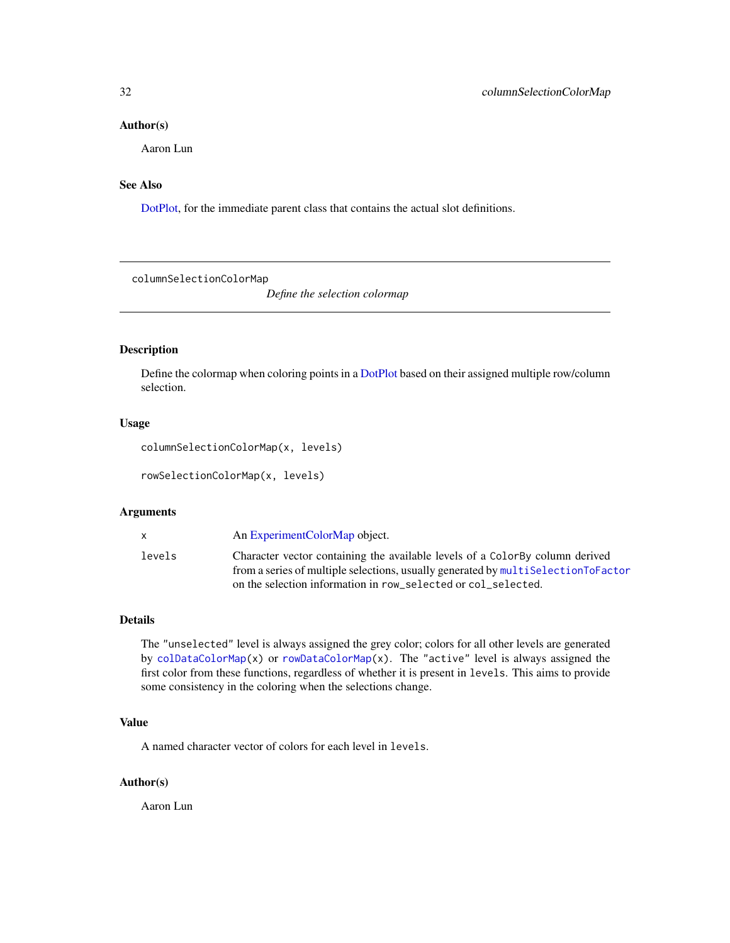#### <span id="page-31-0"></span>Author(s)

Aaron Lun

# See Also

[DotPlot,](#page-44-1) for the immediate parent class that contains the actual slot definitions.

columnSelectionColorMap

*Define the selection colormap*

# Description

Define the colormap when coloring points in a [DotPlot](#page-44-1) based on their assigned multiple row/column selection.

### Usage

```
columnSelectionColorMap(x, levels)
```
rowSelectionColorMap(x, levels)

# Arguments

| X.     | An Experiment Color Map object.                                                   |
|--------|-----------------------------------------------------------------------------------|
| levels | Character vector containing the available levels of a Color-By column derived     |
|        | from a series of multiple selections, usually generated by multiselectionToFactor |
|        | on the selection information in row selected or col selected.                     |

### Details

The "unselected" level is always assigned the grey color; colors for all other levels are generated by [colDataColorMap\(](#page-48-2)x) or [rowDataColorMap\(](#page-48-2)x). The "active" level is always assigned the first color from these functions, regardless of whether it is present in levels. This aims to provide some consistency in the coloring when the selections change.

### Value

A named character vector of colors for each level in levels.

### Author(s)

Aaron Lun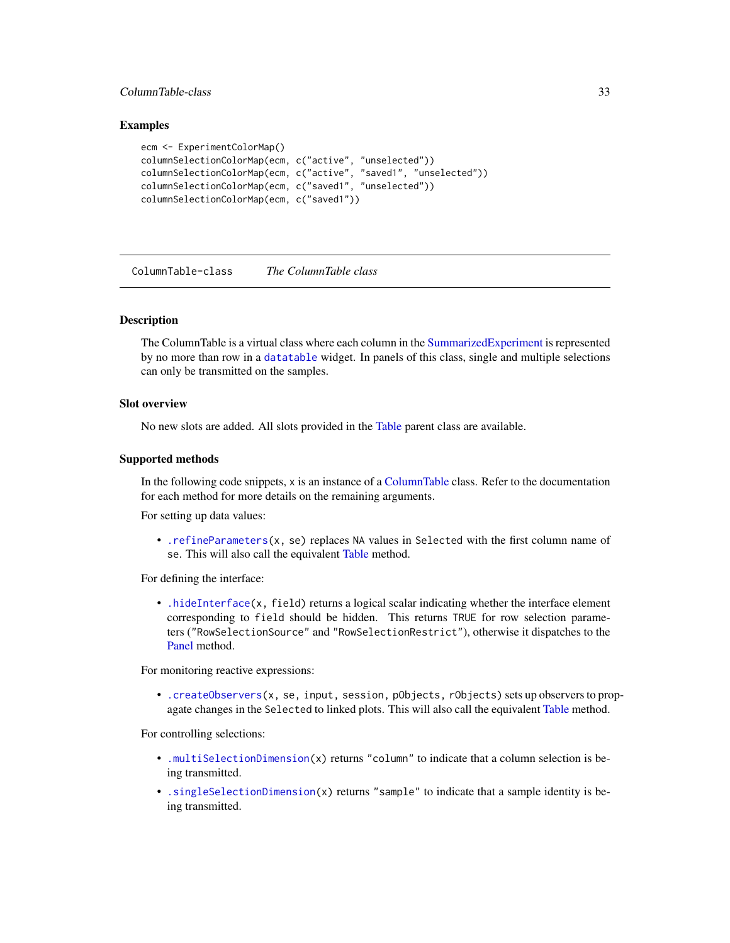# <span id="page-32-0"></span>ColumnTable-class 33

### Examples

```
ecm <- ExperimentColorMap()
columnSelectionColorMap(ecm, c("active", "unselected"))
columnSelectionColorMap(ecm, c("active", "saved1", "unselected"))
columnSelectionColorMap(ecm, c("saved1", "unselected"))
columnSelectionColorMap(ecm, c("saved1"))
```
<span id="page-32-1"></span>ColumnTable-class *The ColumnTable class*

### Description

The ColumnTable is a virtual class where each column in the [SummarizedExperiment](#page-0-0) is represented by no more than row in a [datatable](#page-0-0) widget. In panels of this class, single and multiple selections can only be transmitted on the samples.

### Slot overview

No new slots are added. All slots provided in the [Table](#page-104-1) parent class are available.

# Supported methods

In the following code snippets, x is an instance of a [ColumnTable](#page-32-1) class. Refer to the documentation for each method for more details on the remaining arguments.

For setting up data values:

• [.refineParameters\(](#page-97-1)x, se) replaces NA values in Selected with the first column name of se. This will also call the equivalent [Table](#page-104-1) method.

For defining the interface:

• [.hideInterface\(](#page-56-1)x, field) returns a logical scalar indicating whether the interface element corresponding to field should be hidden. This returns TRUE for row selection parameters ("RowSelectionSource" and "RowSelectionRestrict"), otherwise it dispatches to the [Panel](#page-74-1) method.

For monitoring reactive expressions:

• [.createObservers\(](#page-70-1)x, se, input, session, pObjects, rObjects) sets up observers to propagate changes in the Selected to linked plots. This will also call the equivalent [Table](#page-104-1) method.

For controlling selections:

- [.multiSelectionDimension\(](#page-67-2)x) returns "column" to indicate that a column selection is being transmitted.
- [.singleSelectionDimension\(](#page-98-1)x) returns "sample" to indicate that a sample identity is being transmitted.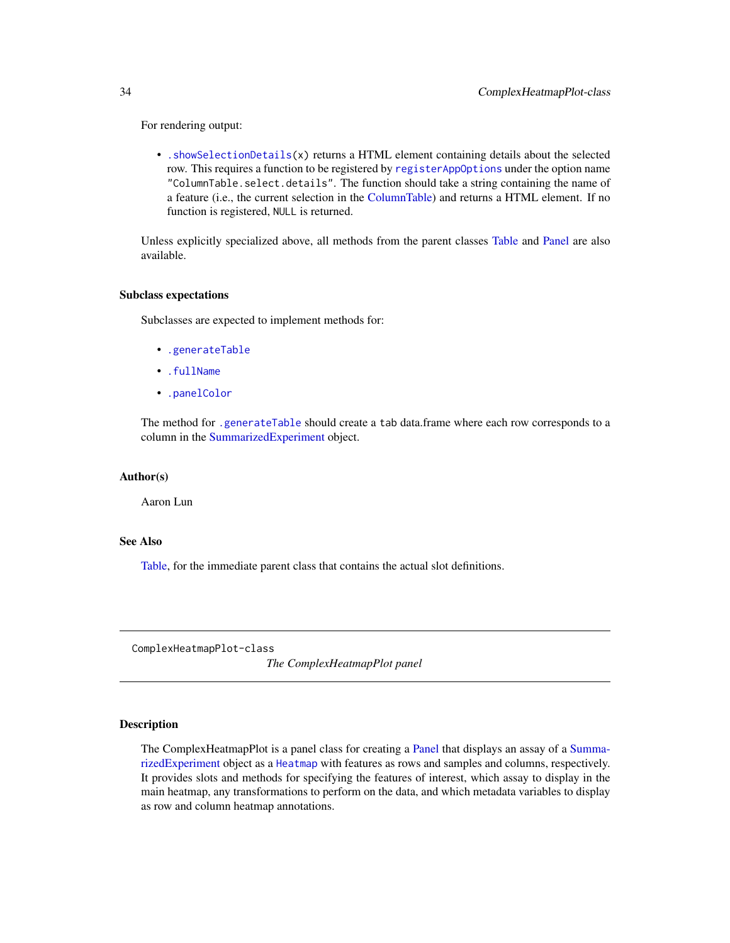For rendering output:

• [.showSelectionDetails\(](#page-106-1)x) returns a HTML element containing details about the selected row. This requires a function to be registered by [registerAppOptions](#page-85-1) under the option name "ColumnTable.select.details". The function should take a string containing the name of a feature (i.e., the current selection in the [ColumnTable\)](#page-32-1) and returns a HTML element. If no function is registered, NULL is returned.

Unless explicitly specialized above, all methods from the parent classes [Table](#page-104-1) and [Panel](#page-74-1) are also available.

#### Subclass expectations

Subclasses are expected to implement methods for:

- [.generateTable](#page-106-1)
- [.fullName](#page-11-1)
- [.panelColor](#page-12-1)

The method for [.generateTable](#page-106-1) should create a tab data.frame where each row corresponds to a column in the [SummarizedExperiment](#page-0-0) object.

### Author(s)

Aaron Lun

### See Also

[Table,](#page-104-1) for the immediate parent class that contains the actual slot definitions.

<span id="page-33-1"></span>ComplexHeatmapPlot-class

*The ComplexHeatmapPlot panel*

### Description

The ComplexHeatmapPlot is a panel class for creating a [Panel](#page-74-1) that displays an assay of a [Summa](#page-0-0)[rizedExperiment](#page-0-0) object as a [Heatmap](#page-0-0) with features as rows and samples and columns, respectively. It provides slots and methods for specifying the features of interest, which assay to display in the main heatmap, any transformations to perform on the data, and which metadata variables to display as row and column heatmap annotations.

<span id="page-33-0"></span>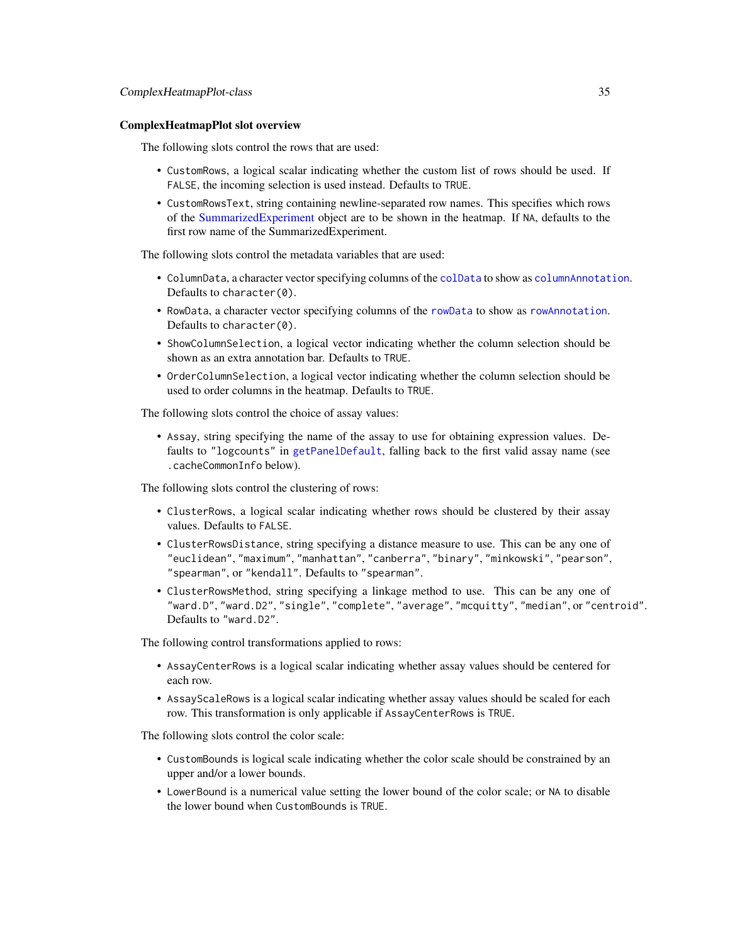### ComplexHeatmapPlot slot overview

The following slots control the rows that are used:

- CustomRows, a logical scalar indicating whether the custom list of rows should be used. If FALSE, the incoming selection is used instead. Defaults to TRUE.
- CustomRowsText, string containing newline-separated row names. This specifies which rows of the [SummarizedExperiment](#page-0-0) object are to be shown in the heatmap. If NA, defaults to the first row name of the SummarizedExperiment.

The following slots control the metadata variables that are used:

- ColumnData, a character vector specifying columns of the [colData](#page-0-0) to show as [columnAnnotation](#page-0-0). Defaults to character(0).
- RowData, a character vector specifying columns of the [rowData](#page-0-0) to show as [rowAnnotation](#page-0-0). Defaults to character(0).
- ShowColumnSelection, a logical vector indicating whether the column selection should be shown as an extra annotation bar. Defaults to TRUE.
- OrderColumnSelection, a logical vector indicating whether the column selection should be used to order columns in the heatmap. Defaults to TRUE.

The following slots control the choice of assay values:

• Assay, string specifying the name of the assay to use for obtaining expression values. Defaults to "logcounts" in [getPanelDefault](#page-77-1), falling back to the first valid assay name (see .cacheCommonInfo below).

The following slots control the clustering of rows:

- ClusterRows, a logical scalar indicating whether rows should be clustered by their assay values. Defaults to FALSE.
- ClusterRowsDistance, string specifying a distance measure to use. This can be any one of "euclidean", "maximum", "manhattan", "canberra", "binary", "minkowski", "pearson", "spearman", or "kendall". Defaults to "spearman".
- ClusterRowsMethod, string specifying a linkage method to use. This can be any one of "ward.D", "ward.D2", "single", "complete", "average", "mcquitty", "median", or "centroid". Defaults to "ward.D2".

The following control transformations applied to rows:

- AssayCenterRows is a logical scalar indicating whether assay values should be centered for each row.
- AssayScaleRows is a logical scalar indicating whether assay values should be scaled for each row. This transformation is only applicable if AssayCenterRows is TRUE.

The following slots control the color scale:

- CustomBounds is logical scale indicating whether the color scale should be constrained by an upper and/or a lower bounds.
- LowerBound is a numerical value setting the lower bound of the color scale; or NA to disable the lower bound when CustomBounds is TRUE.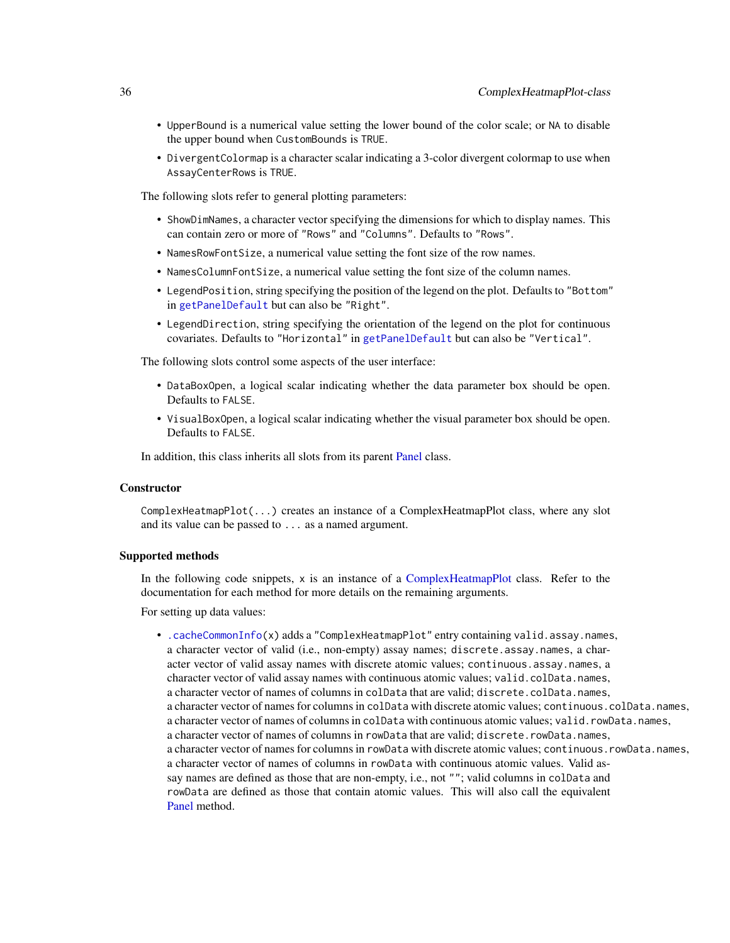- UpperBound is a numerical value setting the lower bound of the color scale; or NA to disable the upper bound when CustomBounds is TRUE.
- DivergentColormap is a character scalar indicating a 3-color divergent colormap to use when AssayCenterRows is TRUE.

The following slots refer to general plotting parameters:

- ShowDimNames, a character vector specifying the dimensions for which to display names. This can contain zero or more of "Rows" and "Columns". Defaults to "Rows".
- NamesRowFontSize, a numerical value setting the font size of the row names.
- NamesColumnFontSize, a numerical value setting the font size of the column names.
- LegendPosition, string specifying the position of the legend on the plot. Defaults to "Bottom" in [getPanelDefault](#page-77-1) but can also be "Right".
- LegendDirection, string specifying the orientation of the legend on the plot for continuous covariates. Defaults to "Horizontal" in [getPanelDefault](#page-77-1) but can also be "Vertical".

The following slots control some aspects of the user interface:

- DataBoxOpen, a logical scalar indicating whether the data parameter box should be open. Defaults to FALSE.
- VisualBoxOpen, a logical scalar indicating whether the visual parameter box should be open. Defaults to FALSE.

In addition, this class inherits all slots from its parent [Panel](#page-74-1) class.

### **Constructor**

ComplexHeatmapPlot(...) creates an instance of a ComplexHeatmapPlot class, where any slot and its value can be passed to ... as a named argument.

# Supported methods

In the following code snippets, x is an instance of a [ComplexHeatmapPlot](#page-33-1) class. Refer to the documentation for each method for more details on the remaining arguments.

For setting up data values:

• [.cacheCommonInfo\(](#page-97-1)x) adds a "ComplexHeatmapPlot" entry containing valid.assay.names, a character vector of valid (i.e., non-empty) assay names; discrete.assay.names, a character vector of valid assay names with discrete atomic values; continuous.assay.names, a character vector of valid assay names with continuous atomic values; valid.colData.names, a character vector of names of columns in colData that are valid; discrete.colData.names, a character vector of names for columns in colData with discrete atomic values; continuous.colData.names, a character vector of names of columns in colData with continuous atomic values; valid.rowData.names, a character vector of names of columns in rowData that are valid; discrete.rowData.names, a character vector of names for columns in rowData with discrete atomic values; continuous.rowData.names, a character vector of names of columns in rowData with continuous atomic values. Valid assay names are defined as those that are non-empty, i.e., not ""; valid columns in colData and rowData are defined as those that contain atomic values. This will also call the equivalent [Panel](#page-74-1) method.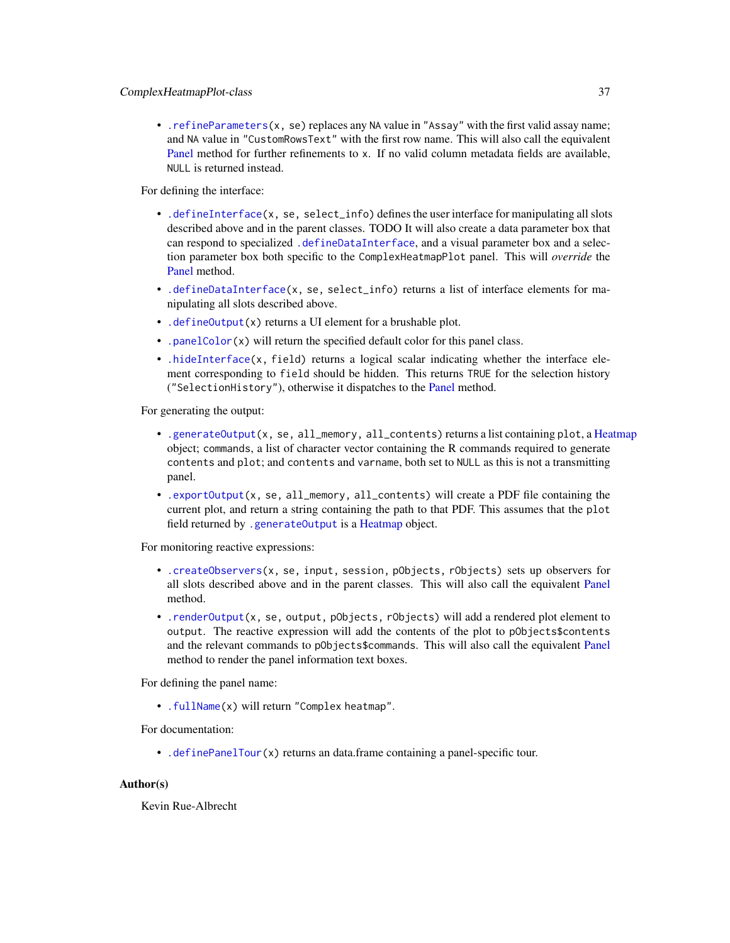• [.refineParameters\(](#page-97-0)x, se) replaces any NA value in "Assay" with the first valid assay name; and NA value in "CustomRowsText" with the first row name. This will also call the equivalent [Panel](#page-74-0) method for further refinements to x. If no valid column metadata fields are available, NULL is returned instead.

For defining the interface:

- [.defineInterface\(](#page-56-0)x, se, select\_info) defines the user interface for manipulating all slots described above and in the parent classes. TODO It will also create a data parameter box that can respond to specialized [.defineDataInterface](#page-56-0), and a visual parameter box and a selection parameter box both specific to the ComplexHeatmapPlot panel. This will *override* the [Panel](#page-74-0) method.
- [.defineDataInterface\(](#page-56-0)x, se, select\_info) returns a list of interface elements for manipulating all slots described above.
- [.defineOutput\(](#page-71-0)x) returns a UI element for a brushable plot.
- [.panelColor\(](#page-12-0)x) will return the specified default color for this panel class.
- [.hideInterface\(](#page-56-0)x, field) returns a logical scalar indicating whether the interface element corresponding to field should be hidden. This returns TRUE for the selection history ("SelectionHistory"), otherwise it dispatches to the [Panel](#page-74-0) method.

For generating the output:

- [.generateOutput\(](#page-71-0)x, se, all\_memory, all\_contents) returns a list containing plot, a [Heatmap](#page-0-0) object; commands, a list of character vector containing the R commands required to generate contents and plot; and contents and varname, both set to NULL as this is not a transmitting panel.
- [.exportOutput\(](#page-71-0)x, se, all\_memory, all\_contents) will create a PDF file containing the current plot, and return a string containing the path to that PDF. This assumes that the plot field returned by [.generateOutput](#page-71-0) is a [Heatmap](#page-0-0) object.

For monitoring reactive expressions:

- [.createObservers\(](#page-70-0)x, se, input, session, pObjects, rObjects) sets up observers for all slots described above and in the parent classes. This will also call the equivalent [Panel](#page-74-0) method.
- [.renderOutput\(](#page-71-0)x, se, output, pObjects, rObjects) will add a rendered plot element to output. The reactive expression will add the contents of the plot to pObjects\$contents and the relevant commands to pObjects\$commands. This will also call the equivalent [Panel](#page-74-0) method to render the panel information text boxes.

For defining the panel name:

• [.fullName\(](#page-11-0)x) will return "Complex heatmap".

For documentation:

• [.definePanelTour\(](#page-43-0)x) returns an data.frame containing a panel-specific tour.

# Author(s)

Kevin Rue-Albrecht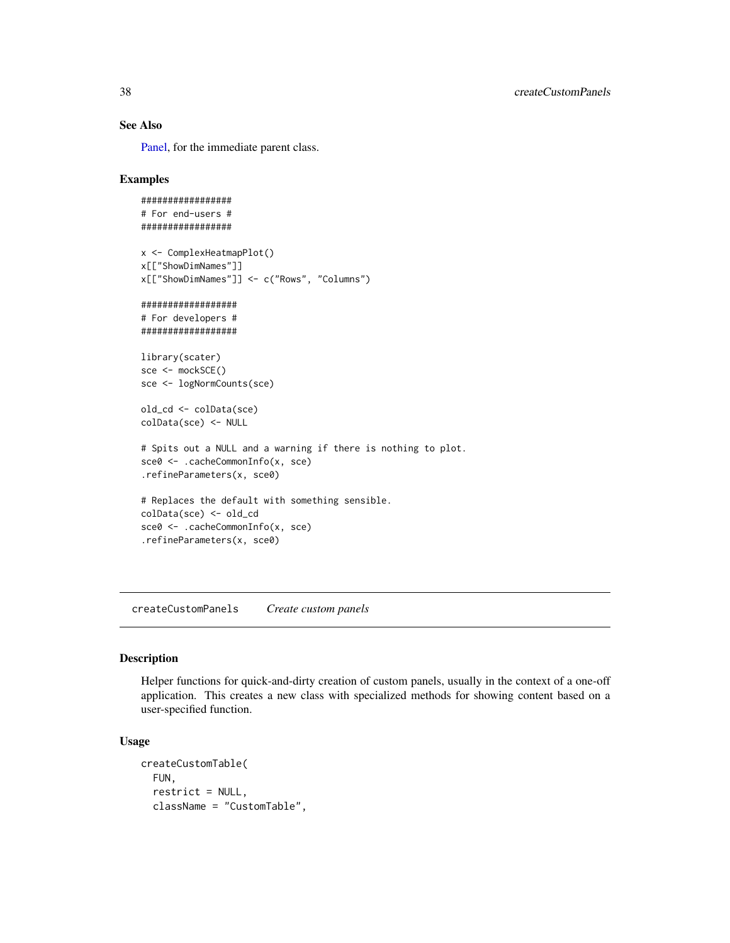# See Also

[Panel,](#page-74-0) for the immediate parent class.

### Examples

```
#################
# For end-users #
#################
x <- ComplexHeatmapPlot()
x[["ShowDimNames"]]
x[["ShowDimNames"]] <- c("Rows", "Columns")
##################
# For developers #
##################
library(scater)
sce <- mockSCE()
sce <- logNormCounts(sce)
old_cd <- colData(sce)
colData(sce) <- NULL
# Spits out a NULL and a warning if there is nothing to plot.
sce0 <- .cacheCommonInfo(x, sce)
.refineParameters(x, sce0)
# Replaces the default with something sensible.
colData(sce) <- old_cd
sce0 <- .cacheCommonInfo(x, sce)
.refineParameters(x, sce0)
```
createCustomPanels *Create custom panels*

# Description

Helper functions for quick-and-dirty creation of custom panels, usually in the context of a one-off application. This creates a new class with specialized methods for showing content based on a user-specified function.

#### Usage

```
createCustomTable(
  FUN,
  restrict = NULL,
  className = "CustomTable",
```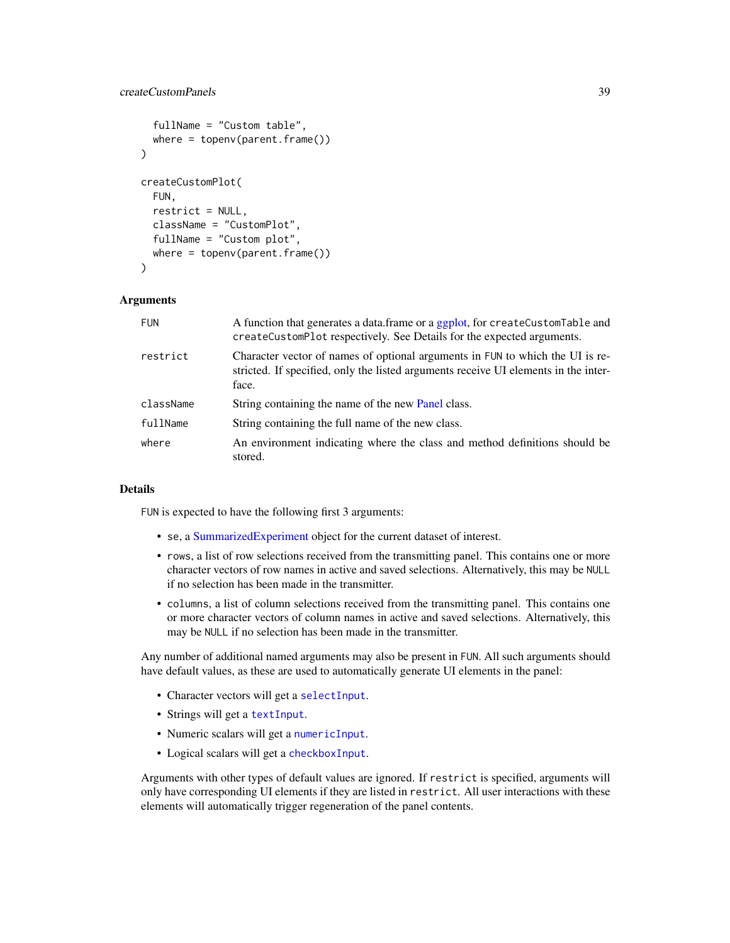# createCustomPanels 39

```
fullName = "Custom table",
 where = topenv(parent,frame()))
createCustomPlot(
  FUN,
  restrict = NULL,
  className = "CustomPlot",
  fullName = "Custom plot",
  where = topenv(parent.frame())\lambda
```
# **Arguments**

| <b>FUN</b> | A function that generates a data.frame or a ggplot, for createCustomTable and<br>createCustomPlot respectively. See Details for the expected arguments.                       |
|------------|-------------------------------------------------------------------------------------------------------------------------------------------------------------------------------|
| restrict   | Character vector of names of optional arguments in FUN to which the UI is re-<br>stricted. If specified, only the listed arguments receive UI elements in the inter-<br>face. |
| className  | String containing the name of the new Panel class.                                                                                                                            |
| fullName   | String containing the full name of the new class.                                                                                                                             |
| where      | An environment indicating where the class and method definitions should be<br>stored.                                                                                         |

# Details

FUN is expected to have the following first 3 arguments:

- se, a [SummarizedExperiment](#page-0-0) object for the current dataset of interest.
- rows, a list of row selections received from the transmitting panel. This contains one or more character vectors of row names in active and saved selections. Alternatively, this may be NULL if no selection has been made in the transmitter.
- columns, a list of column selections received from the transmitting panel. This contains one or more character vectors of column names in active and saved selections. Alternatively, this may be NULL if no selection has been made in the transmitter.

Any number of additional named arguments may also be present in FUN. All such arguments should have default values, as these are used to automatically generate UI elements in the panel:

- Character vectors will get a [selectInput](#page-0-0).
- Strings will get a [textInput](#page-0-0).
- Numeric scalars will get a [numericInput](#page-0-0).
- Logical scalars will get a [checkboxInput](#page-0-0).

Arguments with other types of default values are ignored. If restrict is specified, arguments will only have corresponding UI elements if they are listed in restrict. All user interactions with these elements will automatically trigger regeneration of the panel contents.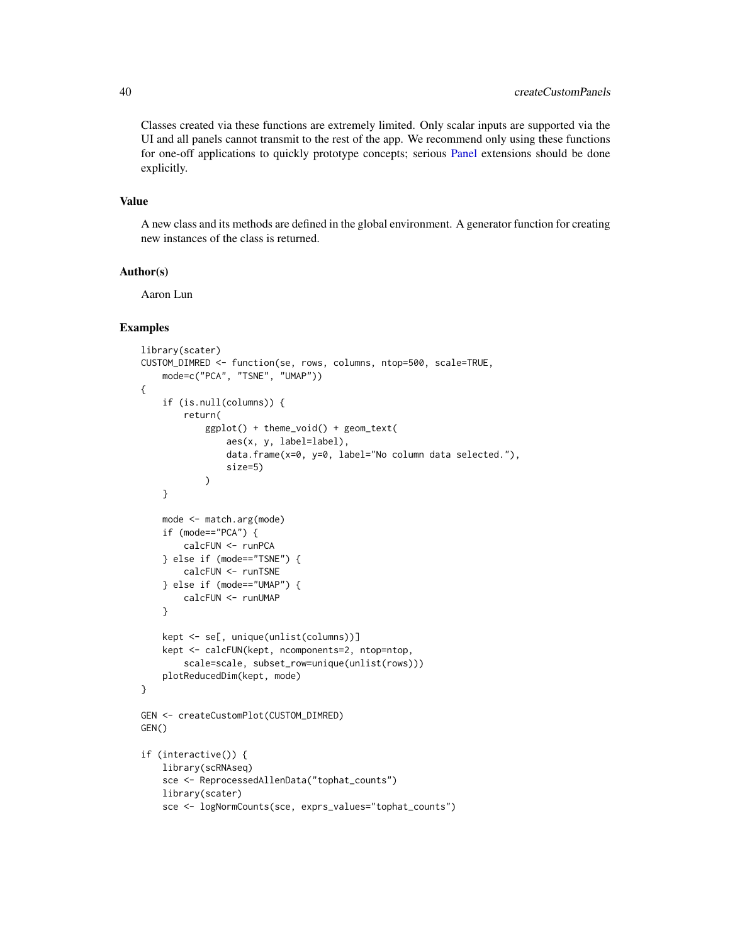Classes created via these functions are extremely limited. Only scalar inputs are supported via the UI and all panels cannot transmit to the rest of the app. We recommend only using these functions for one-off applications to quickly prototype concepts; serious [Panel](#page-74-0) extensions should be done explicitly.

### Value

A new class and its methods are defined in the global environment. A generator function for creating new instances of the class is returned.

## Author(s)

Aaron Lun

```
library(scater)
CUSTOM_DIMRED <- function(se, rows, columns, ntop=500, scale=TRUE,
    mode=c("PCA", "TSNE", "UMAP"))
{
    if (is.null(columns)) {
        return(
            ggplot() + theme_void() + geom_text(
                aes(x, y, label=label),
                data.frame(x=0, y=0, label="No column data selected."),
                size=5)
            )
    }
    mode <- match.arg(mode)
    if (mode=="PCA") {
        calcFUN <- runPCA
    } else if (mode=="TSNE") {
        calcFUN <- runTSNE
    } else if (mode=="UMAP") {
        calcFUN <- runUMAP
    }
    kept <- se[, unique(unlist(columns))]
    kept <- calcFUN(kept, ncomponents=2, ntop=ntop,
        scale=scale, subset_row=unique(unlist(rows)))
    plotReducedDim(kept, mode)
}
GEN <- createCustomPlot(CUSTOM_DIMRED)
GEN()
if (interactive()) {
    library(scRNAseq)
    sce <- ReprocessedAllenData("tophat_counts")
    library(scater)
    sce <- logNormCounts(sce, exprs_values="tophat_counts")
```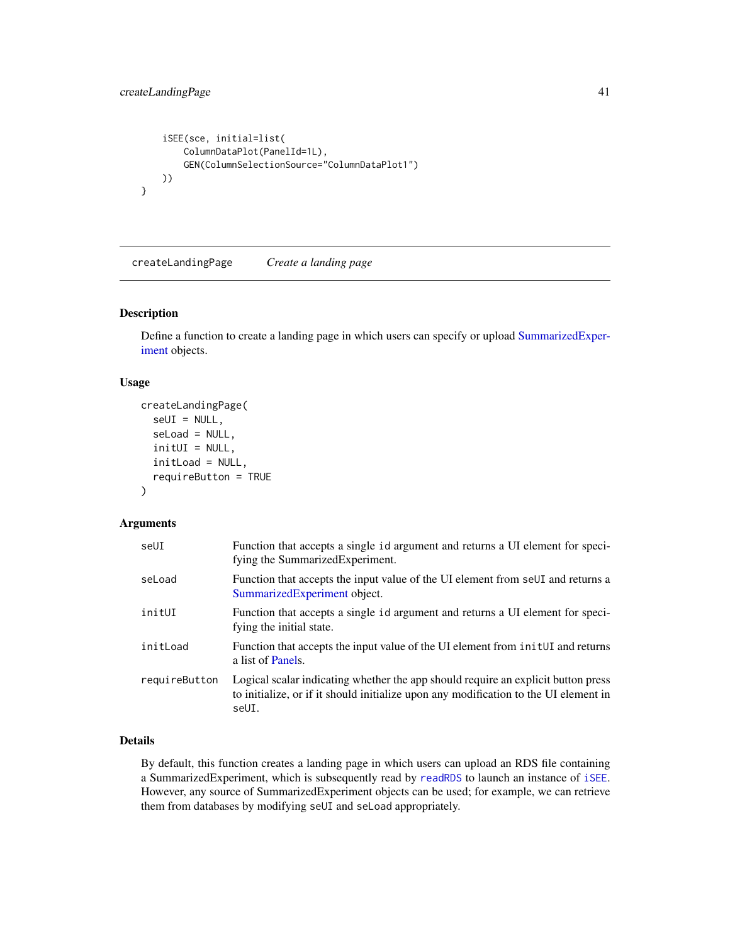```
iSEE(sce, initial=list(
       ColumnDataPlot(PanelId=1L),
        GEN(ColumnSelectionSource="ColumnDataPlot1")
   ))
}
```
<span id="page-40-0"></span>createLandingPage *Create a landing page*

# Description

Define a function to create a landing page in which users can specify or upload [SummarizedExper](#page-0-0)[iment](#page-0-0) objects.

#### Usage

```
createLandingPage(
  seUI = NULL,
  seLoad = NULL,
  initUI = NULL,
  initLoad = NULL,
  requireButton = TRUE
\mathcal{E}
```
# Arguments

| seUI          | Function that accepts a single id argument and returns a UI element for speci-<br>fying the Summarized Experiment.                                                                 |
|---------------|------------------------------------------------------------------------------------------------------------------------------------------------------------------------------------|
| seLoad        | Function that accepts the input value of the UI element from seUI and returns a<br>SummarizedExperiment object.                                                                    |
| initUI        | Function that accepts a single id argument and returns a UI element for speci-<br>fying the initial state.                                                                         |
| initLoad      | Function that accepts the input value of the UI element from initUI and returns<br>a list of Panels.                                                                               |
| requireButton | Logical scalar indicating whether the app should require an explicit button press<br>to initialize, or if it should initialize upon any modification to the UI element in<br>seUI. |

# Details

By default, this function creates a landing page in which users can upload an RDS file containing a SummarizedExperiment, which is subsequently read by [readRDS](#page-0-0) to launch an instance of [iSEE](#page-58-0). However, any source of SummarizedExperiment objects can be used; for example, we can retrieve them from databases by modifying seUI and seLoad appropriately.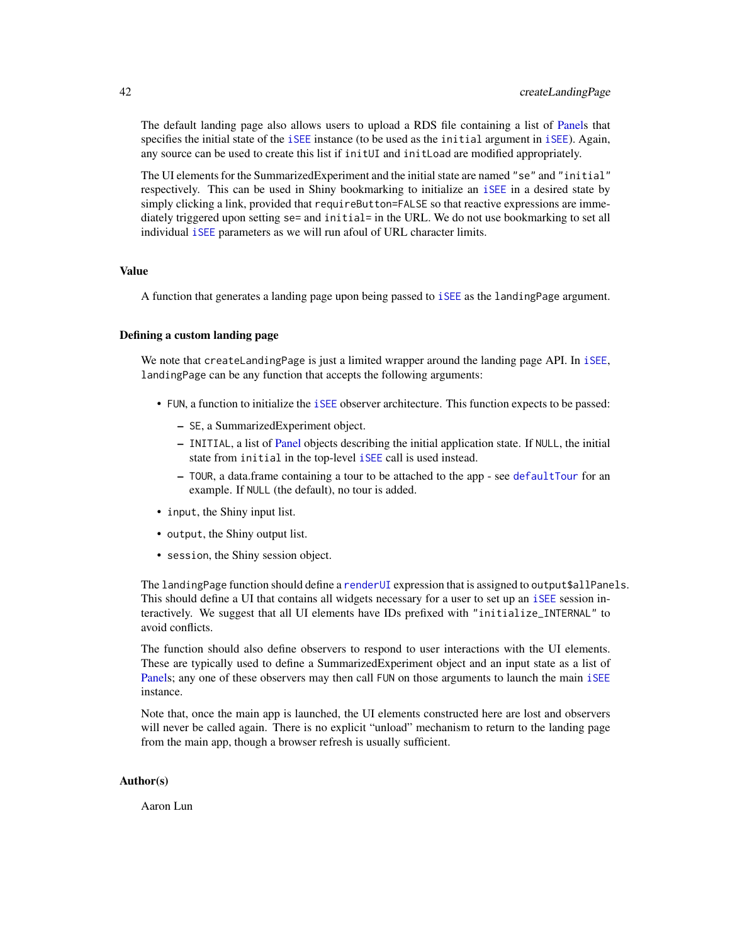The default landing page also allows users to upload a RDS file containing a list of [Panels](#page-74-0) that specifies the initial state of the [iSEE](#page-58-0) instance (to be used as the initial argument in [iSEE](#page-58-0)). Again, any source can be used to create this list if initUI and initLoad are modified appropriately.

The UI elements for the SummarizedExperiment and the initial state are named "se" and "initial" respectively. This can be used in Shiny bookmarking to initialize an [iSEE](#page-58-0) in a desired state by simply clicking a link, provided that requireButton=FALSE so that reactive expressions are immediately triggered upon setting se= and initial= in the URL. We do not use bookmarking to set all individual [iSEE](#page-58-0) parameters as we will run afoul of URL character limits.

# Value

A function that generates a landing page upon being passed to [iSEE](#page-58-0) as the landingPage argument.

#### Defining a custom landing page

We note that createLandingPage is just a limited wrapper around the landing page API. In [iSEE](#page-58-0), landingPage can be any function that accepts the following arguments:

- FUN, a function to initialize the [iSEE](#page-58-0) observer architecture. This function expects to be passed:
	- SE, a SummarizedExperiment object.
	- INITIAL, a list of [Panel](#page-74-0) objects describing the initial application state. If NULL, the initial state from initial in the top-level [iSEE](#page-58-0) call is used instead.
	- TOUR, a data.frame containing a tour to be attached to the app see [defaultTour](#page-42-0) for an example. If NULL (the default), no tour is added.
- input, the Shiny input list.
- output, the Shiny output list.
- session, the Shiny session object.

The landingPage function should define a [renderUI](#page-0-0) expression that is assigned to output\$allPanels. This should define a UI that contains all widgets necessary for a user to set up an [iSEE](#page-58-0) session interactively. We suggest that all UI elements have IDs prefixed with "initialize\_INTERNAL" to avoid conflicts.

The function should also define observers to respond to user interactions with the UI elements. These are typically used to define a SummarizedExperiment object and an input state as a list of [Panels](#page-74-0); any one of these observers may then call FUN on those arguments to launch the main [iSEE](#page-58-0) instance.

Note that, once the main app is launched, the UI elements constructed here are lost and observers will never be called again. There is no explicit "unload" mechanism to return to the landing page from the main app, though a browser refresh is usually sufficient.

### Author(s)

Aaron Lun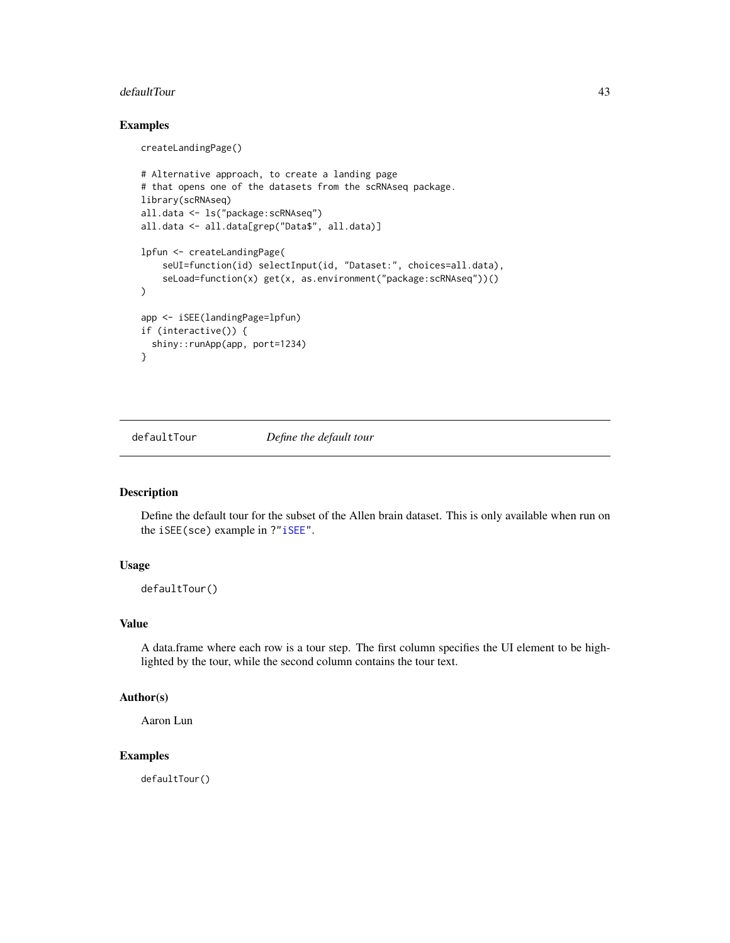#### defaultTour 43

# Examples

createLandingPage()

```
# Alternative approach, to create a landing page
# that opens one of the datasets from the scRNAseq package.
library(scRNAseq)
all.data <- ls("package:scRNAseq")
all.data <- all.data[grep("Data$", all.data)]
lpfun <- createLandingPage(
    seUI=function(id) selectInput(id, "Dataset:", choices=all.data),
    seLoad=function(x) get(x, as.environment("package:scRNAseq"))()
\lambdaapp <- iSEE(landingPage=lpfun)
if (interactive()) {
  shiny::runApp(app, port=1234)
}
```
<span id="page-42-0"></span>defaultTour *Define the default tour*

## Description

Define the default tour for the subset of the Allen brain dataset. This is only available when run on the iSEE(sce) example in ?["iSEE"](#page-58-0).

# Usage

defaultTour()

# Value

A data.frame where each row is a tour step. The first column specifies the UI element to be highlighted by the tour, while the second column contains the tour text.

# Author(s)

Aaron Lun

# Examples

defaultTour()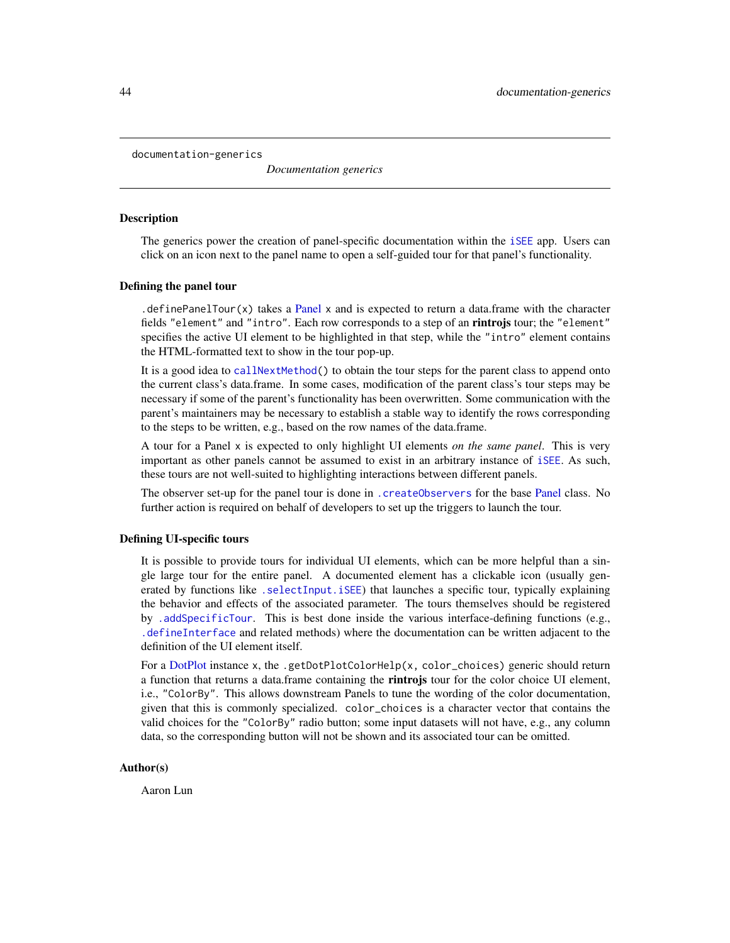documentation-generics

*Documentation generics*

#### <span id="page-43-0"></span>**Description**

The generics power the creation of panel-specific documentation within the [iSEE](#page-58-0) app. Users can click on an icon next to the panel name to open a self-guided tour for that panel's functionality.

#### Defining the panel tour

. define[Panel](#page-74-0)Tour $(x)$  takes a Panel x and is expected to return a data.frame with the character fields "element" and "intro". Each row corresponds to a step of an **rintrojs** tour; the "element" specifies the active UI element to be highlighted in that step, while the "intro" element contains the HTML-formatted text to show in the tour pop-up.

It is a good idea to [callNextMethod\(](#page-0-0)) to obtain the tour steps for the parent class to append onto the current class's data.frame. In some cases, modification of the parent class's tour steps may be necessary if some of the parent's functionality has been overwritten. Some communication with the parent's maintainers may be necessary to establish a stable way to identify the rows corresponding to the steps to be written, e.g., based on the row names of the data.frame.

A tour for a Panel x is expected to only highlight UI elements *on the same panel*. This is very important as other panels cannot be assumed to exist in an arbitrary instance of [iSEE](#page-58-0). As such, these tours are not well-suited to highlighting interactions between different panels.

The observer set-up for the panel tour is done in [.createObservers](#page-70-0) for the base [Panel](#page-74-0) class. No further action is required on behalf of developers to set up the triggers to launch the tour.

### Defining UI-specific tours

It is possible to provide tours for individual UI elements, which can be more helpful than a single large tour for the entire panel. A documented element has a clickable icon (usually generated by functions like [.selectInput.iSEE](#page-57-0)) that launches a specific tour, typically explaining the behavior and effects of the associated parameter. The tours themselves should be registered by [.addSpecificTour](#page-100-0). This is best done inside the various interface-defining functions (e.g., [.defineInterface](#page-56-0) and related methods) where the documentation can be written adjacent to the definition of the UI element itself.

For a [DotPlot](#page-44-0) instance x, the .getDotPlotColorHelp(x, color\_choices) generic should return a function that returns a data.frame containing the **rintrojs** tour for the color choice UI element, i.e., "ColorBy". This allows downstream Panels to tune the wording of the color documentation, given that this is commonly specialized. color\_choices is a character vector that contains the valid choices for the "ColorBy" radio button; some input datasets will not have, e.g., any column data, so the corresponding button will not be shown and its associated tour can be omitted.

#### Author(s)

Aaron Lun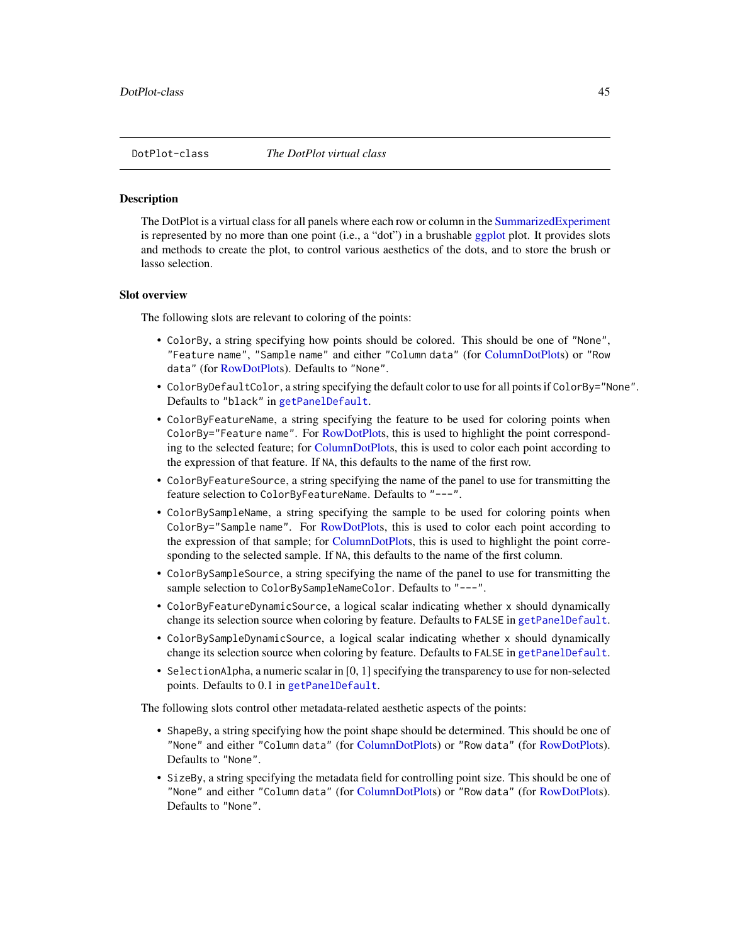<span id="page-44-0"></span>

#### **Description**

The DotPlot is a virtual class for all panels where each row or column in the [SummarizedExperiment](#page-0-0) is represented by no more than one point (i.e., a "dot") in a brushable [ggplot](#page-0-0) plot. It provides slots and methods to create the plot, to control various aesthetics of the dots, and to store the brush or lasso selection.

#### Slot overview

The following slots are relevant to coloring of the points:

- ColorBy, a string specifying how points should be colored. This should be one of "None", "Feature name", "Sample name" and either "Column data" (for [ColumnDotPlots](#page-29-0)) or "Row data" (for [RowDotPlots](#page-91-0)). Defaults to "None".
- ColorByDefaultColor, a string specifying the default color to use for all points if ColorBy="None". Defaults to "black" in [getPanelDefault](#page-77-0).
- ColorByFeatureName, a string specifying the feature to be used for coloring points when ColorBy="Feature name". For [RowDotPlots](#page-91-0), this is used to highlight the point corresponding to the selected feature; for [ColumnDotPlots](#page-29-0), this is used to color each point according to the expression of that feature. If NA, this defaults to the name of the first row.
- ColorByFeatureSource, a string specifying the name of the panel to use for transmitting the feature selection to ColorByFeatureName. Defaults to "---".
- ColorBySampleName, a string specifying the sample to be used for coloring points when ColorBy="Sample name". For [RowDotPlots](#page-91-0), this is used to color each point according to the expression of that sample; for [ColumnDotPlots](#page-29-0), this is used to highlight the point corresponding to the selected sample. If NA, this defaults to the name of the first column.
- ColorBySampleSource, a string specifying the name of the panel to use for transmitting the sample selection to ColorBySampleNameColor. Defaults to "---".
- ColorByFeatureDynamicSource, a logical scalar indicating whether x should dynamically change its selection source when coloring by feature. Defaults to FALSE in [getPanelDefault](#page-77-0).
- ColorBySampleDynamicSource, a logical scalar indicating whether x should dynamically change its selection source when coloring by feature. Defaults to FALSE in [getPanelDefault](#page-77-0).
- SelectionAlpha, a numeric scalar in [0, 1] specifying the transparency to use for non-selected points. Defaults to 0.1 in [getPanelDefault](#page-77-0).

The following slots control other metadata-related aesthetic aspects of the points:

- ShapeBy, a string specifying how the point shape should be determined. This should be one of "None" and either "Column data" (for [ColumnDotPlots](#page-29-0)) or "Row data" (for [RowDotPlots](#page-91-0)). Defaults to "None".
- SizeBy, a string specifying the metadata field for controlling point size. This should be one of "None" and either "Column data" (for [ColumnDotPlots](#page-29-0)) or "Row data" (for [RowDotPlots](#page-91-0)). Defaults to "None".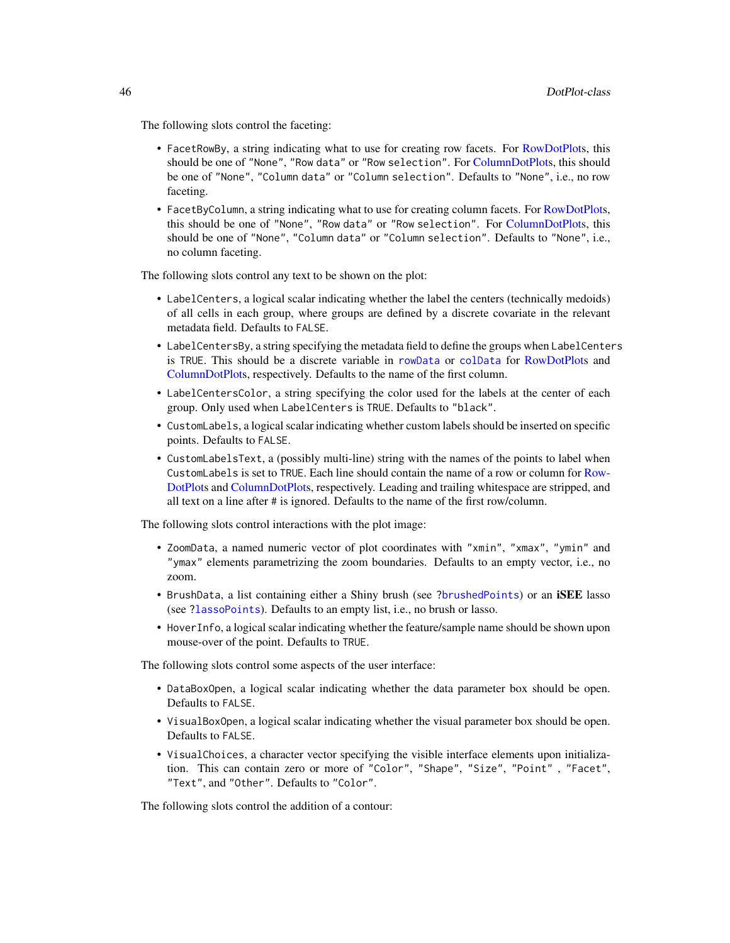The following slots control the faceting:

- FacetRowBy, a string indicating what to use for creating row facets. For [RowDotPlots](#page-91-0), this should be one of "None", "Row data" or "Row selection". For [ColumnDotPlots](#page-29-0), this should be one of "None", "Column data" or "Column selection". Defaults to "None", i.e., no row faceting.
- FacetByColumn, a string indicating what to use for creating column facets. For [RowDotPlots](#page-91-0), this should be one of "None", "Row data" or "Row selection". For [ColumnDotPlots](#page-29-0), this should be one of "None", "Column data" or "Column selection". Defaults to "None", i.e., no column faceting.

The following slots control any text to be shown on the plot:

- LabelCenters, a logical scalar indicating whether the label the centers (technically medoids) of all cells in each group, where groups are defined by a discrete covariate in the relevant metadata field. Defaults to FALSE.
- LabelCentersBy, a string specifying the metadata field to define the groups when LabelCenters is TRUE. This should be a discrete variable in [rowData](#page-0-0) or [colData](#page-0-0) for [RowDotPlots](#page-91-0) and [ColumnDotPlots](#page-29-0), respectively. Defaults to the name of the first column.
- LabelCentersColor, a string specifying the color used for the labels at the center of each group. Only used when LabelCenters is TRUE. Defaults to "black".
- CustomLabels, a logical scalar indicating whether custom labels should be inserted on specific points. Defaults to FALSE.
- CustomLabelsText, a (possibly multi-line) string with the names of the points to label when CustomLabels is set to TRUE. Each line should contain the name of a row or column for [Row-](#page-91-0)[DotPlots](#page-91-0) and [ColumnDotPlots](#page-29-0), respectively. Leading and trailing whitespace are stripped, and all text on a line after # is ignored. Defaults to the name of the first row/column.

The following slots control interactions with the plot image:

- ZoomData, a named numeric vector of plot coordinates with "xmin", "xmax", "ymin" and "ymax" elements parametrizing the zoom boundaries. Defaults to an empty vector, i.e., no zoom.
- BrushData, a list containing either a Shiny brush (see [?brushedPoints](#page-0-0)) or an iSEE lasso (see [?lassoPoints](#page-65-0)). Defaults to an empty list, i.e., no brush or lasso.
- HoverInfo, a logical scalar indicating whether the feature/sample name should be shown upon mouse-over of the point. Defaults to TRUE.

The following slots control some aspects of the user interface:

- DataBoxOpen, a logical scalar indicating whether the data parameter box should be open. Defaults to FALSE.
- VisualBoxOpen, a logical scalar indicating whether the visual parameter box should be open. Defaults to FALSE.
- VisualChoices, a character vector specifying the visible interface elements upon initialization. This can contain zero or more of "Color", "Shape", "Size", "Point" , "Facet", "Text", and "Other". Defaults to "Color".

The following slots control the addition of a contour: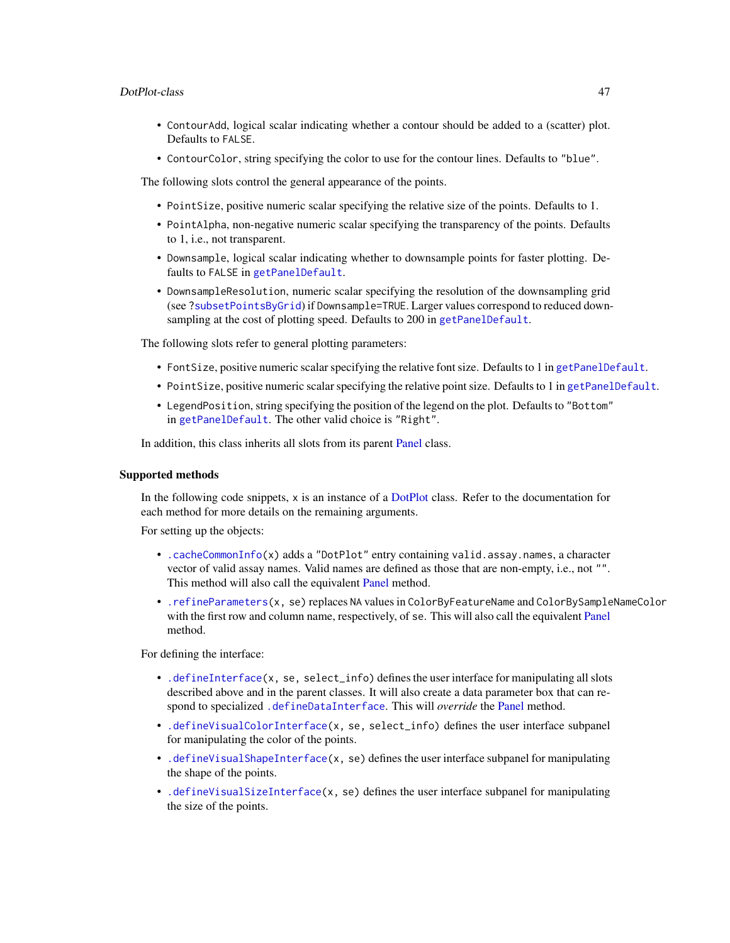### DotPlot-class 47

- ContourAdd, logical scalar indicating whether a contour should be added to a (scatter) plot. Defaults to FALSE.
- ContourColor, string specifying the color to use for the contour lines. Defaults to "blue".

The following slots control the general appearance of the points.

- PointSize, positive numeric scalar specifying the relative size of the points. Defaults to 1.
- PointAlpha, non-negative numeric scalar specifying the transparency of the points. Defaults to 1, i.e., not transparent.
- Downsample, logical scalar indicating whether to downsample points for faster plotting. Defaults to FALSE in [getPanelDefault](#page-77-0).
- DownsampleResolution, numeric scalar specifying the resolution of the downsampling grid (see [?subsetPointsByGrid](#page-101-0)) if Downsample=TRUE. Larger values correspond to reduced downsampling at the cost of plotting speed. Defaults to 200 in [getPanelDefault](#page-77-0).

The following slots refer to general plotting parameters:

- FontSize, positive numeric scalar specifying the relative font size. Defaults to 1 in [getPanelDefault](#page-77-0).
- PointSize, positive numeric scalar specifying the relative point size. Defaults to 1 in [getPanelDefault](#page-77-0).
- LegendPosition, string specifying the position of the legend on the plot. Defaults to "Bottom" in [getPanelDefault](#page-77-0). The other valid choice is "Right".

In addition, this class inherits all slots from its parent [Panel](#page-74-0) class.

## Supported methods

In the following code snippets, x is an instance of a [DotPlot](#page-44-0) class. Refer to the documentation for each method for more details on the remaining arguments.

For setting up the objects:

- [.cacheCommonInfo\(](#page-97-0)x) adds a "DotPlot" entry containing valid.assay.names, a character vector of valid assay names. Valid names are defined as those that are non-empty, i.e., not "". This method will also call the equivalent [Panel](#page-74-0) method.
- [.refineParameters\(](#page-97-0)x, se) replaces NA values in ColorByFeatureName and ColorBySampleNameColor with the first row and column name, respectively, of se. This will also call the equivalent [Panel](#page-74-0) method.

For defining the interface:

- [.defineInterface\(](#page-56-0)x, se, select\_info) defines the user interface for manipulating all slots described above and in the parent classes. It will also create a data parameter box that can re-spond to specialized [.defineDataInterface](#page-56-0). This will *override* the [Panel](#page-74-0) method.
- [.defineVisualColorInterface\(](#page-109-0)x, se, select\_info) defines the user interface subpanel for manipulating the color of the points.
- [.defineVisualShapeInterface\(](#page-109-0)x, se) defines the user interface subpanel for manipulating the shape of the points.
- [.defineVisualSizeInterface\(](#page-109-0)x, se) defines the user interface subpanel for manipulating the size of the points.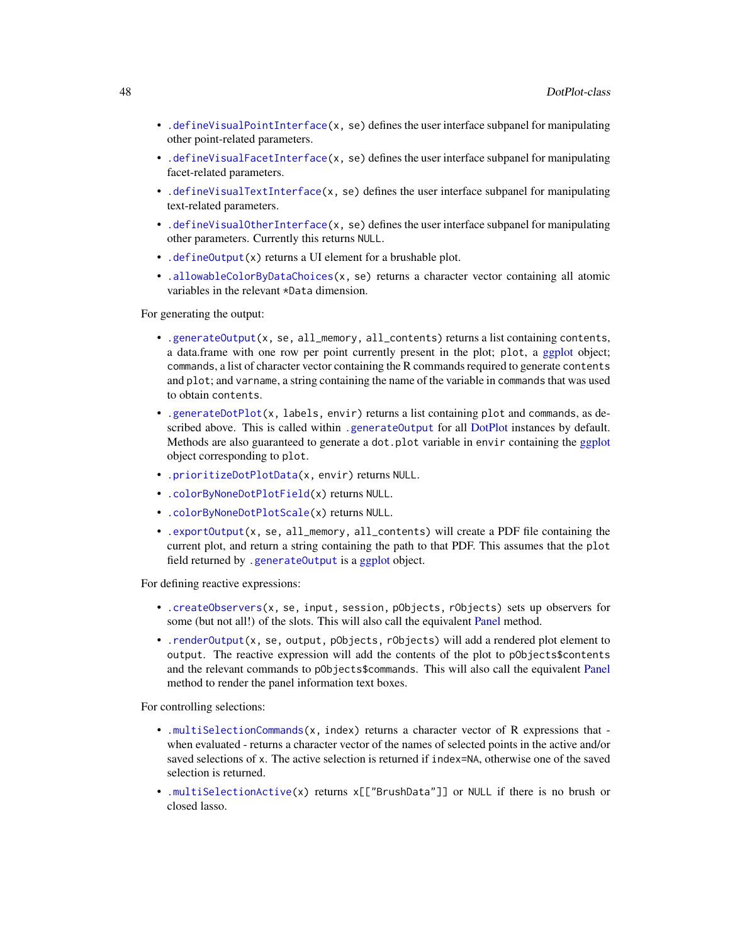- [.defineVisualPointInterface\(](#page-109-0)x, se) defines the user interface subpanel for manipulating other point-related parameters.
- [.defineVisualFacetInterface\(](#page-109-0)x, se) defines the user interface subpanel for manipulating facet-related parameters.
- [.defineVisualTextInterface\(](#page-109-0)x, se) defines the user interface subpanel for manipulating text-related parameters.
- [.defineVisualOtherInterface\(](#page-109-0)x, se) defines the user interface subpanel for manipulating other parameters. Currently this returns NULL.
- [.defineOutput\(](#page-71-0)x) returns a UI element for a brushable plot.
- [.allowableColorByDataChoices\(](#page-109-0)x, se) returns a character vector containing all atomic variables in the relevant \*Data dimension.

For generating the output:

- [.generateOutput\(](#page-71-0)x, se, all\_memory, all\_contents) returns a list containing contents, a data.frame with one row per point currently present in the plot; plot, a [ggplot](#page-0-0) object; commands, a list of character vector containing the R commands required to generate contents and plot; and varname, a string containing the name of the variable in commands that was used to obtain contents.
- [.generateDotPlot\(](#page-79-0)x, labels, envir) returns a list containing plot and commands, as de-scribed above. This is called within [.generateOutput](#page-71-0) for all [DotPlot](#page-44-0) instances by default. Methods are also guaranteed to generate a dot.plot variable in envir containing the [ggplot](#page-0-0) object corresponding to plot.
- [.prioritizeDotPlotData\(](#page-79-0)x, envir) returns NULL.
- [.colorByNoneDotPlotField\(](#page-79-0)x) returns NULL.
- [.colorByNoneDotPlotScale\(](#page-79-0)x) returns NULL.
- [.exportOutput\(](#page-71-0)x, se, all\_memory, all\_contents) will create a PDF file containing the current plot, and return a string containing the path to that PDF. This assumes that the plot field returned by [.generateOutput](#page-71-0) is a [ggplot](#page-0-0) object.

For defining reactive expressions:

- [.createObservers\(](#page-70-0)x, se, input, session, pObjects, rObjects) sets up observers for some (but not all!) of the slots. This will also call the equivalent [Panel](#page-74-0) method.
- [.renderOutput\(](#page-71-0)x, se, output, pObjects, rObjects) will add a rendered plot element to output. The reactive expression will add the contents of the plot to pObjects\$contents and the relevant commands to pObjects\$commands. This will also call the equivalent [Panel](#page-74-0) method to render the panel information text boxes.

For controlling selections:

- [.multiSelectionCommands\(](#page-67-0)x, index) returns a character vector of R expressions that when evaluated - returns a character vector of the names of selected points in the active and/or saved selections of x. The active selection is returned if index=NA, otherwise one of the saved selection is returned.
- [.multiSelectionActive\(](#page-67-0)x) returns x[["BrushData"]] or NULL if there is no brush or closed lasso.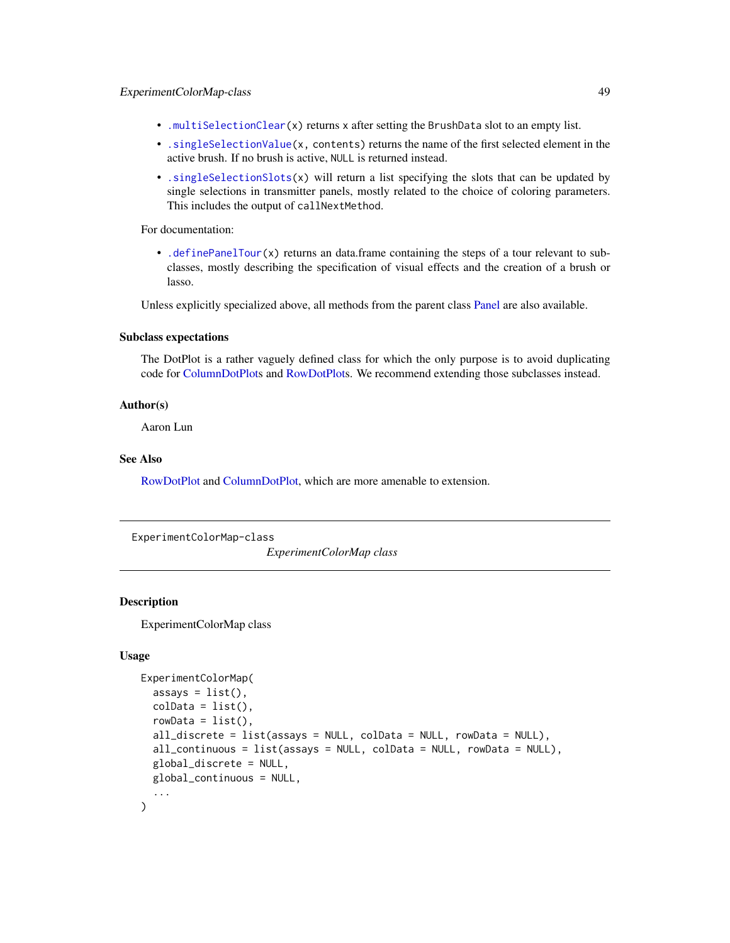- [.multiSelectionClear\(](#page-67-0)x) returns x after setting the BrushData slot to an empty list.
- [.singleSelectionValue\(](#page-98-0)x, contents) returns the name of the first selected element in the active brush. If no brush is active, NULL is returned instead.
- [.singleSelectionSlots\(](#page-98-0)x) will return a list specifying the slots that can be updated by single selections in transmitter panels, mostly related to the choice of coloring parameters. This includes the output of callNextMethod.

For documentation:

• [.definePanelTour\(](#page-43-0)x) returns an data.frame containing the steps of a tour relevant to subclasses, mostly describing the specification of visual effects and the creation of a brush or lasso.

Unless explicitly specialized above, all methods from the parent class [Panel](#page-74-0) are also available.

### Subclass expectations

The DotPlot is a rather vaguely defined class for which the only purpose is to avoid duplicating code for [ColumnDotPlots](#page-29-0) and [RowDotPlots](#page-91-0). We recommend extending those subclasses instead.

## Author(s)

Aaron Lun

## See Also

[RowDotPlot](#page-91-0) and [ColumnDotPlot,](#page-29-0) which are more amenable to extension.

<span id="page-48-0"></span>ExperimentColorMap-class

*ExperimentColorMap class*

## **Description**

ExperimentColorMap class

### Usage

```
ExperimentColorMap(
  assays = list(),colData = list(),
  rowData = list(),all_discrete = list(\text{assays} = NULL, \text{ colData} = NULL, \text{ rowData} = NULL),all_continuous = list(assays = NULL, colData = NULL, rowData = NULL),
  global_discrete = NULL,
 global_continuous = NULL,
  ...
)
```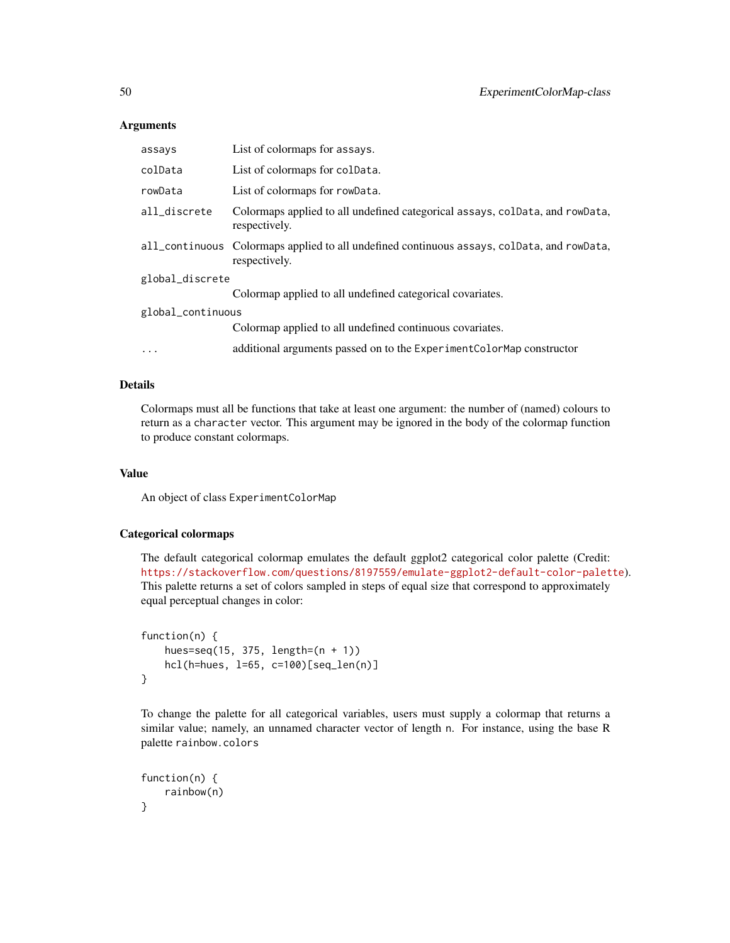## **Arguments**

| assays            | List of colormaps for assays.                                                                               |  |
|-------------------|-------------------------------------------------------------------------------------------------------------|--|
| colData           | List of colormaps for coldata.                                                                              |  |
| rowData           | List of colormaps for rowData.                                                                              |  |
| all_discrete      | Colormaps applied to all undefined categorical assays, colData, and rowData,<br>respectively.               |  |
|                   | all_continuous Colormaps applied to all undefined continuous assays, colData, and rowData,<br>respectively. |  |
| global_discrete   |                                                                                                             |  |
|                   | Colormap applied to all undefined categorical covariates.                                                   |  |
| global_continuous |                                                                                                             |  |
|                   | Colormap applied to all undefined continuous covariates.                                                    |  |
| $\ddots$          | additional arguments passed on to the Experiment ColorMap constructor                                       |  |

# Details

Colormaps must all be functions that take at least one argument: the number of (named) colours to return as a character vector. This argument may be ignored in the body of the colormap function to produce constant colormaps.

# Value

An object of class ExperimentColorMap

## Categorical colormaps

The default categorical colormap emulates the default ggplot2 categorical color palette (Credit: <https://stackoverflow.com/questions/8197559/emulate-ggplot2-default-color-palette>). This palette returns a set of colors sampled in steps of equal size that correspond to approximately equal perceptual changes in color:

```
function(n) {
   hues=seq(15, 375, length=(n + 1))
   hcl(h=hues, l=65, c=100)[seq_len(n)]
}
```
To change the palette for all categorical variables, users must supply a colormap that returns a similar value; namely, an unnamed character vector of length n. For instance, using the base R palette rainbow.colors

```
function(n) {
    rainbow(n)
}
```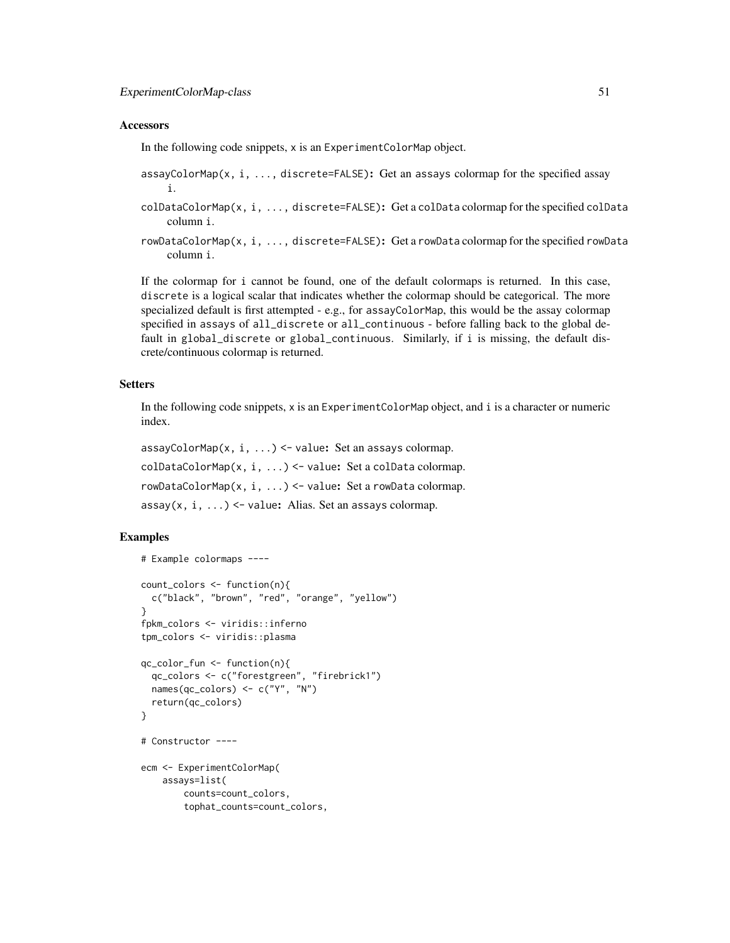### **Accessors**

In the following code snippets, x is an ExperimentColorMap object.

- assayColorMap(x, i, ..., discrete=FALSE): Get an assays colormap for the specified assay i.
- colDataColorMap(x, i, ..., discrete=FALSE): Get a colData colormap for the specified colData column i.
- rowDataColorMap(x, i, ..., discrete=FALSE): Get a rowData colormap for the specified rowData column i.

If the colormap for i cannot be found, one of the default colormaps is returned. In this case, discrete is a logical scalar that indicates whether the colormap should be categorical. The more specialized default is first attempted - e.g., for assayColorMap, this would be the assay colormap specified in assays of all\_discrete or all\_continuous - before falling back to the global default in global\_discrete or global\_continuous. Similarly, if i is missing, the default discrete/continuous colormap is returned.

### **Setters**

In the following code snippets, x is an ExperimentColorMap object, and i is a character or numeric index.

assayColorMap(x, i, ...) <- value: Set an assays colormap. colDataColorMap(x, i, ...) <- value: Set a colData colormap. rowDataColorMap(x, i, ...) <- value: Set a rowData colormap.  $assay(x, i, ...) \leftarrow value$ : Alias. Set an assays colormap.

```
# Example colormaps ----
count_colors <- function(n){
 c("black", "brown", "red", "orange", "yellow")
}
fpkm_colors <- viridis::inferno
tpm_colors <- viridis::plasma
qc_color_fun <- function(n){
 qc_colors <- c("forestgreen", "firebrick1")
 names(qc_colors) <- c("Y", "N")
 return(qc_colors)
}
# Constructor ----
ecm <- ExperimentColorMap(
   assays=list(
       counts=count_colors,
        tophat_counts=count_colors,
```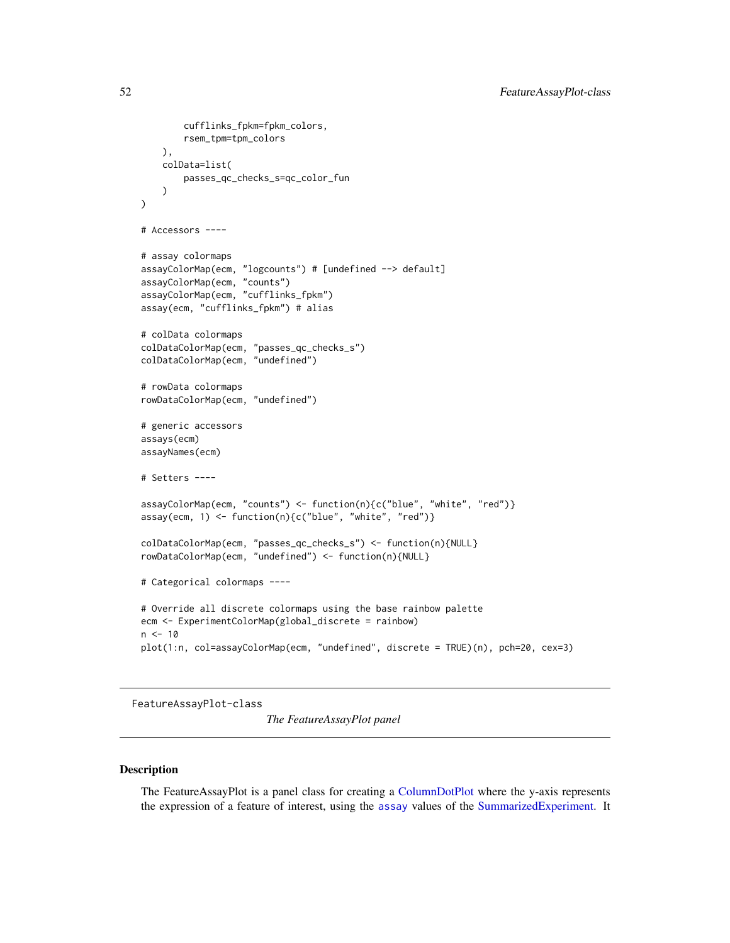```
cufflinks_fpkm=fpkm_colors,
        rsem_tpm=tpm_colors
   ),
   colData=list(
        passes_qc_checks_s=qc_color_fun
    \mathcal{L})
# Accessors ----
# assay colormaps
assayColorMap(ecm, "logcounts") # [undefined --> default]
assayColorMap(ecm, "counts")
assayColorMap(ecm, "cufflinks_fpkm")
assay(ecm, "cufflinks_fpkm") # alias
# colData colormaps
colDataColorMap(ecm, "passes_qc_checks_s")
colDataColorMap(ecm, "undefined")
# rowData colormaps
rowDataColorMap(ecm, "undefined")
# generic accessors
assays(ecm)
assayNames(ecm)
# Setters ----
assayColorMap(ecm, "counts") <- function(n){c("blue", "white", "red")}
assay(ecm, 1) <- function(n){c("blue", "white", "red")}
colDataColorMap(ecm, "passes_qc_checks_s") <- function(n){NULL}
rowDataColorMap(ecm, "undefined") <- function(n){NULL}
# Categorical colormaps ----
# Override all discrete colormaps using the base rainbow palette
ecm <- ExperimentColorMap(global_discrete = rainbow)
n < -10plot(1:n, col=assayColorMap(ecm, "undefined", discrete = TRUE)(n), pch=20, cex=3)
```
<span id="page-51-0"></span>FeatureAssayPlot-class

*The FeatureAssayPlot panel*

# Description

The FeatureAssayPlot is a panel class for creating a [ColumnDotPlot](#page-29-0) where the y-axis represents the expression of a feature of interest, using the [assay](#page-0-0) values of the [SummarizedExperiment.](#page-0-0) It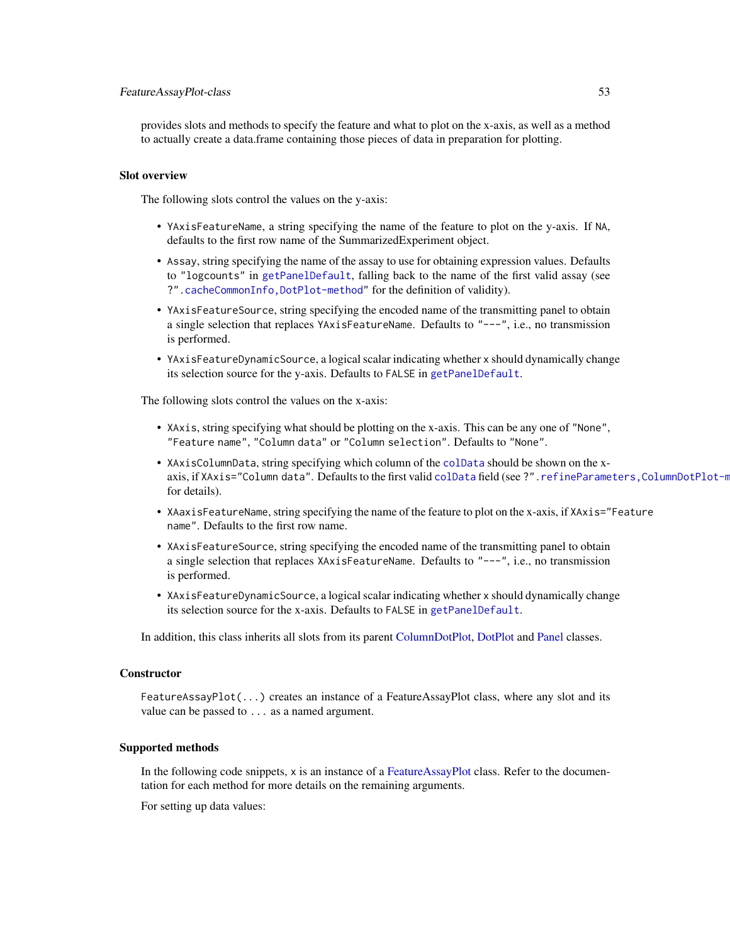## FeatureAssayPlot-class 53

provides slots and methods to specify the feature and what to plot on the x-axis, as well as a method to actually create a data.frame containing those pieces of data in preparation for plotting.

#### Slot overview

The following slots control the values on the y-axis:

- YAxisFeatureName, a string specifying the name of the feature to plot on the y-axis. If NA, defaults to the first row name of the SummarizedExperiment object.
- Assay, string specifying the name of the assay to use for obtaining expression values. Defaults to "logcounts" in [getPanelDefault](#page-77-0), falling back to the name of the first valid assay (see ?[".cacheCommonInfo,DotPlot-method"](#page-0-0) for the definition of validity).
- YAxisFeatureSource, string specifying the encoded name of the transmitting panel to obtain a single selection that replaces YAxisFeatureName. Defaults to "---", i.e., no transmission is performed.
- YAxisFeatureDynamicSource, a logical scalar indicating whether x should dynamically change its selection source for the y-axis. Defaults to FALSE in [getPanelDefault](#page-77-0).

The following slots control the values on the x-axis:

- XAxis, string specifying what should be plotting on the x-axis. This can be any one of "None", "Feature name", "Column data" or "Column selection". Defaults to "None".
- XAxisColumnData, string specifying which column of the [colData](#page-0-0) should be shown on the xaxis, if XAxis="Column data". Defaults to the first valid [colData](#page-0-0) field (see ?". refineParameters, ColumnDotPlot-m for details).
- XAaxisFeatureName, string specifying the name of the feature to plot on the x-axis, if XAxis="Feature name". Defaults to the first row name.
- XAxisFeatureSource, string specifying the encoded name of the transmitting panel to obtain a single selection that replaces XAxisFeatureName. Defaults to "---", i.e., no transmission is performed.
- XAxisFeatureDynamicSource, a logical scalar indicating whether x should dynamically change its selection source for the x-axis. Defaults to FALSE in [getPanelDefault](#page-77-0).

In addition, this class inherits all slots from its parent [ColumnDotPlot,](#page-29-0) [DotPlot](#page-44-0) and [Panel](#page-74-0) classes.

## **Constructor**

FeatureAssayPlot(...) creates an instance of a FeatureAssayPlot class, where any slot and its value can be passed to ... as a named argument.

### Supported methods

In the following code snippets, x is an instance of a [FeatureAssayPlot](#page-51-0) class. Refer to the documentation for each method for more details on the remaining arguments.

For setting up data values: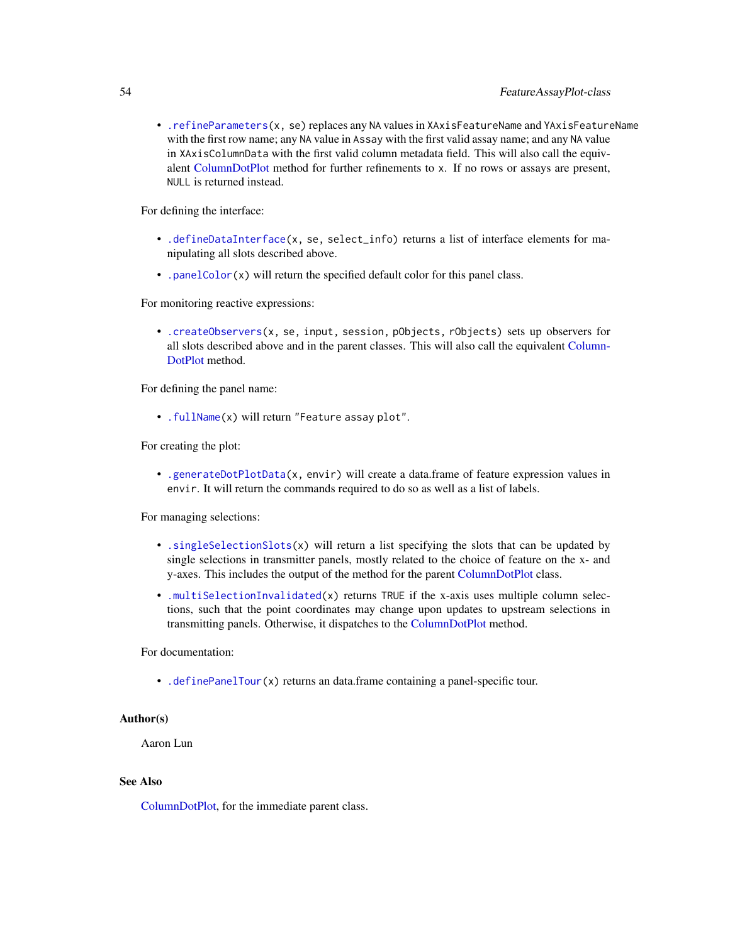• [.refineParameters\(](#page-97-0)x, se) replaces any NA values in XAxisFeatureName and YAxisFeatureName with the first row name; any NA value in Assay with the first valid assay name; and any NA value in XAxisColumnData with the first valid column metadata field. This will also call the equivalent [ColumnDotPlot](#page-29-0) method for further refinements to x. If no rows or assays are present, NULL is returned instead.

For defining the interface:

- [.defineDataInterface\(](#page-56-0)x, se, select\_info) returns a list of interface elements for manipulating all slots described above.
- [.panelColor\(](#page-12-0)x) will return the specified default color for this panel class.

For monitoring reactive expressions:

• [.createObservers\(](#page-70-0)x, se, input, session, pObjects, rObjects) sets up observers for all slots described above and in the parent classes. This will also call the equivalent [Column-](#page-29-0)[DotPlot](#page-29-0) method.

For defining the panel name:

• [.fullName\(](#page-11-0)x) will return "Feature assay plot".

For creating the plot:

• [.generateDotPlotData\(](#page-79-0)x, envir) will create a data.frame of feature expression values in envir. It will return the commands required to do so as well as a list of labels.

For managing selections:

- [.singleSelectionSlots\(](#page-98-0)x) will return a list specifying the slots that can be updated by single selections in transmitter panels, mostly related to the choice of feature on the x- and y-axes. This includes the output of the method for the parent [ColumnDotPlot](#page-29-0) class.
- [.multiSelectionInvalidated\(](#page-67-0)x) returns TRUE if the x-axis uses multiple column selections, such that the point coordinates may change upon updates to upstream selections in transmitting panels. Otherwise, it dispatches to the [ColumnDotPlot](#page-29-0) method.

For documentation:

• [.definePanelTour\(](#page-43-0)x) returns an data.frame containing a panel-specific tour.

### Author(s)

Aaron Lun

#### See Also

[ColumnDotPlot,](#page-29-0) for the immediate parent class.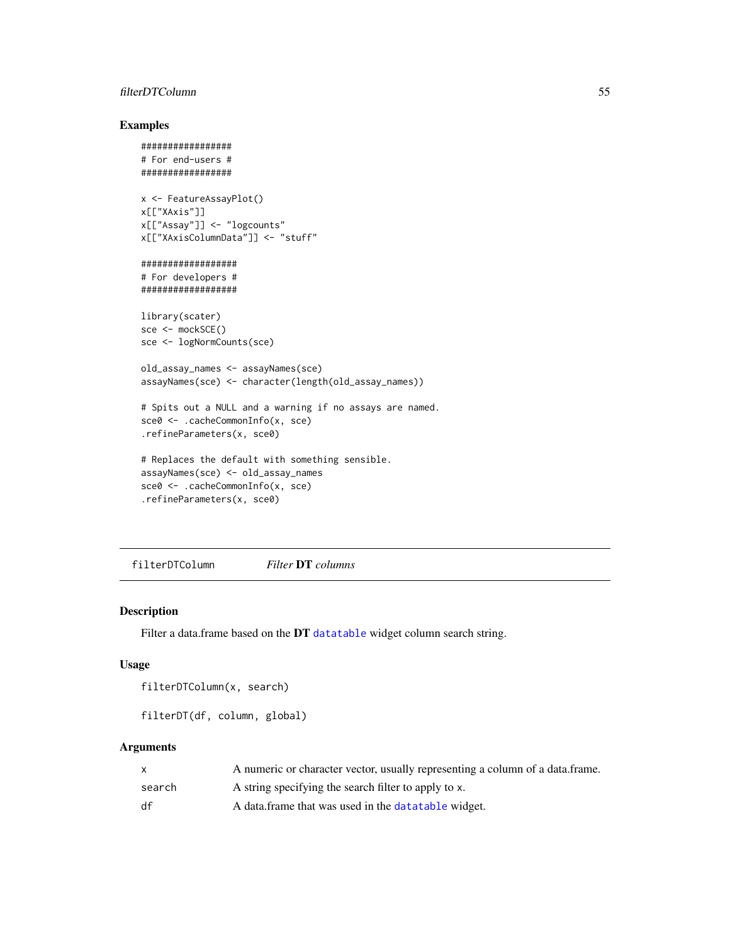# filterDTColumn 55

# Examples

```
#################
# For end-users #
#################
x <- FeatureAssayPlot()
x[["XAxis"]]
x[["Assay"]] <- "logcounts"
x[["XAxisColumnData"]] <- "stuff"
##################
# For developers #
##################
library(scater)
sce <- mockSCE()
sce <- logNormCounts(sce)
old_assay_names <- assayNames(sce)
assayNames(sce) <- character(length(old_assay_names))
# Spits out a NULL and a warning if no assays are named.
sce0 <- .cacheCommonInfo(x, sce)
.refineParameters(x, sce0)
# Replaces the default with something sensible.
assayNames(sce) <- old_assay_names
sce0 <- .cacheCommonInfo(x, sce)
.refineParameters(x, sce0)
```
filterDTColumn *Filter* DT *columns*

# <span id="page-54-0"></span>Description

Filter a data.frame based on the DT [datatable](#page-0-0) widget column search string.

### Usage

```
filterDTColumn(x, search)
```
filterDT(df, column, global)

## Arguments

|        | A numeric or character vector, usually representing a column of a data.frame. |
|--------|-------------------------------------------------------------------------------|
| search | A string specifying the search filter to apply to x.                          |
| df     | A data frame that was used in the data table widget.                          |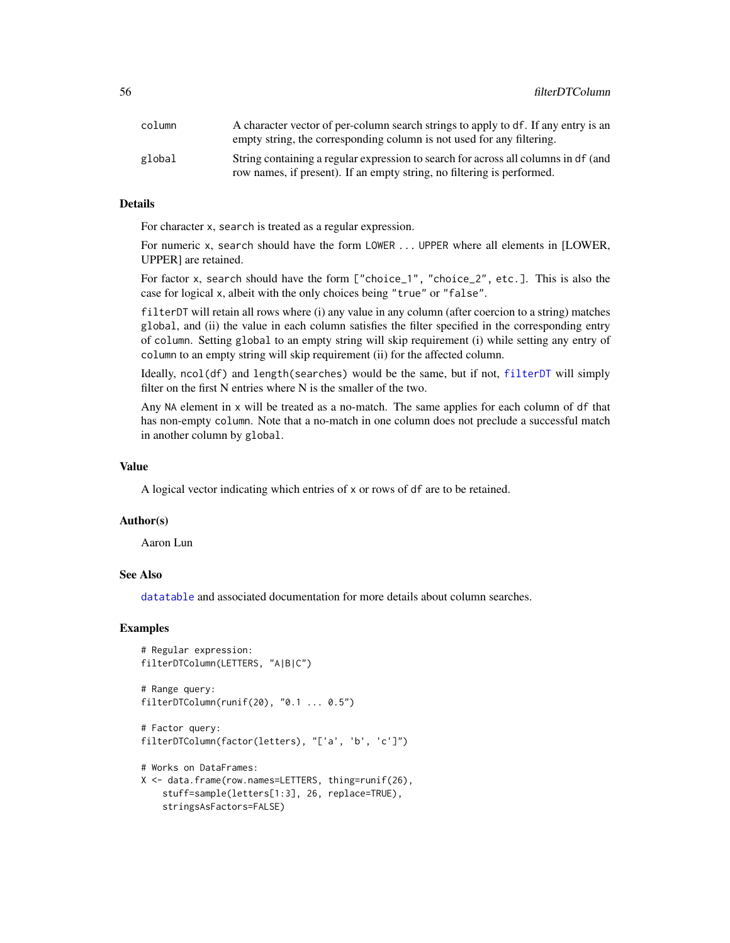| column | A character vector of per-column search strings to apply to df. If any entry is an<br>empty string, the corresponding column is not used for any filtering.  |
|--------|--------------------------------------------------------------------------------------------------------------------------------------------------------------|
| global | String containing a regular expression to search for across all columns in df (and<br>row names, if present). If an empty string, no filtering is performed. |

## Details

For character x, search is treated as a regular expression.

For numeric x, search should have the form LOWER ... UPPER where all elements in [LOWER, UPPER] are retained.

For factor x, search should have the form ["choice\_1", "choice\_2", etc.]. This is also the case for logical x, albeit with the only choices being "true" or "false".

filterDT will retain all rows where (i) any value in any column (after coercion to a string) matches global, and (ii) the value in each column satisfies the filter specified in the corresponding entry of column. Setting global to an empty string will skip requirement (i) while setting any entry of column to an empty string will skip requirement (ii) for the affected column.

Ideally, ncol(df) and length(searches) would be the same, but if not, [filterDT](#page-54-0) will simply filter on the first N entries where N is the smaller of the two.

Any NA element in x will be treated as a no-match. The same applies for each column of df that has non-empty column. Note that a no-match in one column does not preclude a successful match in another column by global.

# Value

A logical vector indicating which entries of x or rows of df are to be retained.

#### Author(s)

Aaron Lun

# See Also

[datatable](#page-0-0) and associated documentation for more details about column searches.

### Examples

```
# Regular expression:
filterDTColumn(LETTERS, "A|B|C")
# Range query:
filterDTColumn(runif(20), "0.1 ... 0.5")
# Factor query:
filterDTColumn(factor(letters), "['a', 'b', 'c']")
# Works on DataFrames:
X <- data.frame(row.names=LETTERS, thing=runif(26),
    stuff=sample(letters[1:3], 26, replace=TRUE),
```
stringsAsFactors=FALSE)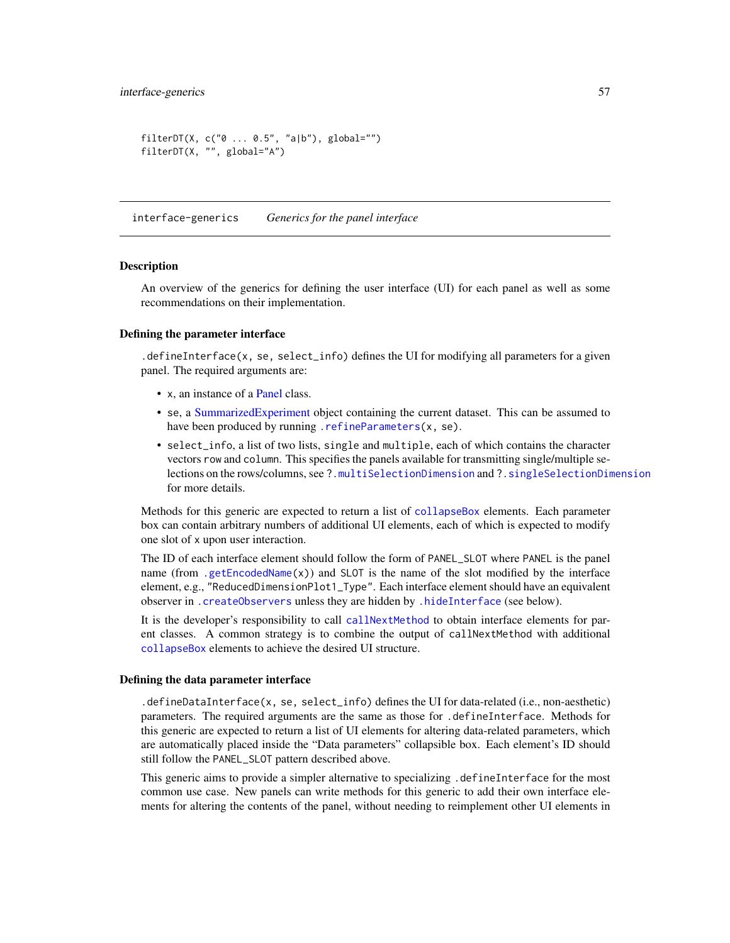```
filterDT(X, c("0 ... 0.5", "a|b"), global="")
filterDT(X, "", global="A")
```
interface-generics *Generics for the panel interface*

#### <span id="page-56-0"></span>Description

An overview of the generics for defining the user interface (UI) for each panel as well as some recommendations on their implementation.

#### Defining the parameter interface

.defineInterface(x, se, select\_info) defines the UI for modifying all parameters for a given panel. The required arguments are:

- x, an instance of a [Panel](#page-74-0) class.
- se, a [SummarizedExperiment](#page-0-0) object containing the current dataset. This can be assumed to have been produced by running [.refineParameters\(](#page-97-0)x, se).
- select\_info, a list of two lists, single and multiple, each of which contains the character vectors row and column. This specifies the panels available for transmitting single/multiple selections on the rows/columns, see [?.multiSelectionDimension](#page-67-0) and [?.singleSelectionDimension](#page-98-0) for more details.

Methods for this generic are expected to return a list of [collapseBox](#page-23-0) elements. Each parameter box can contain arbitrary numbers of additional UI elements, each of which is expected to modify one slot of x upon user interaction.

The ID of each interface element should follow the form of PANEL\_SLOT where PANEL is the panel name (from [.getEncodedName\(](#page-11-1)x)) and SLOT is the name of the slot modified by the interface element, e.g., "ReducedDimensionPlot1\_Type". Each interface element should have an equivalent observer in [.createObservers](#page-70-0) unless they are hidden by [.hideInterface](#page-56-0) (see below).

It is the developer's responsibility to call [callNextMethod](#page-0-0) to obtain interface elements for parent classes. A common strategy is to combine the output of callNextMethod with additional [collapseBox](#page-23-0) elements to achieve the desired UI structure.

#### Defining the data parameter interface

.defineDataInterface(x, se, select\_info) defines the UI for data-related (i.e., non-aesthetic) parameters. The required arguments are the same as those for .defineInterface. Methods for this generic are expected to return a list of UI elements for altering data-related parameters, which are automatically placed inside the "Data parameters" collapsible box. Each element's ID should still follow the PANEL\_SLOT pattern described above.

This generic aims to provide a simpler alternative to specializing .defineInterface for the most common use case. New panels can write methods for this generic to add their own interface elements for altering the contents of the panel, without needing to reimplement other UI elements in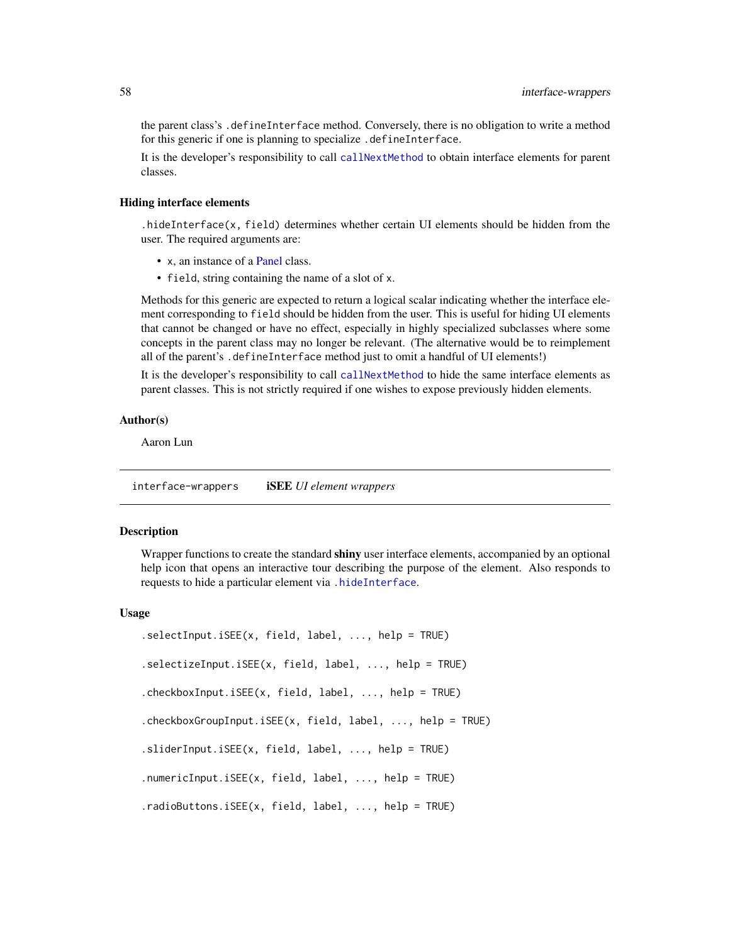the parent class's .defineInterface method. Conversely, there is no obligation to write a method for this generic if one is planning to specialize .defineInterface.

It is the developer's responsibility to call [callNextMethod](#page-0-0) to obtain interface elements for parent classes.

# Hiding interface elements

.hideInterface(x, field) determines whether certain UI elements should be hidden from the user. The required arguments are:

- x, an instance of a [Panel](#page-74-0) class.
- field, string containing the name of a slot of x.

Methods for this generic are expected to return a logical scalar indicating whether the interface element corresponding to field should be hidden from the user. This is useful for hiding UI elements that cannot be changed or have no effect, especially in highly specialized subclasses where some concepts in the parent class may no longer be relevant. (The alternative would be to reimplement all of the parent's .defineInterface method just to omit a handful of UI elements!)

It is the developer's responsibility to call [callNextMethod](#page-0-0) to hide the same interface elements as parent classes. This is not strictly required if one wishes to expose previously hidden elements.

# Author(s)

Aaron Lun

interface-wrappers iSEE *UI element wrappers*

#### <span id="page-57-0"></span>Description

Wrapper functions to create the standard shiny user interface elements, accompanied by an optional help icon that opens an interactive tour describing the purpose of the element. Also responds to requests to hide a particular element via [.hideInterface](#page-56-0).

### Usage

| $.sleepctInput.isEE(x, field, label, , help = TRUE)$     |
|----------------------------------------------------------|
| $.selectricInput.isEE(x, field, label, , help = TRUE)$   |
| .checkboxInput.iSEE(x, field, label, , help = TRUE)      |
| .checkboxGroupInput.iSEE(x, field, label, , help = TRUE) |
| $sliderInput.isEE(x, field, label, , help = TRUE)$       |
| .numericInput.iSEE $(x,$ field, label, , help = TRUE)    |
| .radioButtons.iSEE $(x,$ field, label, , help = TRUE)    |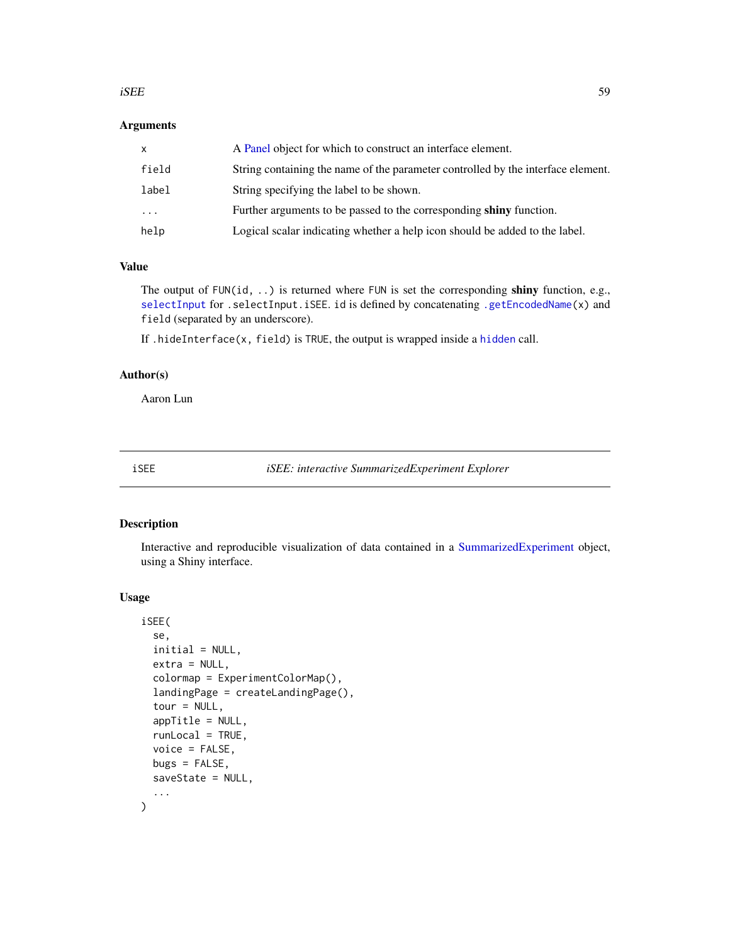#### $iSE$  59

## Arguments

| x     | A Panel object for which to construct an interface element.                      |
|-------|----------------------------------------------------------------------------------|
| field | String containing the name of the parameter controlled by the interface element. |
| label | String specifying the label to be shown.                                         |
| .     | Further arguments to be passed to the corresponding shiny function.              |
| help  | Logical scalar indicating whether a help icon should be added to the label.      |

### Value

The output of FUN(id, ..) is returned where FUN is set the corresponding shiny function, e.g., [selectInput](#page-0-0) for .selectInput.iSEE. id is defined by concatenating [.getEncodedName\(](#page-11-1)x) and field (separated by an underscore).

If .hideInterface(x, field) is TRUE, the output is wrapped inside a [hidden](#page-0-0) call.

# Author(s)

Aaron Lun

<span id="page-58-0"></span>iSEE *iSEE: interactive SummarizedExperiment Explorer*

# Description

Interactive and reproducible visualization of data contained in a [SummarizedExperiment](#page-0-0) object, using a Shiny interface.

### Usage

```
iSEE(
  se,
  initial = NULL,
 extra = NULL,colormap = ExperimentColorMap(),
  landingPage = createLandingPage(),
  tour = NULL,appTitle = NULL,
  runLocal = TRUE,
 voice = FALSE,
 bugs = FALSE,
  saveState = NULL,
  ...
)
```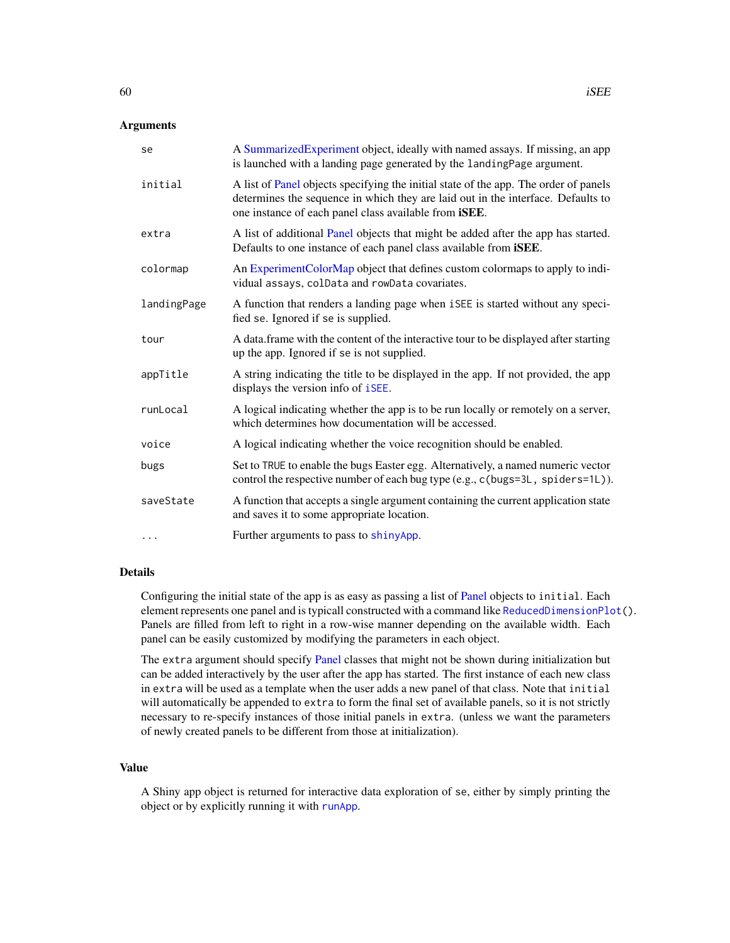## **Arguments**

| se          | A Summarized Experiment object, ideally with named assays. If missing, an app<br>is launched with a landing page generated by the landingPage argument.                                                                                   |
|-------------|-------------------------------------------------------------------------------------------------------------------------------------------------------------------------------------------------------------------------------------------|
| initial     | A list of Panel objects specifying the initial state of the app. The order of panels<br>determines the sequence in which they are laid out in the interface. Defaults to<br>one instance of each panel class available from <i>iSEE</i> . |
| extra       | A list of additional Panel objects that might be added after the app has started.<br>Defaults to one instance of each panel class available from iSEE.                                                                                    |
| colormap    | An ExperimentColorMap object that defines custom colormaps to apply to indi-<br>vidual assays, colData and rowData covariates.                                                                                                            |
| landingPage | A function that renders a landing page when iSEE is started without any speci-<br>fied se. Ignored if se is supplied.                                                                                                                     |
| tour        | A data frame with the content of the interactive tour to be displayed after starting<br>up the app. Ignored if se is not supplied.                                                                                                        |
| appTitle    | A string indicating the title to be displayed in the app. If not provided, the app<br>displays the version info of iSEE.                                                                                                                  |
| runLocal    | A logical indicating whether the app is to be run locally or remotely on a server,<br>which determines how documentation will be accessed.                                                                                                |
| voice       | A logical indicating whether the voice recognition should be enabled.                                                                                                                                                                     |
| bugs        | Set to TRUE to enable the bugs Easter egg. Alternatively, a named numeric vector<br>control the respective number of each bug type (e.g., c(bugs=3L, spiders=1L)).                                                                        |
| saveState   | A function that accepts a single argument containing the current application state<br>and saves it to some appropriate location.                                                                                                          |
| $\cdots$    | Further arguments to pass to shinyApp.                                                                                                                                                                                                    |

### Details

Configuring the initial state of the app is as easy as passing a list of [Panel](#page-74-0) objects to initial. Each element represents one panel and is typicall constructed with a command like [ReducedDimensionPlot\(](#page-83-0)). Panels are filled from left to right in a row-wise manner depending on the available width. Each panel can be easily customized by modifying the parameters in each object.

The extra argument should specify [Panel](#page-74-0) classes that might not be shown during initialization but can be added interactively by the user after the app has started. The first instance of each new class in extra will be used as a template when the user adds a new panel of that class. Note that initial will automatically be appended to extra to form the final set of available panels, so it is not strictly necessary to re-specify instances of those initial panels in extra. (unless we want the parameters of newly created panels to be different from those at initialization).

# Value

A Shiny app object is returned for interactive data exploration of se, either by simply printing the object or by explicitly running it with [runApp](#page-0-0).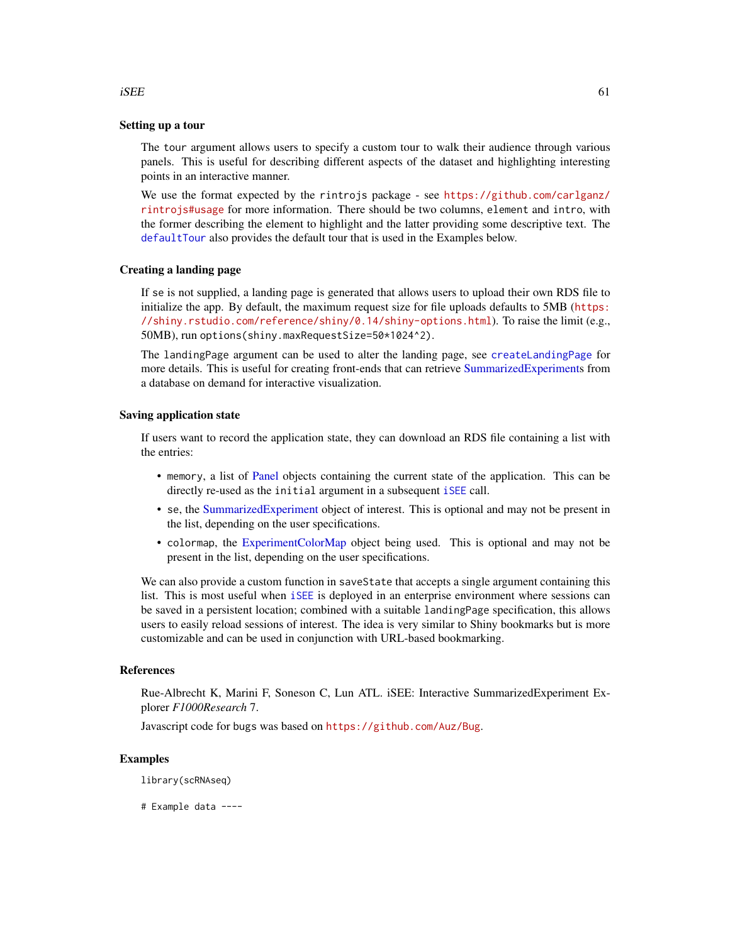#### Setting up a tour

The tour argument allows users to specify a custom tour to walk their audience through various panels. This is useful for describing different aspects of the dataset and highlighting interesting points in an interactive manner.

We use the format expected by the rintrojs package - see [https://github.com/carlganz/](https://github.com/carlganz/rintrojs#usage) [rintrojs#usage](https://github.com/carlganz/rintrojs#usage) for more information. There should be two columns, element and intro, with the former describing the element to highlight and the latter providing some descriptive text. The [defaultTour](#page-42-0) also provides the default tour that is used in the Examples below.

### Creating a landing page

If se is not supplied, a landing page is generated that allows users to upload their own RDS file to initialize the app. By default, the maximum request size for file uploads defaults to 5MB ([https:](https://shiny.rstudio.com/reference/shiny/0.14/shiny-options.html) [//shiny.rstudio.com/reference/shiny/0.14/shiny-options.html](https://shiny.rstudio.com/reference/shiny/0.14/shiny-options.html)). To raise the limit (e.g., 50MB), run options(shiny.maxRequestSize=50\*1024^2).

The landingPage argument can be used to alter the landing page, see [createLandingPage](#page-40-0) for more details. This is useful for creating front-ends that can retrieve [SummarizedExperiments](#page-0-0) from a database on demand for interactive visualization.

### Saving application state

If users want to record the application state, they can download an RDS file containing a list with the entries:

- memory, a list of [Panel](#page-74-0) objects containing the current state of the application. This can be directly re-used as the initial argument in a subsequent [iSEE](#page-58-0) call.
- se, the [SummarizedExperiment](#page-0-0) object of interest. This is optional and may not be present in the list, depending on the user specifications.
- colormap, the [ExperimentColorMap](#page-48-0) object being used. This is optional and may not be present in the list, depending on the user specifications.

We can also provide a custom function in save State that accepts a single argument containing this list. This is most useful when [iSEE](#page-58-0) is deployed in an enterprise environment where sessions can be saved in a persistent location; combined with a suitable landingPage specification, this allows users to easily reload sessions of interest. The idea is very similar to Shiny bookmarks but is more customizable and can be used in conjunction with URL-based bookmarking.

### References

Rue-Albrecht K, Marini F, Soneson C, Lun ATL. iSEE: Interactive SummarizedExperiment Explorer *F1000Research* 7.

Javascript code for bugs was based on <https://github.com/Auz/Bug>.

## Examples

library(scRNAseq)

# Example data ----

#### $iSE$  61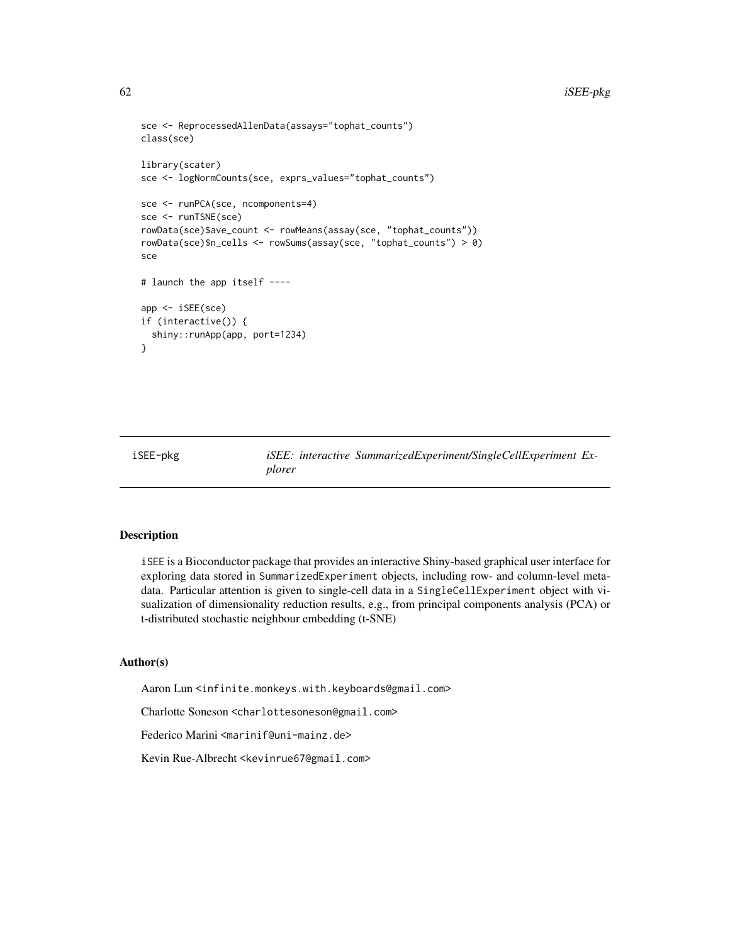```
sce <- ReprocessedAllenData(assays="tophat_counts")
class(sce)
library(scater)
sce <- logNormCounts(sce, exprs_values="tophat_counts")
sce <- runPCA(sce, ncomponents=4)
sce <- runTSNE(sce)
rowData(sce)$ave_count <- rowMeans(assay(sce, "tophat_counts"))
rowData(sce)$n_cells <- rowSums(assay(sce, "tophat_counts") > 0)
sce
# launch the app itself ----
app <- iSEE(sce)
if (interactive()) {
 shiny::runApp(app, port=1234)
}
```
iSEE-pkg *iSEE: interactive SummarizedExperiment/SingleCellExperiment Explorer*

# Description

iSEE is a Bioconductor package that provides an interactive Shiny-based graphical user interface for exploring data stored in SummarizedExperiment objects, including row- and column-level metadata. Particular attention is given to single-cell data in a SingleCellExperiment object with visualization of dimensionality reduction results, e.g., from principal components analysis (PCA) or t-distributed stochastic neighbour embedding (t-SNE)

## Author(s)

Aaron Lun <infinite.monkeys.with.keyboards@gmail.com>

Charlotte Soneson <charlottesoneson@gmail.com>

Federico Marini <marinif@uni-mainz.de>

Kevin Rue-Albrecht <kevinrue67@gmail.com>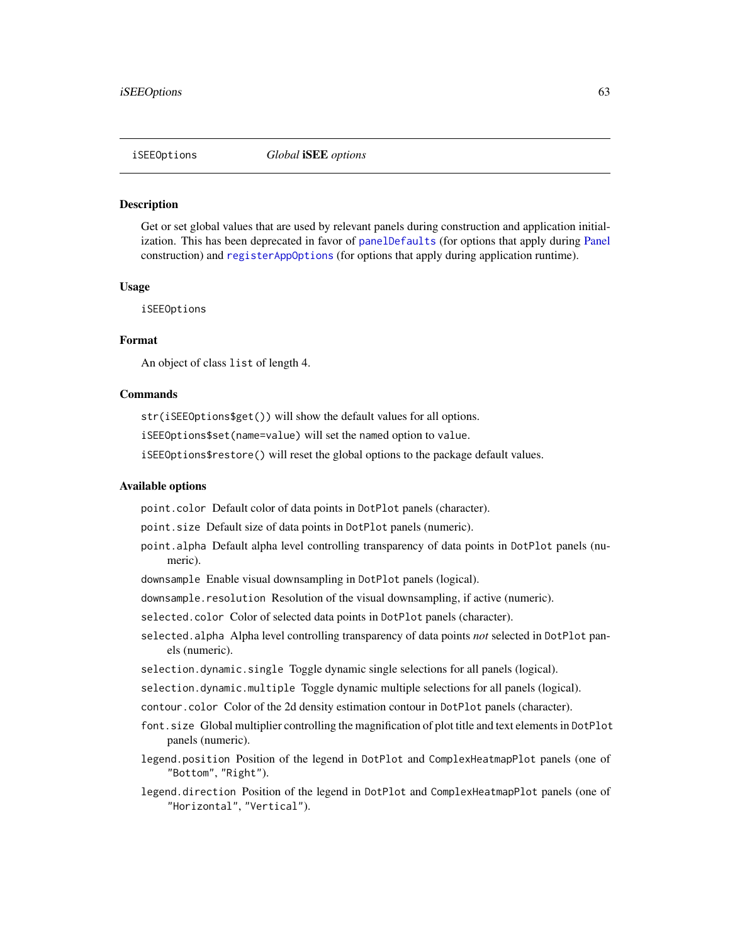### **Description**

Get or set global values that are used by relevant panels during construction and application initialization. This has been deprecated in favor of [panelDefaults](#page-77-1) (for options that apply during [Panel](#page-74-0) construction) and [registerAppOptions](#page-85-0) (for options that apply during application runtime).

#### Usage

iSEEOptions

# Format

An object of class list of length 4.

## Commands

str(iSEEOptions\$get()) will show the default values for all options.

iSEEOptions\$set(name=value) will set the named option to value.

iSEEOptions\$restore() will reset the global options to the package default values.

### Available options

point.color Default color of data points in DotPlot panels (character).

point.size Default size of data points in DotPlot panels (numeric).

- point.alpha Default alpha level controlling transparency of data points in DotPlot panels (numeric).
- downsample Enable visual downsampling in DotPlot panels (logical).
- downsample.resolution Resolution of the visual downsampling, if active (numeric).

selected.color Color of selected data points in DotPlot panels (character).

- selected.alpha Alpha level controlling transparency of data points *not* selected in DotPlot panels (numeric).
- selection.dynamic.single Toggle dynamic single selections for all panels (logical).
- selection.dynamic.multiple Toggle dynamic multiple selections for all panels (logical).
- contour.color Color of the 2d density estimation contour in DotPlot panels (character).
- font.size Global multiplier controlling the magnification of plot title and text elements in DotPlot panels (numeric).
- legend.position Position of the legend in DotPlot and ComplexHeatmapPlot panels (one of "Bottom", "Right").
- legend.direction Position of the legend in DotPlot and ComplexHeatmapPlot panels (one of "Horizontal", "Vertical").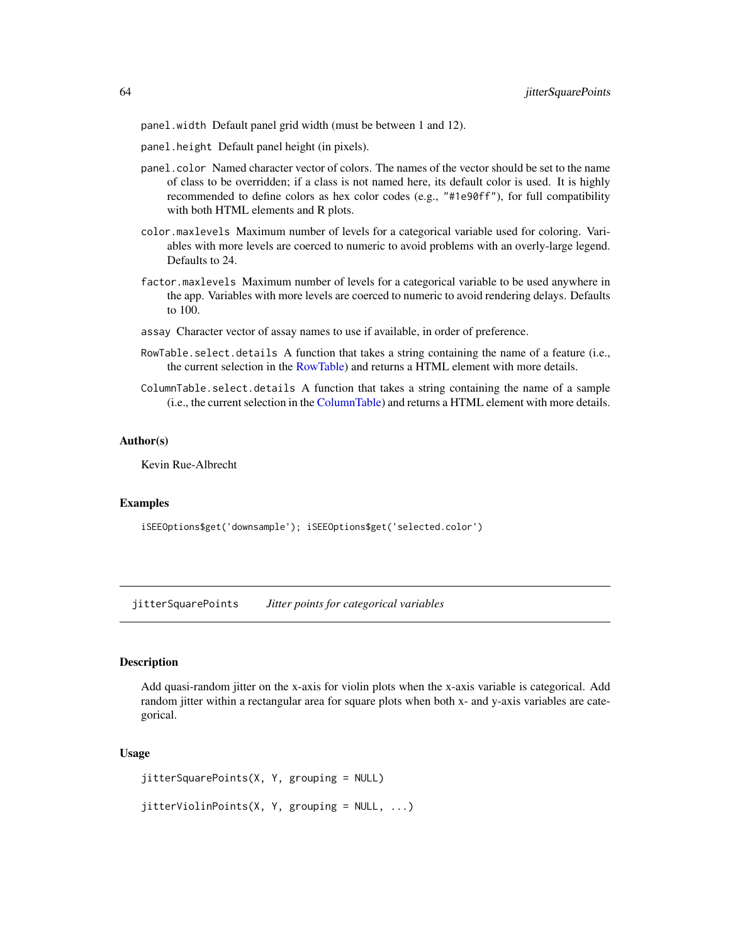panel.width Default panel grid width (must be between 1 and 12).

- panel.height Default panel height (in pixels).
- panel.color Named character vector of colors. The names of the vector should be set to the name of class to be overridden; if a class is not named here, its default color is used. It is highly recommended to define colors as hex color codes (e.g., "#1e90ff"), for full compatibility with both HTML elements and R plots.
- color.maxlevels Maximum number of levels for a categorical variable used for coloring. Variables with more levels are coerced to numeric to avoid problems with an overly-large legend. Defaults to 24.
- factor.maxlevels Maximum number of levels for a categorical variable to be used anywhere in the app. Variables with more levels are coerced to numeric to avoid rendering delays. Defaults to 100.
- assay Character vector of assay names to use if available, in order of preference.
- RowTable.select.details A function that takes a string containing the name of a feature (i.e., the current selection in the [RowTable\)](#page-93-0) and returns a HTML element with more details.
- ColumnTable.select.details A function that takes a string containing the name of a sample (i.e., the current selection in the [ColumnTable\)](#page-32-0) and returns a HTML element with more details.

#### Author(s)

Kevin Rue-Albrecht

# Examples

```
iSEEOptions$get('downsample'); iSEEOptions$get('selected.color')
```
jitterSquarePoints *Jitter points for categorical variables*

### Description

Add quasi-random jitter on the x-axis for violin plots when the x-axis variable is categorical. Add random jitter within a rectangular area for square plots when both x- and y-axis variables are categorical.

### Usage

```
jitterSquarePoints(X, Y, grouping = NULL)
jitterViolinPoints(X, Y, grouping = NULL, ...)
```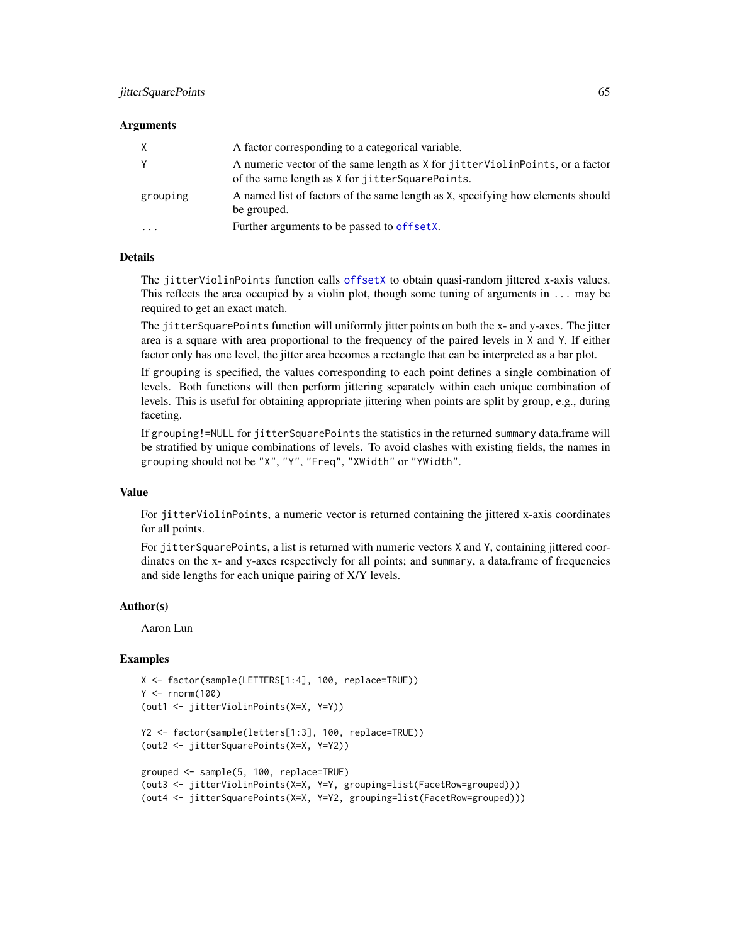# jitterSquarePoints 65

### Arguments

| X        | A factor corresponding to a categorical variable.                                                                                  |
|----------|------------------------------------------------------------------------------------------------------------------------------------|
| Υ        | A numeric vector of the same length as X for jitter ViolinPoints, or a factor<br>of the same length as X for jitter Square Points. |
| grouping | A named list of factors of the same length as X, specifying how elements should<br>be grouped.                                     |
| .        | Further arguments to be passed to offsetX.                                                                                         |

## Details

The jitterViolinPoints function calls [offsetX](#page-0-0) to obtain quasi-random jittered x-axis values. This reflects the area occupied by a violin plot, though some tuning of arguments in ... may be required to get an exact match.

The jitterSquarePoints function will uniformly jitter points on both the x- and y-axes. The jitter area is a square with area proportional to the frequency of the paired levels in X and Y. If either factor only has one level, the jitter area becomes a rectangle that can be interpreted as a bar plot.

If grouping is specified, the values corresponding to each point defines a single combination of levels. Both functions will then perform jittering separately within each unique combination of levels. This is useful for obtaining appropriate jittering when points are split by group, e.g., during faceting.

If grouping!=NULL for jitterSquarePoints the statistics in the returned summary data.frame will be stratified by unique combinations of levels. To avoid clashes with existing fields, the names in grouping should not be "X", "Y", "Freq", "XWidth" or "YWidth".

#### Value

For jitterViolinPoints, a numeric vector is returned containing the jittered x-axis coordinates for all points.

For jitterSquarePoints, a list is returned with numeric vectors X and Y, containing jittered coordinates on the x- and y-axes respectively for all points; and summary, a data.frame of frequencies and side lengths for each unique pairing of X/Y levels.

#### Author(s)

Aaron Lun

```
X <- factor(sample(LETTERS[1:4], 100, replace=TRUE))
Y < - rnorm(100)(out1 <- jitterViolinPoints(X=X, Y=Y))
Y2 <- factor(sample(letters[1:3], 100, replace=TRUE))
(out2 <- jitterSquarePoints(X=X, Y=Y2))
grouped <- sample(5, 100, replace=TRUE)
(out3 <- jitterViolinPoints(X=X, Y=Y, grouping=list(FacetRow=grouped)))
(out4 <- jitterSquarePoints(X=X, Y=Y2, grouping=list(FacetRow=grouped)))
```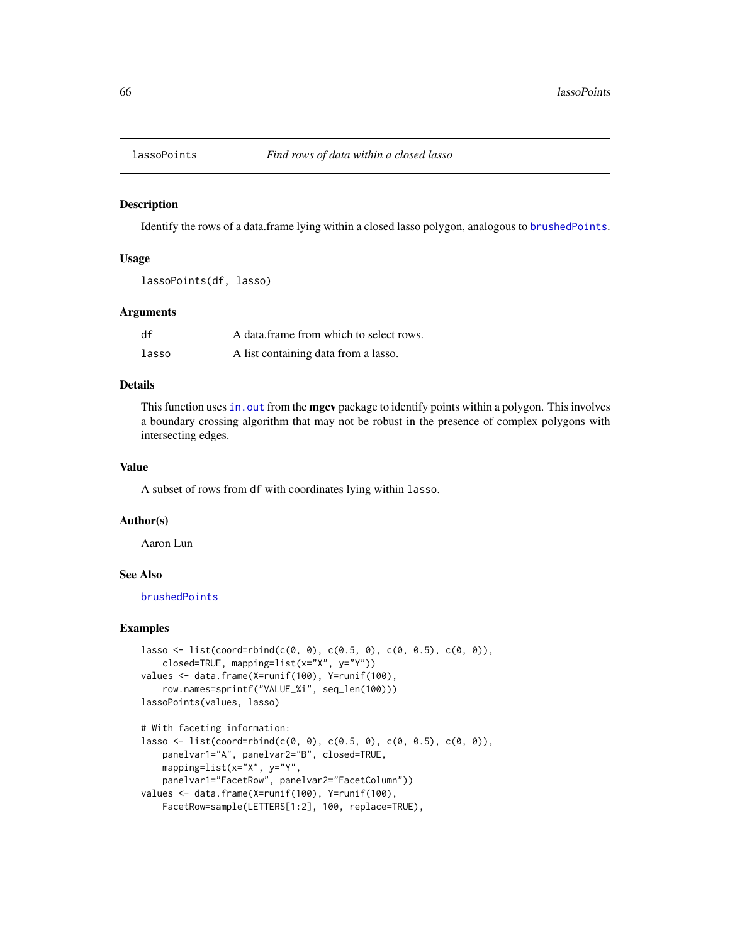<span id="page-65-0"></span>

## Description

Identify the rows of a data.frame lying within a closed lasso polygon, analogous to [brushedPoints](#page-0-0).

# Usage

```
lassoPoints(df, lasso)
```
## Arguments

| df    | A data frame from which to select rows. |
|-------|-----------------------------------------|
| lasso | A list containing data from a lasso.    |

# Details

This function uses in. out from the **mgcv** package to identify points within a polygon. This involves a boundary crossing algorithm that may not be robust in the presence of complex polygons with intersecting edges.

## Value

A subset of rows from df with coordinates lying within lasso.

#### Author(s)

Aaron Lun

#### See Also

[brushedPoints](#page-0-0)

```
lasso <- list(coord=rbind(c(0, 0), c(0.5, 0), c(0, 0.5), c(0, 0)),
   closed=TRUE, mapping=list(x="X", y="Y"))
values <- data.frame(X=runif(100), Y=runif(100),
   row.names=sprintf("VALUE_%i", seq_len(100)))
lassoPoints(values, lasso)
# With faceting information:
```

```
lasso <- list(coord=rbind(c(0, 0), c(0.5, 0), c(0, 0.5), c(0, 0)),
   panelvar1="A", panelvar2="B", closed=TRUE,
   mapping=list(x="X", y="Y",
   panelvar1="FacetRow", panelvar2="FacetColumn"))
values <- data.frame(X=runif(100), Y=runif(100),
   FacetRow=sample(LETTERS[1:2], 100, replace=TRUE),
```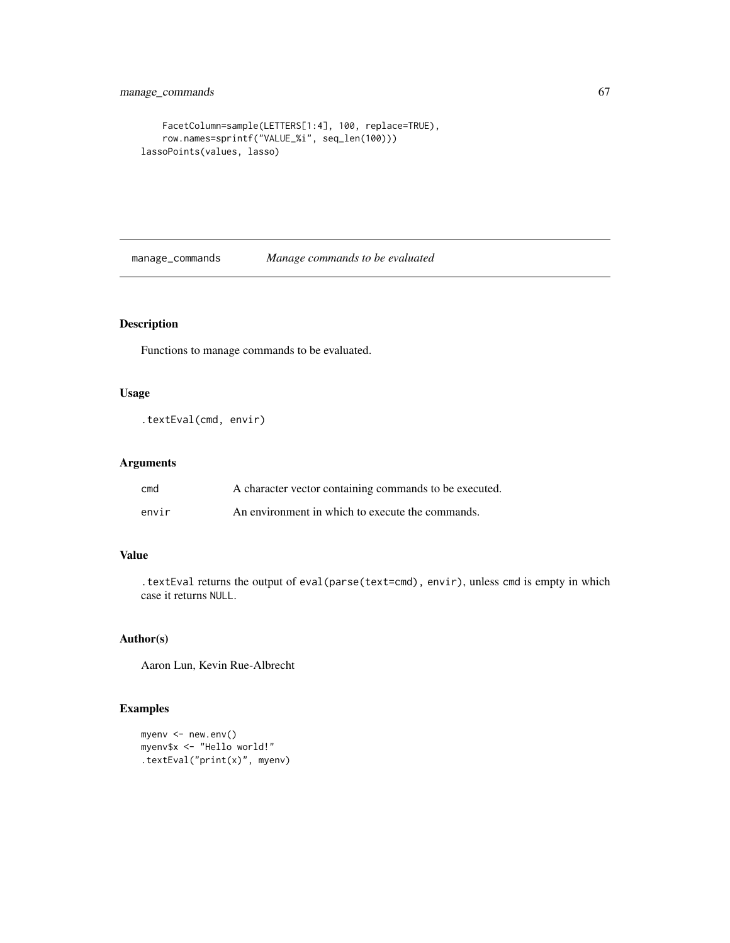```
FacetColumn=sample(LETTERS[1:4], 100, replace=TRUE),
    row.names=sprintf("VALUE_%i", seq_len(100)))
lassoPoints(values, lasso)
```
manage\_commands *Manage commands to be evaluated*

# Description

Functions to manage commands to be evaluated.

# Usage

```
.textEval(cmd, envir)
```
# Arguments

| cmd   | A character vector containing commands to be executed. |
|-------|--------------------------------------------------------|
| envir | An environment in which to execute the commands.       |

# Value

.textEval returns the output of eval(parse(text=cmd), envir), unless cmd is empty in which case it returns NULL.

# Author(s)

Aaron Lun, Kevin Rue-Albrecht

```
myenv <- new.env()
myenv$x <- "Hello world!"
.textEval("print(x)", myenv)
```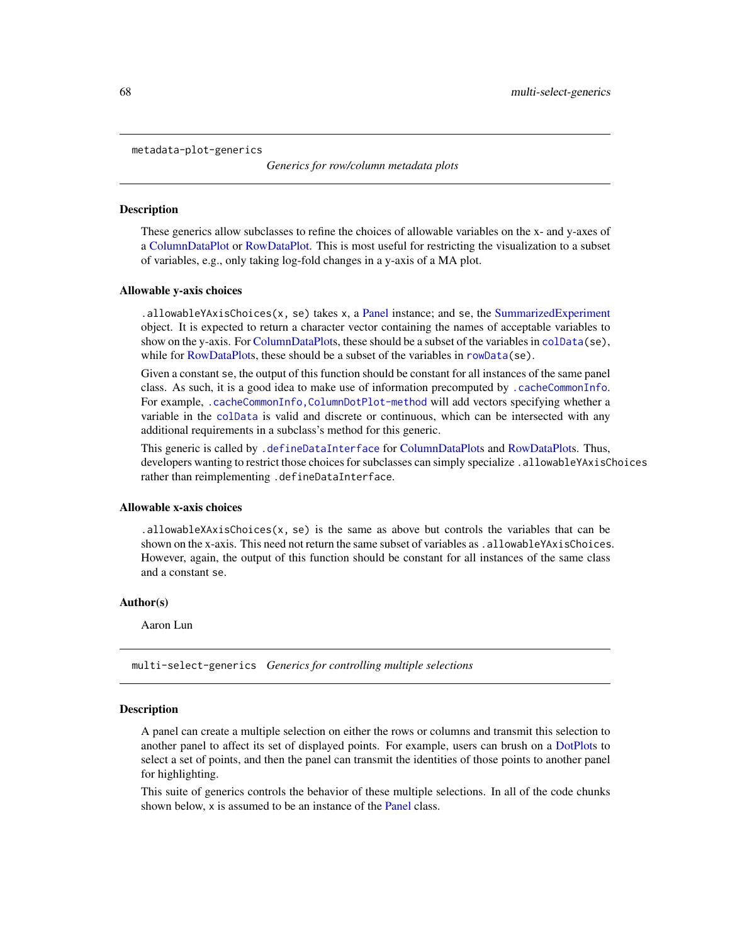metadata-plot-generics

*Generics for row/column metadata plots*

### Description

These generics allow subclasses to refine the choices of allowable variables on the x- and y-axes of a [ColumnDataPlot](#page-25-0) or [RowDataPlot.](#page-87-0) This is most useful for restricting the visualization to a subset of variables, e.g., only taking log-fold changes in a y-axis of a MA plot.

#### Allowable y-axis choices

 $a$ .allowableYAxisChoices(x, se) takes x, a [Panel](#page-74-0) instance; and se, the [SummarizedExperiment](#page-0-0) object. It is expected to return a character vector containing the names of acceptable variables to show on the y-axis. For [ColumnDataPlots](#page-25-0), these should be a subset of the variables in [colData\(](#page-0-0)se), while for [RowDataPlots](#page-87-0), these should be a subset of the variables in [rowData\(](#page-0-0)se).

Given a constant se, the output of this function should be constant for all instances of the same panel class. As such, it is a good idea to make use of information precomputed by [.cacheCommonInfo](#page-97-0). For example, [.cacheCommonInfo,ColumnDotPlot-method](#page-0-0) will add vectors specifying whether a variable in the [colData](#page-0-0) is valid and discrete or continuous, which can be intersected with any additional requirements in a subclass's method for this generic.

This generic is called by [.defineDataInterface](#page-56-0) for [ColumnDataPlots](#page-25-0) and [RowDataPlots](#page-87-0). Thus, developers wanting to restrict those choices for subclasses can simply specialize .allowableYAxisChoices rather than reimplementing .defineDataInterface.

#### Allowable x-axis choices

.allowableXAxisChoices( $x$ , se) is the same as above but controls the variables that can be shown on the x-axis. This need not return the same subset of variables as . allowableYAxisChoices. However, again, the output of this function should be constant for all instances of the same class and a constant se.

#### Author(s)

Aaron Lun

multi-select-generics *Generics for controlling multiple selections*

### <span id="page-67-0"></span>**Description**

A panel can create a multiple selection on either the rows or columns and transmit this selection to another panel to affect its set of displayed points. For example, users can brush on a [DotPlots](#page-44-0) to select a set of points, and then the panel can transmit the identities of those points to another panel for highlighting.

This suite of generics controls the behavior of these multiple selections. In all of the code chunks shown below, x is assumed to be an instance of the [Panel](#page-74-0) class.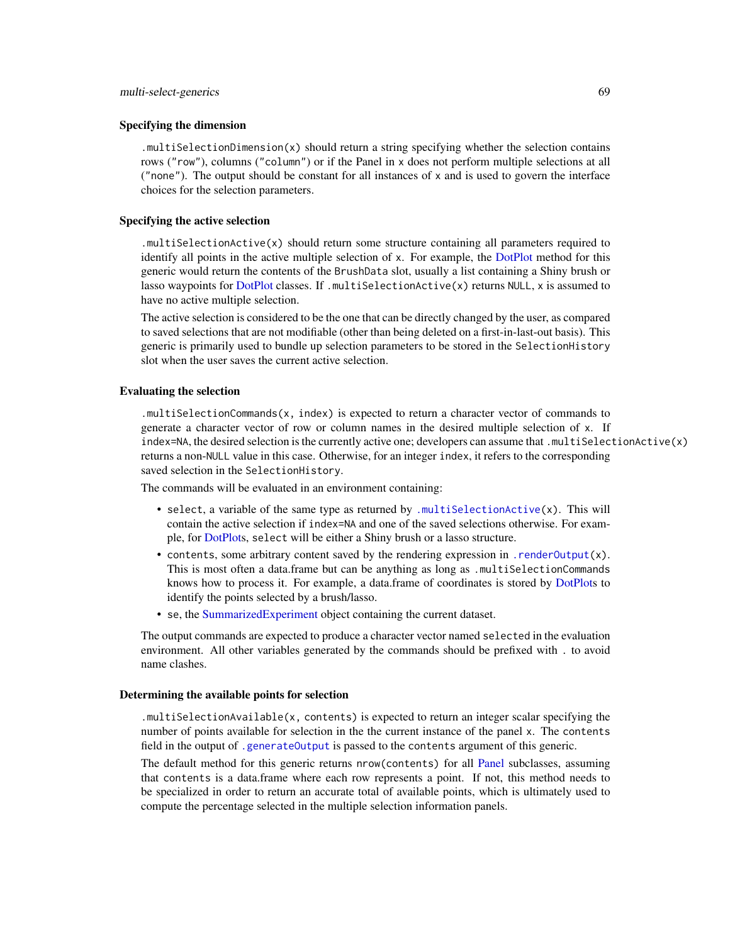#### Specifying the dimension

.multiSelectionDimension(x) should return a string specifying whether the selection contains rows ("row"), columns ("column") or if the Panel in x does not perform multiple selections at all ("none"). The output should be constant for all instances of x and is used to govern the interface choices for the selection parameters.

## Specifying the active selection

.multiSelectionActive(x) should return some structure containing all parameters required to identify all points in the active multiple selection of x. For example, the [DotPlot](#page-44-0) method for this generic would return the contents of the BrushData slot, usually a list containing a Shiny brush or lasso waypoints for [DotPlot](#page-44-0) classes. If .multiSelectionActive(x) returns NULL, x is assumed to have no active multiple selection.

The active selection is considered to be the one that can be directly changed by the user, as compared to saved selections that are not modifiable (other than being deleted on a first-in-last-out basis). This generic is primarily used to bundle up selection parameters to be stored in the SelectionHistory slot when the user saves the current active selection.

## Evaluating the selection

.multiSelectionCommands(x, index) is expected to return a character vector of commands to generate a character vector of row or column names in the desired multiple selection of x. If index=NA, the desired selection is the currently active one; developers can assume that .multiSelectionActive(x) returns a non-NULL value in this case. Otherwise, for an integer index, it refers to the corresponding saved selection in the SelectionHistory.

The commands will be evaluated in an environment containing:

- select, a variable of the same type as returned by .multiSelectionActive $(x)$ . This will contain the active selection if index=NA and one of the saved selections otherwise. For example, for [DotPlots](#page-44-0), select will be either a Shiny brush or a lasso structure.
- contents, some arbitrary content saved by the rendering expression in [.renderOutput\(](#page-71-0)x). This is most often a data.frame but can be anything as long as .multiSelectionCommands knows how to process it. For example, a data.frame of coordinates is stored by [DotPlots](#page-44-0) to identify the points selected by a brush/lasso.
- se, the [SummarizedExperiment](#page-0-0) object containing the current dataset.

The output commands are expected to produce a character vector named selected in the evaluation environment. All other variables generated by the commands should be prefixed with . to avoid name clashes.

### Determining the available points for selection

.multiSelectionAvailable(x, contents) is expected to return an integer scalar specifying the number of points available for selection in the the current instance of the panel x. The contents field in the output of [.generateOutput](#page-71-0) is passed to the contents argument of this generic.

The default method for this generic returns nrow(contents) for all [Panel](#page-74-0) subclasses, assuming that contents is a data.frame where each row represents a point. If not, this method needs to be specialized in order to return an accurate total of available points, which is ultimately used to compute the percentage selected in the multiple selection information panels.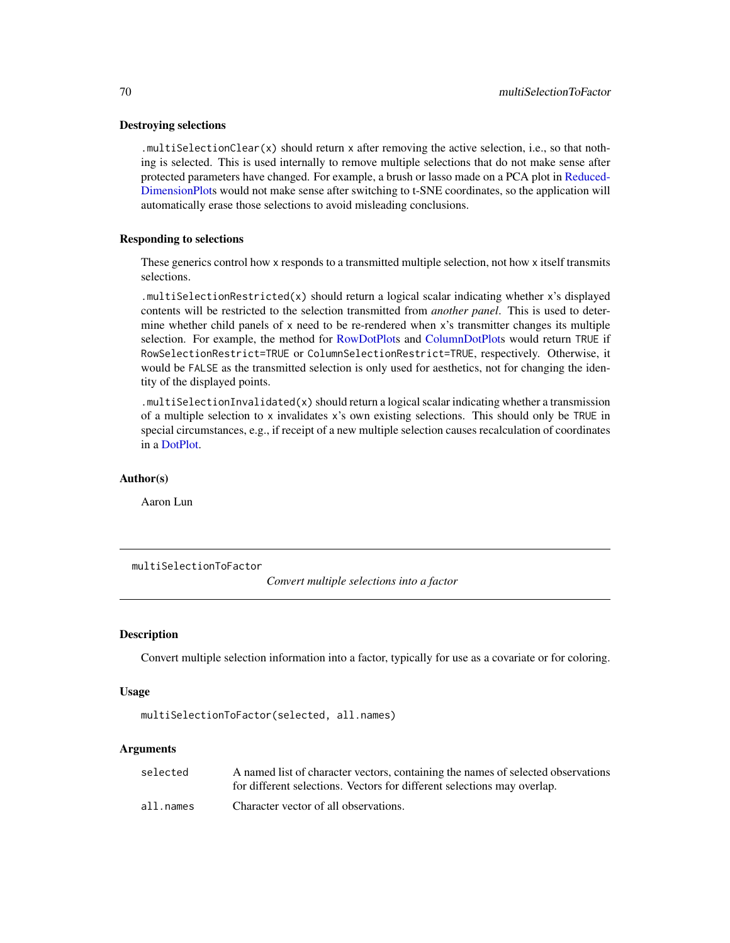## Destroying selections

.multiSelectionClear(x) should return x after removing the active selection, i.e., so that nothing is selected. This is used internally to remove multiple selections that do not make sense after protected parameters have changed. For example, a brush or lasso made on a PCA plot in [Reduced-](#page-83-1)[DimensionPlots](#page-83-1) would not make sense after switching to t-SNE coordinates, so the application will automatically erase those selections to avoid misleading conclusions.

## Responding to selections

These generics control how x responds to a transmitted multiple selection, not how x itself transmits selections.

.multiSelectionRestricted(x) should return a logical scalar indicating whether x's displayed contents will be restricted to the selection transmitted from *another panel*. This is used to determine whether child panels of x need to be re-rendered when x's transmitter changes its multiple selection. For example, the method for [RowDotPlots](#page-91-0) and [ColumnDotPlots](#page-29-0) would return TRUE if RowSelectionRestrict=TRUE or ColumnSelectionRestrict=TRUE, respectively. Otherwise, it would be FALSE as the transmitted selection is only used for aesthetics, not for changing the identity of the displayed points.

.multiSelectionInvalidated(x) should return a logical scalar indicating whether a transmission of a multiple selection to x invalidates x's own existing selections. This should only be TRUE in special circumstances, e.g., if receipt of a new multiple selection causes recalculation of coordinates in a [DotPlot.](#page-44-0)

# Author(s)

Aaron Lun

multiSelectionToFactor

*Convert multiple selections into a factor*

# Description

Convert multiple selection information into a factor, typically for use as a covariate or for coloring.

## Usage

multiSelectionToFactor(selected, all.names)

### **Arguments**

| selected  | A named list of character vectors, containing the names of selected observations |
|-----------|----------------------------------------------------------------------------------|
|           | for different selections. Vectors for different selections may overlap.          |
| all.names | Character vector of all observations.                                            |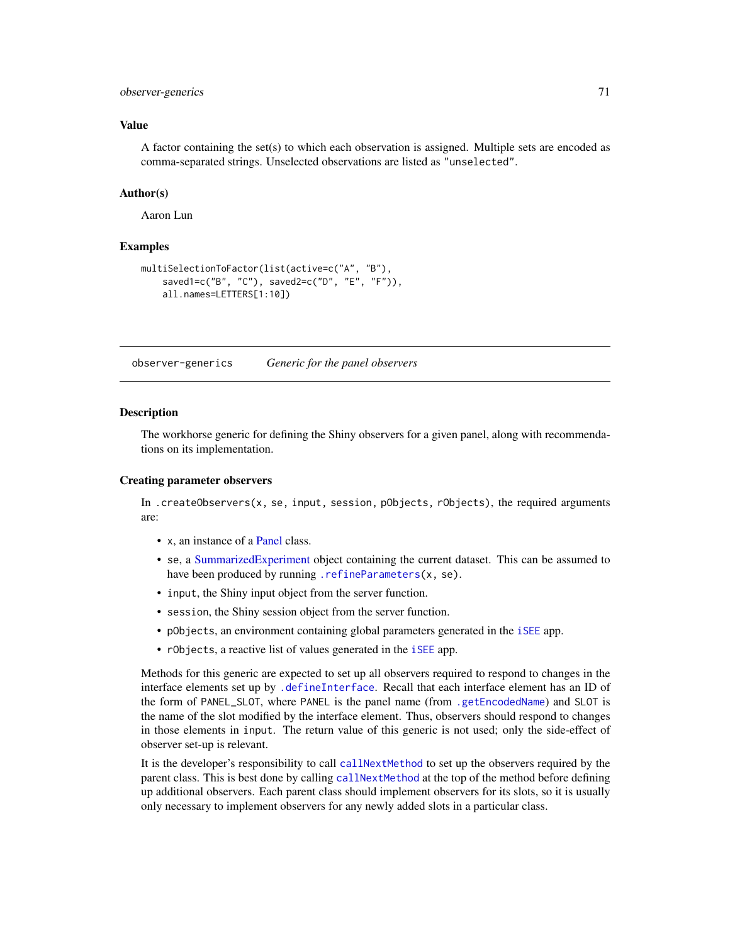## observer-generics 71

### Value

A factor containing the set(s) to which each observation is assigned. Multiple sets are encoded as comma-separated strings. Unselected observations are listed as "unselected".

### Author(s)

Aaron Lun

# Examples

```
multiSelectionToFactor(list(active=c("A", "B"),
    saved1=c("B", "C"), saved2=c("D", "E", "F")),
    all.names=LETTERS[1:10])
```
observer-generics *Generic for the panel observers*

## <span id="page-70-0"></span>Description

The workhorse generic for defining the Shiny observers for a given panel, along with recommendations on its implementation.

#### Creating parameter observers

In .createObservers(x, se, input, session, pObjects, rObjects), the required arguments are:

- x, an instance of a [Panel](#page-74-0) class.
- se, a [SummarizedExperiment](#page-0-0) object containing the current dataset. This can be assumed to have been produced by running [.refineParameters\(](#page-97-0)x, se).
- input, the Shiny input object from the server function.
- session, the Shiny session object from the server function.
- pObjects, an environment containing global parameters generated in the [iSEE](#page-58-0) app.
- rObjects, a reactive list of values generated in the [iSEE](#page-58-0) app.

Methods for this generic are expected to set up all observers required to respond to changes in the interface elements set up by [.defineInterface](#page-56-0). Recall that each interface element has an ID of the form of PANEL\_SLOT, where PANEL is the panel name (from [.getEncodedName](#page-11-1)) and SLOT is the name of the slot modified by the interface element. Thus, observers should respond to changes in those elements in input. The return value of this generic is not used; only the side-effect of observer set-up is relevant.

It is the developer's responsibility to call [callNextMethod](#page-0-0) to set up the observers required by the parent class. This is best done by calling [callNextMethod](#page-0-0) at the top of the method before defining up additional observers. Each parent class should implement observers for its slots, so it is usually only necessary to implement observers for any newly added slots in a particular class.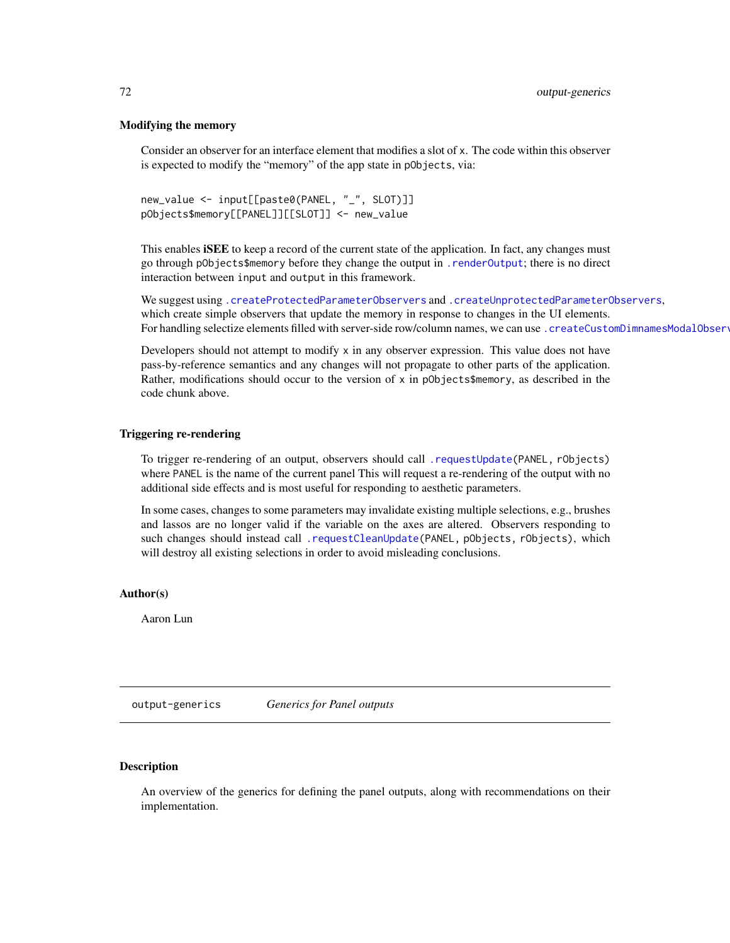### Modifying the memory

Consider an observer for an interface element that modifies a slot of x. The code within this observer is expected to modify the "memory" of the app state in pObjects, via:

```
new_value <- input[[paste0(PANEL, "_", SLOT)]]
pObjects$memory[[PANEL]][[SLOT]] <- new_value
```
This enables **iSEE** to keep a record of the current state of the application. In fact, any changes must go through pObjects\$memory before they change the output in [.renderOutput](#page-71-0); there is no direct interaction between input and output in this framework.

We suggest using [.createProtectedParameterObservers](#page-9-0) and [.createUnprotectedParameterObservers](#page-9-1), which create simple observers that update the memory in response to changes in the UI elements. For handling selectize elements filled with server-side row/column names, we can use . createCustomDimnamesModalObserv

Developers should not attempt to modify  $x$  in any observer expression. This value does not have pass-by-reference semantics and any changes will not propagate to other parts of the application. Rather, modifications should occur to the version of  $x$  in p0bjects\$memory, as described in the code chunk above.

### Triggering re-rendering

To trigger re-rendering of an output, observers should call [.requestUpdate\(](#page-15-0)PANEL, rObjects) where PANEL is the name of the current panel This will request a re-rendering of the output with no additional side effects and is most useful for responding to aesthetic parameters.

In some cases, changes to some parameters may invalidate existing multiple selections, e.g., brushes and lassos are no longer valid if the variable on the axes are altered. Observers responding to such changes should instead call [.requestCleanUpdate\(](#page-15-1)PANEL, pObjects, rObjects), which will destroy all existing selections in order to avoid misleading conclusions.

#### Author(s)

Aaron Lun

output-generics *Generics for Panel outputs*

# <span id="page-71-0"></span>Description

An overview of the generics for defining the panel outputs, along with recommendations on their implementation.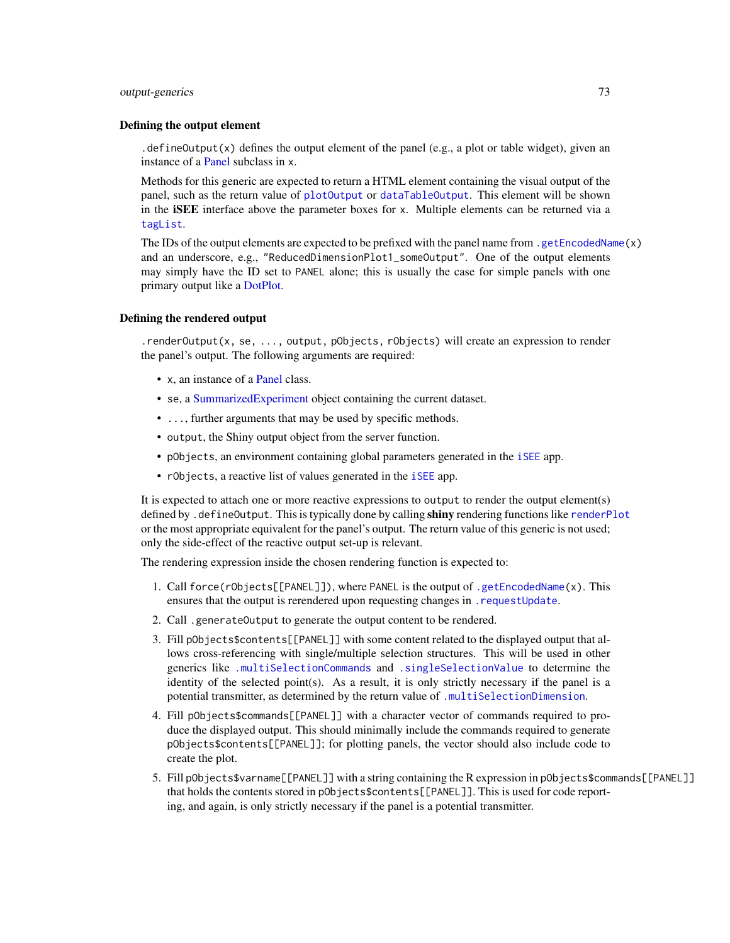# output-generics 73

# Defining the output element

.defineOutput(x) defines the output element of the panel (e.g., a plot or table widget), given an instance of a [Panel](#page-74-0) subclass in x.

Methods for this generic are expected to return a HTML element containing the visual output of the panel, such as the return value of [plotOutput](#page-0-0) or [dataTableOutput](#page-0-0). This element will be shown in the iSEE interface above the parameter boxes for x. Multiple elements can be returned via a [tagList](#page-0-0).

The IDs of the output elements are expected to be prefixed with the panel name from .getEncodedName $(x)$ and an underscore, e.g., "ReducedDimensionPlot1\_someOutput". One of the output elements may simply have the ID set to PANEL alone; this is usually the case for simple panels with one primary output like a [DotPlot.](#page-44-0)

## Defining the rendered output

.renderOutput(x, se, ..., output, pObjects, rObjects) will create an expression to render the panel's output. The following arguments are required:

- x, an instance of a [Panel](#page-74-0) class.
- se, a [SummarizedExperiment](#page-0-0) object containing the current dataset.
- ..., further arguments that may be used by specific methods.
- output, the Shiny output object from the server function.
- pObjects, an environment containing global parameters generated in the [iSEE](#page-58-0) app.
- rObjects, a reactive list of values generated in the [iSEE](#page-58-0) app.

It is expected to attach one or more reactive expressions to output to render the output element(s) defined by .defineOutput. This is typically done by calling shiny rendering functions like [renderPlot](#page-0-0) or the most appropriate equivalent for the panel's output. The return value of this generic is not used; only the side-effect of the reactive output set-up is relevant.

The rendering expression inside the chosen rendering function is expected to:

- 1. Call force(rObjects[[PANEL]]), where PANEL is the output of [.getEncodedName\(](#page-11-0)x). This ensures that the output is rerendered upon requesting changes in [.requestUpdate](#page-15-0).
- 2. Call .generateOutput to generate the output content to be rendered.
- 3. Fill pObjects\$contents[[PANEL]] with some content related to the displayed output that allows cross-referencing with single/multiple selection structures. This will be used in other generics like [.multiSelectionCommands](#page-67-0) and [.singleSelectionValue](#page-98-0) to determine the identity of the selected point(s). As a result, it is only strictly necessary if the panel is a potential transmitter, as determined by the return value of [.multiSelectionDimension](#page-67-0).
- 4. Fill pObjects\$commands[[PANEL]] with a character vector of commands required to produce the displayed output. This should minimally include the commands required to generate pObjects\$contents[[PANEL]]; for plotting panels, the vector should also include code to create the plot.
- 5. Fill pObjects\$varname[[PANEL]] with a string containing the R expression in pObjects\$commands[[PANEL]] that holds the contents stored in pObjects\$contents[[PANEL]]. This is used for code reporting, and again, is only strictly necessary if the panel is a potential transmitter.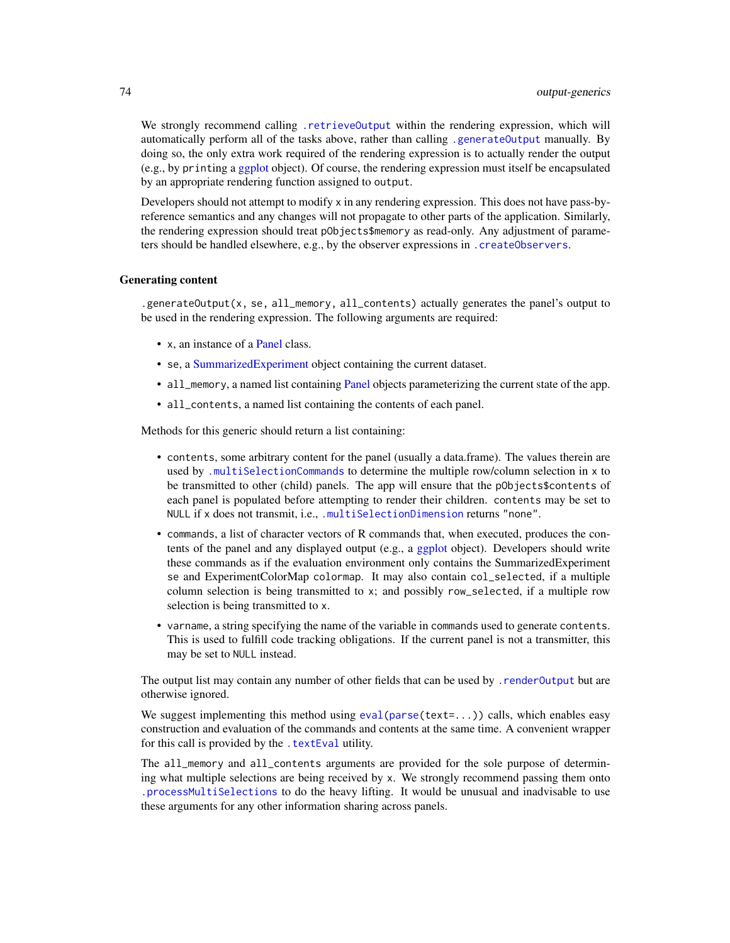We strongly recommend calling [.retrieveOutput](#page-16-0) within the rendering expression, which will automatically perform all of the tasks above, rather than calling [.generateOutput](#page-71-0) manually. By doing so, the only extra work required of the rendering expression is to actually render the output (e.g., by printing a [ggplot](#page-0-0) object). Of course, the rendering expression must itself be encapsulated by an appropriate rendering function assigned to output.

Developers should not attempt to modify x in any rendering expression. This does not have pass-byreference semantics and any changes will not propagate to other parts of the application. Similarly, the rendering expression should treat pObjects\$memory as read-only. Any adjustment of parameters should be handled elsewhere, e.g., by the observer expressions in [.createObservers](#page-70-0).

## Generating content

.generateOutput(x, se, all\_memory, all\_contents) actually generates the panel's output to be used in the rendering expression. The following arguments are required:

- x, an instance of a [Panel](#page-74-0) class.
- se, a [SummarizedExperiment](#page-0-0) object containing the current dataset.
- all\_memory, a named list containing [Panel](#page-74-0) objects parameterizing the current state of the app.
- all\_contents, a named list containing the contents of each panel.

Methods for this generic should return a list containing:

- contents, some arbitrary content for the panel (usually a data.frame). The values therein are used by [.multiSelectionCommands](#page-67-0) to determine the multiple row/column selection in x to be transmitted to other (child) panels. The app will ensure that the pObjects\$contents of each panel is populated before attempting to render their children. contents may be set to NULL if x does not transmit, i.e., [.multiSelectionDimension](#page-67-0) returns "none".
- commands, a list of character vectors of R commands that, when executed, produces the contents of the panel and any displayed output (e.g., a [ggplot](#page-0-0) object). Developers should write these commands as if the evaluation environment only contains the SummarizedExperiment se and ExperimentColorMap colormap. It may also contain col\_selected, if a multiple column selection is being transmitted to x; and possibly row\_selected, if a multiple row selection is being transmitted to x.
- varname, a string specifying the name of the variable in commands used to generate contents. This is used to fulfill code tracking obligations. If the current panel is not a transmitter, this may be set to NULL instead.

The output list may contain any number of other fields that can be used by [.renderOutput](#page-71-0) but are otherwise ignored.

We suggest implementing this method using [eval\(parse\(](#page-0-0)text=...)) calls, which enables easy construction and evaluation of the commands and contents at the same time. A convenient wrapper for this call is provided by the . textEval utility.

The all\_memory and all\_contents arguments are provided for the sole purpose of determining what multiple selections are being received by x. We strongly recommend passing them onto [.processMultiSelections](#page-13-0) to do the heavy lifting. It would be unusual and inadvisable to use these arguments for any other information sharing across panels.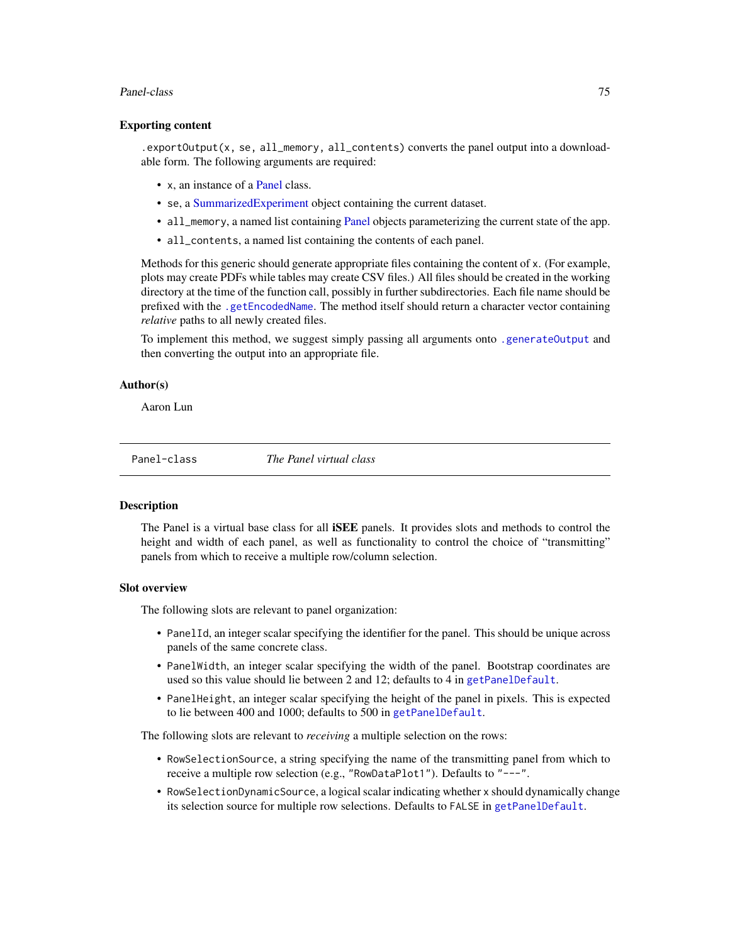## Panel-class 75

# Exporting content

.exportOutput(x, se, all\_memory, all\_contents) converts the panel output into a downloadable form. The following arguments are required:

- x, an instance of a [Panel](#page-74-0) class.
- se, a [SummarizedExperiment](#page-0-0) object containing the current dataset.
- all\_memory, a named list containing [Panel](#page-74-0) objects parameterizing the current state of the app.
- all\_contents, a named list containing the contents of each panel.

Methods for this generic should generate appropriate files containing the content of x. (For example, plots may create PDFs while tables may create CSV files.) All files should be created in the working directory at the time of the function call, possibly in further subdirectories. Each file name should be prefixed with the [.getEncodedName](#page-11-0). The method itself should return a character vector containing *relative* paths to all newly created files.

To implement this method, we suggest simply passing all arguments onto [.generateOutput](#page-71-0) and then converting the output into an appropriate file.

# Author(s)

Aaron Lun

<span id="page-74-0"></span>Panel-class *The Panel virtual class*

# Description

The Panel is a virtual base class for all **ISEE** panels. It provides slots and methods to control the height and width of each panel, as well as functionality to control the choice of "transmitting" panels from which to receive a multiple row/column selection.

# Slot overview

The following slots are relevant to panel organization:

- PanelId, an integer scalar specifying the identifier for the panel. This should be unique across panels of the same concrete class.
- PanelWidth, an integer scalar specifying the width of the panel. Bootstrap coordinates are used so this value should lie between 2 and 12; defaults to 4 in [getPanelDefault](#page-77-0).
- PanelHeight, an integer scalar specifying the height of the panel in pixels. This is expected to lie between 400 and 1000; defaults to 500 in [getPanelDefault](#page-77-0).

The following slots are relevant to *receiving* a multiple selection on the rows:

- RowSelectionSource, a string specifying the name of the transmitting panel from which to receive a multiple row selection (e.g., "RowDataPlot1"). Defaults to "---".
- RowSelectionDynamicSource, a logical scalar indicating whether x should dynamically change its selection source for multiple row selections. Defaults to FALSE in [getPanelDefault](#page-77-0).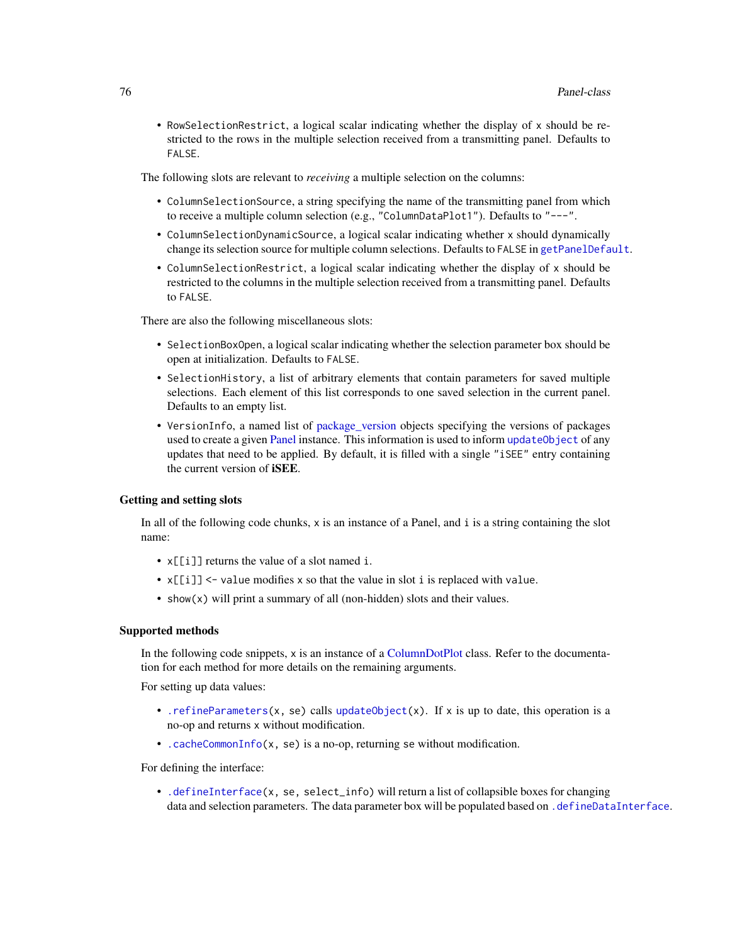• RowSelectionRestrict, a logical scalar indicating whether the display of x should be restricted to the rows in the multiple selection received from a transmitting panel. Defaults to FALSE.

The following slots are relevant to *receiving* a multiple selection on the columns:

- ColumnSelectionSource, a string specifying the name of the transmitting panel from which to receive a multiple column selection (e.g., "ColumnDataPlot1"). Defaults to "---".
- ColumnSelectionDynamicSource, a logical scalar indicating whether x should dynamically change its selection source for multiple column selections. Defaults to FALSE in [getPanelDefault](#page-77-0).
- ColumnSelectionRestrict, a logical scalar indicating whether the display of x should be restricted to the columns in the multiple selection received from a transmitting panel. Defaults to FALSE.

There are also the following miscellaneous slots:

- SelectionBoxOpen, a logical scalar indicating whether the selection parameter box should be open at initialization. Defaults to FALSE.
- SelectionHistory, a list of arbitrary elements that contain parameters for saved multiple selections. Each element of this list corresponds to one saved selection in the current panel. Defaults to an empty list.
- VersionInfo, a named list of [package\\_version](#page-0-0) objects specifying the versions of packages used to create a given [Panel](#page-74-0) instance. This information is used to inform update Object of any updates that need to be applied. By default, it is filled with a single "iSEE" entry containing the current version of iSEE.

# Getting and setting slots

In all of the following code chunks, x is an instance of a Panel, and i is a string containing the slot name:

- $x[[i]]$  returns the value of a slot named i.
- x[[i]] <- value modifies x so that the value in slot i is replaced with value.
- show(x) will print a summary of all (non-hidden) slots and their values.

#### Supported methods

In the following code snippets, x is an instance of a [ColumnDotPlot](#page-29-0) class. Refer to the documentation for each method for more details on the remaining arguments.

For setting up data values:

- . refineParameters(x, se) calls [updateObject\(](#page-0-0)x). If x is up to date, this operation is a no-op and returns x without modification.
- [.cacheCommonInfo\(](#page-97-0)x, se) is a no-op, returning se without modification.

For defining the interface:

• [.defineInterface\(](#page-56-0)x, se, select\_info) will return a list of collapsible boxes for changing data and selection parameters. The data parameter box will be populated based on [.defineDataInterface](#page-56-0).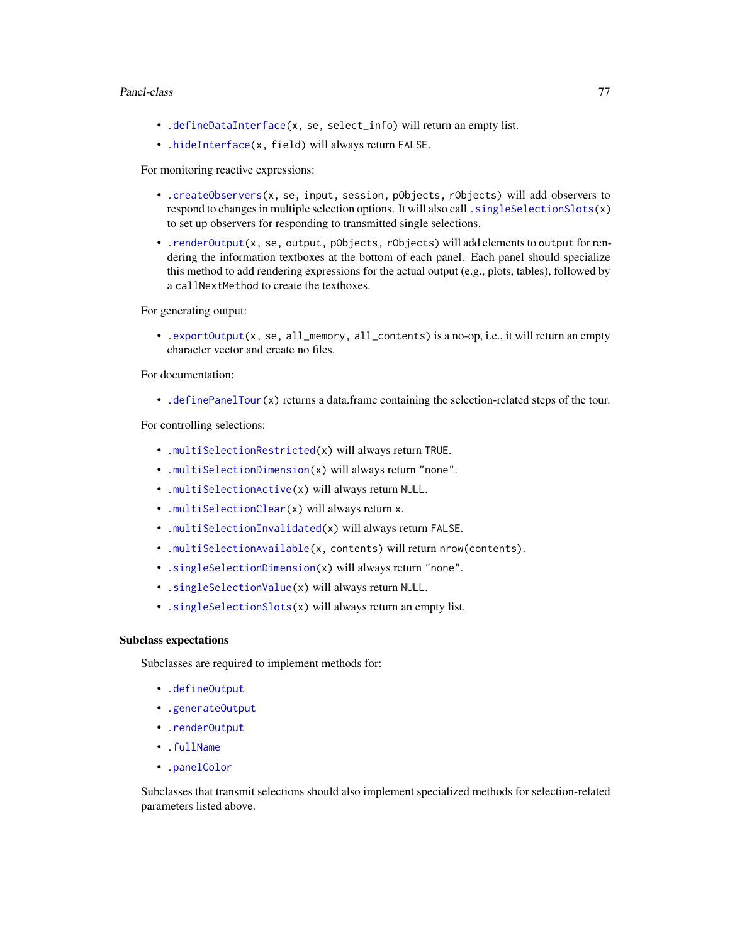## Panel-class 77

- [.defineDataInterface\(](#page-56-0)x, se, select\_info) will return an empty list.
- [.hideInterface\(](#page-56-0)x, field) will always return FALSE.

For monitoring reactive expressions:

- [.createObservers\(](#page-70-0)x, se, input, session, pObjects, rObjects) will add observers to respond to changes in multiple selection options. It will also call . singleSelectionSlots(x) to set up observers for responding to transmitted single selections.
- [.renderOutput\(](#page-71-0)x, se, output, pObjects, rObjects) will add elements to output for rendering the information textboxes at the bottom of each panel. Each panel should specialize this method to add rendering expressions for the actual output (e.g., plots, tables), followed by a callNextMethod to create the textboxes.

For generating output:

• [.exportOutput\(](#page-71-0)x, se, all\_memory, all\_contents) is a no-op, i.e., it will return an empty character vector and create no files.

For documentation:

• [.definePanelTour\(](#page-43-0)x) returns a data.frame containing the selection-related steps of the tour.

For controlling selections:

- [.multiSelectionRestricted\(](#page-67-0)x) will always return TRUE.
- [.multiSelectionDimension\(](#page-67-0)x) will always return "none".
- [.multiSelectionActive\(](#page-67-0)x) will always return NULL.
- [.multiSelectionClear\(](#page-67-0)x) will always return x.
- [.multiSelectionInvalidated\(](#page-67-0)x) will always return FALSE.
- [.multiSelectionAvailable\(](#page-67-0)x, contents) will return nrow(contents).
- [.singleSelectionDimension\(](#page-98-0)x) will always return "none".
- [.singleSelectionValue\(](#page-98-0)x) will always return NULL.
- [.singleSelectionSlots\(](#page-98-0)x) will always return an empty list.

# Subclass expectations

Subclasses are required to implement methods for:

- [.defineOutput](#page-71-0)
- [.generateOutput](#page-71-0)
- [.renderOutput](#page-71-0)
- [.fullName](#page-11-1)
- [.panelColor](#page-12-0)

Subclasses that transmit selections should also implement specialized methods for selection-related parameters listed above.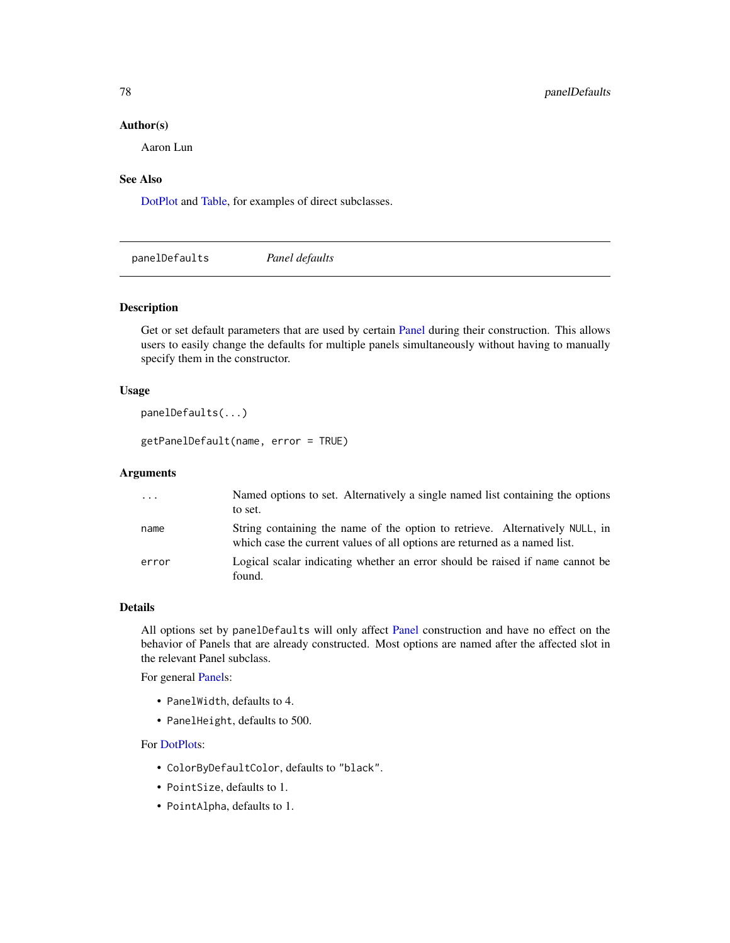## Author(s)

Aaron Lun

# See Also

[DotPlot](#page-44-0) and [Table,](#page-104-0) for examples of direct subclasses.

<span id="page-77-1"></span>panelDefaults *Panel defaults*

# <span id="page-77-0"></span>Description

Get or set default parameters that are used by certain [Panel](#page-74-0) during their construction. This allows users to easily change the defaults for multiple panels simultaneously without having to manually specify them in the constructor.

# Usage

```
panelDefaults(...)
```
getPanelDefault(name, error = TRUE)

# Arguments

| $\ddotsc$ | Named options to set. Alternatively a single named list containing the options<br>to set.                                                                  |
|-----------|------------------------------------------------------------------------------------------------------------------------------------------------------------|
| name      | String containing the name of the option to retrieve. Alternatively NULL, in<br>which case the current values of all options are returned as a named list. |
| error     | Logical scalar indicating whether an error should be raised if name cannot be<br>found.                                                                    |

# Details

All options set by panelDefaults will only affect [Panel](#page-74-0) construction and have no effect on the behavior of Panels that are already constructed. Most options are named after the affected slot in the relevant Panel subclass.

For general [Panels](#page-74-0):

- PanelWidth, defaults to 4.
- PanelHeight, defaults to 500.

## For [DotPlots](#page-44-0):

- ColorByDefaultColor, defaults to "black".
- PointSize, defaults to 1.
- PointAlpha, defaults to 1.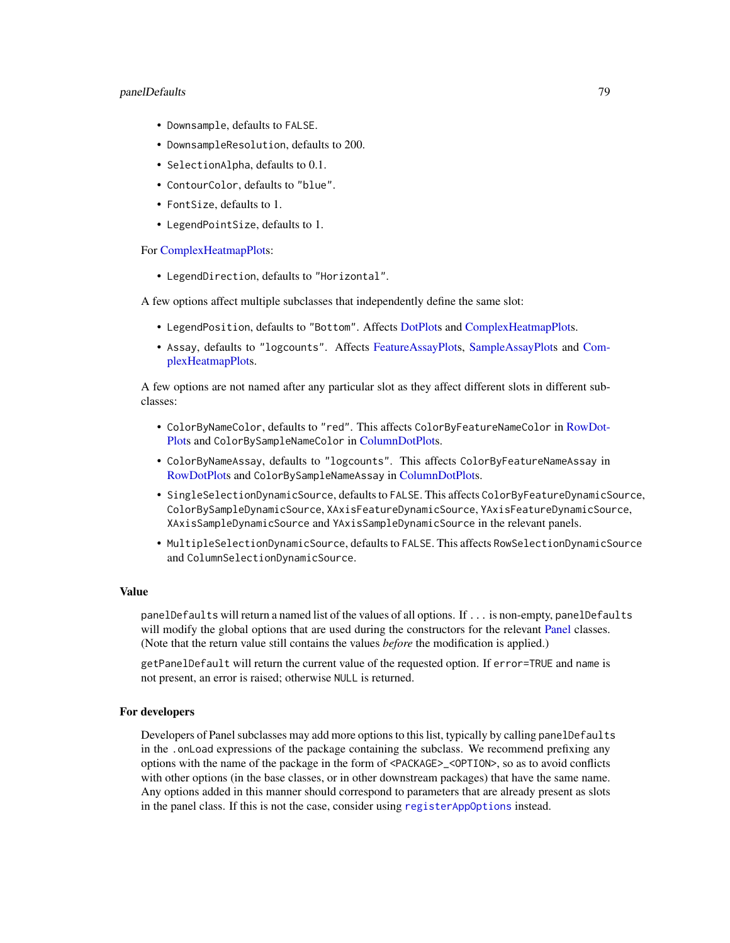# panelDefaults 79

- Downsample, defaults to FALSE.
- DownsampleResolution, defaults to 200.
- SelectionAlpha, defaults to 0.1.
- ContourColor, defaults to "blue".
- FontSize, defaults to 1.
- LegendPointSize, defaults to 1.

For [ComplexHeatmapPlots](#page-33-0):

• LegendDirection, defaults to "Horizontal".

A few options affect multiple subclasses that independently define the same slot:

- LegendPosition, defaults to "Bottom". Affects [DotPlots](#page-44-0) and [ComplexHeatmapPlots](#page-33-0).
- Assay, defaults to "logcounts". Affects [FeatureAssayPlots](#page-51-0), [SampleAssayPlots](#page-95-0) and [Com](#page-33-0)[plexHeatmapPlots](#page-33-0).

A few options are not named after any particular slot as they affect different slots in different subclasses:

- ColorByNameColor, defaults to "red". This affects ColorByFeatureNameColor in [RowDot-](#page-91-0)[Plots](#page-91-0) and ColorBySampleNameColor in [ColumnDotPlots](#page-29-0).
- ColorByNameAssay, defaults to "logcounts". This affects ColorByFeatureNameAssay in [RowDotPlots](#page-91-0) and ColorBySampleNameAssay in [ColumnDotPlots](#page-29-0).
- SingleSelectionDynamicSource, defaults to FALSE. This affects ColorByFeatureDynamicSource, ColorBySampleDynamicSource, XAxisFeatureDynamicSource, YAxisFeatureDynamicSource, XAxisSampleDynamicSource and YAxisSampleDynamicSource in the relevant panels.
- MultipleSelectionDynamicSource, defaults to FALSE. This affects RowSelectionDynamicSource and ColumnSelectionDynamicSource.

## Value

panelDefaults will return a named list of the values of all options. If ... is non-empty, panelDefaults will modify the global options that are used during the constructors for the relevant [Panel](#page-74-0) classes. (Note that the return value still contains the values *before* the modification is applied.)

getPanelDefault will return the current value of the requested option. If error=TRUE and name is not present, an error is raised; otherwise NULL is returned.

# For developers

Developers of Panel subclasses may add more options to this list, typically by calling panelDefaults in the .onLoad expressions of the package containing the subclass. We recommend prefixing any options with the name of the package in the form of <PACKAGE>\_<OPTION>, so as to avoid conflicts with other options (in the base classes, or in other downstream packages) that have the same name. Any options added in this manner should correspond to parameters that are already present as slots in the panel class. If this is not the case, consider using [registerAppOptions](#page-85-0) instead.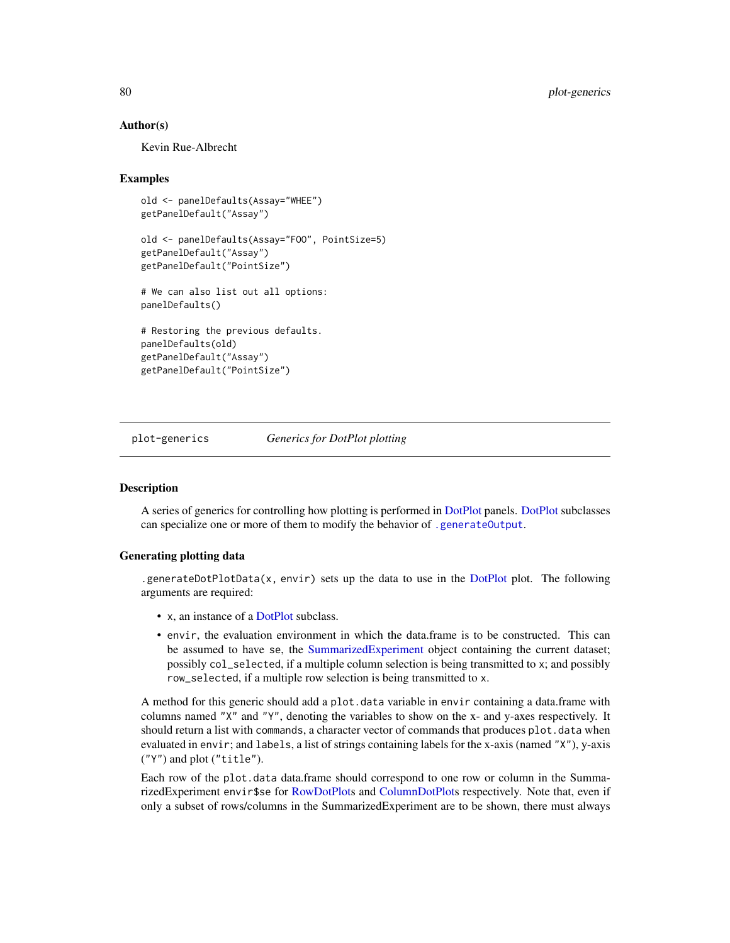# Author(s)

Kevin Rue-Albrecht

## Examples

```
old <- panelDefaults(Assay="WHEE")
getPanelDefault("Assay")
old <- panelDefaults(Assay="FOO", PointSize=5)
getPanelDefault("Assay")
getPanelDefault("PointSize")
# We can also list out all options:
panelDefaults()
# Restoring the previous defaults.
panelDefaults(old)
getPanelDefault("Assay")
getPanelDefault("PointSize")
```
plot-generics *Generics for DotPlot plotting*

# <span id="page-79-0"></span>**Description**

A series of generics for controlling how plotting is performed in [DotPlot](#page-44-0) panels. [DotPlot](#page-44-0) subclasses can specialize one or more of them to modify the behavior of [.generateOutput](#page-71-0).

# Generating plotting data

.generate[DotPlot](#page-44-0)Data(x, envir) sets up the data to use in the DotPlot plot. The following arguments are required:

- x, an instance of a [DotPlot](#page-44-0) subclass.
- envir, the evaluation environment in which the data.frame is to be constructed. This can be assumed to have se, the [SummarizedExperiment](#page-0-0) object containing the current dataset; possibly col\_selected, if a multiple column selection is being transmitted to x; and possibly row\_selected, if a multiple row selection is being transmitted to x.

A method for this generic should add a plot.data variable in envir containing a data.frame with columns named "X" and "Y", denoting the variables to show on the x- and y-axes respectively. It should return a list with commands, a character vector of commands that produces plot.data when evaluated in envir; and labels, a list of strings containing labels for the x-axis (named "X"), y-axis ("Y") and plot ("title").

Each row of the plot.data data.frame should correspond to one row or column in the SummarizedExperiment envir\$se for [RowDotPlots](#page-91-0) and [ColumnDotPlots](#page-29-0) respectively. Note that, even if only a subset of rows/columns in the SummarizedExperiment are to be shown, there must always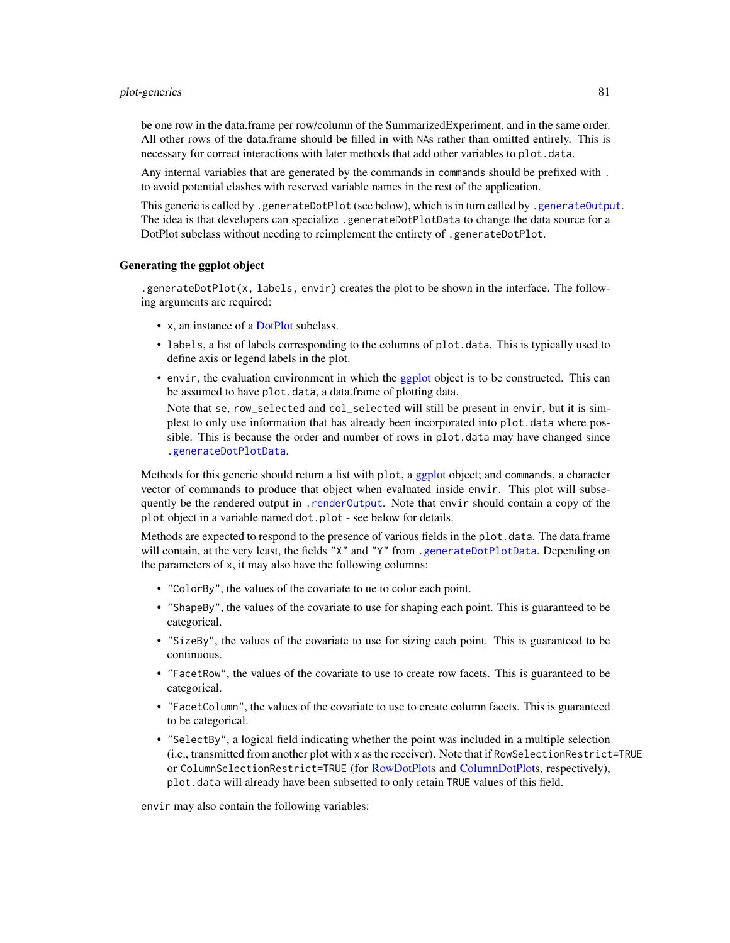## plot-generics 81

be one row in the data.frame per row/column of the SummarizedExperiment, and in the same order. All other rows of the data.frame should be filled in with NAs rather than omitted entirely. This is necessary for correct interactions with later methods that add other variables to plot.data.

Any internal variables that are generated by the commands in commands should be prefixed with . to avoid potential clashes with reserved variable names in the rest of the application.

This generic is called by .generateDotPlot (see below), which is in turn called by [.generateOutput](#page-71-0). The idea is that developers can specialize .generateDotPlotData to change the data source for a DotPlot subclass without needing to reimplement the entirety of .generateDotPlot.

# Generating the ggplot object

.generateDotPlot(x, labels, envir) creates the plot to be shown in the interface. The following arguments are required:

- x, an instance of a [DotPlot](#page-44-0) subclass.
- labels, a list of labels corresponding to the columns of plot.data. This is typically used to define axis or legend labels in the plot.
- envir, the evaluation environment in which the [ggplot](#page-0-0) object is to be constructed. This can be assumed to have plot.data, a data.frame of plotting data.

Note that se, row\_selected and col\_selected will still be present in envir, but it is simplest to only use information that has already been incorporated into plot.data where possible. This is because the order and number of rows in plot.data may have changed since [.generateDotPlotData](#page-79-0).

Methods for this generic should return a list with plot, a [ggplot](#page-0-0) object; and commands, a character vector of commands to produce that object when evaluated inside envir. This plot will subsequently be the rendered output in [.renderOutput](#page-71-0). Note that envir should contain a copy of the plot object in a variable named dot.plot - see below for details.

Methods are expected to respond to the presence of various fields in the plot.data. The data.frame will contain, at the very least, the fields "X" and "Y" from [.generateDotPlotData](#page-79-0). Depending on the parameters of x, it may also have the following columns:

- "ColorBy", the values of the covariate to ue to color each point.
- "ShapeBy", the values of the covariate to use for shaping each point. This is guaranteed to be categorical.
- "SizeBy", the values of the covariate to use for sizing each point. This is guaranteed to be continuous.
- "FacetRow", the values of the covariate to use to create row facets. This is guaranteed to be categorical.
- "FacetColumn", the values of the covariate to use to create column facets. This is guaranteed to be categorical.
- "SelectBy", a logical field indicating whether the point was included in a multiple selection (i.e., transmitted from another plot with x as the receiver). Note that if RowSelectionRestrict=TRUE or ColumnSelectionRestrict=TRUE (for [RowDotPlots](#page-91-0) and [ColumnDotPlots](#page-29-0), respectively), plot.data will already have been subsetted to only retain TRUE values of this field.

envir may also contain the following variables: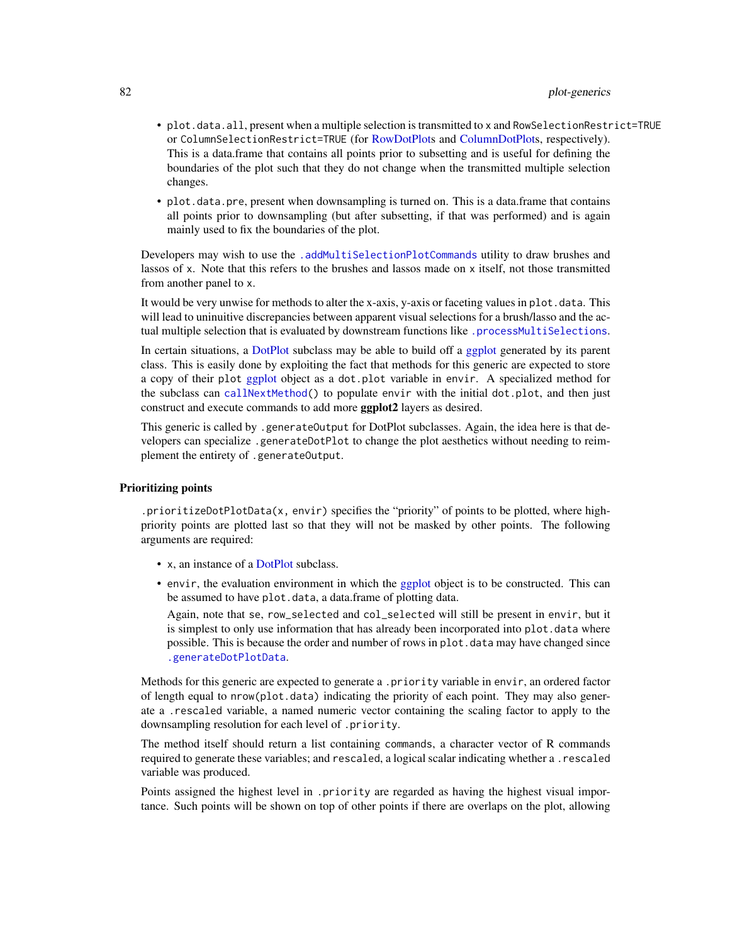- plot.data.all, present when a multiple selection is transmitted to x and RowSelectionRestrict=TRUE or ColumnSelectionRestrict=TRUE (for [RowDotPlots](#page-91-0) and [ColumnDotPlots](#page-29-0), respectively). This is a data.frame that contains all points prior to subsetting and is useful for defining the boundaries of the plot such that they do not change when the transmitted multiple selection changes.
- plot.data.pre, present when downsampling is turned on. This is a data.frame that contains all points prior to downsampling (but after subsetting, if that was performed) and is again mainly used to fix the boundaries of the plot.

Developers may wish to use the [.addMultiSelectionPlotCommands](#page-4-0) utility to draw brushes and lassos of x. Note that this refers to the brushes and lassos made on x itself, not those transmitted from another panel to x.

It would be very unwise for methods to alter the x-axis, y-axis or faceting values in plot. data. This will lead to uninuitive discrepancies between apparent visual selections for a brush/lasso and the actual multiple selection that is evaluated by downstream functions like [.processMultiSelections](#page-13-0).

In certain situations, a [DotPlot](#page-44-0) subclass may be able to build off a [ggplot](#page-0-0) generated by its parent class. This is easily done by exploiting the fact that methods for this generic are expected to store a copy of their plot [ggplot](#page-0-0) object as a dot.plot variable in envir. A specialized method for the subclass can [callNextMethod\(](#page-0-0)) to populate envir with the initial dot.plot, and then just construct and execute commands to add more ggplot2 layers as desired.

This generic is called by .generateOutput for DotPlot subclasses. Again, the idea here is that developers can specialize .generateDotPlot to change the plot aesthetics without needing to reimplement the entirety of .generateOutput.

# Prioritizing points

.prioritizeDotPlotData(x, envir) specifies the "priority" of points to be plotted, where highpriority points are plotted last so that they will not be masked by other points. The following arguments are required:

- x, an instance of a [DotPlot](#page-44-0) subclass.
- envir, the evaluation environment in which the [ggplot](#page-0-0) object is to be constructed. This can be assumed to have plot.data, a data.frame of plotting data.

Again, note that se, row\_selected and col\_selected will still be present in envir, but it is simplest to only use information that has already been incorporated into plot.data where possible. This is because the order and number of rows in plot.data may have changed since [.generateDotPlotData](#page-79-0).

Methods for this generic are expected to generate a .priority variable in envir, an ordered factor of length equal to nrow(plot.data) indicating the priority of each point. They may also generate a .rescaled variable, a named numeric vector containing the scaling factor to apply to the downsampling resolution for each level of .priority.

The method itself should return a list containing commands, a character vector of R commands required to generate these variables; and rescaled, a logical scalar indicating whether a .rescaled variable was produced.

Points assigned the highest level in .priority are regarded as having the highest visual importance. Such points will be shown on top of other points if there are overlaps on the plot, allowing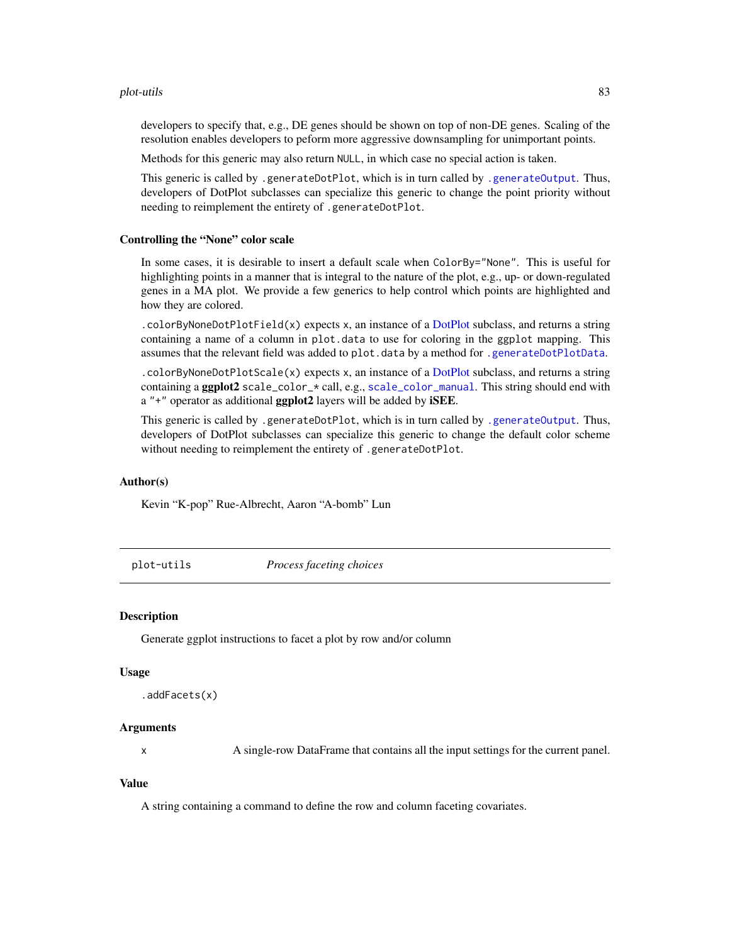## plot-utils 83

developers to specify that, e.g., DE genes should be shown on top of non-DE genes. Scaling of the resolution enables developers to peform more aggressive downsampling for unimportant points.

Methods for this generic may also return NULL, in which case no special action is taken.

This generic is called by .generateDotPlot, which is in turn called by [.generateOutput](#page-71-0). Thus, developers of DotPlot subclasses can specialize this generic to change the point priority without needing to reimplement the entirety of .generateDotPlot.

# Controlling the "None" color scale

In some cases, it is desirable to insert a default scale when ColorBy="None". This is useful for highlighting points in a manner that is integral to the nature of the plot, e.g., up- or down-regulated genes in a MA plot. We provide a few generics to help control which points are highlighted and how they are colored.

.colorByNoneDotPlotField(x) expects x, an instance of a [DotPlot](#page-44-0) subclass, and returns a string containing a name of a column in plot.data to use for coloring in the ggplot mapping. This assumes that the relevant field was added to plot.data by a method for [.generateDotPlotData](#page-79-0).

.colorByNoneDotPlotScale(x) expects x, an instance of a [DotPlot](#page-44-0) subclass, and returns a string containing a ggplot2 scale\_color\_\* call, e.g., [scale\\_color\\_manual](#page-0-0). This string should end with  $a'' +''$  operator as additional **ggplot2** layers will be added by **iSEE**.

This generic is called by .generateDotPlot, which is in turn called by [.generateOutput](#page-71-0). Thus, developers of DotPlot subclasses can specialize this generic to change the default color scheme without needing to reimplement the entirety of .generateDotPlot.

# Author(s)

Kevin "K-pop" Rue-Albrecht, Aaron "A-bomb" Lun

plot-utils *Process faceting choices*

# **Description**

Generate ggplot instructions to facet a plot by row and/or column

#### Usage

```
.addFacets(x)
```
# Arguments

x A single-row DataFrame that contains all the input settings for the current panel.

## Value

A string containing a command to define the row and column faceting covariates.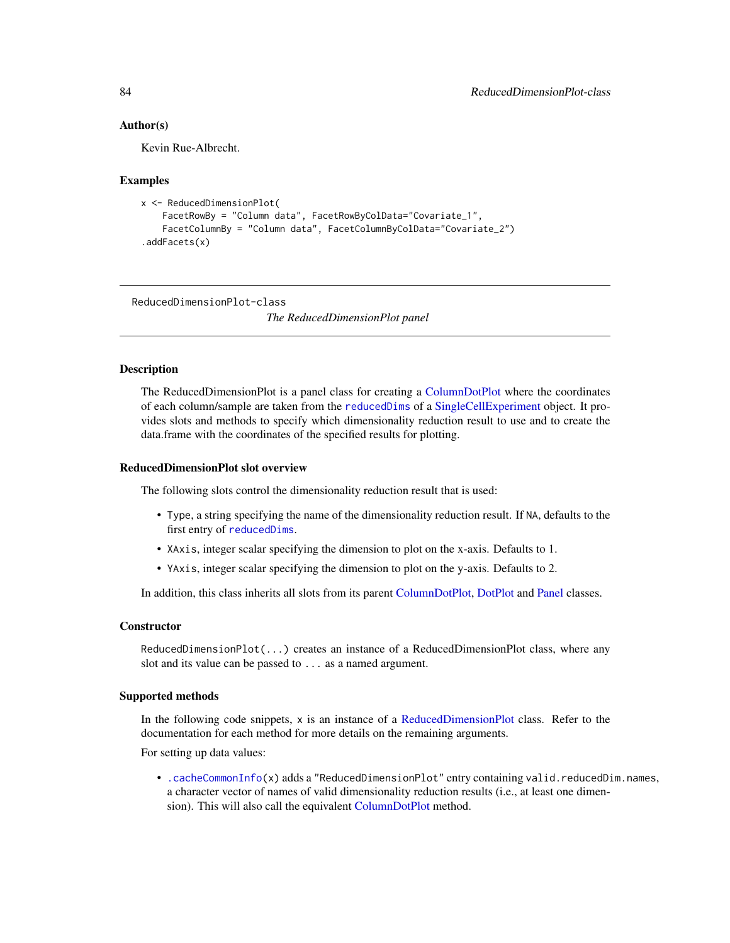# Author(s)

Kevin Rue-Albrecht.

### Examples

```
x <- ReducedDimensionPlot(
    FacetRowBy = "Column data", FacetRowByColData="Covariate_1",
    FacetColumnBy = "Column data", FacetColumnByColData="Covariate_2")
.addFacets(x)
```
<span id="page-83-0"></span>ReducedDimensionPlot-class

*The ReducedDimensionPlot panel*

## Description

The ReducedDimensionPlot is a panel class for creating a [ColumnDotPlot](#page-29-0) where the coordinates of each column/sample are taken from the [reducedDims](#page-0-0) of a [SingleCellExperiment](#page-0-0) object. It provides slots and methods to specify which dimensionality reduction result to use and to create the data.frame with the coordinates of the specified results for plotting.

# ReducedDimensionPlot slot overview

The following slots control the dimensionality reduction result that is used:

- Type, a string specifying the name of the dimensionality reduction result. If NA, defaults to the first entry of [reducedDims](#page-0-0).
- XAxis, integer scalar specifying the dimension to plot on the x-axis. Defaults to 1.
- YAxis, integer scalar specifying the dimension to plot on the y-axis. Defaults to 2.

In addition, this class inherits all slots from its parent [ColumnDotPlot,](#page-29-0) [DotPlot](#page-44-0) and [Panel](#page-74-0) classes.

# **Constructor**

ReducedDimensionPlot(...) creates an instance of a ReducedDimensionPlot class, where any slot and its value can be passed to ... as a named argument.

# Supported methods

In the following code snippets,  $x$  is an instance of a [ReducedDimensionPlot](#page-83-0) class. Refer to the documentation for each method for more details on the remaining arguments.

For setting up data values:

• [.cacheCommonInfo\(](#page-97-0)x) adds a "ReducedDimensionPlot" entry containing valid.reducedDim.names, a character vector of names of valid dimensionality reduction results (i.e., at least one dimension). This will also call the equivalent [ColumnDotPlot](#page-29-0) method.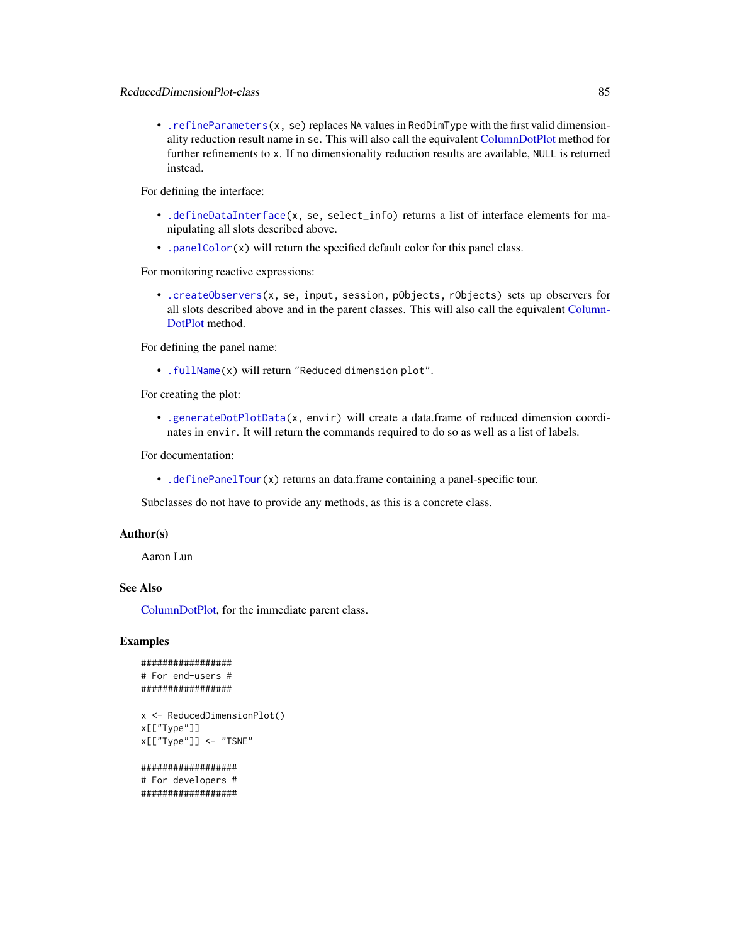• [.refineParameters\(](#page-97-0)x, se) replaces NA values in RedDimType with the first valid dimensionality reduction result name in se. This will also call the equivalent [ColumnDotPlot](#page-29-0) method for further refinements to x. If no dimensionality reduction results are available, NULL is returned instead.

For defining the interface:

- [.defineDataInterface\(](#page-56-0)x, se, select\_info) returns a list of interface elements for manipulating all slots described above.
- [.panelColor\(](#page-12-0)x) will return the specified default color for this panel class.

For monitoring reactive expressions:

• [.createObservers\(](#page-70-0)x, se, input, session, pObjects, rObjects) sets up observers for all slots described above and in the parent classes. This will also call the equivalent [Column-](#page-29-0)[DotPlot](#page-29-0) method.

For defining the panel name:

• [.fullName\(](#page-11-1)x) will return "Reduced dimension plot".

For creating the plot:

• [.generateDotPlotData\(](#page-79-0)x, envir) will create a data.frame of reduced dimension coordinates in envir. It will return the commands required to do so as well as a list of labels.

For documentation:

• [.definePanelTour\(](#page-43-0)x) returns an data.frame containing a panel-specific tour.

Subclasses do not have to provide any methods, as this is a concrete class.

#### Author(s)

Aaron Lun

# See Also

[ColumnDotPlot,](#page-29-0) for the immediate parent class.

# Examples

```
#################
# For end-users #
#################
```

```
x <- ReducedDimensionPlot()
x[["Type"]]
x[["Type"]] <- "TSNE"
```

```
##################
# For developers #
##################
```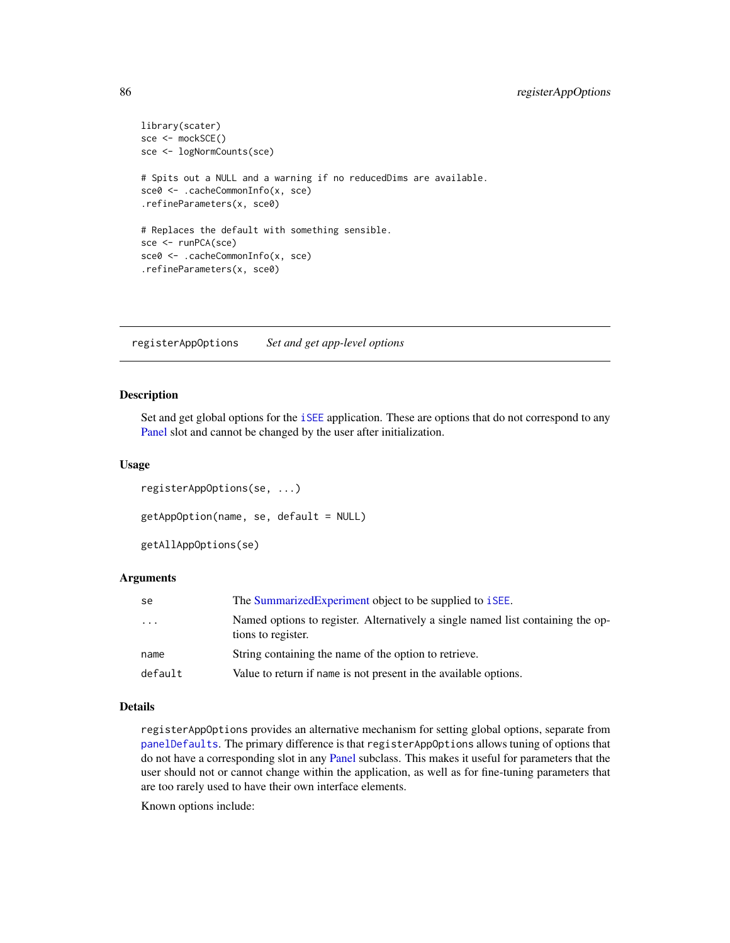```
library(scater)
sce <- mockSCE()
sce <- logNormCounts(sce)
# Spits out a NULL and a warning if no reducedDims are available.
sce0 <- .cacheCommonInfo(x, sce)
.refineParameters(x, sce0)
# Replaces the default with something sensible.
sce <- runPCA(sce)
sce0 <- .cacheCommonInfo(x, sce)
.refineParameters(x, sce0)
```
<span id="page-85-0"></span>registerAppOptions *Set and get app-level options*

# <span id="page-85-1"></span>Description

Set and get global options for the [iSEE](#page-58-0) application. These are options that do not correspond to any [Panel](#page-74-0) slot and cannot be changed by the user after initialization.

## Usage

```
registerAppOptions(se, ...)
getAppOption(name, se, default = NULL)
getAllAppOptions(se)
```
## Arguments

| se        | The Summarized Experiment object to be supplied to <i>i</i> SEE.                                      |
|-----------|-------------------------------------------------------------------------------------------------------|
| $\ddotsc$ | Named options to register. Alternatively a single named list containing the op-<br>tions to register. |
| name      | String containing the name of the option to retrieve.                                                 |
| default   | Value to return if name is not present in the available options.                                      |

# Details

registerAppOptions provides an alternative mechanism for setting global options, separate from [panelDefaults](#page-77-1). The primary difference is that registerAppOptions allows tuning of options that do not have a corresponding slot in any [Panel](#page-74-0) subclass. This makes it useful for parameters that the user should not or cannot change within the application, as well as for fine-tuning parameters that are too rarely used to have their own interface elements.

Known options include: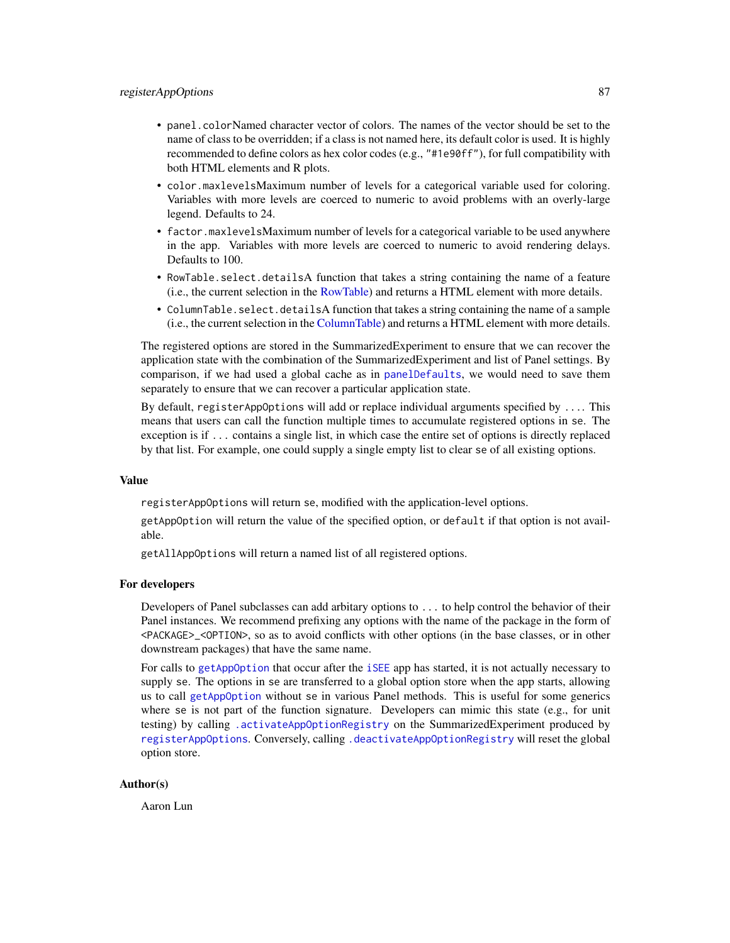# registerAppOptions 87

- panel.colorNamed character vector of colors. The names of the vector should be set to the name of class to be overridden; if a class is not named here, its default color is used. It is highly recommended to define colors as hex color codes (e.g., "#1e90ff"), for full compatibility with both HTML elements and R plots.
- color.maxlevelsMaximum number of levels for a categorical variable used for coloring. Variables with more levels are coerced to numeric to avoid problems with an overly-large legend. Defaults to 24.
- factor.maxlevelsMaximum number of levels for a categorical variable to be used anywhere in the app. Variables with more levels are coerced to numeric to avoid rendering delays. Defaults to 100.
- RowTable.select.detailsA function that takes a string containing the name of a feature (i.e., the current selection in the [RowTable\)](#page-93-0) and returns a HTML element with more details.
- ColumnTable.select.detailsA function that takes a string containing the name of a sample (i.e., the current selection in the [ColumnTable\)](#page-32-0) and returns a HTML element with more details.

The registered options are stored in the SummarizedExperiment to ensure that we can recover the application state with the combination of the SummarizedExperiment and list of Panel settings. By comparison, if we had used a global cache as in [panelDefaults](#page-77-1), we would need to save them separately to ensure that we can recover a particular application state.

By default, registerAppOptions will add or replace individual arguments specified by .... This means that users can call the function multiple times to accumulate registered options in se. The exception is if ... contains a single list, in which case the entire set of options is directly replaced by that list. For example, one could supply a single empty list to clear se of all existing options.

#### Value

registerAppOptions will return se, modified with the application-level options.

getAppOption will return the value of the specified option, or default if that option is not available.

getAllAppOptions will return a named list of all registered options.

#### For developers

Developers of Panel subclasses can add arbitary options to ... to help control the behavior of their Panel instances. We recommend prefixing any options with the name of the package in the form of <PACKAGE>\_<OPTION>, so as to avoid conflicts with other options (in the base classes, or in other downstream packages) that have the same name.

For calls to [getAppOption](#page-85-1) that occur after the [iSEE](#page-58-0) app has started, it is not actually necessary to supply se. The options in se are transferred to a global option store when the app starts, allowing us to call [getAppOption](#page-85-1) without se in various Panel methods. This is useful for some generics where se is not part of the function signature. Developers can mimic this state (e.g., for unit testing) by calling [.activateAppOptionRegistry](#page-85-1) on the SummarizedExperiment produced by [registerAppOptions](#page-85-0). Conversely, calling [.deactivateAppOptionRegistry](#page-85-1) will reset the global option store.

# Author(s)

Aaron Lun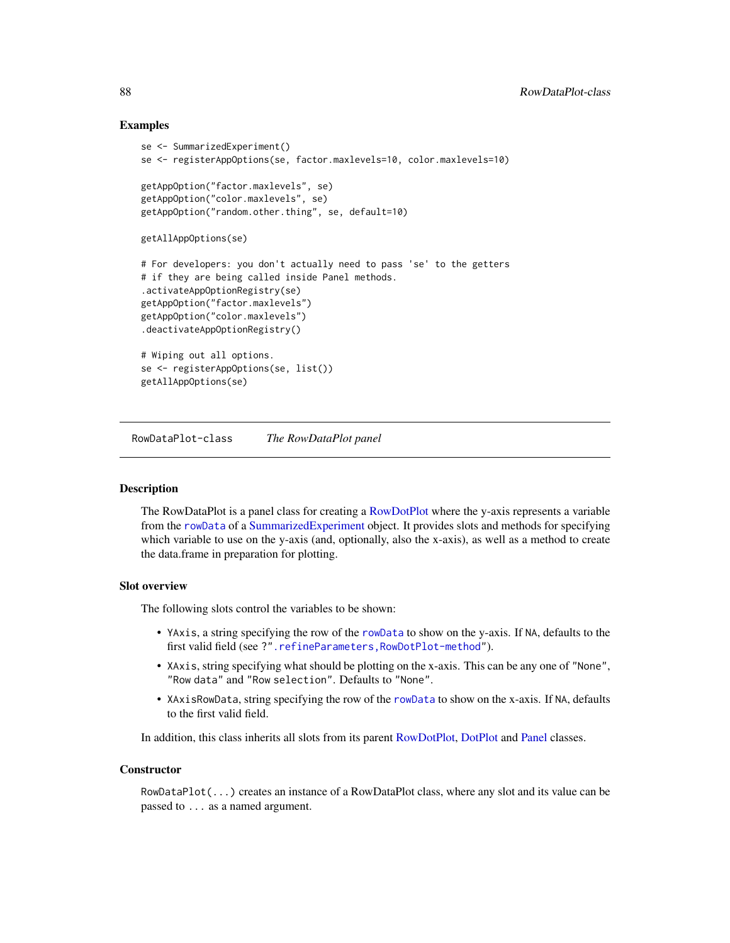# Examples

```
se <- SummarizedExperiment()
se <- registerAppOptions(se, factor.maxlevels=10, color.maxlevels=10)
getAppOption("factor.maxlevels", se)
getAppOption("color.maxlevels", se)
getAppOption("random.other.thing", se, default=10)
getAllAppOptions(se)
# For developers: you don't actually need to pass 'se' to the getters
# if they are being called inside Panel methods.
.activateAppOptionRegistry(se)
getAppOption("factor.maxlevels")
getAppOption("color.maxlevels")
.deactivateAppOptionRegistry()
# Wiping out all options.
se <- registerAppOptions(se, list())
getAllAppOptions(se)
```
<span id="page-87-0"></span>RowDataPlot-class *The RowDataPlot panel*

# **Description**

The RowDataPlot is a panel class for creating a [RowDotPlot](#page-91-0) where the y-axis represents a variable from the [rowData](#page-0-0) of a [SummarizedExperiment](#page-0-0) object. It provides slots and methods for specifying which variable to use on the y-axis (and, optionally, also the x-axis), as well as a method to create the data.frame in preparation for plotting.

# Slot overview

The following slots control the variables to be shown:

- YAxis, a string specifying the row of the [rowData](#page-0-0) to show on the y-axis. If NA, defaults to the first valid field (see ?[".refineParameters,RowDotPlot-method"](#page-0-0)).
- XAxis, string specifying what should be plotting on the x-axis. This can be any one of "None", "Row data" and "Row selection". Defaults to "None".
- XAxisRowData, string specifying the row of the [rowData](#page-0-0) to show on the x-axis. If NA, defaults to the first valid field.

In addition, this class inherits all slots from its parent [RowDotPlot,](#page-91-0) [DotPlot](#page-44-0) and [Panel](#page-74-0) classes.

#### **Constructor**

RowDataPlot(...) creates an instance of a RowDataPlot class, where any slot and its value can be passed to ... as a named argument.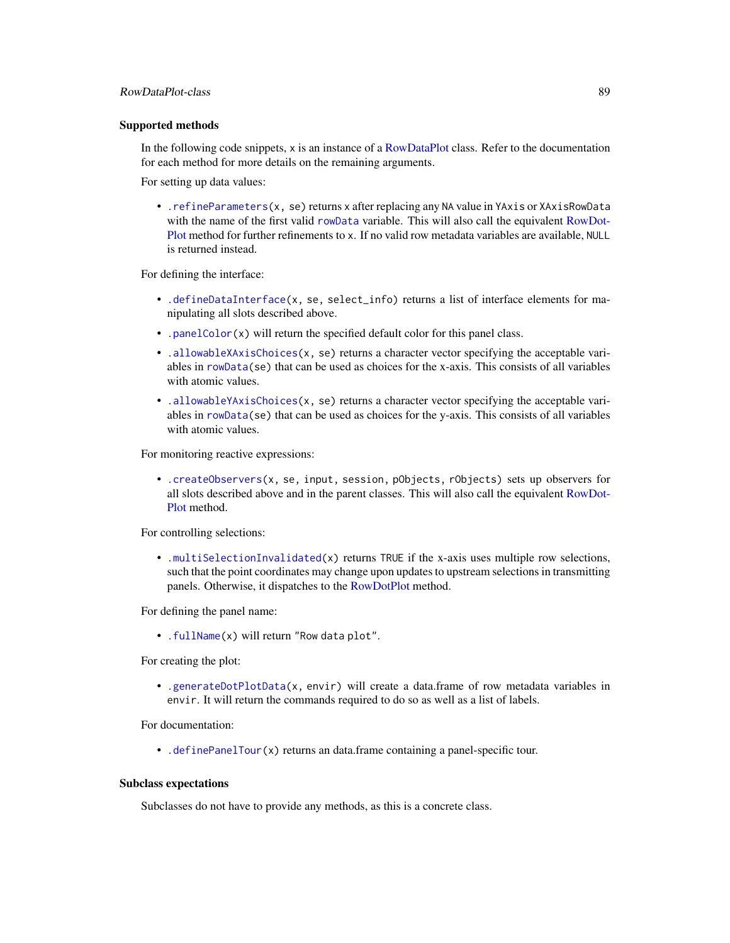## Supported methods

In the following code snippets, x is an instance of a [RowDataPlot](#page-87-0) class. Refer to the documentation for each method for more details on the remaining arguments.

For setting up data values:

• [.refineParameters\(](#page-97-0)x, se) returns x after replacing any NA value in YAxis or XAxisRowData with the name of the first valid [rowData](#page-0-0) variable. This will also call the equivalent [RowDot-](#page-91-0)[Plot](#page-91-0) method for further refinements to x. If no valid row metadata variables are available, NULL is returned instead.

For defining the interface:

- [.defineDataInterface\(](#page-56-0)x, se, select\_info) returns a list of interface elements for manipulating all slots described above.
- [.panelColor\(](#page-12-0)x) will return the specified default color for this panel class.
- [.allowableXAxisChoices\(](#page-67-1)x, se) returns a character vector specifying the acceptable variables in [rowData\(](#page-0-0)se) that can be used as choices for the x-axis. This consists of all variables with atomic values.
- [.allowableYAxisChoices\(](#page-67-1)x, se) returns a character vector specifying the acceptable variables in  $rowData(se)$  $rowData(se)$  that can be used as choices for the y-axis. This consists of all variables with atomic values.

For monitoring reactive expressions:

• [.createObservers\(](#page-70-0)x, se, input, session, pObjects, rObjects) sets up observers for all slots described above and in the parent classes. This will also call the equivalent [RowDot-](#page-91-0)[Plot](#page-91-0) method.

For controlling selections:

• [.multiSelectionInvalidated\(](#page-67-0)x) returns TRUE if the x-axis uses multiple row selections, such that the point coordinates may change upon updates to upstream selections in transmitting panels. Otherwise, it dispatches to the [RowDotPlot](#page-91-0) method.

For defining the panel name:

• [.fullName\(](#page-11-1)x) will return "Row data plot".

For creating the plot:

• [.generateDotPlotData\(](#page-79-0)x, envir) will create a data.frame of row metadata variables in envir. It will return the commands required to do so as well as a list of labels.

For documentation:

• [.definePanelTour\(](#page-43-0)x) returns an data.frame containing a panel-specific tour.

# Subclass expectations

Subclasses do not have to provide any methods, as this is a concrete class.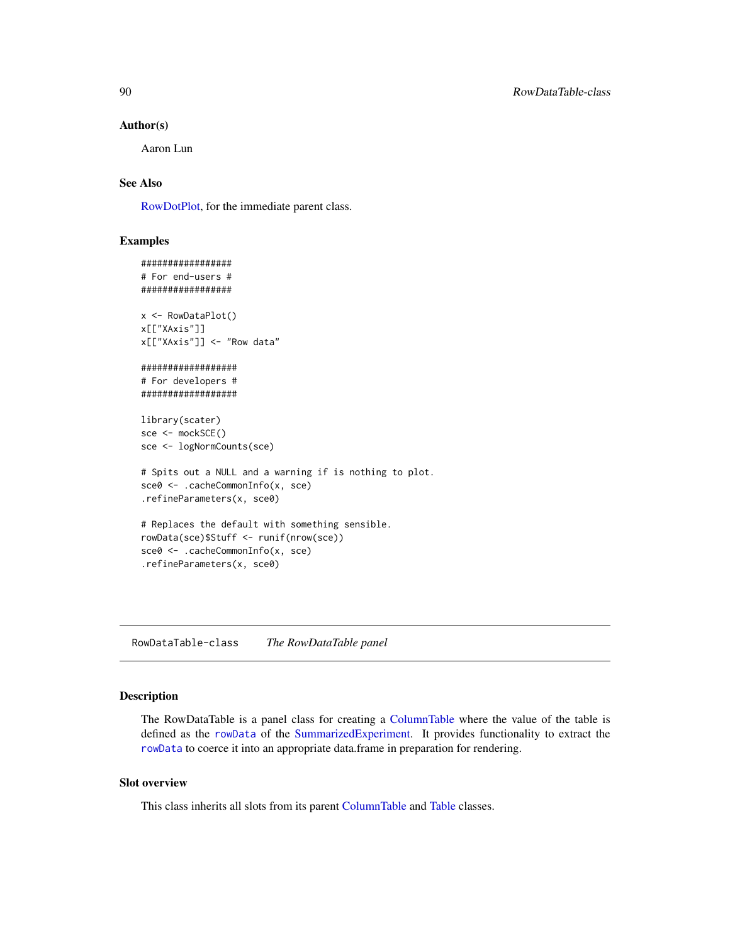## Author(s)

Aaron Lun

# See Also

[RowDotPlot,](#page-91-0) for the immediate parent class.

# Examples

```
#################
# For end-users #
#################
x <- RowDataPlot()
x[["XAxis"]]
x[["XAxis"]] <- "Row data"
##################
# For developers #
##################
library(scater)
sce <- mockSCE()
sce <- logNormCounts(sce)
# Spits out a NULL and a warning if is nothing to plot.
sce0 <- .cacheCommonInfo(x, sce)
.refineParameters(x, sce0)
# Replaces the default with something sensible.
rowData(sce)$Stuff <- runif(nrow(sce))
sce0 <- .cacheCommonInfo(x, sce)
.refineParameters(x, sce0)
```
<span id="page-89-0"></span>RowDataTable-class *The RowDataTable panel*

# Description

The RowDataTable is a panel class for creating a [ColumnTable](#page-32-0) where the value of the table is defined as the [rowData](#page-0-0) of the [SummarizedExperiment.](#page-0-0) It provides functionality to extract the [rowData](#page-0-0) to coerce it into an appropriate data.frame in preparation for rendering.

# Slot overview

This class inherits all slots from its parent [ColumnTable](#page-32-0) and [Table](#page-104-0) classes.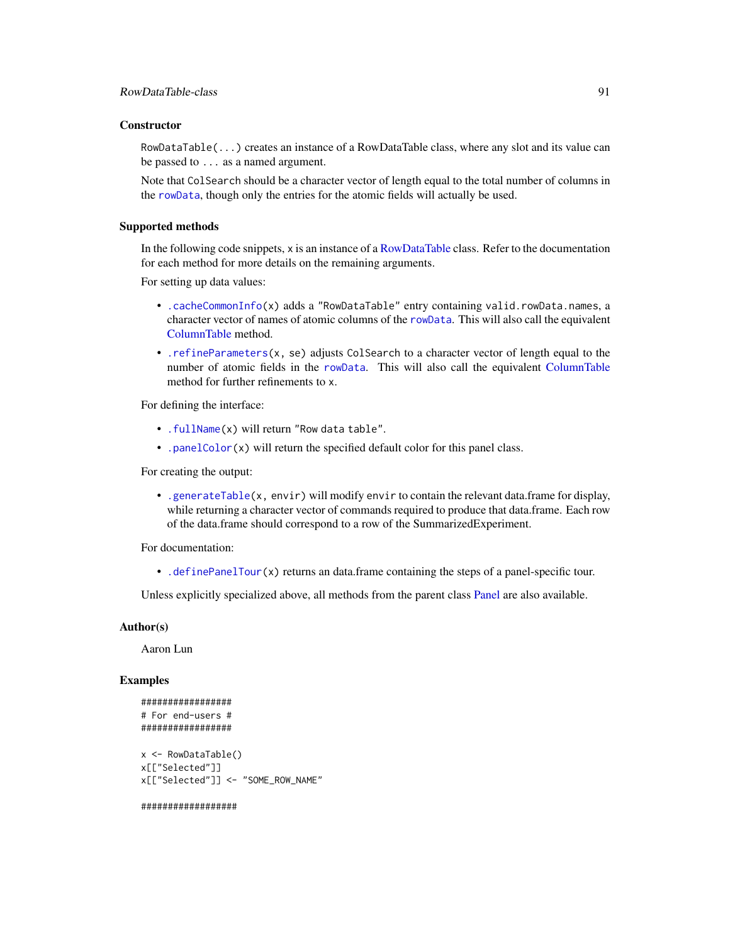# **Constructor**

RowDataTable(...) creates an instance of a RowDataTable class, where any slot and its value can be passed to ... as a named argument.

Note that ColSearch should be a character vector of length equal to the total number of columns in the [rowData](#page-0-0), though only the entries for the atomic fields will actually be used.

# Supported methods

In the following code snippets, x is an instance of a [RowDataTable](#page-89-0) class. Refer to the documentation for each method for more details on the remaining arguments.

For setting up data values:

- [.cacheCommonInfo\(](#page-97-0)x) adds a "RowDataTable" entry containing valid.rowData.names, a character vector of names of atomic columns of the [rowData](#page-0-0). This will also call the equivalent [ColumnTable](#page-32-0) method.
- [.refineParameters\(](#page-97-0)x, se) adjusts ColSearch to a character vector of length equal to the number of atomic fields in the [rowData](#page-0-0). This will also call the equivalent [ColumnTable](#page-32-0) method for further refinements to x.

For defining the interface:

- [.fullName\(](#page-11-1)x) will return "Row data table".
- [.panelColor\(](#page-12-0)x) will return the specified default color for this panel class.

For creating the output:

• [.generateTable\(](#page-106-0)x, envir) will modify envir to contain the relevant data.frame for display, while returning a character vector of commands required to produce that data.frame. Each row of the data.frame should correspond to a row of the SummarizedExperiment.

For documentation:

• [.definePanelTour\(](#page-43-0)x) returns an data.frame containing the steps of a panel-specific tour.

Unless explicitly specialized above, all methods from the parent class [Panel](#page-74-0) are also available.

# Author(s)

Aaron Lun

# Examples

```
#################
# For end-users #
#################
x <- RowDataTable()
x[["Selected"]]
x[["Selected"]] <- "SOME_ROW_NAME"
##################
```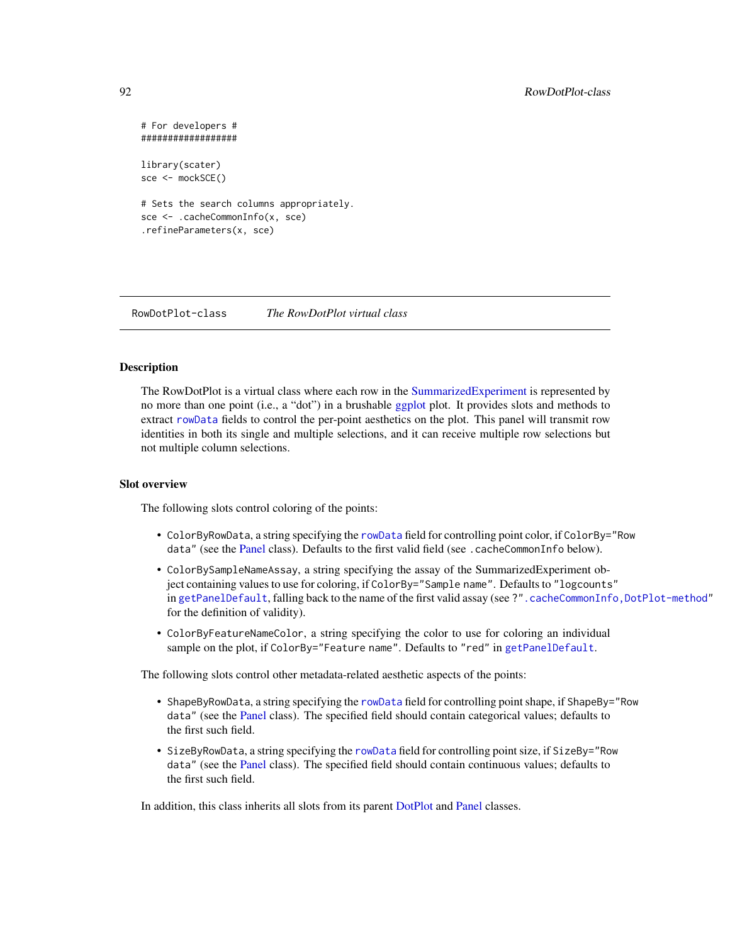```
# For developers #
##################
library(scater)
sce <- mockSCE()
# Sets the search columns appropriately.
sce <- .cacheCommonInfo(x, sce)
.refineParameters(x, sce)
```
<span id="page-91-0"></span>RowDotPlot-class *The RowDotPlot virtual class*

# Description

The RowDotPlot is a virtual class where each row in the [SummarizedExperiment](#page-0-0) is represented by no more than one point (i.e., a "dot") in a brushable [ggplot](#page-0-0) plot. It provides slots and methods to extract [rowData](#page-0-0) fields to control the per-point aesthetics on the plot. This panel will transmit row identities in both its single and multiple selections, and it can receive multiple row selections but not multiple column selections.

### Slot overview

The following slots control coloring of the points:

- ColorByRowData, a string specifying the [rowData](#page-0-0) field for controlling point color, if ColorBy="Row data" (see the [Panel](#page-74-0) class). Defaults to the first valid field (see .cacheCommonInfo below).
- ColorBySampleNameAssay, a string specifying the assay of the SummarizedExperiment object containing values to use for coloring, if ColorBy="Sample name". Defaults to "logcounts" in [getPanelDefault](#page-77-0), falling back to the name of the first valid assay (see ?". cacheCommonInfo,DotPlot-method" for the definition of validity).
- ColorByFeatureNameColor, a string specifying the color to use for coloring an individual sample on the plot, if ColorBy="Feature name". Defaults to "red" in [getPanelDefault](#page-77-0).

The following slots control other metadata-related aesthetic aspects of the points:

- ShapeByRowData, a string specifying the [rowData](#page-0-0) field for controlling point shape, if ShapeBy="Row data" (see the [Panel](#page-74-0) class). The specified field should contain categorical values; defaults to the first such field.
- SizeByRowData, a string specifying the [rowData](#page-0-0) field for controlling point size, if SizeBy="Row data" (see the [Panel](#page-74-0) class). The specified field should contain continuous values; defaults to the first such field.

In addition, this class inherits all slots from its parent [DotPlot](#page-44-0) and [Panel](#page-74-0) classes.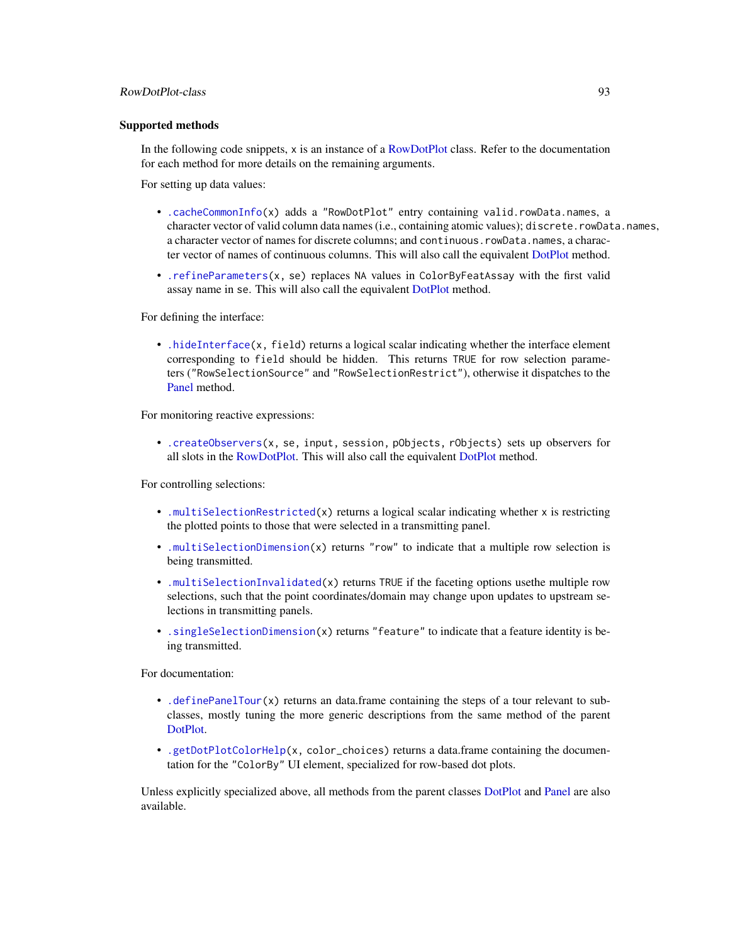# RowDotPlot-class 93

## Supported methods

In the following code snippets, x is an instance of a [RowDotPlot](#page-91-0) class. Refer to the documentation for each method for more details on the remaining arguments.

For setting up data values:

- [.cacheCommonInfo\(](#page-97-0)x) adds a "RowDotPlot" entry containing valid.rowData.names, a character vector of valid column data names (i.e., containing atomic values); discrete.rowData.names, a character vector of names for discrete columns; and continuous.rowData.names, a character vector of names of continuous columns. This will also call the equivalent [DotPlot](#page-44-0) method.
- [.refineParameters\(](#page-97-0)x, se) replaces NA values in ColorByFeatAssay with the first valid assay name in se. This will also call the equivalent [DotPlot](#page-44-0) method.

For defining the interface:

• [.hideInterface\(](#page-56-0)x, field) returns a logical scalar indicating whether the interface element corresponding to field should be hidden. This returns TRUE for row selection parameters ("RowSelectionSource" and "RowSelectionRestrict"), otherwise it dispatches to the [Panel](#page-74-0) method.

For monitoring reactive expressions:

• [.createObservers\(](#page-70-0)x, se, input, session, pObjects, rObjects) sets up observers for all slots in the [RowDotPlot.](#page-91-0) This will also call the equivalent [DotPlot](#page-44-0) method.

For controlling selections:

- [.multiSelectionRestricted\(](#page-67-0)x) returns a logical scalar indicating whether  $x$  is restricting the plotted points to those that were selected in a transmitting panel.
- [.multiSelectionDimension\(](#page-67-0)x) returns "row" to indicate that a multiple row selection is being transmitted.
- [.multiSelectionInvalidated\(](#page-67-0)x) returns TRUE if the faceting options usethe multiple row selections, such that the point coordinates/domain may change upon updates to upstream selections in transmitting panels.
- . singleSelectionDimension(x) returns "feature" to indicate that a feature identity is being transmitted.

For documentation:

- [.definePanelTour\(](#page-43-0)x) returns an data.frame containing the steps of a tour relevant to subclasses, mostly tuning the more generic descriptions from the same method of the parent [DotPlot.](#page-44-0)
- [.getDotPlotColorHelp\(](#page-43-0)x, color\_choices) returns a data.frame containing the documentation for the "ColorBy" UI element, specialized for row-based dot plots.

Unless explicitly specialized above, all methods from the parent classes [DotPlot](#page-44-0) and [Panel](#page-74-0) are also available.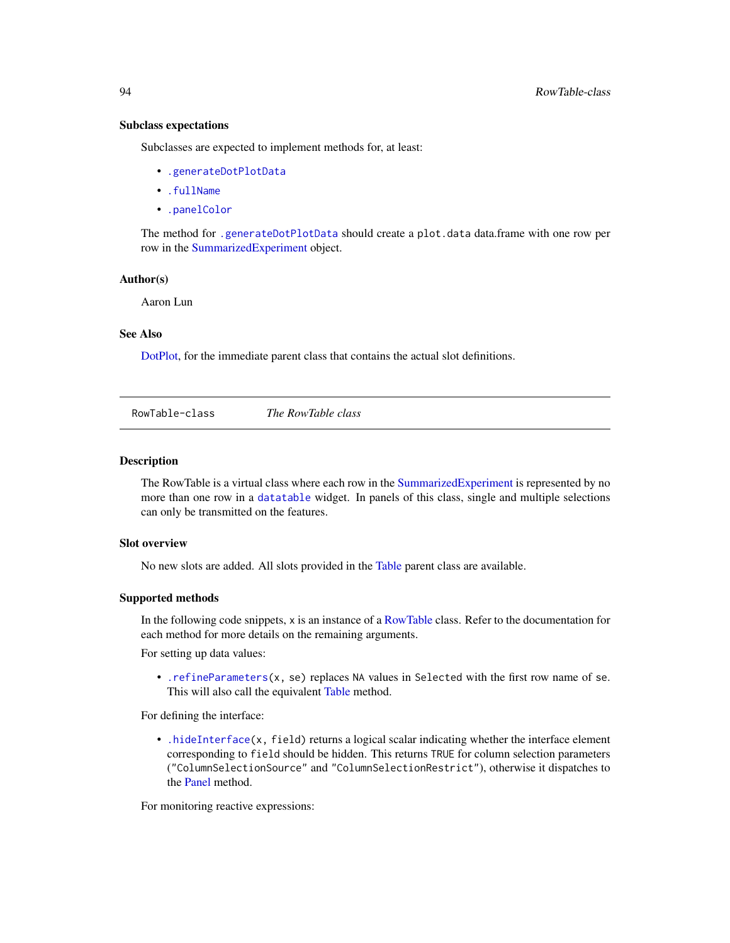# Subclass expectations

Subclasses are expected to implement methods for, at least:

- [.generateDotPlotData](#page-79-0)
- [.fullName](#page-11-1)
- [.panelColor](#page-12-0)

The method for [.generateDotPlotData](#page-79-0) should create a plot.data data.frame with one row per row in the [SummarizedExperiment](#page-0-0) object.

#### Author(s)

Aaron Lun

# See Also

[DotPlot,](#page-44-0) for the immediate parent class that contains the actual slot definitions.

<span id="page-93-0"></span>RowTable-class *The RowTable class*

# Description

The RowTable is a virtual class where each row in the [SummarizedExperiment](#page-0-0) is represented by no more than one row in a [datatable](#page-0-0) widget. In panels of this class, single and multiple selections can only be transmitted on the features.

# Slot overview

No new slots are added. All slots provided in the [Table](#page-104-0) parent class are available.

## Supported methods

In the following code snippets, x is an instance of a [RowTable](#page-93-0) class. Refer to the documentation for each method for more details on the remaining arguments.

For setting up data values:

• [.refineParameters\(](#page-97-0)x, se) replaces NA values in Selected with the first row name of se. This will also call the equivalent [Table](#page-104-0) method.

For defining the interface:

• [.hideInterface\(](#page-56-0)x, field) returns a logical scalar indicating whether the interface element corresponding to field should be hidden. This returns TRUE for column selection parameters ("ColumnSelectionSource" and "ColumnSelectionRestrict"), otherwise it dispatches to the [Panel](#page-74-0) method.

For monitoring reactive expressions: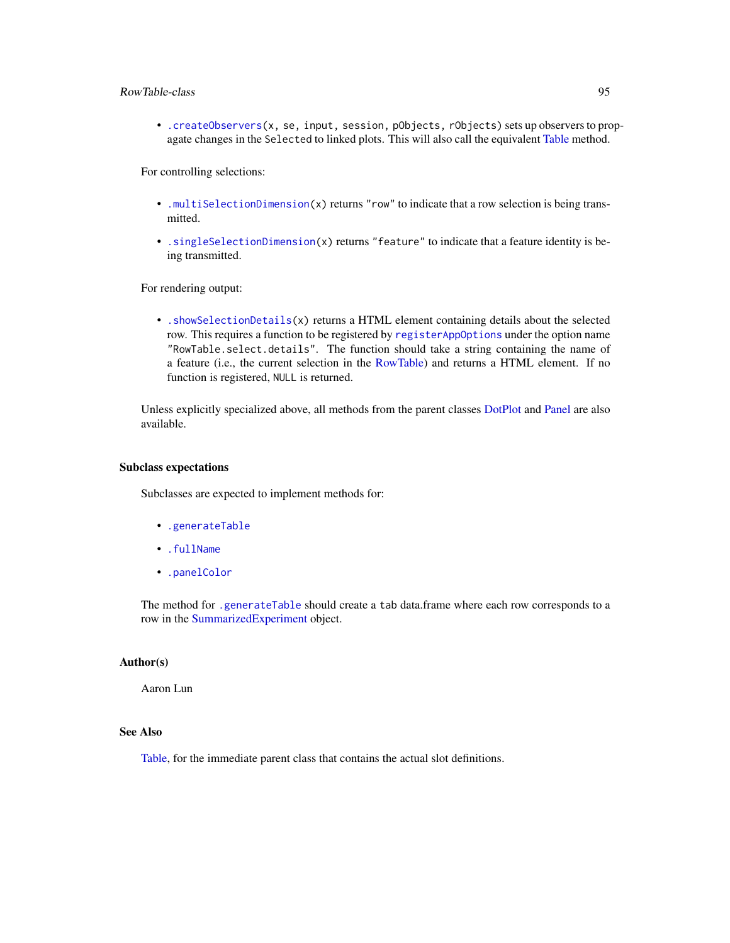# RowTable-class 95

• [.createObservers\(](#page-70-0)x, se, input, session, pObjects, rObjects) sets up observers to propagate changes in the Selected to linked plots. This will also call the equivalent [Table](#page-104-0) method.

For controlling selections:

- [.multiSelectionDimension\(](#page-67-0)x) returns "row" to indicate that a row selection is being transmitted.
- [.singleSelectionDimension\(](#page-98-0)x) returns "feature" to indicate that a feature identity is being transmitted.

For rendering output:

• [.showSelectionDetails\(](#page-106-0)x) returns a HTML element containing details about the selected row. This requires a function to be registered by [registerAppOptions](#page-85-0) under the option name "RowTable.select.details". The function should take a string containing the name of a feature (i.e., the current selection in the [RowTable\)](#page-93-0) and returns a HTML element. If no function is registered, NULL is returned.

Unless explicitly specialized above, all methods from the parent classes [DotPlot](#page-44-0) and [Panel](#page-74-0) are also available.

#### Subclass expectations

Subclasses are expected to implement methods for:

- [.generateTable](#page-106-0)
- [.fullName](#page-11-1)
- [.panelColor](#page-12-0)

The method for [.generateTable](#page-106-0) should create a tab data.frame where each row corresponds to a row in the [SummarizedExperiment](#page-0-0) object.

# Author(s)

Aaron Lun

# See Also

[Table,](#page-104-0) for the immediate parent class that contains the actual slot definitions.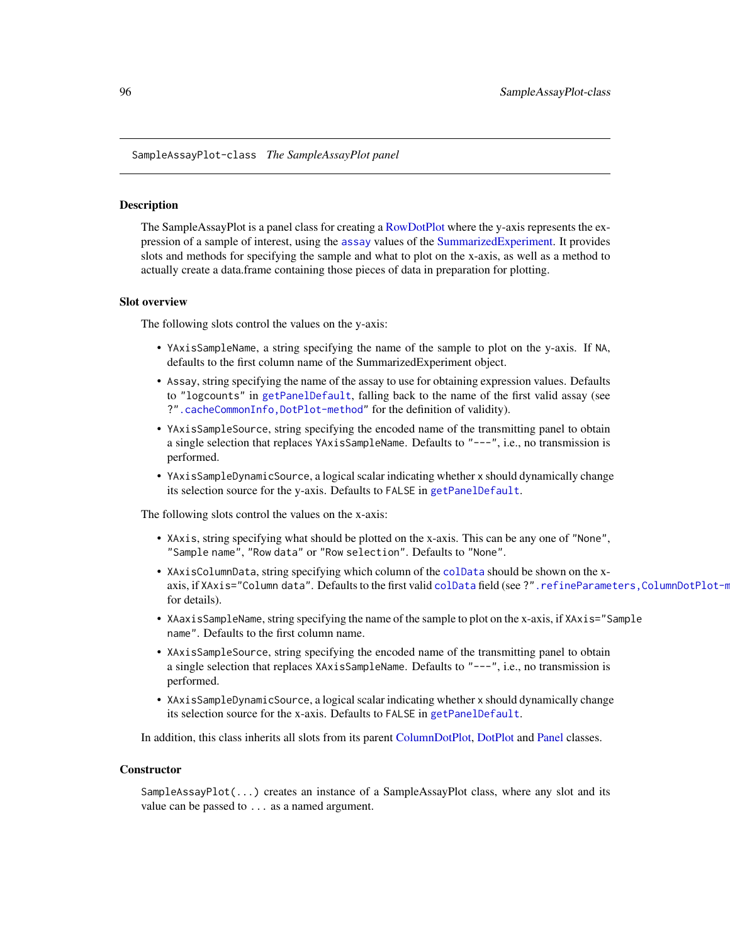<span id="page-95-0"></span>SampleAssayPlot-class *The SampleAssayPlot panel*

## Description

The SampleAssayPlot is a panel class for creating a [RowDotPlot](#page-91-0) where the y-axis represents the expression of a sample of interest, using the [assay](#page-0-0) values of the [SummarizedExperiment.](#page-0-0) It provides slots and methods for specifying the sample and what to plot on the x-axis, as well as a method to actually create a data.frame containing those pieces of data in preparation for plotting.

## Slot overview

The following slots control the values on the y-axis:

- YAxisSampleName, a string specifying the name of the sample to plot on the y-axis. If NA, defaults to the first column name of the SummarizedExperiment object.
- Assay, string specifying the name of the assay to use for obtaining expression values. Defaults to "logcounts" in [getPanelDefault](#page-77-0), falling back to the name of the first valid assay (see ?[".cacheCommonInfo,DotPlot-method"](#page-0-0) for the definition of validity).
- YAxisSampleSource, string specifying the encoded name of the transmitting panel to obtain a single selection that replaces YAxisSampleName. Defaults to "---", i.e., no transmission is performed.
- YAxisSampleDynamicSource, a logical scalar indicating whether x should dynamically change its selection source for the y-axis. Defaults to FALSE in [getPanelDefault](#page-77-0).

The following slots control the values on the x-axis:

- XAxis, string specifying what should be plotted on the x-axis. This can be any one of "None", "Sample name", "Row data" or "Row selection". Defaults to "None".
- XAxisColumnData, string specifying which column of the [colData](#page-0-0) should be shown on the xaxis, if XAxis="Column data". Defaults to the first valid [colData](#page-0-0) field (see ?". refineParameters,ColumnDotPlot-m for details).
- XAaxisSampleName, string specifying the name of the sample to plot on the x-axis, if XAxis="Sample name". Defaults to the first column name.
- XAxisSampleSource, string specifying the encoded name of the transmitting panel to obtain a single selection that replaces XAxisSampleName. Defaults to "---", i.e., no transmission is performed.
- XAxisSampleDynamicSource, a logical scalar indicating whether x should dynamically change its selection source for the x-axis. Defaults to FALSE in [getPanelDefault](#page-77-0).

In addition, this class inherits all slots from its parent [ColumnDotPlot,](#page-29-0) [DotPlot](#page-44-0) and [Panel](#page-74-0) classes.

#### **Constructor**

SampleAssayPlot(...) creates an instance of a SampleAssayPlot class, where any slot and its value can be passed to ... as a named argument.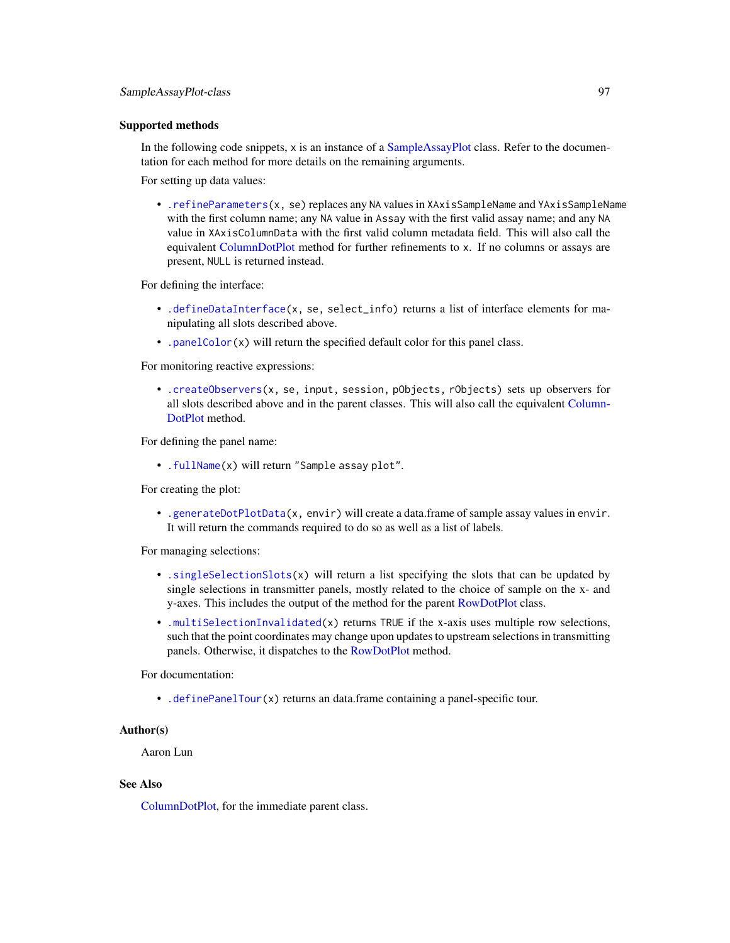# Supported methods

In the following code snippets,  $x$  is an instance of a [SampleAssayPlot](#page-95-0) class. Refer to the documentation for each method for more details on the remaining arguments.

For setting up data values:

• [.refineParameters\(](#page-97-0)x, se) replaces any NA values in XAxisSampleName and YAxisSampleName with the first column name; any NA value in Assay with the first valid assay name; and any NA value in XAxisColumnData with the first valid column metadata field. This will also call the equivalent [ColumnDotPlot](#page-29-0) method for further refinements to x. If no columns or assays are present, NULL is returned instead.

For defining the interface:

- [.defineDataInterface\(](#page-56-0)x, se, select\_info) returns a list of interface elements for manipulating all slots described above.
- [.panelColor\(](#page-12-0)x) will return the specified default color for this panel class.

For monitoring reactive expressions:

• [.createObservers\(](#page-70-0)x, se, input, session, pObjects, rObjects) sets up observers for all slots described above and in the parent classes. This will also call the equivalent [Column-](#page-29-0)[DotPlot](#page-29-0) method.

For defining the panel name:

• [.fullName\(](#page-11-1)x) will return "Sample assay plot".

For creating the plot:

• [.generateDotPlotData\(](#page-79-0)x, envir) will create a data.frame of sample assay values in envir. It will return the commands required to do so as well as a list of labels.

For managing selections:

- [.singleSelectionSlots\(](#page-98-0)x) will return a list specifying the slots that can be updated by single selections in transmitter panels, mostly related to the choice of sample on the x- and y-axes. This includes the output of the method for the parent [RowDotPlot](#page-91-0) class.
- [.multiSelectionInvalidated\(](#page-67-0)x) returns TRUE if the x-axis uses multiple row selections, such that the point coordinates may change upon updates to upstream selections in transmitting panels. Otherwise, it dispatches to the [RowDotPlot](#page-91-0) method.

For documentation:

• [.definePanelTour\(](#page-43-0)x) returns an data.frame containing a panel-specific tour.

## Author(s)

Aaron Lun

# See Also

[ColumnDotPlot,](#page-29-0) for the immediate parent class.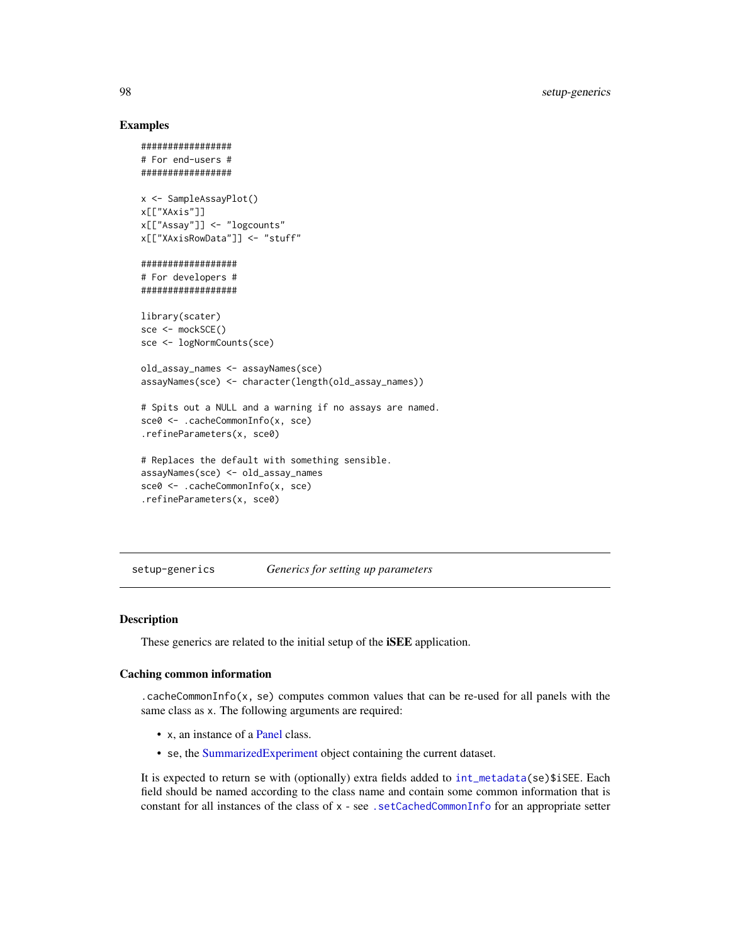# Examples

```
#################
# For end-users #
#################
x <- SampleAssayPlot()
x[["XAxis"]]
x[["Assay"]] <- "logcounts"
x[["XAxisRowData"]] <- "stuff"
##################
# For developers #
##################
library(scater)
sce <- mockSCE()
sce <- logNormCounts(sce)
old_assay_names <- assayNames(sce)
assayNames(sce) <- character(length(old_assay_names))
# Spits out a NULL and a warning if no assays are named.
sce0 <- .cacheCommonInfo(x, sce)
.refineParameters(x, sce0)
# Replaces the default with something sensible.
assayNames(sce) <- old_assay_names
sce0 <- .cacheCommonInfo(x, sce)
.refineParameters(x, sce0)
```
setup-generics *Generics for setting up parameters*

## <span id="page-97-0"></span>**Description**

These generics are related to the initial setup of the **iSEE** application.

# Caching common information

.cacheCommonInfo( $x$ , se) computes common values that can be re-used for all panels with the same class as x. The following arguments are required:

- x, an instance of a [Panel](#page-74-0) class.
- se, the [SummarizedExperiment](#page-0-0) object containing the current dataset.

It is expected to return se with (optionally) extra fields added to [int\\_metadata\(](#page-0-0)se)\$iSEE. Each field should be named according to the class name and contain some common information that is constant for all instances of the class of x - see. setCachedCommonInfo for an appropriate setter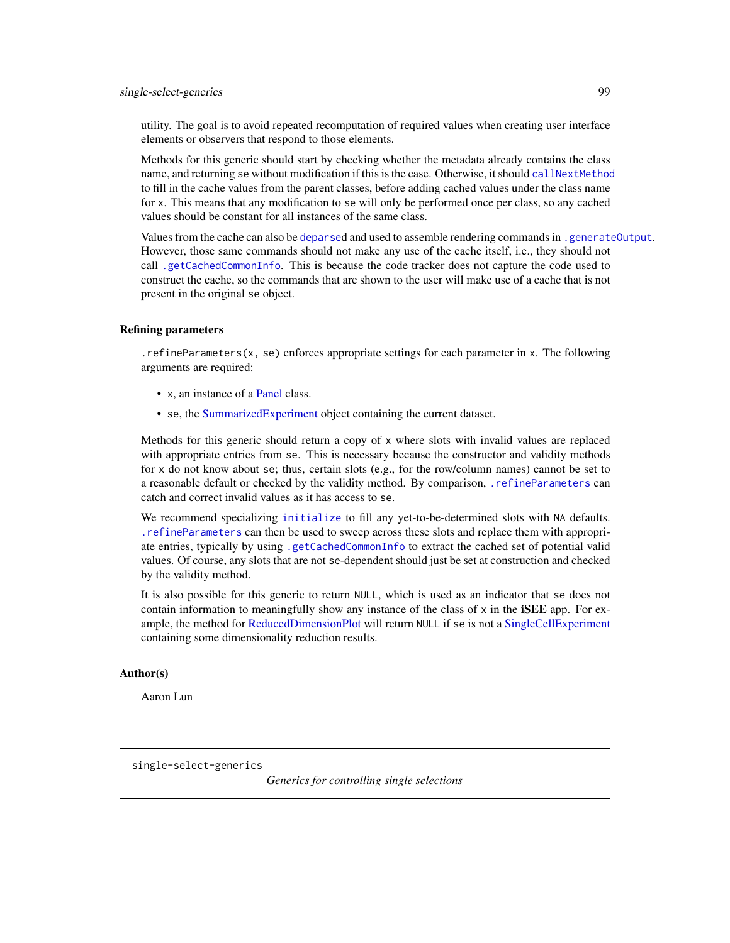utility. The goal is to avoid repeated recomputation of required values when creating user interface elements or observers that respond to those elements.

Methods for this generic should start by checking whether the metadata already contains the class name, and returning se without modification if this is the case. Otherwise, it should [callNextMethod](#page-0-0) to fill in the cache values from the parent classes, before adding cached values under the class name for x. This means that any modification to se will only be performed once per class, so any cached values should be constant for all instances of the same class.

Values from the cache can also be [deparse](#page-0-0)d and used to assemble rendering commands in [.generateOutput](#page-71-0). However, those same commands should not make any use of the cache itself, i.e., they should not call [.getCachedCommonInfo](#page-17-1). This is because the code tracker does not capture the code used to construct the cache, so the commands that are shown to the user will make use of a cache that is not present in the original se object.

# Refining parameters

.refineParameters(x, se) enforces appropriate settings for each parameter in x. The following arguments are required:

- x, an instance of a [Panel](#page-74-0) class.
- se, the [SummarizedExperiment](#page-0-0) object containing the current dataset.

Methods for this generic should return a copy of x where slots with invalid values are replaced with appropriate entries from se. This is necessary because the constructor and validity methods for x do not know about se; thus, certain slots (e.g., for the row/column names) cannot be set to a reasonable default or checked by the validity method. By comparison, [.refineParameters](#page-97-0) can catch and correct invalid values as it has access to se.

We recommend specializing [initialize](#page-0-0) to fill any yet-to-be-determined slots with NA defaults. [.refineParameters](#page-97-0) can then be used to sweep across these slots and replace them with appropriate entries, typically by using [.getCachedCommonInfo](#page-17-1) to extract the cached set of potential valid values. Of course, any slots that are not se-dependent should just be set at construction and checked by the validity method.

It is also possible for this generic to return NULL, which is used as an indicator that se does not contain information to meaningfully show any instance of the class of  $x$  in the **iSEE** app. For example, the method for [ReducedDimensionPlot](#page-83-0) will return NULL if se is not a [SingleCellExperiment](#page-0-0) containing some dimensionality reduction results.

# Author(s)

Aaron Lun

<span id="page-98-0"></span>single-select-generics

*Generics for controlling single selections*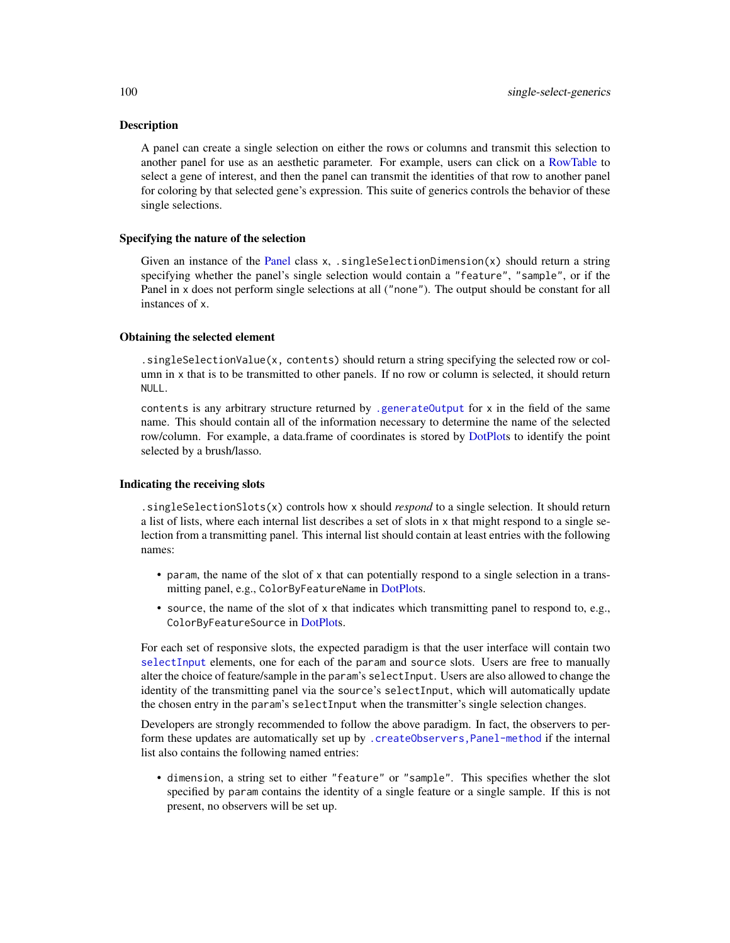# **Description**

A panel can create a single selection on either the rows or columns and transmit this selection to another panel for use as an aesthetic parameter. For example, users can click on a [RowTable](#page-93-0) to select a gene of interest, and then the panel can transmit the identities of that row to another panel for coloring by that selected gene's expression. This suite of generics controls the behavior of these single selections.

#### Specifying the nature of the selection

Given an instance of the [Panel](#page-74-0) class x, . singleSelectionDimension(x) should return a string specifying whether the panel's single selection would contain a "feature", "sample", or if the Panel in x does not perform single selections at all ("none"). The output should be constant for all instances of x.

# Obtaining the selected element

.singleSelectionValue(x, contents) should return a string specifying the selected row or column in x that is to be transmitted to other panels. If no row or column is selected, it should return NULL.

contents is any arbitrary structure returned by [.generateOutput](#page-71-0) for x in the field of the same name. This should contain all of the information necessary to determine the name of the selected row/column. For example, a data.frame of coordinates is stored by [DotPlots](#page-44-0) to identify the point selected by a brush/lasso.

# Indicating the receiving slots

.singleSelectionSlots(x) controls how x should *respond* to a single selection. It should return a list of lists, where each internal list describes a set of slots in x that might respond to a single selection from a transmitting panel. This internal list should contain at least entries with the following names:

- param, the name of the slot of x that can potentially respond to a single selection in a transmitting panel, e.g., ColorByFeatureName in [DotPlots](#page-44-0).
- source, the name of the slot of x that indicates which transmitting panel to respond to, e.g., ColorByFeatureSource in [DotPlots](#page-44-0).

For each set of responsive slots, the expected paradigm is that the user interface will contain two [selectInput](#page-0-0) elements, one for each of the param and source slots. Users are free to manually alter the choice of feature/sample in the param's selectInput. Users are also allowed to change the identity of the transmitting panel via the source's selectInput, which will automatically update the chosen entry in the param's selectInput when the transmitter's single selection changes.

Developers are strongly recommended to follow the above paradigm. In fact, the observers to perform these updates are automatically set up by [.createObservers,Panel-method](#page-0-0) if the internal list also contains the following named entries:

• dimension, a string set to either "feature" or "sample". This specifies whether the slot specified by param contains the identity of a single feature or a single sample. If this is not present, no observers will be set up.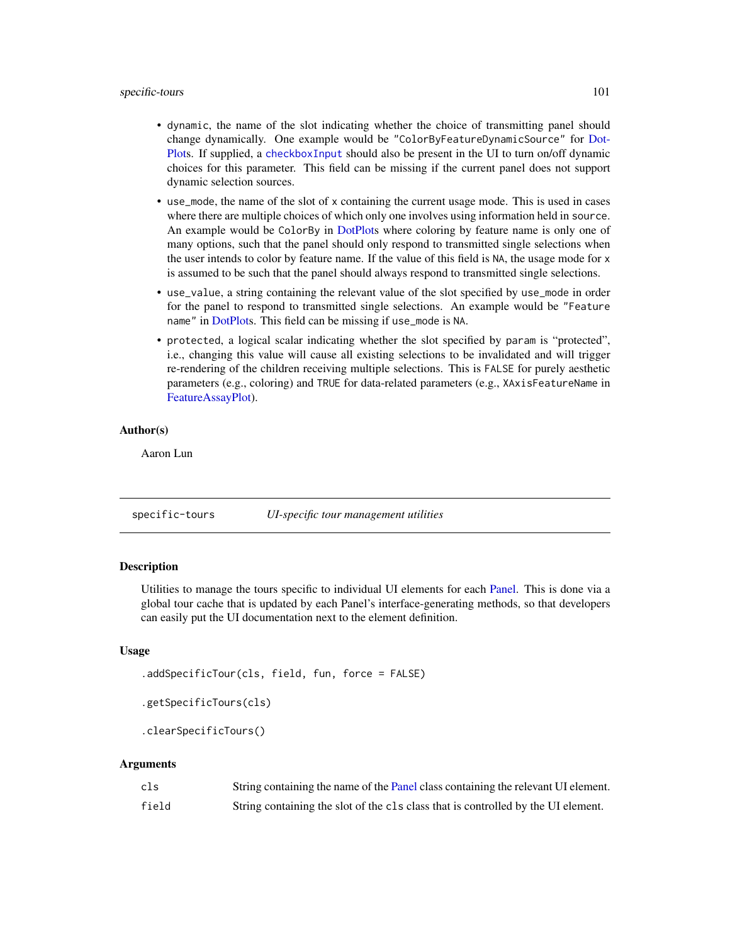- dynamic, the name of the slot indicating whether the choice of transmitting panel should change dynamically. One example would be "ColorByFeatureDynamicSource" for [Dot-](#page-44-0)[Plots](#page-44-0). If supplied, a [checkboxInput](#page-0-0) should also be present in the UI to turn on/off dynamic choices for this parameter. This field can be missing if the current panel does not support dynamic selection sources.
- use\_mode, the name of the slot of x containing the current usage mode. This is used in cases where there are multiple choices of which only one involves using information held in source. An example would be ColorBy in [DotPlots](#page-44-0) where coloring by feature name is only one of many options, such that the panel should only respond to transmitted single selections when the user intends to color by feature name. If the value of this field is NA, the usage mode for x is assumed to be such that the panel should always respond to transmitted single selections.
- use\_value, a string containing the relevant value of the slot specified by use\_mode in order for the panel to respond to transmitted single selections. An example would be "Feature name" in [DotPlots](#page-44-0). This field can be missing if use\_mode is NA.
- protected, a logical scalar indicating whether the slot specified by param is "protected", i.e., changing this value will cause all existing selections to be invalidated and will trigger re-rendering of the children receiving multiple selections. This is FALSE for purely aesthetic parameters (e.g., coloring) and TRUE for data-related parameters (e.g., XAxisFeatureName in [FeatureAssayPlot\)](#page-51-0).

# Author(s)

Aaron Lun

specific-tours *UI-specific tour management utilities*

# Description

Utilities to manage the tours specific to individual UI elements for each [Panel.](#page-74-0) This is done via a global tour cache that is updated by each Panel's interface-generating methods, so that developers can easily put the UI documentation next to the element definition.

# Usage

```
.addSpecificTour(cls, field, fun, force = FALSE)
```

```
.getSpecificTours(cls)
```

```
.clearSpecificTours()
```
### Arguments

| cls   | String containing the name of the Panel class containing the relevant UI element. |
|-------|-----------------------------------------------------------------------------------|
| field | String containing the slot of the cls class that is controlled by the UI element. |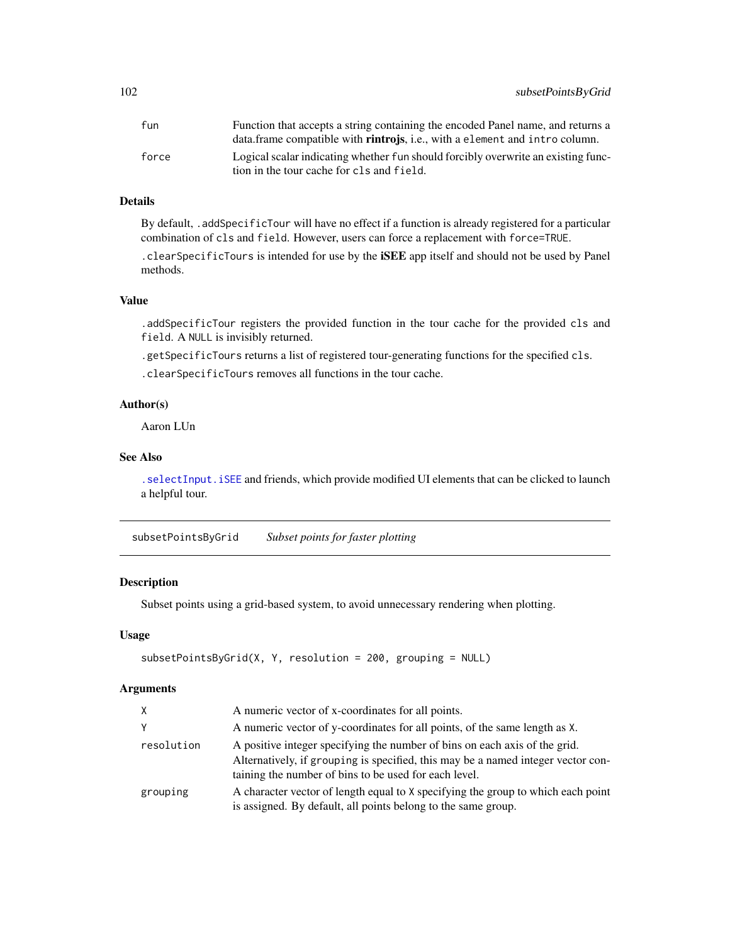| fun   | Function that accepts a string containing the encoded Panel name, and returns a     |
|-------|-------------------------------------------------------------------------------------|
|       | data.frame compatible with <b>rintrojs</b> , i.e., with a element and intro column. |
| force | Logical scalar indicating whether fun should forcibly overwrite an existing func-   |
|       | tion in the tour cache for cls and field.                                           |

# Details

By default, .addSpecificTour will have no effect if a function is already registered for a particular combination of cls and field. However, users can force a replacement with force=TRUE.

.clearSpecificTours is intended for use by the iSEE app itself and should not be used by Panel methods.

# Value

.addSpecificTour registers the provided function in the tour cache for the provided cls and field. A NULL is invisibly returned.

.getSpecificTours returns a list of registered tour-generating functions for the specified cls.

.clearSpecificTours removes all functions in the tour cache.

# Author(s)

Aaron LUn

# See Also

[.selectInput.iSEE](#page-57-0) and friends, which provide modified UI elements that can be clicked to launch a helpful tour.

subsetPointsByGrid *Subset points for faster plotting*

# Description

Subset points using a grid-based system, to avoid unnecessary rendering when plotting.

# Usage

```
subsetPointsByGrid(X, Y, resolution = 200, grouping = NULL)
```
# Arguments

| X          | A numeric vector of x-coordinates for all points.                                                                                                                                                                       |
|------------|-------------------------------------------------------------------------------------------------------------------------------------------------------------------------------------------------------------------------|
| Υ          | A numeric vector of y-coordinates for all points, of the same length as X.                                                                                                                                              |
| resolution | A positive integer specifying the number of bins on each axis of the grid.<br>Alternatively, if grouping is specified, this may be a named integer vector con-<br>taining the number of bins to be used for each level. |
| grouping   | A character vector of length equal to X specifying the group to which each point<br>is assigned. By default, all points belong to the same group.                                                                       |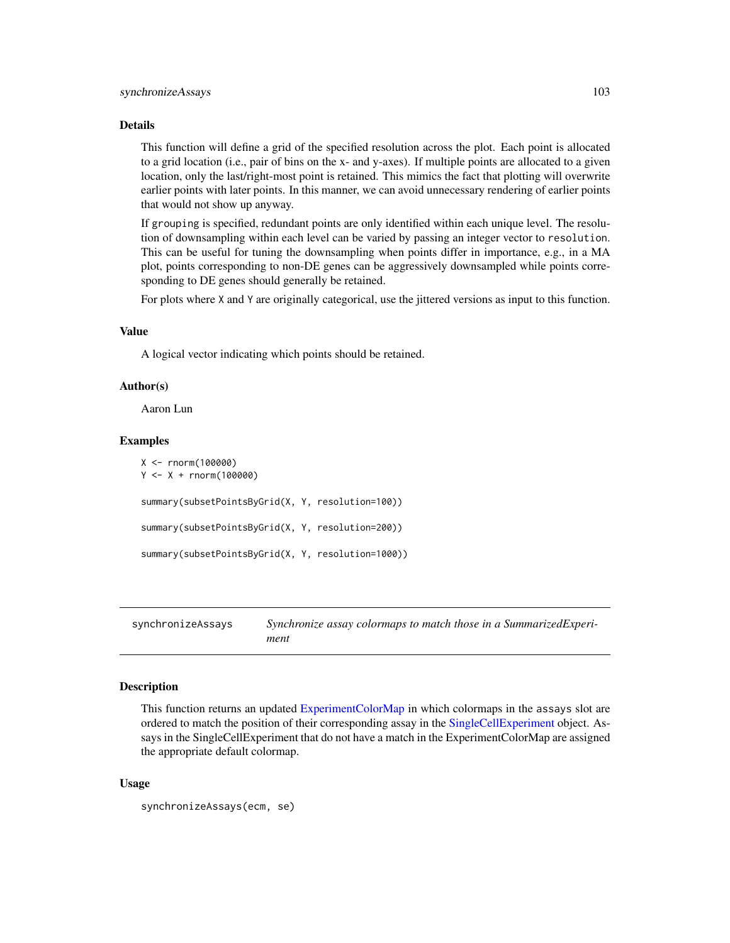## Details

This function will define a grid of the specified resolution across the plot. Each point is allocated to a grid location (i.e., pair of bins on the x- and y-axes). If multiple points are allocated to a given location, only the last/right-most point is retained. This mimics the fact that plotting will overwrite earlier points with later points. In this manner, we can avoid unnecessary rendering of earlier points that would not show up anyway.

If grouping is specified, redundant points are only identified within each unique level. The resolution of downsampling within each level can be varied by passing an integer vector to resolution. This can be useful for tuning the downsampling when points differ in importance, e.g., in a MA plot, points corresponding to non-DE genes can be aggressively downsampled while points corresponding to DE genes should generally be retained.

For plots where X and Y are originally categorical, use the jittered versions as input to this function.

# Value

A logical vector indicating which points should be retained.

# Author(s)

Aaron Lun

# Examples

```
X <- rnorm(100000)
Y < - X + \text{rnorm}(100000)summary(subsetPointsByGrid(X, Y, resolution=100))
summary(subsetPointsByGrid(X, Y, resolution=200))
summary(subsetPointsByGrid(X, Y, resolution=1000))
```
synchronizeAssays *Synchronize assay colormaps to match those in a SummarizedExperiment*

# Description

This function returns an updated [ExperimentColorMap](#page-48-0) in which colormaps in the assays slot are ordered to match the position of their corresponding assay in the [SingleCellExperiment](#page-0-0) object. Assays in the SingleCellExperiment that do not have a match in the ExperimentColorMap are assigned the appropriate default colormap.

# Usage

```
synchronizeAssays(ecm, se)
```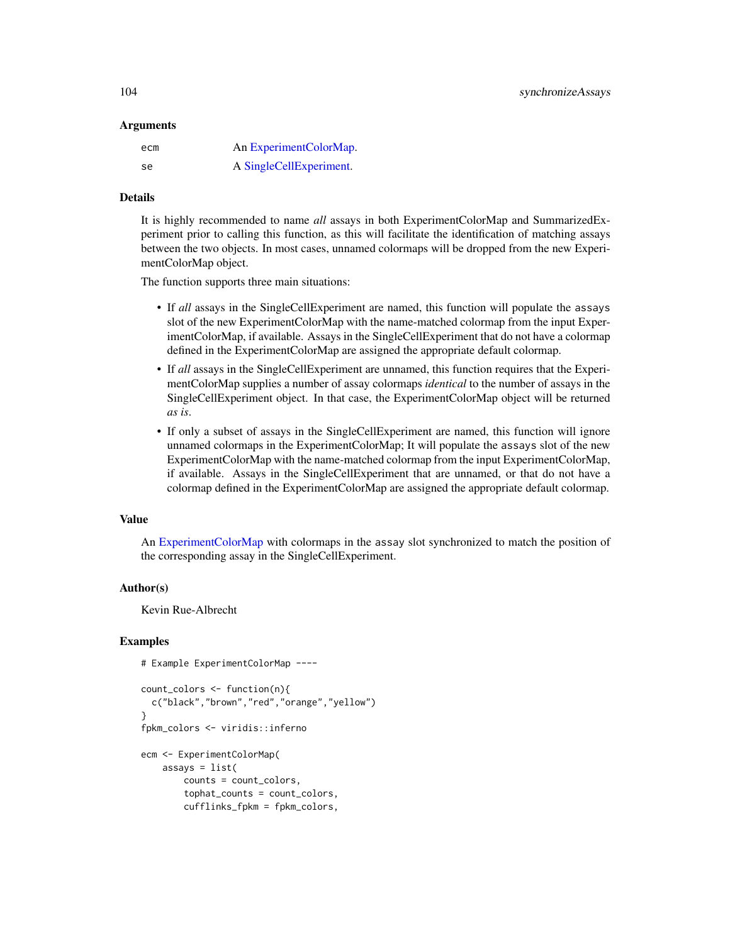## Arguments

| ecm       | An ExperimentColorMap.  |
|-----------|-------------------------|
| <b>se</b> | A SingleCellExperiment. |

# Details

It is highly recommended to name *all* assays in both ExperimentColorMap and SummarizedExperiment prior to calling this function, as this will facilitate the identification of matching assays between the two objects. In most cases, unnamed colormaps will be dropped from the new ExperimentColorMap object.

The function supports three main situations:

- If *all* assays in the SingleCellExperiment are named, this function will populate the assays slot of the new ExperimentColorMap with the name-matched colormap from the input ExperimentColorMap, if available. Assays in the SingleCellExperiment that do not have a colormap defined in the ExperimentColorMap are assigned the appropriate default colormap.
- If *all* assays in the SingleCellExperiment are unnamed, this function requires that the ExperimentColorMap supplies a number of assay colormaps *identical* to the number of assays in the SingleCellExperiment object. In that case, the ExperimentColorMap object will be returned *as is*.
- If only a subset of assays in the SingleCellExperiment are named, this function will ignore unnamed colormaps in the ExperimentColorMap; It will populate the assays slot of the new ExperimentColorMap with the name-matched colormap from the input ExperimentColorMap, if available. Assays in the SingleCellExperiment that are unnamed, or that do not have a colormap defined in the ExperimentColorMap are assigned the appropriate default colormap.

## Value

An [ExperimentColorMap](#page-48-0) with colormaps in the assay slot synchronized to match the position of the corresponding assay in the SingleCellExperiment.

# Author(s)

Kevin Rue-Albrecht

## Examples

```
# Example ExperimentColorMap ----
```

```
count_colors <- function(n){
 c("black","brown","red","orange","yellow")
}
fpkm_colors <- viridis::inferno
ecm <- ExperimentColorMap(
   assays = list(counts = count_colors,
       tophat_counts = count_colors,
       cufflinks_fpkm = fpkm_colors,
```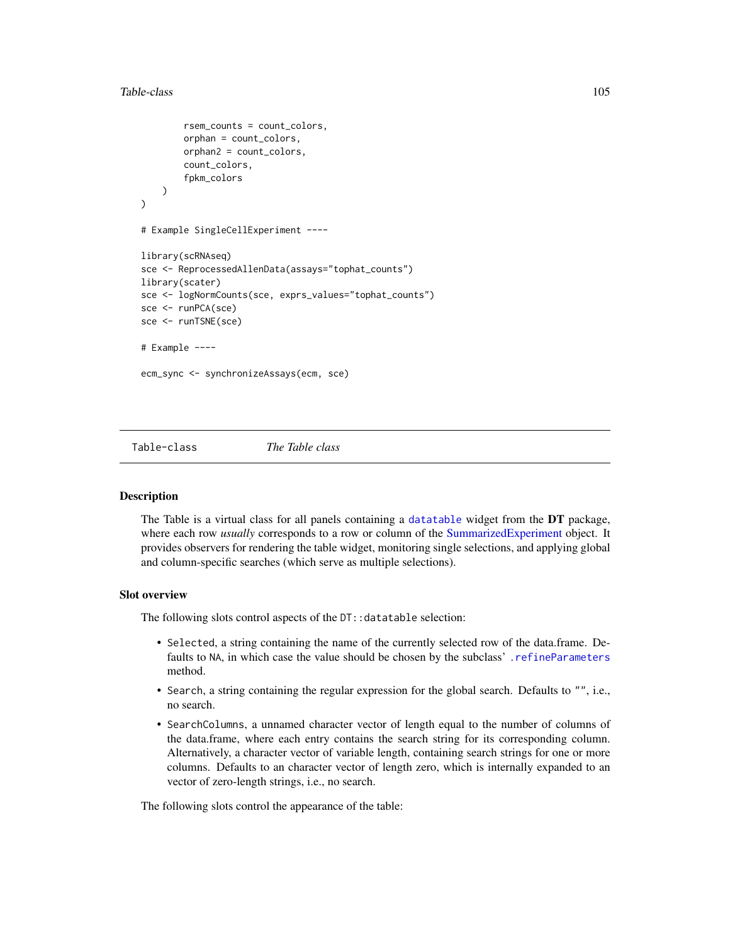# Table-class 105

```
rsem_counts = count_colors,
        orphan = count_colors,
        orphan2 = count_colors,
        count_colors,
        fpkm_colors
   )
)
# Example SingleCellExperiment ----
library(scRNAseq)
sce <- ReprocessedAllenData(assays="tophat_counts")
library(scater)
sce <- logNormCounts(sce, exprs_values="tophat_counts")
sce <- runPCA(sce)
sce <- runTSNE(sce)
# Example ----
ecm_sync <- synchronizeAssays(ecm, sce)
```
<span id="page-104-0"></span>

Table-class *The Table class*

## **Description**

The Table is a virtual class for all panels containing a [datatable](#page-0-0) widget from the DT package, where each row *usually* corresponds to a row or column of the [SummarizedExperiment](#page-0-0) object. It provides observers for rendering the table widget, monitoring single selections, and applying global and column-specific searches (which serve as multiple selections).

# Slot overview

The following slots control aspects of the DT::datatable selection:

- Selected, a string containing the name of the currently selected row of the data.frame. Defaults to NA, in which case the value should be chosen by the subclass' . refineParameters method.
- Search, a string containing the regular expression for the global search. Defaults to "", i.e., no search.
- SearchColumns, a unnamed character vector of length equal to the number of columns of the data.frame, where each entry contains the search string for its corresponding column. Alternatively, a character vector of variable length, containing search strings for one or more columns. Defaults to an character vector of length zero, which is internally expanded to an vector of zero-length strings, i.e., no search.

The following slots control the appearance of the table: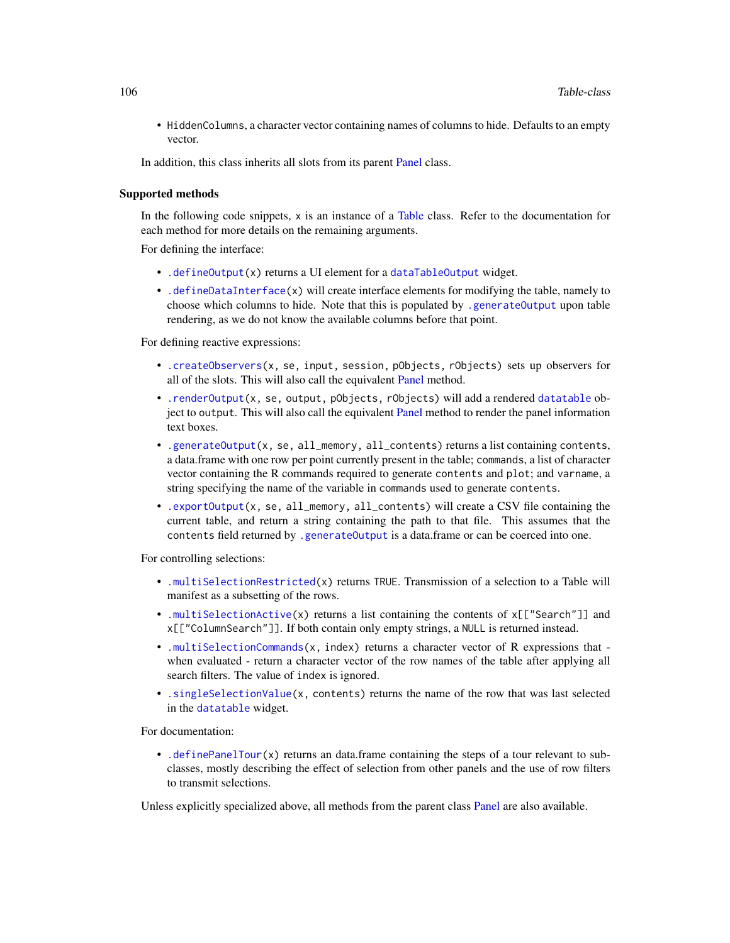• HiddenColumns, a character vector containing names of columns to hide. Defaults to an empty vector.

In addition, this class inherits all slots from its parent [Panel](#page-74-0) class.

# Supported methods

In the following code snippets,  $x$  is an instance of a [Table](#page-104-0) class. Refer to the documentation for each method for more details on the remaining arguments.

For defining the interface:

- [.defineOutput\(](#page-71-0)x) returns a UI element for a [dataTableOutput](#page-0-0) widget.
- [.defineDataInterface\(](#page-56-0)x) will create interface elements for modifying the table, namely to choose which columns to hide. Note that this is populated by [.generateOutput](#page-71-0) upon table rendering, as we do not know the available columns before that point.

For defining reactive expressions:

- [.createObservers\(](#page-70-0)x, se, input, session, pObjects, rObjects) sets up observers for all of the slots. This will also call the equivalent [Panel](#page-74-0) method.
- [.renderOutput\(](#page-71-0)x, se, output, pObjects, rObjects) will add a rendered [datatable](#page-0-0) object to output. This will also call the equivalent [Panel](#page-74-0) method to render the panel information text boxes.
- [.generateOutput\(](#page-71-0)x, se, all\_memory, all\_contents) returns a list containing contents, a data.frame with one row per point currently present in the table; commands, a list of character vector containing the R commands required to generate contents and plot; and varname, a string specifying the name of the variable in commands used to generate contents.
- [.exportOutput\(](#page-71-0)x, se, all\_memory, all\_contents) will create a CSV file containing the current table, and return a string containing the path to that file. This assumes that the contents field returned by [.generateOutput](#page-71-0) is a data.frame or can be coerced into one.

For controlling selections:

- [.multiSelectionRestricted\(](#page-67-0)x) returns TRUE. Transmission of a selection to a Table will manifest as a subsetting of the rows.
- [.multiSelectionActive\(](#page-67-0)x) returns a list containing the contents of  $x[[$ "Search"]] and x[["ColumnSearch"]]. If both contain only empty strings, a NULL is returned instead.
- [.multiSelectionCommands\(](#page-67-0)x, index) returns a character vector of R expressions that when evaluated - return a character vector of the row names of the table after applying all search filters. The value of index is ignored.
- [.singleSelectionValue\(](#page-98-0)x, contents) returns the name of the row that was last selected in the [datatable](#page-0-0) widget.

For documentation:

• [.definePanelTour\(](#page-43-0)x) returns an data.frame containing the steps of a tour relevant to subclasses, mostly describing the effect of selection from other panels and the use of row filters to transmit selections.

Unless explicitly specialized above, all methods from the parent class [Panel](#page-74-0) are also available.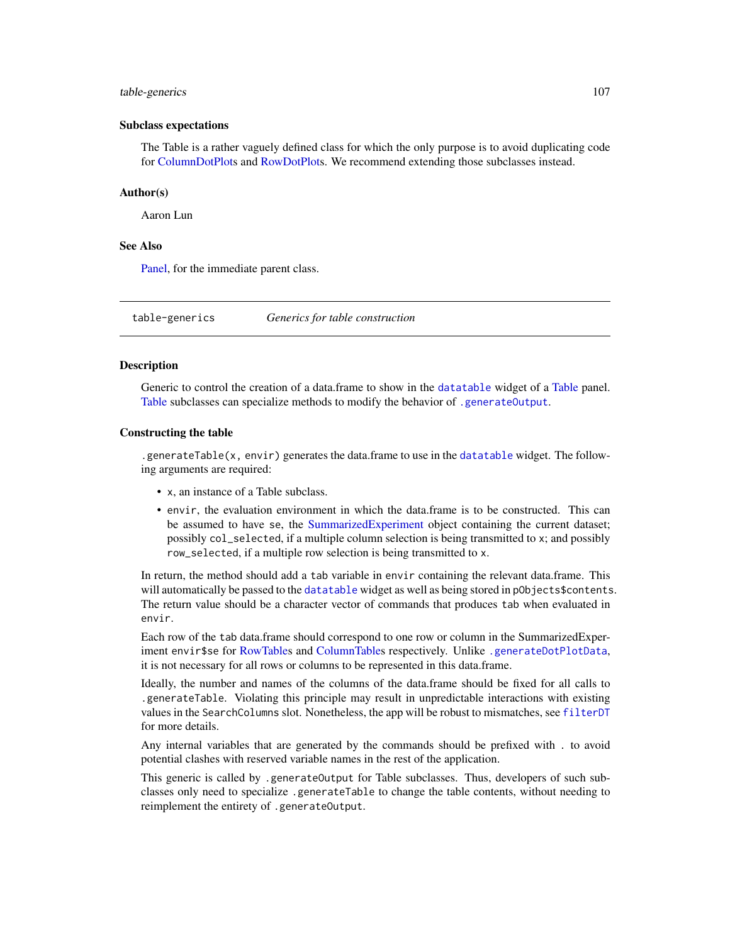## table-generics 107

#### Subclass expectations

The Table is a rather vaguely defined class for which the only purpose is to avoid duplicating code for [ColumnDotPlots](#page-29-0) and [RowDotPlots](#page-91-0). We recommend extending those subclasses instead.

# Author(s)

Aaron Lun

# See Also

[Panel,](#page-74-0) for the immediate parent class.

table-generics *Generics for table construction*

# <span id="page-106-0"></span>**Description**

Generic to control the creation of a data.frame to show in the [datatable](#page-0-0) widget of a [Table](#page-104-0) panel. [Table](#page-104-0) subclasses can specialize methods to modify the behavior of [.generateOutput](#page-71-0).

# Constructing the table

.generateTable(x, envir) generates the data.frame to use in the [datatable](#page-0-0) widget. The following arguments are required:

- x, an instance of a Table subclass.
- envir, the evaluation environment in which the data.frame is to be constructed. This can be assumed to have se, the [SummarizedExperiment](#page-0-0) object containing the current dataset; possibly col\_selected, if a multiple column selection is being transmitted to x; and possibly row\_selected, if a multiple row selection is being transmitted to x.

In return, the method should add a tab variable in envir containing the relevant data.frame. This will automatically be passed to the [datatable](#page-0-0) widget as well as being stored in pObjects\$contents. The return value should be a character vector of commands that produces tab when evaluated in envir.

Each row of the tab data.frame should correspond to one row or column in the SummarizedExperiment envir\$se for [RowTables](#page-93-0) and [ColumnTables](#page-32-0) respectively. Unlike [.generateDotPlotData](#page-79-0), it is not necessary for all rows or columns to be represented in this data.frame.

Ideally, the number and names of the columns of the data.frame should be fixed for all calls to .generateTable. Violating this principle may result in unpredictable interactions with existing values in the SearchColumns slot. Nonetheless, the app will be robust to mismatches, see [filterDT](#page-54-0) for more details.

Any internal variables that are generated by the commands should be prefixed with . to avoid potential clashes with reserved variable names in the rest of the application.

This generic is called by .generateOutput for Table subclasses. Thus, developers of such subclasses only need to specialize .generateTable to change the table contents, without needing to reimplement the entirety of .generateOutput.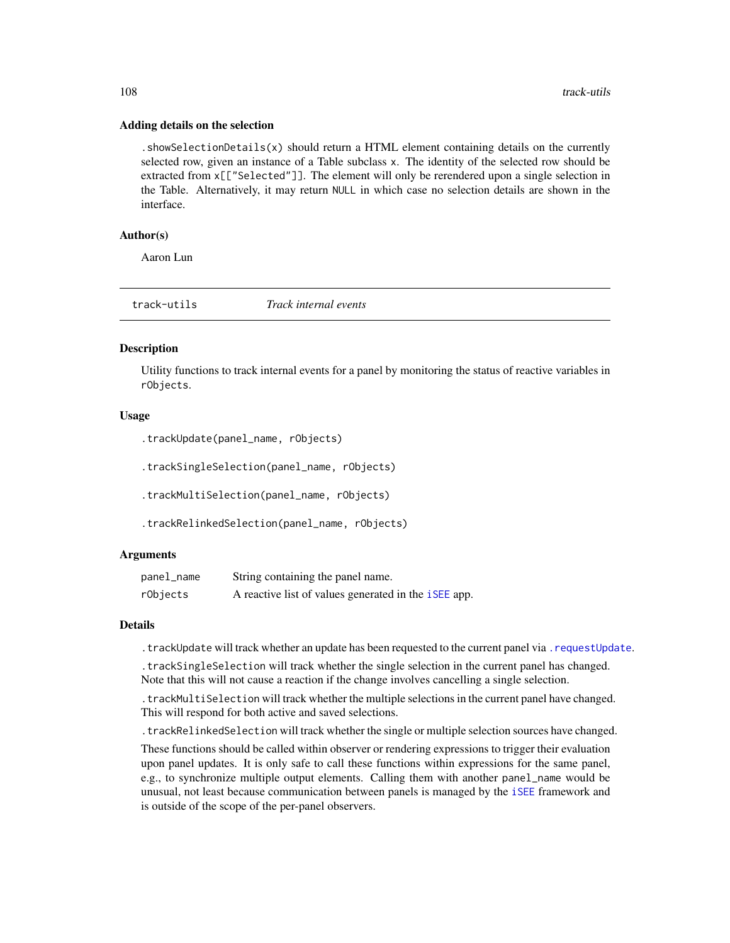#### Adding details on the selection

. showSelectionDetails $(x)$  should return a HTML element containing details on the currently selected row, given an instance of a Table subclass x. The identity of the selected row should be extracted from x[["Selected"]]. The element will only be rerendered upon a single selection in the Table. Alternatively, it may return NULL in which case no selection details are shown in the interface.

# Author(s)

Aaron Lun

|  | track-utils | Track internal events |  |
|--|-------------|-----------------------|--|
|--|-------------|-----------------------|--|

## Description

Utility functions to track internal events for a panel by monitoring the status of reactive variables in rObjects.

# Usage

```
.trackUpdate(panel_name, rObjects)
```
.trackSingleSelection(panel\_name, rObjects)

.trackMultiSelection(panel\_name, rObjects)

```
.trackRelinkedSelection(panel_name, rObjects)
```
#### Arguments

| panel_name | String containing the panel name.                           |
|------------|-------------------------------------------------------------|
| rObjects   | A reactive list of values generated in the <i>iSEE</i> app. |

## Details

.trackUpdate will track whether an update has been requested to the current panel via [.requestUpdate](#page-15-0).

.trackSingleSelection will track whether the single selection in the current panel has changed. Note that this will not cause a reaction if the change involves cancelling a single selection.

.trackMultiSelection will track whether the multiple selections in the current panel have changed. This will respond for both active and saved selections.

.trackRelinkedSelection will track whether the single or multiple selection sources have changed.

These functions should be called within observer or rendering expressions to trigger their evaluation upon panel updates. It is only safe to call these functions within expressions for the same panel, e.g., to synchronize multiple output elements. Calling them with another panel\_name would be unusual, not least because communication between panels is managed by the [iSEE](#page-58-0) framework and is outside of the scope of the per-panel observers.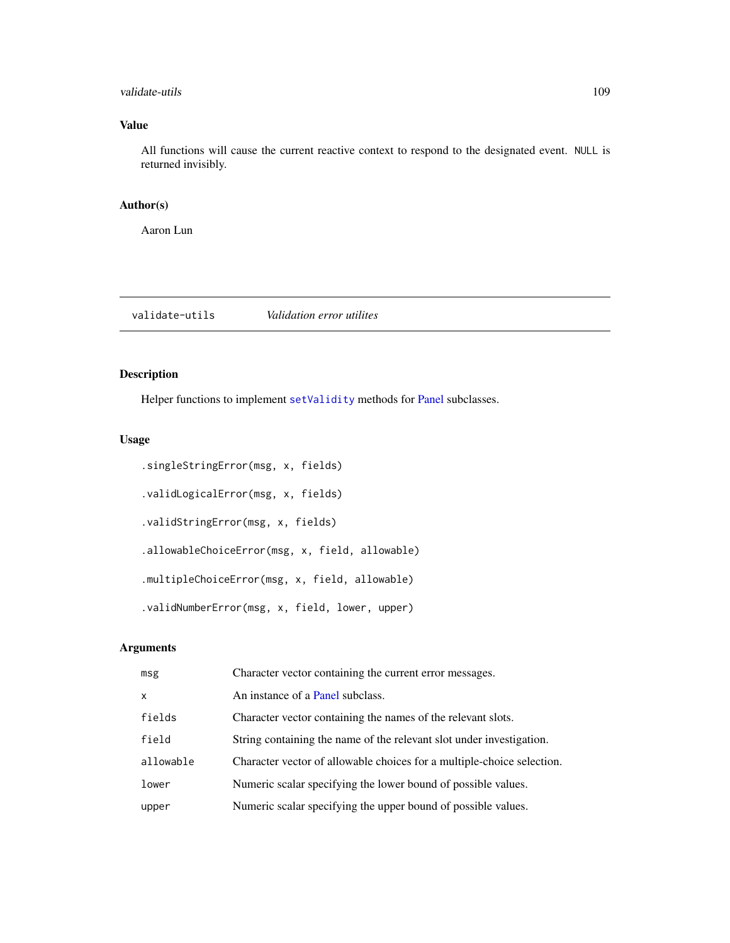# <span id="page-108-0"></span>validate-utils 109

# Value

All functions will cause the current reactive context to respond to the designated event. NULL is returned invisibly.

# Author(s)

Aaron Lun

validate-utils *Validation error utilites*

# Description

Helper functions to implement [setValidity](#page-0-0) methods for [Panel](#page-74-0) subclasses.

# Usage

```
.singleStringError(msg, x, fields)
.validLogicalError(msg, x, fields)
.validStringError(msg, x, fields)
.allowableChoiceError(msg, x, field, allowable)
.multipleChoiceError(msg, x, field, allowable)
.validNumberError(msg, x, field, lower, upper)
```
# Arguments

| msg          | Character vector containing the current error messages.                |
|--------------|------------------------------------------------------------------------|
| $\mathsf{x}$ | An instance of a Panel subclass.                                       |
| fields       | Character vector containing the names of the relevant slots.           |
| field        | String containing the name of the relevant slot under investigation.   |
| allowable    | Character vector of allowable choices for a multiple-choice selection. |
| lower        | Numeric scalar specifying the lower bound of possible values.          |
| upper        | Numeric scalar specifying the upper bound of possible values.          |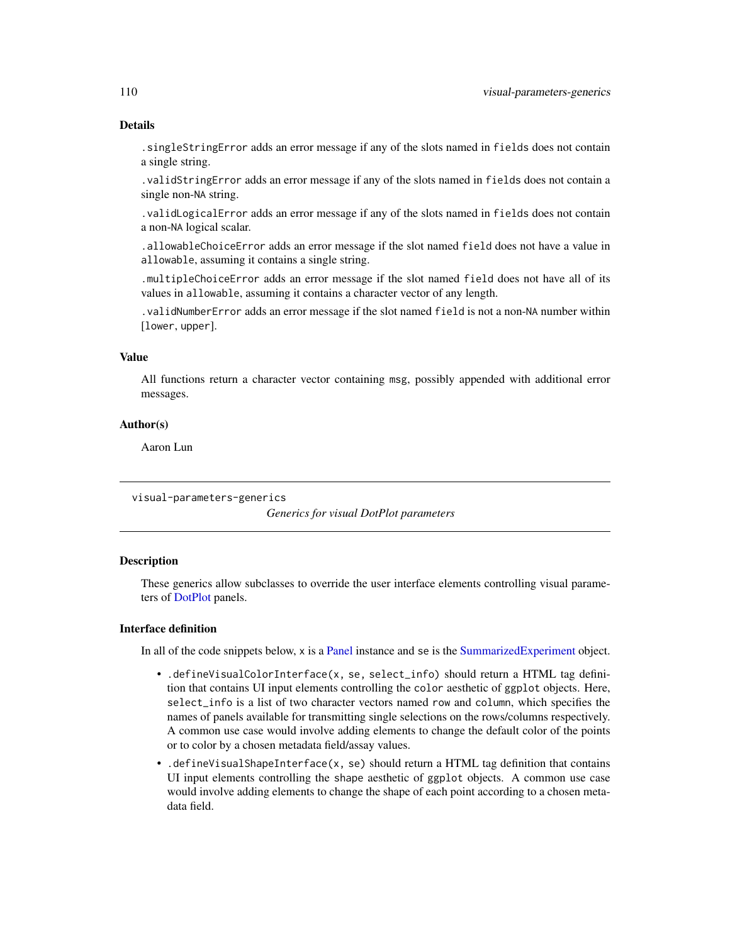# Details

.singleStringError adds an error message if any of the slots named in fields does not contain a single string.

.validStringError adds an error message if any of the slots named in fields does not contain a single non-NA string.

.validLogicalError adds an error message if any of the slots named in fields does not contain a non-NA logical scalar.

.allowableChoiceError adds an error message if the slot named field does not have a value in allowable, assuming it contains a single string.

.multipleChoiceError adds an error message if the slot named field does not have all of its values in allowable, assuming it contains a character vector of any length.

.validNumberError adds an error message if the slot named field is not a non-NA number within [lower, upper].

# Value

All functions return a character vector containing msg, possibly appended with additional error messages.

# Author(s)

Aaron Lun

visual-parameters-generics

*Generics for visual DotPlot parameters*

# Description

These generics allow subclasses to override the user interface elements controlling visual parameters of [DotPlot](#page-44-0) panels.

# Interface definition

In all of the code snippets below, x is a [Panel](#page-74-0) instance and se is the [SummarizedExperiment](#page-0-0) object.

- .defineVisualColorInterface(x, se, select\_info) should return a HTML tag definition that contains UI input elements controlling the color aesthetic of ggplot objects. Here, select\_info is a list of two character vectors named row and column, which specifies the names of panels available for transmitting single selections on the rows/columns respectively. A common use case would involve adding elements to change the default color of the points or to color by a chosen metadata field/assay values.
- .defineVisualShapeInterface(x, se) should return a HTML tag definition that contains UI input elements controlling the shape aesthetic of ggplot objects. A common use case would involve adding elements to change the shape of each point according to a chosen metadata field.

<span id="page-109-0"></span>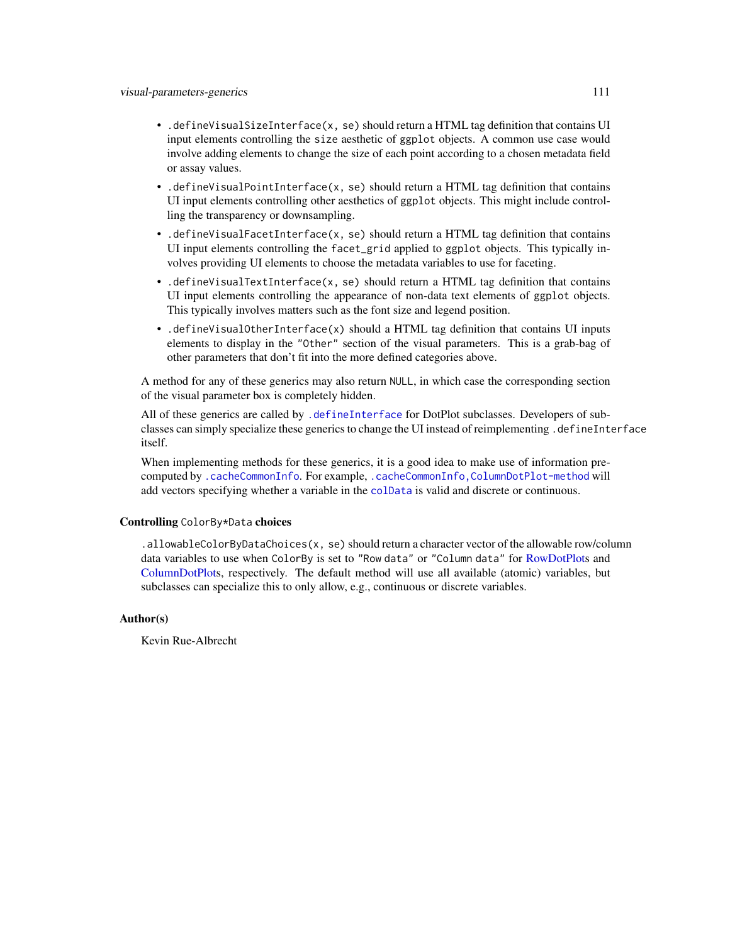- <span id="page-110-0"></span>• .defineVisualSizeInterface(x, se) should return a HTML tag definition that contains UI input elements controlling the size aesthetic of ggplot objects. A common use case would involve adding elements to change the size of each point according to a chosen metadata field or assay values.
- .defineVisualPointInterface(x, se) should return a HTML tag definition that contains UI input elements controlling other aesthetics of ggplot objects. This might include controlling the transparency or downsampling.
- .defineVisualFacetInterface(x, se) should return a HTML tag definition that contains UI input elements controlling the facet\_grid applied to ggplot objects. This typically involves providing UI elements to choose the metadata variables to use for faceting.
- .defineVisualTextInterface(x, se) should return a HTML tag definition that contains UI input elements controlling the appearance of non-data text elements of ggplot objects. This typically involves matters such as the font size and legend position.
- .defineVisualOtherInterface(x) should a HTML tag definition that contains UI inputs elements to display in the "Other" section of the visual parameters. This is a grab-bag of other parameters that don't fit into the more defined categories above.

A method for any of these generics may also return NULL, in which case the corresponding section of the visual parameter box is completely hidden.

All of these generics are called by [.defineInterface](#page-56-0) for DotPlot subclasses. Developers of subclasses can simply specialize these generics to change the UI instead of reimplementing .defineInterface itself.

When implementing methods for these generics, it is a good idea to make use of information precomputed by [.cacheCommonInfo](#page-97-0). For example, [.cacheCommonInfo,ColumnDotPlot-method](#page-0-0) will add vectors specifying whether a variable in the [colData](#page-0-0) is valid and discrete or continuous.

# Controlling ColorBy\*Data choices

.allowableColorByDataChoices(x, se) should return a character vector of the allowable row/column data variables to use when ColorBy is set to "Row data" or "Column data" for [RowDotPlots](#page-91-0) and [ColumnDotPlots](#page-29-0), respectively. The default method will use all available (atomic) variables, but subclasses can specialize this to only allow, e.g., continuous or discrete variables.

#### Author(s)

Kevin Rue-Albrecht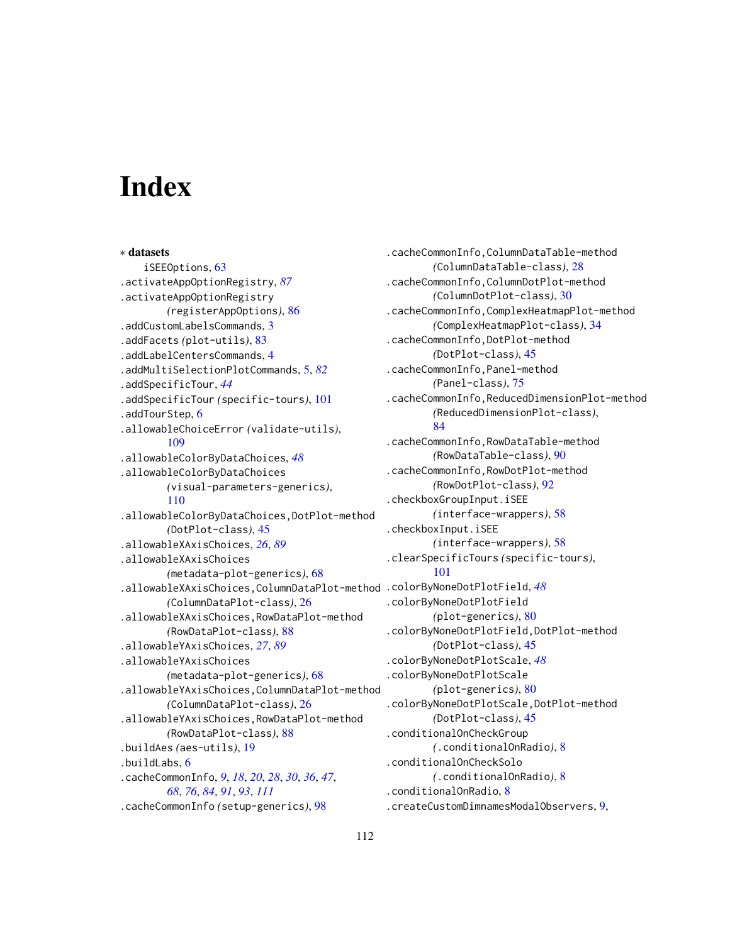# **Index**

∗ datasets iSEEOptions, [63](#page-62-0) .activateAppOptionRegistry, *[87](#page-86-0)* .activateAppOptionRegistry *(*registerAppOptions*)*, [86](#page-85-0) .addCustomLabelsCommands, [3](#page-2-0) .addFacets *(*plot-utils*)*, [83](#page-82-0) .addLabelCentersCommands, [4](#page-3-0) .addMultiSelectionPlotCommands, [5,](#page-4-0) *[82](#page-81-0)* .addSpecificTour, *[44](#page-43-0)* .addSpecificTour *(*specific-tours*)*, [101](#page-100-0) .addTourStep, [6](#page-5-0) .allowableChoiceError *(*validate-utils*)*, [109](#page-108-0) .allowableColorByDataChoices, *[48](#page-47-0)* .allowableColorByDataChoices *(*visual-parameters-generics*)*, [110](#page-109-0) .allowableColorByDataChoices,DotPlot-method *(*DotPlot-class*)*, [45](#page-44-1) .allowableXAxisChoices, *[26](#page-25-0)*, *[89](#page-88-0)* .allowableXAxisChoices *(*metadata-plot-generics*)*, [68](#page-67-0) .allowableXAxisChoices,ColumnDataPlot-method .colorByNoneDotPlotField, *[48](#page-47-0) (*ColumnDataPlot-class*)*, [26](#page-25-0) .allowableXAxisChoices,RowDataPlot-method *(*RowDataPlot-class*)*, [88](#page-87-0) .allowableYAxisChoices, *[27](#page-26-0)*, *[89](#page-88-0)* .allowableYAxisChoices *(*metadata-plot-generics*)*, [68](#page-67-0) .allowableYAxisChoices,ColumnDataPlot-method *(*ColumnDataPlot-class*)*, [26](#page-25-0) .allowableYAxisChoices,RowDataPlot-method *(*RowDataPlot-class*)*, [88](#page-87-0) .buildAes *(*aes-utils*)*, [19](#page-18-0) .buildLabs, [6](#page-5-0) .cacheCommonInfo, *[9](#page-8-0)*, *[18](#page-17-0)*, *[20](#page-19-0)*, *[28](#page-27-0)*, *[30](#page-29-1)*, *[36](#page-35-0)*, *[47](#page-46-0)*, *[68](#page-67-0)*, *[76](#page-75-0)*, *[84](#page-83-0)*, *[91](#page-90-0)*, *[93](#page-92-0)*, *[111](#page-110-0)* .cacheCommonInfo *(*setup-generics*)*, [98](#page-97-1)

.cacheCommonInfo,ColumnDataTable-method *(*ColumnDataTable-class*)*, [28](#page-27-0) .cacheCommonInfo,ColumnDotPlot-method *(*ColumnDotPlot-class*)*, [30](#page-29-1) .cacheCommonInfo,ComplexHeatmapPlot-method *(*ComplexHeatmapPlot-class*)*, [34](#page-33-0) .cacheCommonInfo,DotPlot-method *(*DotPlot-class*)*, [45](#page-44-1) .cacheCommonInfo,Panel-method *(*Panel-class*)*, [75](#page-74-1) .cacheCommonInfo,ReducedDimensionPlot-method *(*ReducedDimensionPlot-class*)*, [84](#page-83-0) .cacheCommonInfo,RowDataTable-method *(*RowDataTable-class*)*, [90](#page-89-0) .cacheCommonInfo,RowDotPlot-method *(*RowDotPlot-class*)*, [92](#page-91-1) .checkboxGroupInput.iSEE *(*interface-wrappers*)*, [58](#page-57-0) .checkboxInput.iSEE *(*interface-wrappers*)*, [58](#page-57-0) .clearSpecificTours *(*specific-tours*)*, [101](#page-100-0) .colorByNoneDotPlotField *(*plot-generics*)*, [80](#page-79-0) .colorByNoneDotPlotField,DotPlot-method *(*DotPlot-class*)*, [45](#page-44-1) .colorByNoneDotPlotScale, *[48](#page-47-0)* .colorByNoneDotPlotScale *(*plot-generics*)*, [80](#page-79-0) .colorByNoneDotPlotScale,DotPlot-method *(*DotPlot-class*)*, [45](#page-44-1) .conditionalOnCheckGroup *(*.conditionalOnRadio*)*, [8](#page-7-0) .conditionalOnCheckSolo *(*.conditionalOnRadio*)*, [8](#page-7-0) .conditionalOnRadio, [8](#page-7-0)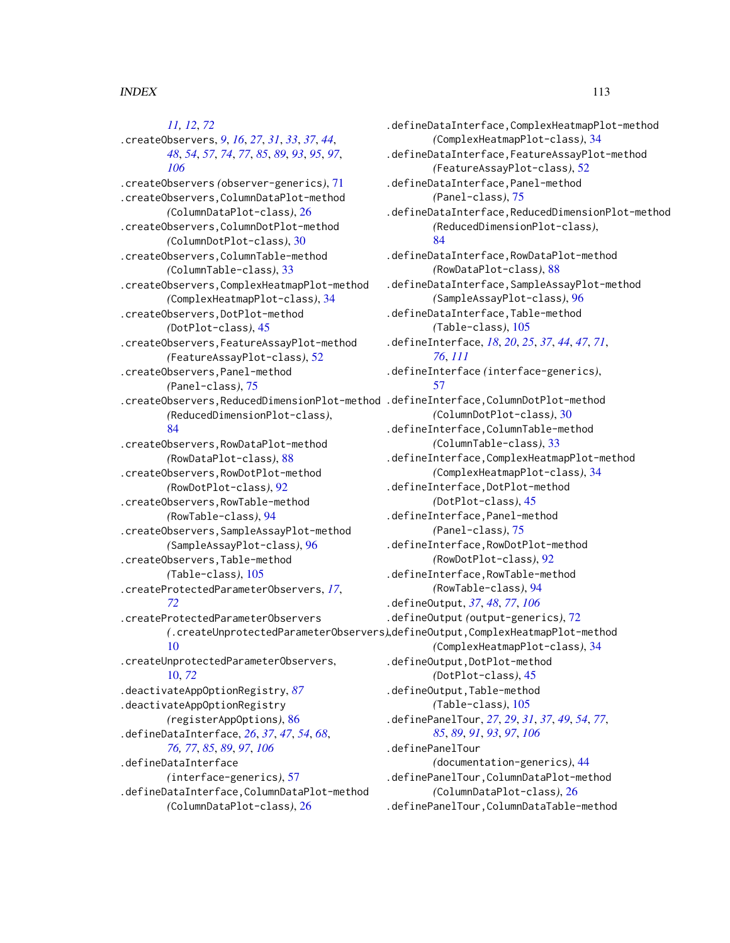*[11,](#page-10-0) [12](#page-11-0)*, *[72](#page-71-0)* .createObservers, *[9](#page-8-0)*, *[16](#page-15-0)*, *[27](#page-26-0)*, *[31](#page-30-0)*, *[33](#page-32-0)*, *[37](#page-36-0)*, *[44](#page-43-0)*, *[48](#page-47-0)*, *[54](#page-53-0)*, *[57](#page-56-1)*, *[74](#page-73-0)*, *[77](#page-76-0)*, *[85](#page-84-0)*, *[89](#page-88-0)*, *[93](#page-92-0)*, *[95](#page-94-0)*, *[97](#page-96-0)*, *[106](#page-105-0)* .createObservers *(*observer-generics*)*, [71](#page-70-0) .createObservers,ColumnDataPlot-method *(*ColumnDataPlot-class*)*, [26](#page-25-0) .createObservers,ColumnDotPlot-method *(*ColumnDotPlot-class*)*, [30](#page-29-1) .createObservers,ColumnTable-method *(*ColumnTable-class*)*, [33](#page-32-0) .createObservers,ComplexHeatmapPlot-method *(*ComplexHeatmapPlot-class*)*, [34](#page-33-0) .createObservers,DotPlot-method *(*DotPlot-class*)*, [45](#page-44-1) .createObservers,FeatureAssayPlot-method *(*FeatureAssayPlot-class*)*, [52](#page-51-0) .createObservers,Panel-method *(*Panel-class*)*, [75](#page-74-1) .createObservers,ReducedDimensionPlot-method .defineInterface,ColumnDotPlot-method *(*ReducedDimensionPlot-class*)*, [84](#page-83-0) .createObservers,RowDataPlot-method *(*RowDataPlot-class*)*, [88](#page-87-0) .createObservers,RowDotPlot-method *(*RowDotPlot-class*)*, [92](#page-91-1) .createObservers,RowTable-method *(*RowTable-class*)*, [94](#page-93-0) .createObservers,SampleAssayPlot-method *(*SampleAssayPlot-class*)*, [96](#page-95-0) .createObservers,Table-method *(*Table-class*)*, [105](#page-104-0) .createProtectedParameterObservers, *[17](#page-16-0)*, *[72](#page-71-0)* .createProtectedParameterObservers [10](#page-9-0) .createUnprotectedParameterObservers, [10,](#page-9-0) *[72](#page-71-0)* .deactivateAppOptionRegistry, *[87](#page-86-0)* .deactivateAppOptionRegistry *(*registerAppOptions*)*, [86](#page-85-0) .defineDataInterface, *[26](#page-25-0)*, *[37](#page-36-0)*, *[47](#page-46-0)*, *[54](#page-53-0)*, *[68](#page-67-0)*, *[76,](#page-75-0) [77](#page-76-0)*, *[85](#page-84-0)*, *[89](#page-88-0)*, *[97](#page-96-0)*, *[106](#page-105-0)* .defineDataInterface *(*interface-generics*)*, [57](#page-56-1) .defineDataInterface,ColumnDataPlot-method *(*ColumnDataPlot-class*)*, [26](#page-25-0)

*(*.createUnprotectedParameterObservers*)*, .defineOutput,ComplexHeatmapPlot-method .defineDataInterface,ComplexHeatmapPlot-method *(*ComplexHeatmapPlot-class*)*, [34](#page-33-0) .defineDataInterface,FeatureAssayPlot-method *(*FeatureAssayPlot-class*)*, [52](#page-51-0) .defineDataInterface,Panel-method *(*Panel-class*)*, [75](#page-74-1) .defineDataInterface,ReducedDimensionPlot-method *(*ReducedDimensionPlot-class*)*, [84](#page-83-0) .defineDataInterface,RowDataPlot-method *(*RowDataPlot-class*)*, [88](#page-87-0) .defineDataInterface,SampleAssayPlot-method *(*SampleAssayPlot-class*)*, [96](#page-95-0) .defineDataInterface,Table-method *(*Table-class*)*, [105](#page-104-0) .defineInterface, *[18](#page-17-0)*, *[20](#page-19-0)*, *[25](#page-24-0)*, *[37](#page-36-0)*, *[44](#page-43-0)*, *[47](#page-46-0)*, *[71](#page-70-0)*, *[76](#page-75-0)*, *[111](#page-110-0)* .defineInterface *(*interface-generics*)*, [57](#page-56-1) *(*ColumnDotPlot-class*)*, [30](#page-29-1) .defineInterface,ColumnTable-method *(*ColumnTable-class*)*, [33](#page-32-0) .defineInterface,ComplexHeatmapPlot-method *(*ComplexHeatmapPlot-class*)*, [34](#page-33-0) .defineInterface,DotPlot-method *(*DotPlot-class*)*, [45](#page-44-1) .defineInterface,Panel-method *(*Panel-class*)*, [75](#page-74-1) .defineInterface,RowDotPlot-method *(*RowDotPlot-class*)*, [92](#page-91-1) .defineInterface,RowTable-method *(*RowTable-class*)*, [94](#page-93-0) .defineOutput, *[37](#page-36-0)*, *[48](#page-47-0)*, *[77](#page-76-0)*, *[106](#page-105-0)* .defineOutput *(*output-generics*)*, [72](#page-71-0) *(*ComplexHeatmapPlot-class*)*, [34](#page-33-0) .defineOutput,DotPlot-method *(*DotPlot-class*)*, [45](#page-44-1) .defineOutput,Table-method *(*Table-class*)*, [105](#page-104-0) .definePanelTour, *[27](#page-26-0)*, *[29](#page-28-0)*, *[31](#page-30-0)*, *[37](#page-36-0)*, *[49](#page-48-0)*, *[54](#page-53-0)*, *[77](#page-76-0)*, *[85](#page-84-0)*, *[89](#page-88-0)*, *[91](#page-90-0)*, *[93](#page-92-0)*, *[97](#page-96-0)*, *[106](#page-105-0)* .definePanelTour *(*documentation-generics*)*, [44](#page-43-0) .definePanelTour,ColumnDataPlot-method *(*ColumnDataPlot-class*)*, [26](#page-25-0) .definePanelTour,ColumnDataTable-method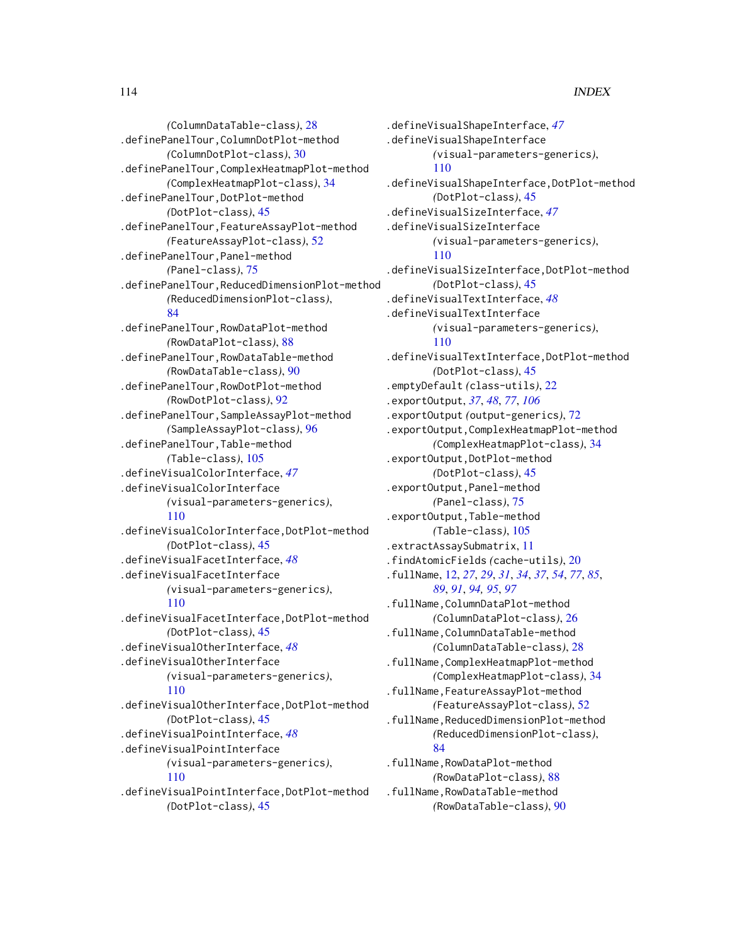*(*ColumnDataTable-class*)*, [28](#page-27-0) .definePanelTour,ColumnDotPlot-method *(*ColumnDotPlot-class*)*, [30](#page-29-1) .definePanelTour,ComplexHeatmapPlot-method *(*ComplexHeatmapPlot-class*)*, [34](#page-33-0) .definePanelTour,DotPlot-method *(*DotPlot-class*)*, [45](#page-44-1) .definePanelTour,FeatureAssayPlot-method *(*FeatureAssayPlot-class*)*, [52](#page-51-0) .definePanelTour,Panel-method *(*Panel-class*)*, [75](#page-74-1) .definePanelTour,ReducedDimensionPlot-method *(*ReducedDimensionPlot-class*)*, [84](#page-83-0) .definePanelTour,RowDataPlot-method *(*RowDataPlot-class*)*, [88](#page-87-0) .definePanelTour,RowDataTable-method *(*RowDataTable-class*)*, [90](#page-89-0) .definePanelTour,RowDotPlot-method *(*RowDotPlot-class*)*, [92](#page-91-1) .definePanelTour,SampleAssayPlot-method *(*SampleAssayPlot-class*)*, [96](#page-95-0) .definePanelTour,Table-method *(*Table-class*)*, [105](#page-104-0) .defineVisualColorInterface, *[47](#page-46-0)* .defineVisualColorInterface *(*visual-parameters-generics*)*, [110](#page-109-0) .defineVisualColorInterface,DotPlot-method *(*DotPlot-class*)*, [45](#page-44-1) .defineVisualFacetInterface, *[48](#page-47-0)* .defineVisualFacetInterface *(*visual-parameters-generics*)*, [110](#page-109-0) .defineVisualFacetInterface,DotPlot-method *(*DotPlot-class*)*, [45](#page-44-1) .defineVisualOtherInterface, *[48](#page-47-0)* .defineVisualOtherInterface *(*visual-parameters-generics*)*, [110](#page-109-0) .defineVisualOtherInterface,DotPlot-method *(*DotPlot-class*)*, [45](#page-44-1) .defineVisualPointInterface, *[48](#page-47-0)* .defineVisualPointInterface *(*visual-parameters-generics*)*, [110](#page-109-0) .defineVisualPointInterface,DotPlot-method *(*DotPlot-class*)*, [45](#page-44-1)

.defineVisualShapeInterface, *[47](#page-46-0)* .defineVisualShapeInterface *(*visual-parameters-generics*)*, [110](#page-109-0) .defineVisualShapeInterface,DotPlot-method *(*DotPlot-class*)*, [45](#page-44-1) .defineVisualSizeInterface, *[47](#page-46-0)* .defineVisualSizeInterface *(*visual-parameters-generics*)*, [110](#page-109-0) .defineVisualSizeInterface,DotPlot-method *(*DotPlot-class*)*, [45](#page-44-1) .defineVisualTextInterface, *[48](#page-47-0)* .defineVisualTextInterface *(*visual-parameters-generics*)*, [110](#page-109-0) .defineVisualTextInterface,DotPlot-method *(*DotPlot-class*)*, [45](#page-44-1) .emptyDefault *(*class-utils*)*, [22](#page-21-0) .exportOutput, *[37](#page-36-0)*, *[48](#page-47-0)*, *[77](#page-76-0)*, *[106](#page-105-0)* .exportOutput *(*output-generics*)*, [72](#page-71-0) .exportOutput,ComplexHeatmapPlot-method *(*ComplexHeatmapPlot-class*)*, [34](#page-33-0) .exportOutput,DotPlot-method *(*DotPlot-class*)*, [45](#page-44-1) .exportOutput,Panel-method *(*Panel-class*)*, [75](#page-74-1) .exportOutput,Table-method *(*Table-class*)*, [105](#page-104-0) .extractAssaySubmatrix, [11](#page-10-0) .findAtomicFields *(*cache-utils*)*, [20](#page-19-0) .fullName, [12,](#page-11-0) *[27](#page-26-0)*, *[29](#page-28-0)*, *[31](#page-30-0)*, *[34](#page-33-0)*, *[37](#page-36-0)*, *[54](#page-53-0)*, *[77](#page-76-0)*, *[85](#page-84-0)*, *[89](#page-88-0)*, *[91](#page-90-0)*, *[94,](#page-93-0) [95](#page-94-0)*, *[97](#page-96-0)* .fullName,ColumnDataPlot-method *(*ColumnDataPlot-class*)*, [26](#page-25-0) .fullName,ColumnDataTable-method *(*ColumnDataTable-class*)*, [28](#page-27-0) .fullName,ComplexHeatmapPlot-method *(*ComplexHeatmapPlot-class*)*, [34](#page-33-0) .fullName,FeatureAssayPlot-method *(*FeatureAssayPlot-class*)*, [52](#page-51-0) .fullName,ReducedDimensionPlot-method *(*ReducedDimensionPlot-class*)*, [84](#page-83-0) .fullName,RowDataPlot-method *(*RowDataPlot-class*)*, [88](#page-87-0) .fullName,RowDataTable-method *(*RowDataTable-class*)*, [90](#page-89-0)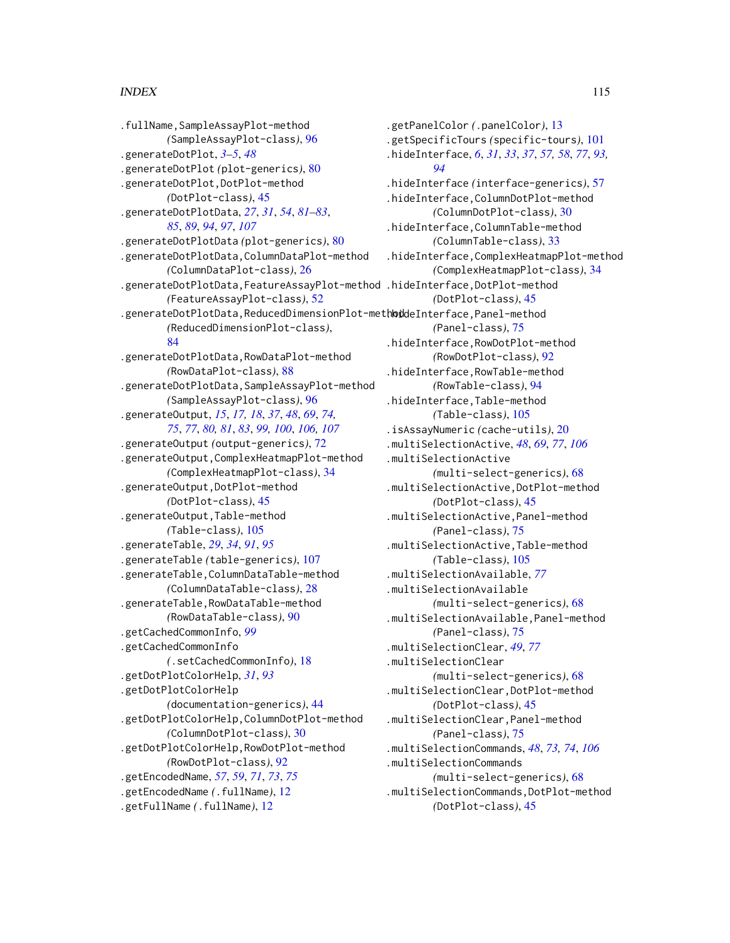.fullName,SampleAssayPlot-method *(*SampleAssayPlot-class*)*, [96](#page-95-0) .generateDotPlot, *[3](#page-2-0)[–5](#page-4-0)*, *[48](#page-47-0)* .generateDotPlot *(*plot-generics*)*, [80](#page-79-0) .generateDotPlot,DotPlot-method *(*DotPlot-class*)*, [45](#page-44-1) .generateDotPlotData, *[27](#page-26-0)*, *[31](#page-30-0)*, *[54](#page-53-0)*, *[81–](#page-80-0)[83](#page-82-0)*, *[85](#page-84-0)*, *[89](#page-88-0)*, *[94](#page-93-0)*, *[97](#page-96-0)*, *[107](#page-106-0)* .generateDotPlotData *(*plot-generics*)*, [80](#page-79-0) .generateDotPlotData,ColumnDataPlot-method *(*ColumnDataPlot-class*)*, [26](#page-25-0) .generateDotPlotData,FeatureAssayPlot-method .hideInterface,DotPlot-method *(*FeatureAssayPlot-class*)*, [52](#page-51-0) .generateDotPlotData, ReducedDimensionPlot-methoiddeInterface, Panel-method *(*ReducedDimensionPlot-class*)*, [84](#page-83-0) .generateDotPlotData,RowDataPlot-method *(*RowDataPlot-class*)*, [88](#page-87-0) .generateDotPlotData,SampleAssayPlot-method *(*SampleAssayPlot-class*)*, [96](#page-95-0) .generateOutput, *[15](#page-14-0)*, *[17,](#page-16-0) [18](#page-17-0)*, *[37](#page-36-0)*, *[48](#page-47-0)*, *[69](#page-68-0)*, *[74,](#page-73-0) [75](#page-74-1)*, *[77](#page-76-0)*, *[80,](#page-79-0) [81](#page-80-0)*, *[83](#page-82-0)*, *[99,](#page-98-0) [100](#page-99-0)*, *[106,](#page-105-0) [107](#page-106-0)* .generateOutput *(*output-generics*)*, [72](#page-71-0) .generateOutput,ComplexHeatmapPlot-method *(*ComplexHeatmapPlot-class*)*, [34](#page-33-0) .generateOutput,DotPlot-method *(*DotPlot-class*)*, [45](#page-44-1) .generateOutput,Table-method *(*Table-class*)*, [105](#page-104-0) .generateTable, *[29](#page-28-0)*, *[34](#page-33-0)*, *[91](#page-90-0)*, *[95](#page-94-0)* .generateTable *(*table-generics*)*, [107](#page-106-0) .generateTable,ColumnDataTable-method *(*ColumnDataTable-class*)*, [28](#page-27-0) .generateTable,RowDataTable-method *(*RowDataTable-class*)*, [90](#page-89-0) .getCachedCommonInfo, *[99](#page-98-0)* .getCachedCommonInfo *(*.setCachedCommonInfo*)*, [18](#page-17-0) .getDotPlotColorHelp, *[31](#page-30-0)*, *[93](#page-92-0)* .getDotPlotColorHelp *(*documentation-generics*)*, [44](#page-43-0) .getDotPlotColorHelp,ColumnDotPlot-method *(*ColumnDotPlot-class*)*, [30](#page-29-1) .getDotPlotColorHelp,RowDotPlot-method *(*RowDotPlot-class*)*, [92](#page-91-1) .getEncodedName, *[57](#page-56-1)*, *[59](#page-58-0)*, *[71](#page-70-0)*, *[73](#page-72-0)*, *[75](#page-74-1)* .getEncodedName *(*.fullName*)*, [12](#page-11-0) .getFullName *(*.fullName*)*, [12](#page-11-0)

.getPanelColor *(*.panelColor*)*, [13](#page-12-0) .getSpecificTours *(*specific-tours*)*, [101](#page-100-0) .hideInterface, *[6](#page-5-0)*, *[31](#page-30-0)*, *[33](#page-32-0)*, *[37](#page-36-0)*, *[57,](#page-56-1) [58](#page-57-0)*, *[77](#page-76-0)*, *[93,](#page-92-0) [94](#page-93-0)* .hideInterface *(*interface-generics*)*, [57](#page-56-1) .hideInterface,ColumnDotPlot-method *(*ColumnDotPlot-class*)*, [30](#page-29-1) .hideInterface,ColumnTable-method *(*ColumnTable-class*)*, [33](#page-32-0) .hideInterface,ComplexHeatmapPlot-method *(*ComplexHeatmapPlot-class*)*, [34](#page-33-0) *(*DotPlot-class*)*, [45](#page-44-1) *(*Panel-class*)*, [75](#page-74-1) .hideInterface,RowDotPlot-method *(*RowDotPlot-class*)*, [92](#page-91-1) .hideInterface,RowTable-method *(*RowTable-class*)*, [94](#page-93-0) .hideInterface,Table-method *(*Table-class*)*, [105](#page-104-0) .isAssayNumeric *(*cache-utils*)*, [20](#page-19-0) .multiSelectionActive, *[48](#page-47-0)*, *[69](#page-68-0)*, *[77](#page-76-0)*, *[106](#page-105-0)* .multiSelectionActive *(*multi-select-generics*)*, [68](#page-67-0) .multiSelectionActive,DotPlot-method *(*DotPlot-class*)*, [45](#page-44-1) .multiSelectionActive,Panel-method *(*Panel-class*)*, [75](#page-74-1) .multiSelectionActive,Table-method *(*Table-class*)*, [105](#page-104-0) .multiSelectionAvailable, *[77](#page-76-0)* .multiSelectionAvailable *(*multi-select-generics*)*, [68](#page-67-0) .multiSelectionAvailable,Panel-method *(*Panel-class*)*, [75](#page-74-1) .multiSelectionClear, *[49](#page-48-0)*, *[77](#page-76-0)* .multiSelectionClear *(*multi-select-generics*)*, [68](#page-67-0) .multiSelectionClear,DotPlot-method *(*DotPlot-class*)*, [45](#page-44-1) .multiSelectionClear,Panel-method *(*Panel-class*)*, [75](#page-74-1) .multiSelectionCommands, *[48](#page-47-0)*, *[73,](#page-72-0) [74](#page-73-0)*, *[106](#page-105-0)* .multiSelectionCommands *(*multi-select-generics*)*, [68](#page-67-0) .multiSelectionCommands,DotPlot-method *(*DotPlot-class*)*, [45](#page-44-1)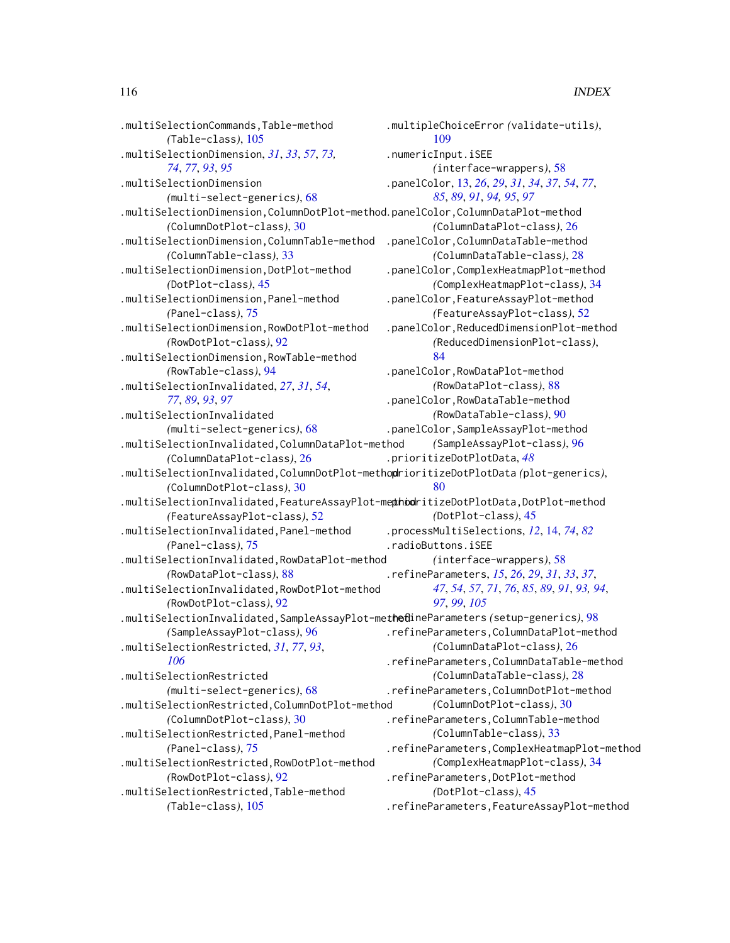.multiSelectionCommands,Table-method *(*Table-class*)*, [105](#page-104-0) .multiSelectionDimension, *[31](#page-30-0)*, *[33](#page-32-0)*, *[57](#page-56-1)*, *[73,](#page-72-0) [74](#page-73-0)*, *[77](#page-76-0)*, *[93](#page-92-0)*, *[95](#page-94-0)* .multiSelectionDimension *(*multi-select-generics*)*, [68](#page-67-0) .multiSelectionDimension,ColumnDotPlot-method .panelColor,ColumnDataPlot-method *(*ColumnDotPlot-class*)*, [30](#page-29-1) .multiSelectionDimension,ColumnTable-method .panelColor,ColumnDataTable-method *(*ColumnTable-class*)*, [33](#page-32-0) .multiSelectionDimension,DotPlot-method *(*DotPlot-class*)*, [45](#page-44-1) .multiSelectionDimension,Panel-method *(*Panel-class*)*, [75](#page-74-1) .multiSelectionDimension,RowDotPlot-method *(*RowDotPlot-class*)*, [92](#page-91-1) .multiSelectionDimension,RowTable-method *(*RowTable-class*)*, [94](#page-93-0) .multiSelectionInvalidated, *[27](#page-26-0)*, *[31](#page-30-0)*, *[54](#page-53-0)*, *[77](#page-76-0)*, *[89](#page-88-0)*, *[93](#page-92-0)*, *[97](#page-96-0)* .multiSelectionInvalidated *(*multi-select-generics*)*, [68](#page-67-0) .multiSelectionInvalidated,ColumnDataPlot-method *(*ColumnDataPlot-class*)*, [26](#page-25-0) .multiSelectionInvalidated,ColumnDotPlot-method .prioritizeDotPlotData *(*plot-generics*)*, *(*ColumnDotPlot-class*)*, [30](#page-29-1) .multiSelectionInvalidated, FeatureAssayPlot-methodritizeDotPlotData,DotPlot-method *(*FeatureAssayPlot-class*)*, [52](#page-51-0) .multiSelectionInvalidated,Panel-method *(*Panel-class*)*, [75](#page-74-1) .multiSelectionInvalidated,RowDataPlot-method *(*RowDataPlot-class*)*, [88](#page-87-0) .multiSelectionInvalidated,RowDotPlot-method *(*RowDotPlot-class*)*, [92](#page-91-1) .multiSelectionInvalidated,SampleAssayPlot-method .refineParameters *(*setup-generics*)*, [98](#page-97-1) *(*SampleAssayPlot-class*)*, [96](#page-95-0) .multiSelectionRestricted, *[31](#page-30-0)*, *[77](#page-76-0)*, *[93](#page-92-0)*, *[106](#page-105-0)* .multiSelectionRestricted *(*multi-select-generics*)*, [68](#page-67-0) .multiSelectionRestricted,ColumnDotPlot-method *(*ColumnDotPlot-class*)*, [30](#page-29-1) .multiSelectionRestricted,Panel-method *(*Panel-class*)*, [75](#page-74-1) .multiSelectionRestricted,RowDotPlot-method *(*RowDotPlot-class*)*, [92](#page-91-1) .multiSelectionRestricted,Table-method *(*Table-class*)*, [105](#page-104-0) .multipleChoiceError *(*validate-utils*)*, [109](#page-108-0) .numericInput.iSEE *(*interface-wrappers*)*, [58](#page-57-0) .panelColor, [13,](#page-12-0) *[26](#page-25-0)*, *[29](#page-28-0)*, *[31](#page-30-0)*, *[34](#page-33-0)*, *[37](#page-36-0)*, *[54](#page-53-0)*, *[77](#page-76-0)*, *[85](#page-84-0)*, *[89](#page-88-0)*, *[91](#page-90-0)*, *[94,](#page-93-0) [95](#page-94-0)*, *[97](#page-96-0) (*ColumnDataPlot-class*)*, [26](#page-25-0) *(*ColumnDataTable-class*)*, [28](#page-27-0) .panelColor,ComplexHeatmapPlot-method *(*ComplexHeatmapPlot-class*)*, [34](#page-33-0) .panelColor,FeatureAssayPlot-method *(*FeatureAssayPlot-class*)*, [52](#page-51-0) .panelColor,ReducedDimensionPlot-method *(*ReducedDimensionPlot-class*)*, [84](#page-83-0) .panelColor,RowDataPlot-method *(*RowDataPlot-class*)*, [88](#page-87-0) .panelColor,RowDataTable-method *(*RowDataTable-class*)*, [90](#page-89-0) .panelColor,SampleAssayPlot-method *(*SampleAssayPlot-class*)*, [96](#page-95-0) .prioritizeDotPlotData, *[48](#page-47-0)* [80](#page-79-0) *(*DotPlot-class*)*, [45](#page-44-1) .processMultiSelections, *[12](#page-11-0)*, [14,](#page-13-0) *[74](#page-73-0)*, *[82](#page-81-0)* .radioButtons.iSEE *(*interface-wrappers*)*, [58](#page-57-0) .refineParameters, *[15](#page-14-0)*, *[26](#page-25-0)*, *[29](#page-28-0)*, *[31](#page-30-0)*, *[33](#page-32-0)*, *[37](#page-36-0)*, *[47](#page-46-0)*, *[54](#page-53-0)*, *[57](#page-56-1)*, *[71](#page-70-0)*, *[76](#page-75-0)*, *[85](#page-84-0)*, *[89](#page-88-0)*, *[91](#page-90-0)*, *[93,](#page-92-0) [94](#page-93-0)*, *[97](#page-96-0)*, *[99](#page-98-0)*, *[105](#page-104-0)* .refineParameters,ColumnDataPlot-method *(*ColumnDataPlot-class*)*, [26](#page-25-0) .refineParameters,ColumnDataTable-method *(*ColumnDataTable-class*)*, [28](#page-27-0) .refineParameters,ColumnDotPlot-method *(*ColumnDotPlot-class*)*, [30](#page-29-1) .refineParameters,ColumnTable-method *(*ColumnTable-class*)*, [33](#page-32-0) .refineParameters,ComplexHeatmapPlot-method *(*ComplexHeatmapPlot-class*)*, [34](#page-33-0) .refineParameters,DotPlot-method *(*DotPlot-class*)*, [45](#page-44-1) .refineParameters,FeatureAssayPlot-method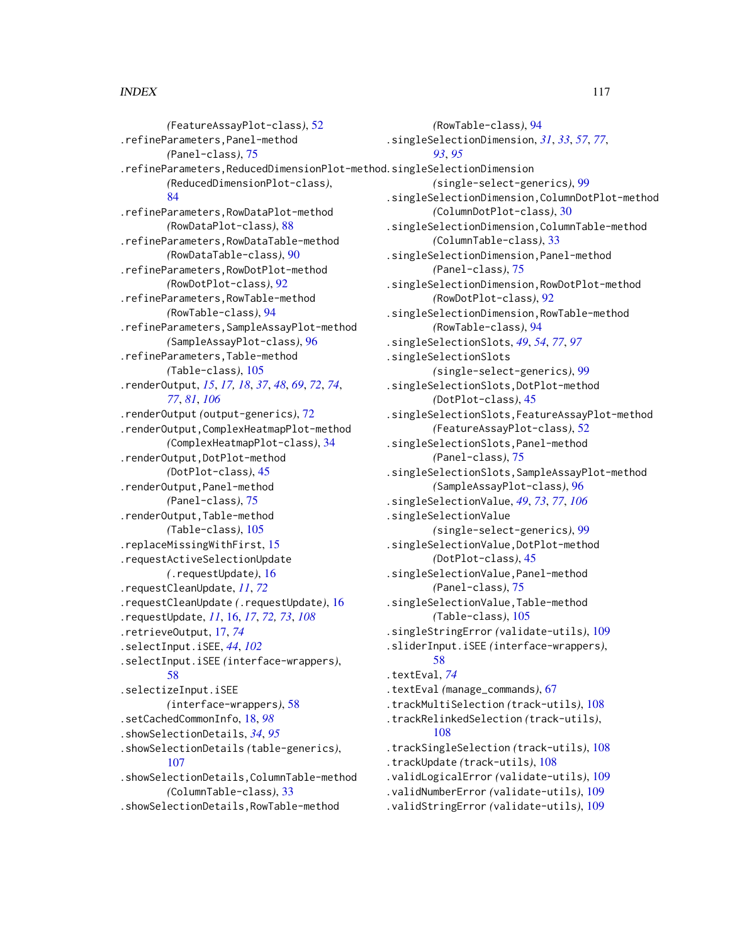*(*FeatureAssayPlot-class*)*, [52](#page-51-0) .refineParameters,Panel-method *(*Panel-class*)*, [75](#page-74-1) .refineParameters,ReducedDimensionPlot-method .singleSelectionDimension *(*ReducedDimensionPlot-class*)*, [84](#page-83-0) .refineParameters,RowDataPlot-method *(*RowDataPlot-class*)*, [88](#page-87-0) .refineParameters,RowDataTable-method *(*RowDataTable-class*)*, [90](#page-89-0) .refineParameters,RowDotPlot-method *(*RowDotPlot-class*)*, [92](#page-91-1) .refineParameters,RowTable-method *(*RowTable-class*)*, [94](#page-93-0) .refineParameters,SampleAssayPlot-method *(*SampleAssayPlot-class*)*, [96](#page-95-0) .refineParameters,Table-method *(*Table-class*)*, [105](#page-104-0) .renderOutput, *[15](#page-14-0)*, *[17,](#page-16-0) [18](#page-17-0)*, *[37](#page-36-0)*, *[48](#page-47-0)*, *[69](#page-68-0)*, *[72](#page-71-0)*, *[74](#page-73-0)*, *[77](#page-76-0)*, *[81](#page-80-0)*, *[106](#page-105-0)* .renderOutput *(*output-generics*)*, [72](#page-71-0) .renderOutput,ComplexHeatmapPlot-method *(*ComplexHeatmapPlot-class*)*, [34](#page-33-0) .renderOutput,DotPlot-method *(*DotPlot-class*)*, [45](#page-44-1) .renderOutput,Panel-method *(*Panel-class*)*, [75](#page-74-1) .renderOutput,Table-method *(*Table-class*)*, [105](#page-104-0) .replaceMissingWithFirst, [15](#page-14-0) .requestActiveSelectionUpdate *(*.requestUpdate*)*, [16](#page-15-0) .requestCleanUpdate, *[11](#page-10-0)*, *[72](#page-71-0)* .requestCleanUpdate *(*.requestUpdate*)*, [16](#page-15-0) .requestUpdate, *[11](#page-10-0)*, [16,](#page-15-0) *[17](#page-16-0)*, *[72,](#page-71-0) [73](#page-72-0)*, *[108](#page-107-0)* .retrieveOutput, [17,](#page-16-0) *[74](#page-73-0)* .selectInput.iSEE, *[44](#page-43-0)*, *[102](#page-101-0)* .selectInput.iSEE *(*interface-wrappers*)*, [58](#page-57-0) .selectizeInput.iSEE *(*interface-wrappers*)*, [58](#page-57-0) .setCachedCommonInfo, [18,](#page-17-0) *[98](#page-97-1)* .showSelectionDetails, *[34](#page-33-0)*, *[95](#page-94-0)* .showSelectionDetails *(*table-generics*)*, [107](#page-106-0) .showSelectionDetails,ColumnTable-method *(*ColumnTable-class*)*, [33](#page-32-0) .showSelectionDetails,RowTable-method

*(*RowTable-class*)*, [94](#page-93-0) .singleSelectionDimension, *[31](#page-30-0)*, *[33](#page-32-0)*, *[57](#page-56-1)*, *[77](#page-76-0)*, *[93](#page-92-0)*, *[95](#page-94-0) (*single-select-generics*)*, [99](#page-98-0) .singleSelectionDimension,ColumnDotPlot-method *(*ColumnDotPlot-class*)*, [30](#page-29-1) .singleSelectionDimension,ColumnTable-method *(*ColumnTable-class*)*, [33](#page-32-0) .singleSelectionDimension,Panel-method *(*Panel-class*)*, [75](#page-74-1) .singleSelectionDimension,RowDotPlot-method *(*RowDotPlot-class*)*, [92](#page-91-1) .singleSelectionDimension,RowTable-method *(*RowTable-class*)*, [94](#page-93-0) .singleSelectionSlots, *[49](#page-48-0)*, *[54](#page-53-0)*, *[77](#page-76-0)*, *[97](#page-96-0)* .singleSelectionSlots *(*single-select-generics*)*, [99](#page-98-0) .singleSelectionSlots,DotPlot-method *(*DotPlot-class*)*, [45](#page-44-1) .singleSelectionSlots,FeatureAssayPlot-method *(*FeatureAssayPlot-class*)*, [52](#page-51-0) .singleSelectionSlots,Panel-method *(*Panel-class*)*, [75](#page-74-1) .singleSelectionSlots,SampleAssayPlot-method *(*SampleAssayPlot-class*)*, [96](#page-95-0) .singleSelectionValue, *[49](#page-48-0)*, *[73](#page-72-0)*, *[77](#page-76-0)*, *[106](#page-105-0)* .singleSelectionValue *(*single-select-generics*)*, [99](#page-98-0) .singleSelectionValue,DotPlot-method *(*DotPlot-class*)*, [45](#page-44-1) .singleSelectionValue,Panel-method *(*Panel-class*)*, [75](#page-74-1) .singleSelectionValue,Table-method *(*Table-class*)*, [105](#page-104-0) .singleStringError *(*validate-utils*)*, [109](#page-108-0) .sliderInput.iSEE *(*interface-wrappers*)*, [58](#page-57-0) .textEval, *[74](#page-73-0)* .textEval *(*manage\_commands*)*, [67](#page-66-0) .trackMultiSelection *(*track-utils*)*, [108](#page-107-0) .trackRelinkedSelection *(*track-utils*)*, [108](#page-107-0) .trackSingleSelection *(*track-utils*)*, [108](#page-107-0) .trackUpdate *(*track-utils*)*, [108](#page-107-0) .validLogicalError *(*validate-utils*)*, [109](#page-108-0) .validNumberError *(*validate-utils*)*, [109](#page-108-0) .validStringError *(*validate-utils*)*, [109](#page-108-0)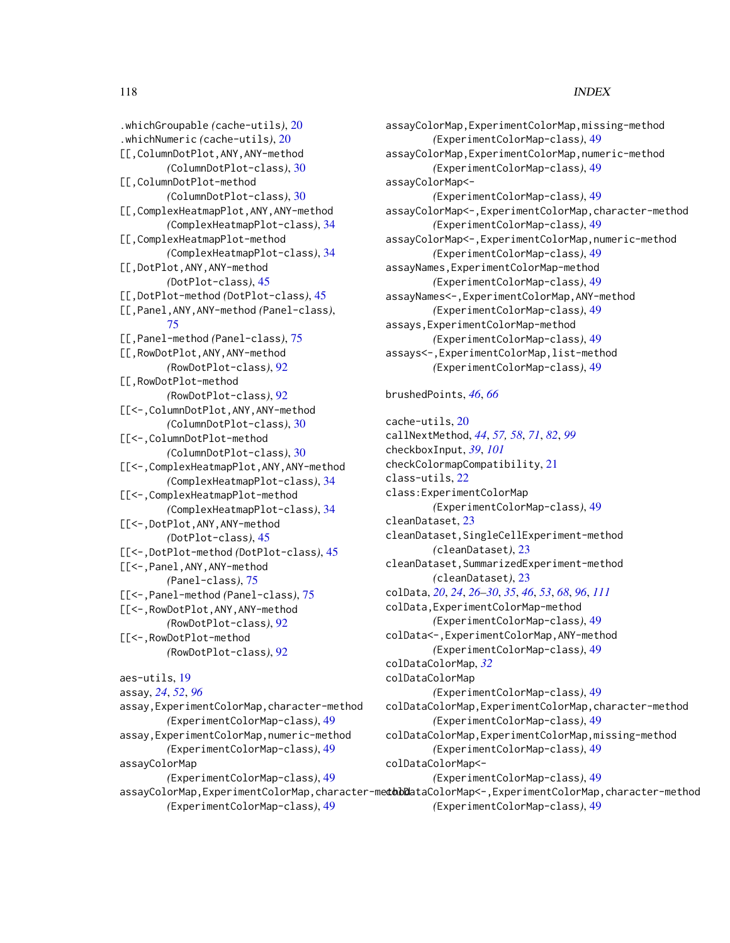.whichGroupable *(*cache-utils*)*, [20](#page-19-0) .whichNumeric *(*cache-utils*)*, [20](#page-19-0) [[,ColumnDotPlot,ANY,ANY-method *(*ColumnDotPlot-class*)*, [30](#page-29-1) [[,ColumnDotPlot-method *(*ColumnDotPlot-class*)*, [30](#page-29-1) [[,ComplexHeatmapPlot,ANY,ANY-method *(*ComplexHeatmapPlot-class*)*, [34](#page-33-0) [[,ComplexHeatmapPlot-method *(*ComplexHeatmapPlot-class*)*, [34](#page-33-0) [[,DotPlot,ANY,ANY-method *(*DotPlot-class*)*, [45](#page-44-1) [[,DotPlot-method *(*DotPlot-class*)*, [45](#page-44-1) [[,Panel,ANY,ANY-method *(*Panel-class*)*, [75](#page-74-1) [[,Panel-method *(*Panel-class*)*, [75](#page-74-1) [[,RowDotPlot,ANY,ANY-method *(*RowDotPlot-class*)*, [92](#page-91-1) [[,RowDotPlot-method *(*RowDotPlot-class*)*, [92](#page-91-1) [[<-,ColumnDotPlot,ANY,ANY-method *(*ColumnDotPlot-class*)*, [30](#page-29-1) [[<-,ColumnDotPlot-method *(*ColumnDotPlot-class*)*, [30](#page-29-1) [[<-,ComplexHeatmapPlot,ANY,ANY-method *(*ComplexHeatmapPlot-class*)*, [34](#page-33-0) [[<-,ComplexHeatmapPlot-method *(*ComplexHeatmapPlot-class*)*, [34](#page-33-0) [[<-,DotPlot,ANY,ANY-method *(*DotPlot-class*)*, [45](#page-44-1) [[<-,DotPlot-method *(*DotPlot-class*)*, [45](#page-44-1) [[<-,Panel,ANY,ANY-method *(*Panel-class*)*, [75](#page-74-1) [[<-,Panel-method *(*Panel-class*)*, [75](#page-74-1) [[<-,RowDotPlot,ANY,ANY-method *(*RowDotPlot-class*)*, [92](#page-91-1) [[<-,RowDotPlot-method *(*RowDotPlot-class*)*, [92](#page-91-1) aes-utils, [19](#page-18-0) assay, *[24](#page-23-0)*, *[52](#page-51-0)*, *[96](#page-95-0)* assay,ExperimentColorMap,character-method *(*ExperimentColorMap-class*)*, [49](#page-48-0)

assay,ExperimentColorMap,numeric-method *(*ExperimentColorMap-class*)*, [49](#page-48-0)

*(*ExperimentColorMap-class*)*, [49](#page-48-0)

*(*ExperimentColorMap-class*)*, [49](#page-48-0)

assayColorMap

assayColorMap,ExperimentColorMap,missing-method *(*ExperimentColorMap-class*)*, [49](#page-48-0) assayColorMap,ExperimentColorMap,numeric-method *(*ExperimentColorMap-class*)*, [49](#page-48-0) assayColorMap<- *(*ExperimentColorMap-class*)*, [49](#page-48-0) assayColorMap<-,ExperimentColorMap,character-method *(*ExperimentColorMap-class*)*, [49](#page-48-0) assayColorMap<-,ExperimentColorMap,numeric-method *(*ExperimentColorMap-class*)*, [49](#page-48-0) assayNames,ExperimentColorMap-method *(*ExperimentColorMap-class*)*, [49](#page-48-0) assayNames<-,ExperimentColorMap,ANY-method *(*ExperimentColorMap-class*)*, [49](#page-48-0) assays,ExperimentColorMap-method *(*ExperimentColorMap-class*)*, [49](#page-48-0) assays<-,ExperimentColorMap,list-method *(*ExperimentColorMap-class*)*, [49](#page-48-0)

### brushedPoints, *[46](#page-45-0)*, *[66](#page-65-0)*

assayColorMap,ExperimentColorMap,character-me**thodd**ataColorMap<-,ExperimentColorMap,character-method cache-utils, [20](#page-19-0) callNextMethod, *[44](#page-43-0)*, *[57,](#page-56-1) [58](#page-57-0)*, *[71](#page-70-0)*, *[82](#page-81-0)*, *[99](#page-98-0)* checkboxInput, *[39](#page-38-0)*, *[101](#page-100-0)* checkColormapCompatibility, [21](#page-20-0) class-utils, [22](#page-21-0) class:ExperimentColorMap *(*ExperimentColorMap-class*)*, [49](#page-48-0) cleanDataset, [23](#page-22-0) cleanDataset,SingleCellExperiment-method *(*cleanDataset*)*, [23](#page-22-0) cleanDataset,SummarizedExperiment-method *(*cleanDataset*)*, [23](#page-22-0) colData, *[20](#page-19-0)*, *[24](#page-23-0)*, *[26](#page-25-0)[–30](#page-29-1)*, *[35](#page-34-0)*, *[46](#page-45-0)*, *[53](#page-52-0)*, *[68](#page-67-0)*, *[96](#page-95-0)*, *[111](#page-110-0)* colData,ExperimentColorMap-method *(*ExperimentColorMap-class*)*, [49](#page-48-0) colData<-,ExperimentColorMap,ANY-method *(*ExperimentColorMap-class*)*, [49](#page-48-0) colDataColorMap, *[32](#page-31-0)* colDataColorMap *(*ExperimentColorMap-class*)*, [49](#page-48-0) colDataColorMap,ExperimentColorMap,character-method *(*ExperimentColorMap-class*)*, [49](#page-48-0) colDataColorMap,ExperimentColorMap,missing-method *(*ExperimentColorMap-class*)*, [49](#page-48-0) colDataColorMap<- *(*ExperimentColorMap-class*)*, [49](#page-48-0) *(*ExperimentColorMap-class*)*, [49](#page-48-0)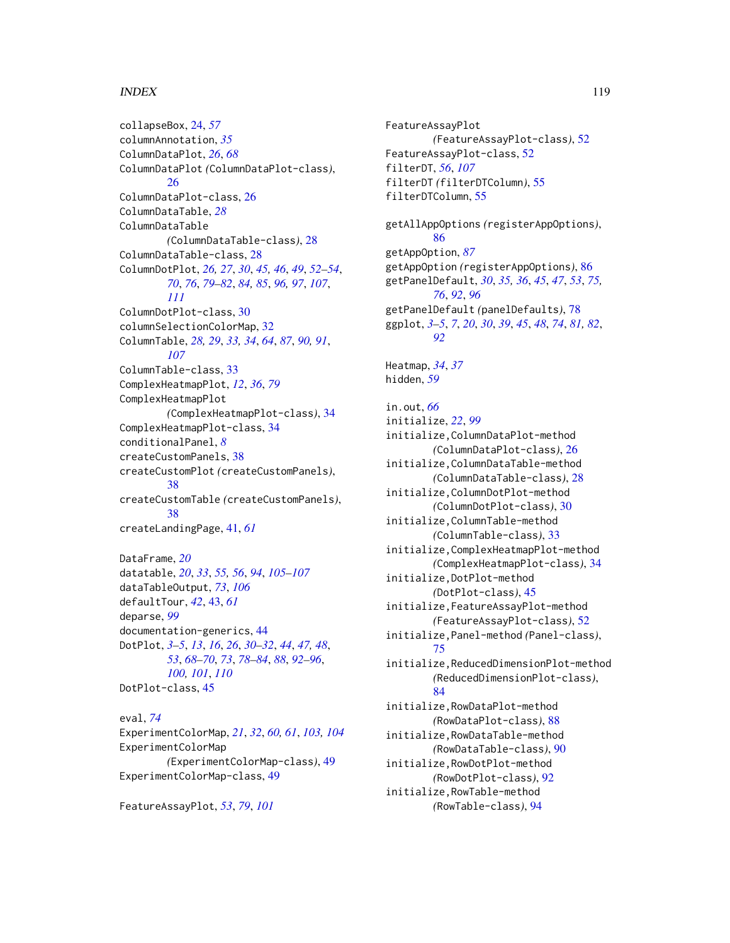collapseBox, [24,](#page-23-0) *[57](#page-56-1)* columnAnnotation, *[35](#page-34-0)* ColumnDataPlot, *[26](#page-25-0)*, *[68](#page-67-0)* ColumnDataPlot *(*ColumnDataPlot-class*)*, [26](#page-25-0) ColumnDataPlot-class, [26](#page-25-0) ColumnDataTable, *[28](#page-27-0)* ColumnDataTable *(*ColumnDataTable-class*)*, [28](#page-27-0) ColumnDataTable-class, [28](#page-27-0) ColumnDotPlot, *[26,](#page-25-0) [27](#page-26-0)*, *[30](#page-29-1)*, *[45,](#page-44-1) [46](#page-45-0)*, *[49](#page-48-0)*, *[52–](#page-51-0)[54](#page-53-0)*, *[70](#page-69-0)*, *[76](#page-75-0)*, *[79](#page-78-0)[–82](#page-81-0)*, *[84,](#page-83-0) [85](#page-84-0)*, *[96,](#page-95-0) [97](#page-96-0)*, *[107](#page-106-0)*, *[111](#page-110-0)* ColumnDotPlot-class, [30](#page-29-1) columnSelectionColorMap, [32](#page-31-0) ColumnTable, *[28,](#page-27-0) [29](#page-28-0)*, *[33,](#page-32-0) [34](#page-33-0)*, *[64](#page-63-0)*, *[87](#page-86-0)*, *[90,](#page-89-0) [91](#page-90-0)*, *[107](#page-106-0)* ColumnTable-class, [33](#page-32-0) ComplexHeatmapPlot, *[12](#page-11-0)*, *[36](#page-35-0)*, *[79](#page-78-0)* ComplexHeatmapPlot *(*ComplexHeatmapPlot-class*)*, [34](#page-33-0) ComplexHeatmapPlot-class, [34](#page-33-0) conditionalPanel, *[8](#page-7-0)* createCustomPanels, [38](#page-37-0) createCustomPlot *(*createCustomPanels*)*, [38](#page-37-0) createCustomTable *(*createCustomPanels*)*, [38](#page-37-0) createLandingPage, [41,](#page-40-0) *[61](#page-60-0)*

DataFrame, *[20](#page-19-0)* datatable, *[20](#page-19-0)*, *[33](#page-32-0)*, *[55,](#page-54-0) [56](#page-55-0)*, *[94](#page-93-0)*, *[105–](#page-104-0)[107](#page-106-0)* dataTableOutput, *[73](#page-72-0)*, *[106](#page-105-0)* defaultTour, *[42](#page-41-0)*, [43,](#page-42-0) *[61](#page-60-0)* deparse, *[99](#page-98-0)* documentation-generics, [44](#page-43-0) DotPlot, *[3](#page-2-0)[–5](#page-4-0)*, *[13](#page-12-0)*, *[16](#page-15-0)*, *[26](#page-25-0)*, *[30–](#page-29-1)[32](#page-31-0)*, *[44](#page-43-0)*, *[47,](#page-46-0) [48](#page-47-0)*, *[53](#page-52-0)*, *[68](#page-67-0)[–70](#page-69-0)*, *[73](#page-72-0)*, *[78–](#page-77-0)[84](#page-83-0)*, *[88](#page-87-0)*, *[92–](#page-91-1)[96](#page-95-0)*, *[100,](#page-99-0) [101](#page-100-0)*, *[110](#page-109-0)* DotPlot-class, [45](#page-44-1)

eval, *[74](#page-73-0)* ExperimentColorMap, *[21](#page-20-0)*, *[32](#page-31-0)*, *[60,](#page-59-0) [61](#page-60-0)*, *[103,](#page-102-0) [104](#page-103-0)* ExperimentColorMap *(*ExperimentColorMap-class*)*, [49](#page-48-0) ExperimentColorMap-class, [49](#page-48-0)

FeatureAssayPlot, *[53](#page-52-0)*, *[79](#page-78-0)*, *[101](#page-100-0)*

FeatureAssayPlot *(*FeatureAssayPlot-class*)*, [52](#page-51-0) FeatureAssayPlot-class, [52](#page-51-0) filterDT, *[56](#page-55-0)*, *[107](#page-106-0)* filterDT *(*filterDTColumn*)*, [55](#page-54-0) filterDTColumn, [55](#page-54-0) getAllAppOptions *(*registerAppOptions*)*, [86](#page-85-0) getAppOption, *[87](#page-86-0)* getAppOption *(*registerAppOptions*)*, [86](#page-85-0) getPanelDefault, *[30](#page-29-1)*, *[35,](#page-34-0) [36](#page-35-0)*, *[45](#page-44-1)*, *[47](#page-46-0)*, *[53](#page-52-0)*, *[75,](#page-74-1) [76](#page-75-0)*, *[92](#page-91-1)*, *[96](#page-95-0)* getPanelDefault *(*panelDefaults*)*, [78](#page-77-0) ggplot, *[3](#page-2-0)[–5](#page-4-0)*, *[7](#page-6-0)*, *[20](#page-19-0)*, *[30](#page-29-1)*, *[39](#page-38-0)*, *[45](#page-44-1)*, *[48](#page-47-0)*, *[74](#page-73-0)*, *[81,](#page-80-0) [82](#page-81-0)*, *[92](#page-91-1)* Heatmap, *[34](#page-33-0)*, *[37](#page-36-0)* hidden, *[59](#page-58-0)* in.out, *[66](#page-65-0)* initialize, *[22](#page-21-0)*, *[99](#page-98-0)* initialize,ColumnDataPlot-method *(*ColumnDataPlot-class*)*, [26](#page-25-0) initialize,ColumnDataTable-method *(*ColumnDataTable-class*)*, [28](#page-27-0) initialize,ColumnDotPlot-method *(*ColumnDotPlot-class*)*, [30](#page-29-1) initialize,ColumnTable-method *(*ColumnTable-class*)*, [33](#page-32-0) initialize,ComplexHeatmapPlot-method *(*ComplexHeatmapPlot-class*)*, [34](#page-33-0) initialize,DotPlot-method *(*DotPlot-class*)*, [45](#page-44-1) initialize,FeatureAssayPlot-method *(*FeatureAssayPlot-class*)*, [52](#page-51-0) initialize,Panel-method *(*Panel-class*)*, [75](#page-74-1) initialize,ReducedDimensionPlot-method *(*ReducedDimensionPlot-class*)*, [84](#page-83-0) initialize,RowDataPlot-method *(*RowDataPlot-class*)*, [88](#page-87-0) initialize,RowDataTable-method *(*RowDataTable-class*)*, [90](#page-89-0) initialize,RowDotPlot-method *(*RowDotPlot-class*)*, [92](#page-91-1) initialize,RowTable-method *(*RowTable-class*)*, [94](#page-93-0)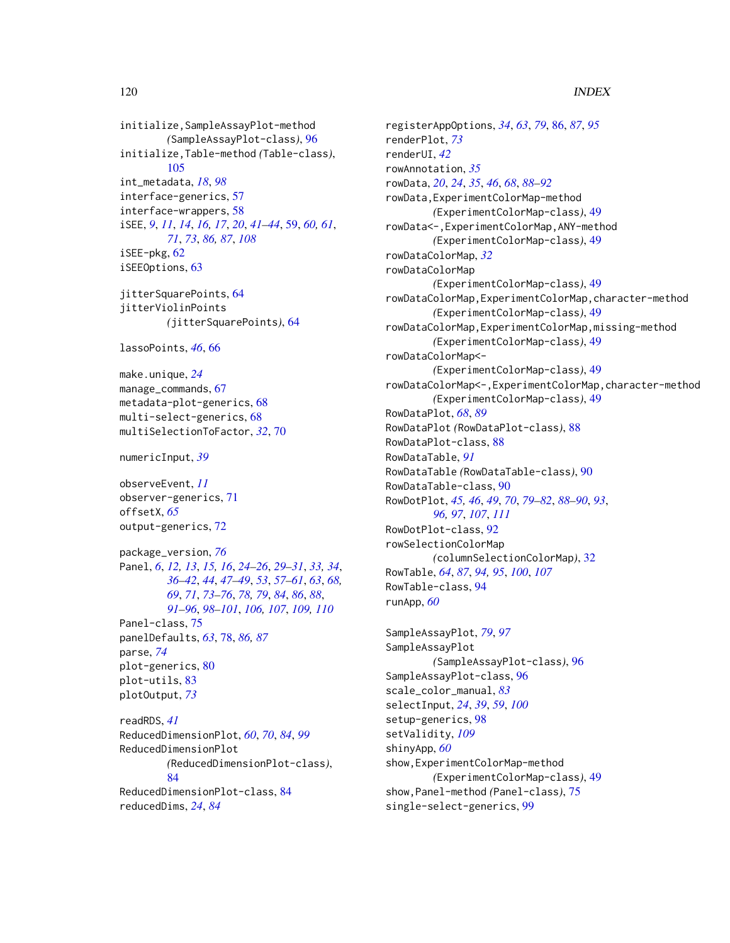```
initialize,SampleAssayPlot-method
        (SampleAssayPlot-class), 96
initialize,Table-method (Table-class),
        105
int_metadata, 18, 98
interface-generics, 57
interface-wrappers, 58
iSEE, 9, 11, 14, 16, 17, 20, 41–44, 59, 60, 61,
        71, 73, 86, 87, 108
iSEE-pkg, 62
iSEEOptions, 63
jitterSquarePoints, 64
jitterViolinPoints
        (jitterSquarePoints), 64
lassoPoints, 46, 66
make.unique, 24
manage_commands, 67
metadata-plot-generics, 68
multi-select-generics, 68
multiSelectionToFactor, 32, 70
numericInput, 39
observeEvent, 11
observer-generics, 71
offsetX, 65
output-generics, 72
```
package\_version, *[76](#page-75-0)* Panel, *[6](#page-5-0)*, *[12,](#page-11-0) [13](#page-12-0)*, *[15,](#page-14-0) [16](#page-15-0)*, *[24–](#page-23-0)[26](#page-25-0)*, *[29–](#page-28-0)[31](#page-30-0)*, *[33,](#page-32-0) [34](#page-33-0)*, *[36](#page-35-0)[–42](#page-41-0)*, *[44](#page-43-0)*, *[47–](#page-46-0)[49](#page-48-0)*, *[53](#page-52-0)*, *[57–](#page-56-1)[61](#page-60-0)*, *[63](#page-62-0)*, *[68,](#page-67-0) [69](#page-68-0)*, *[71](#page-70-0)*, *[73](#page-72-0)[–76](#page-75-0)*, *[78,](#page-77-0) [79](#page-78-0)*, *[84](#page-83-0)*, *[86](#page-85-0)*, *[88](#page-87-0)*, *[91](#page-90-0)[–96](#page-95-0)*, *[98](#page-97-1)[–101](#page-100-0)*, *[106,](#page-105-0) [107](#page-106-0)*, *[109,](#page-108-0) [110](#page-109-0)* Panel-class, [75](#page-74-1) panelDefaults, *[63](#page-62-0)*, [78,](#page-77-0) *[86,](#page-85-0) [87](#page-86-0)* parse, *[74](#page-73-0)* plot-generics, [80](#page-79-0) plot-utils, [83](#page-82-0) plotOutput, *[73](#page-72-0)*

readRDS, *[41](#page-40-0)* ReducedDimensionPlot, *[60](#page-59-0)*, *[70](#page-69-0)*, *[84](#page-83-0)*, *[99](#page-98-0)* ReducedDimensionPlot *(*ReducedDimensionPlot-class*)*, [84](#page-83-0) ReducedDimensionPlot-class, [84](#page-83-0) reducedDims, *[24](#page-23-0)*, *[84](#page-83-0)*

registerAppOptions, *[34](#page-33-0)*, *[63](#page-62-0)*, *[79](#page-78-0)*, [86,](#page-85-0) *[87](#page-86-0)*, *[95](#page-94-0)* renderPlot, *[73](#page-72-0)* renderUI, *[42](#page-41-0)* rowAnnotation, *[35](#page-34-0)* rowData, *[20](#page-19-0)*, *[24](#page-23-0)*, *[35](#page-34-0)*, *[46](#page-45-0)*, *[68](#page-67-0)*, *[88](#page-87-0)[–92](#page-91-1)* rowData,ExperimentColorMap-method *(*ExperimentColorMap-class*)*, [49](#page-48-0) rowData<-,ExperimentColorMap,ANY-method *(*ExperimentColorMap-class*)*, [49](#page-48-0) rowDataColorMap, *[32](#page-31-0)* rowDataColorMap *(*ExperimentColorMap-class*)*, [49](#page-48-0) rowDataColorMap,ExperimentColorMap,character-method *(*ExperimentColorMap-class*)*, [49](#page-48-0) rowDataColorMap,ExperimentColorMap,missing-method *(*ExperimentColorMap-class*)*, [49](#page-48-0) rowDataColorMap<- *(*ExperimentColorMap-class*)*, [49](#page-48-0) rowDataColorMap<-,ExperimentColorMap,character-method *(*ExperimentColorMap-class*)*, [49](#page-48-0) RowDataPlot, *[68](#page-67-0)*, *[89](#page-88-0)* RowDataPlot *(*RowDataPlot-class*)*, [88](#page-87-0) RowDataPlot-class, [88](#page-87-0) RowDataTable, *[91](#page-90-0)* RowDataTable *(*RowDataTable-class*)*, [90](#page-89-0) RowDataTable-class, [90](#page-89-0) RowDotPlot, *[45,](#page-44-1) [46](#page-45-0)*, *[49](#page-48-0)*, *[70](#page-69-0)*, *[79](#page-78-0)[–82](#page-81-0)*, *[88](#page-87-0)[–90](#page-89-0)*, *[93](#page-92-0)*, *[96,](#page-95-0) [97](#page-96-0)*, *[107](#page-106-0)*, *[111](#page-110-0)* RowDotPlot-class, [92](#page-91-1) rowSelectionColorMap *(*columnSelectionColorMap*)*, [32](#page-31-0) RowTable, *[64](#page-63-0)*, *[87](#page-86-0)*, *[94,](#page-93-0) [95](#page-94-0)*, *[100](#page-99-0)*, *[107](#page-106-0)* RowTable-class, [94](#page-93-0) runApp, *[60](#page-59-0)*

SampleAssayPlot, *[79](#page-78-0)*, *[97](#page-96-0)* SampleAssayPlot *(*SampleAssayPlot-class*)*, [96](#page-95-0) SampleAssayPlot-class, [96](#page-95-0) scale\_color\_manual, *[83](#page-82-0)* selectInput, *[24](#page-23-0)*, *[39](#page-38-0)*, *[59](#page-58-0)*, *[100](#page-99-0)* setup-generics, [98](#page-97-1) setValidity, *[109](#page-108-0)* shinyApp, *[60](#page-59-0)* show,ExperimentColorMap-method *(*ExperimentColorMap-class*)*, [49](#page-48-0) show,Panel-method *(*Panel-class*)*, [75](#page-74-1) single-select-generics, [99](#page-98-0)